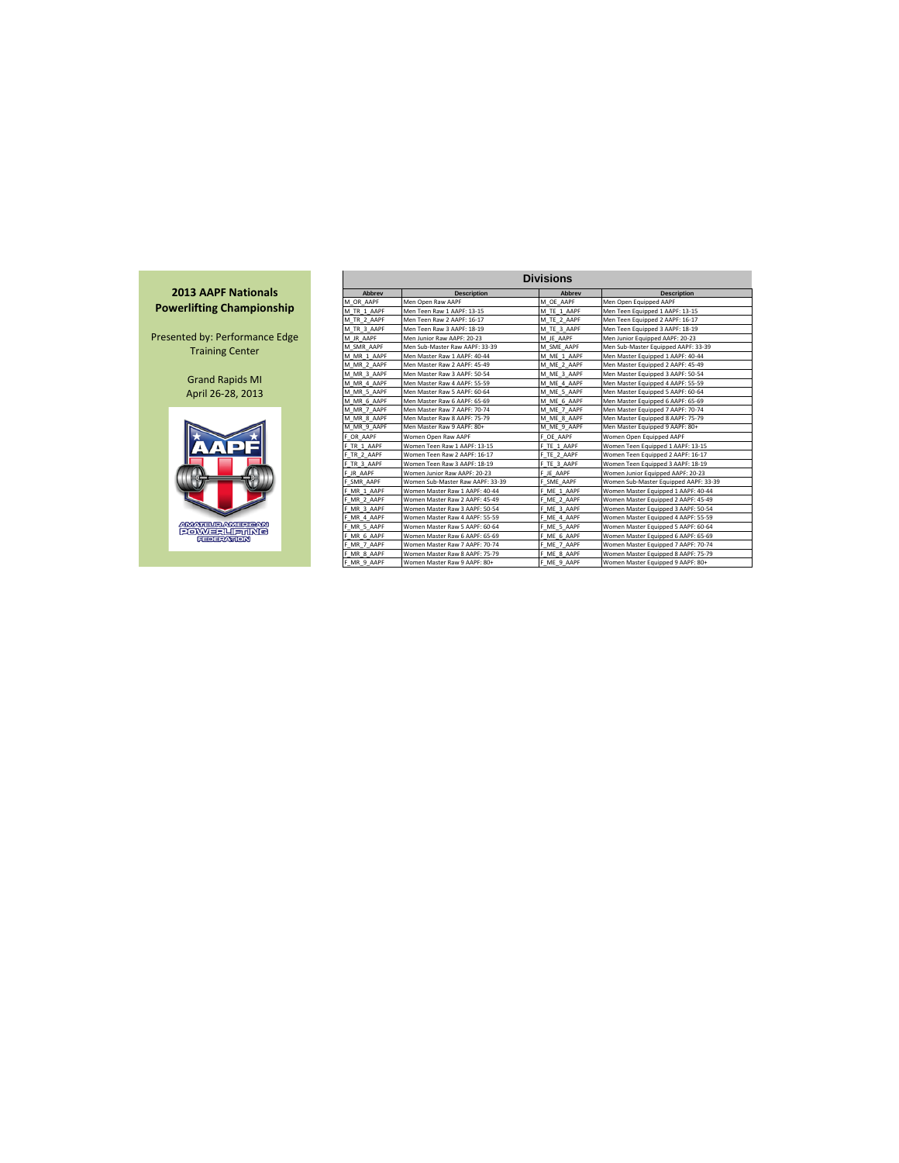

|             |                                  | <b>Divisions</b> |                                       |
|-------------|----------------------------------|------------------|---------------------------------------|
| Abbrev      | <b>Description</b>               | Abbrev           | <b>Description</b>                    |
| M OR AAPF   | Men Open Raw AAPF                | M OE AAPF        | Men Open Equipped AAPF                |
| M TR 1 AAPF | Men Teen Raw 1 AAPF: 13-15       | M TE 1 AAPF      | Men Teen Equipped 1 AAPF: 13-15       |
| M TR 2 AAPF | Men Teen Raw 2 AAPF: 16-17       | M TE 2 AAPF      | Men Teen Equipped 2 AAPF: 16-17       |
| M TR 3 AAPF | Men Teen Raw 3 AAPF: 18-19       | M TE 3 AAPF      | Men Teen Equipped 3 AAPF: 18-19       |
| M JR AAPF   | Men Junior Raw AAPF: 20-23       | M JE AAPF        | Men Junior Equipped AAPF: 20-23       |
| M SMR AAPF  | Men Sub-Master Raw AAPF: 33-39   | M SME AAPF       | Men Sub-Master Equipped AAPF: 33-39   |
| M MR 1 AAPF | Men Master Raw 1 AAPF: 40-44     | M ME 1 AAPF      | Men Master Equipped 1 AAPF: 40-44     |
| M MR 2 AAPF | Men Master Raw 2 AAPF: 45-49     | M ME 2 AAPF      | Men Master Equipped 2 AAPF: 45-49     |
| M MR 3 AAPF | Men Master Raw 3 AAPF: 50-54     | M ME 3 AAPF      | Men Master Equipped 3 AAPF: 50-54     |
| M MR 4 AAPF | Men Master Raw 4 AAPF: 55-59     | M ME 4 AAPF      | Men Master Equipped 4 AAPF: 55-59     |
| M MR 5 AAPF | Men Master Raw 5 AAPF: 60-64     | M ME 5 AAPF      | Men Master Equipped 5 AAPF: 60-64     |
| M MR 6 AAPF | Men Master Raw 6 AAPF: 65-69     | M ME 6 AAPF      | Men Master Equipped 6 AAPF: 65-69     |
| M MR_7_AAPF | Men Master Raw 7 AAPF: 70-74     | M ME 7 AAPF      | Men Master Equipped 7 AAPF: 70-74     |
| M MR 8 AAPF | Men Master Raw 8 AAPF: 75-79     | M ME 8 AAPF      | Men Master Equipped 8 AAPF: 75-79     |
| M MR 9 AAPF | Men Master Raw 9 AAPF: 80+       | M ME 9 AAPF      | Men Master Equipped 9 AAPF: 80+       |
| F OR AAPF   | Women Open Raw AAPF              | F OE AAPF        | Women Open Equipped AAPF              |
| F TR 1 AAPF | Women Teen Raw 1 AAPF: 13-15     | F TE 1 AAPF      | Women Teen Equipped 1 AAPF: 13-15     |
| F TR 2 AAPF | Women Teen Raw 2 AAPF: 16-17     | F TE 2 AAPF      | Women Teen Equipped 2 AAPF: 16-17     |
| F TR 3 AAPF | Women Teen Raw 3 AAPF: 18-19     | F TE 3 AAPF      | Women Teen Equipped 3 AAPF: 18-19     |
| F JR AAPF   | Women Junior Raw AAPF: 20-23     | F JE AAPF        | Women Junior Equipped AAPF: 20-23     |
| F SMR AAPF  | Women Sub-Master Raw AAPF: 33-39 | F SME AAPF       | Women Sub-Master Equipped AAPF: 33-39 |
| F MR 1 AAPF | Women Master Raw 1 AAPF: 40-44   | F ME 1 AAPF      | Women Master Equipped 1 AAPF: 40-44   |
| F MR 2 AAPF | Women Master Raw 2 AAPF: 45-49   | F ME 2 AAPF      | Women Master Equipped 2 AAPF: 45-49   |
| F MR 3 AAPF | Women Master Raw 3 AAPF: 50-54   | F ME 3 AAPF      | Women Master Equipped 3 AAPF: 50-54   |
| F MR_4_AAPF | Women Master Raw 4 AAPF: 55-59   | F ME 4 AAPF      | Women Master Equipped 4 AAPF: 55-59   |
| F MR 5 AAPF | Women Master Raw 5 AAPF: 60-64   | F ME 5 AAPF      | Women Master Equipped 5 AAPF: 60-64   |
| F MR 6 AAPF | Women Master Raw 6 AAPF: 65-69   | F ME 6 AAPF      | Women Master Equipped 6 AAPF: 65-69   |
| F MR 7 AAPF | Women Master Raw 7 AAPF: 70-74   | F ME 7 AAPF      | Women Master Equipped 7 AAPF: 70-74   |
| F MR 8 AAPF | Women Master Raw 8 AAPF: 75-79   | F ME 8 AAPF      | Women Master Equipped 8 AAPF: 75-79   |
| F_MR_9_AAPF | Women Master Raw 9 AAPF: 80+     | F ME 9 AAPF      | Women Master Equipped 9 AAPF: 80+     |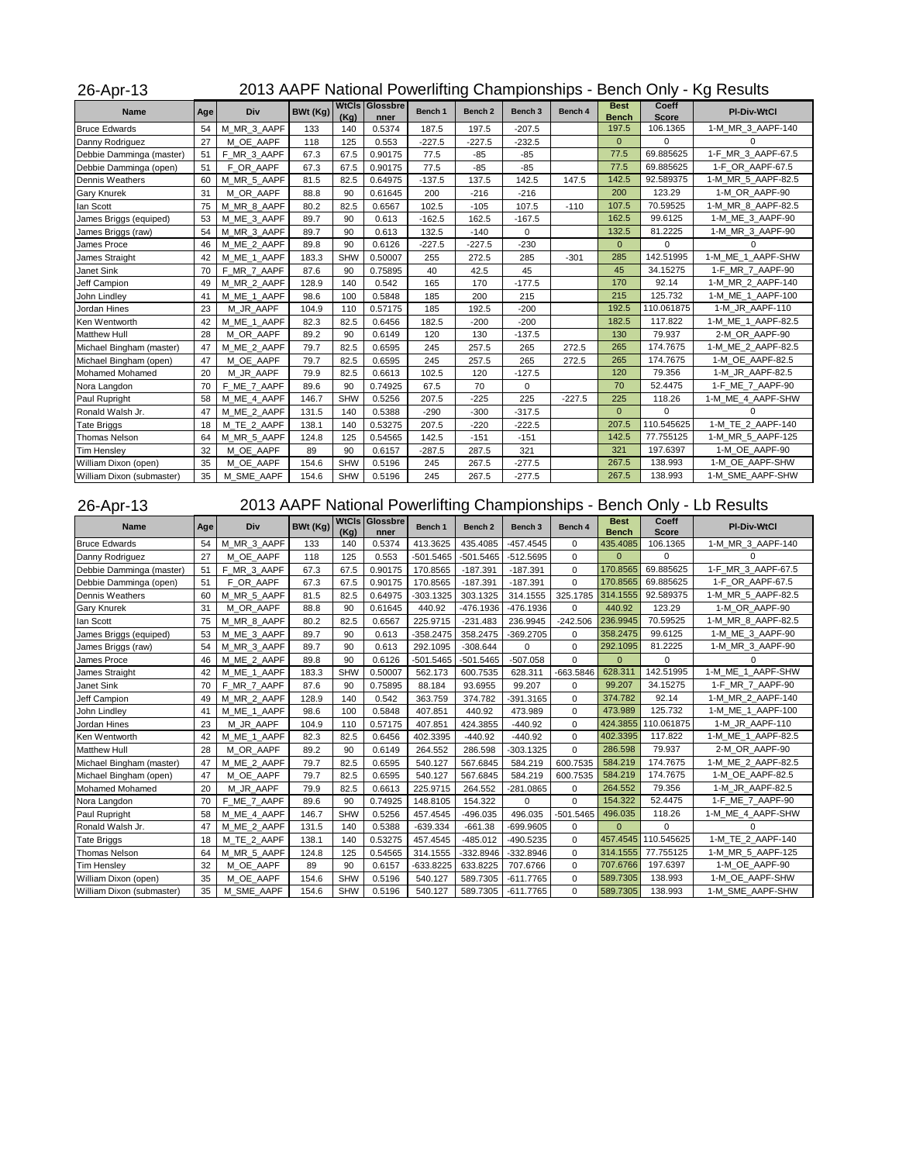## 26-Apr-13 2013 AAPF National Powerlifting Championships - Bench Only - Kg Results

| <b>Name</b>               | Age | Div         | BWt (Kg) | <b>WtCls</b><br>(Kq) | Glossbre<br>nner | Bench 1  | Bench <sub>2</sub> | Bench <sub>3</sub> | Bench 4  | <b>Best</b><br><b>Bench</b> | Coeff<br><b>Score</b> | <b>PI-Div-WtCl</b> |
|---------------------------|-----|-------------|----------|----------------------|------------------|----------|--------------------|--------------------|----------|-----------------------------|-----------------------|--------------------|
| <b>Bruce Edwards</b>      | 54  | M_MR_3_AAPF | 133      | 140                  | 0.5374           | 187.5    | 197.5              | $-207.5$           |          | 197.5                       | 106.1365              | 1-M MR 3 AAPF-140  |
| Danny Rodriguez           | 27  | M OE AAPF   | 118      | 125                  | 0.553            | $-227.5$ | $-227.5$           | $-232.5$           |          | $\overline{0}$              | $\Omega$              | $\Omega$           |
| Debbie Damminga (master)  | 51  | F MR 3 AAPF | 67.3     | 67.5                 | 0.90175          | 77.5     | $-85$              | $-85$              |          | 77.5                        | 69.885625             | 1-F MR 3 AAPF-67.5 |
| Debbie Damminga (open)    | 51  | F OR AAPF   | 67.3     | 67.5                 | 0.90175          | 77.5     | $-85$              | $-85$              |          | 77.5                        | 69.885625             | 1-F OR AAPF-67.5   |
| <b>Dennis Weathers</b>    | 60  | M MR 5 AAPF | 81.5     | 82.5                 | 0.64975          | $-137.5$ | 137.5              | 142.5              | 147.5    | 142.5                       | 92.589375             | 1-M MR 5 AAPF-82.5 |
| <b>Gary Knurek</b>        | 31  | M OR AAPF   | 88.8     | 90                   | 0.61645          | 200      | $-216$             | $-216$             |          | 200                         | 123.29                | 1-M OR AAPF-90     |
| lan Scott                 | 75  | M MR 8 AAPF | 80.2     | 82.5                 | 0.6567           | 102.5    | $-105$             | 107.5              | $-110$   | 107.5                       | 70.59525              | 1-M MR 8 AAPF-82.5 |
| James Briggs (equiped)    | 53  | M ME 3 AAPF | 89.7     | 90                   | 0.613            | $-162.5$ | 162.5              | $-167.5$           |          | 162.5                       | 99.6125               | 1-M ME 3 AAPF-90   |
| James Briggs (raw)        | 54  | M MR 3 AAPF | 89.7     | 90                   | 0.613            | 132.5    | $-140$             | 0                  |          | 132.5                       | 81.2225               | 1-M MR 3 AAPF-90   |
| James Proce               | 46  | M ME 2 AAPF | 89.8     | 90                   | 0.6126           | $-227.5$ | $-227.5$           | $-230$             |          | $\overline{0}$              | $\Omega$              | $\Omega$           |
| James Straight            | 42  | M ME 1 AAPF | 183.3    | <b>SHW</b>           | 0.50007          | 255      | 272.5              | 285                | $-301$   | 285                         | 142.51995             | 1-M ME 1 AAPF-SHW  |
| Janet Sink                | 70  | F MR 7 AAPF | 87.6     | 90                   | 0.75895          | 40       | 42.5               | 45                 |          | 45                          | 34.15275              | 1-F MR 7 AAPF-90   |
| Jeff Campion              | 49  | M MR 2 AAPF | 128.9    | 140                  | 0.542            | 165      | 170                | $-177.5$           |          | 170                         | 92.14                 | 1-M MR 2 AAPF-140  |
| John Lindley              | 41  | M ME 1 AAPF | 98.6     | 100                  | 0.5848           | 185      | 200                | 215                |          | 215                         | 125.732               | 1-M ME 1 AAPF-100  |
| Jordan Hines              | 23  | M JR AAPF   | 104.9    | 110                  | 0.57175          | 185      | 192.5              | $-200$             |          | 192.5                       | 110.061875            | 1-M JR AAPF-110    |
| Ken Wentworth             | 42  | M ME 1 AAPF | 82.3     | 82.5                 | 0.6456           | 182.5    | $-200$             | $-200$             |          | 182.5                       | 117.822               | 1-M ME 1 AAPF-82.5 |
| <b>Matthew Hull</b>       | 28  | M OR AAPF   | 89.2     | 90                   | 0.6149           | 120      | 130                | $-137.5$           |          | 130                         | 79.937                | 2-M OR AAPF-90     |
| Michael Bingham (master)  | 47  | M ME 2 AAPF | 79.7     | 82.5                 | 0.6595           | 245      | 257.5              | 265                | 272.5    | 265                         | 174.7675              | 1-M ME 2 AAPF-82.5 |
| Michael Bingham (open)    | 47  | M OE AAPF   | 79.7     | 82.5                 | 0.6595           | 245      | 257.5              | 265                | 272.5    | 265                         | 174.7675              | 1-M OE AAPF-82.5   |
| Mohamed Mohamed           | 20  | M_JR_AAPF   | 79.9     | 82.5                 | 0.6613           | 102.5    | 120                | $-127.5$           |          | 120                         | 79.356                | 1-M JR AAPF-82.5   |
| Nora Langdon              | 70  | F ME 7 AAPF | 89.6     | 90                   | 0.74925          | 67.5     | 70                 | 0                  |          | 70                          | 52.4475               | 1-F ME 7 AAPF-90   |
| Paul Rupright             | 58  | M_ME_4_AAPF | 146.7    | SHW                  | 0.5256           | 207.5    | $-225$             | 225                | $-227.5$ | 225                         | 118.26                | 1-M ME 4 AAPF-SHW  |
| Ronald Walsh Jr.          | 47  | M_ME_2_AAPF | 131.5    | 140                  | 0.5388           | $-290$   | $-300$             | $-317.5$           |          | $\overline{0}$              | $\Omega$              | $\Omega$           |
| <b>Tate Briggs</b>        | 18  | M TE 2 AAPF | 138.1    | 140                  | 0.53275          | 207.5    | $-220$             | $-222.5$           |          | 207.5                       | 110.545625            | 1-M_TE_2_AAPF-140  |
| <b>Thomas Nelson</b>      | 64  | M_MR_5_AAPF | 124.8    | 125                  | 0.54565          | 142.5    | $-151$             | $-151$             |          | 142.5                       | 77.755125             | 1-M MR 5 AAPF-125  |
| <b>Tim Hensley</b>        | 32  | M OE AAPF   | 89       | 90                   | 0.6157           | $-287.5$ | 287.5              | 321                |          | 321                         | 197.6397              | 1-M OE AAPF-90     |
| William Dixon (open)      | 35  | M OE AAPF   | 154.6    | <b>SHW</b>           | 0.5196           | 245      | 267.5              | $-277.5$           |          | 267.5                       | 138.993               | 1-M OE AAPF-SHW    |
| William Dixon (submaster) | 35  | M SME AAPF  | 154.6    | <b>SHW</b>           | 0.5196           | 245      | 267.5              | $-277.5$           |          | 267.5                       | 138.993               | 1-M SME AAPF-SHW   |

## 26-Apr-13 2013 AAPF National Powerlifting Championships - Bench Only - Lb Results

| <b>Name</b>               | Age | Div         | BWt (Kg) | (Kq)       | <b>WtCls Glossbre</b><br>nner | Bench 1     | Bench <sub>2</sub> | Bench <sub>3</sub> | Bench 4     | <b>Best</b><br><b>Bench</b> | Coeff<br><b>Score</b> | <b>PI-Div-WtCl</b> |
|---------------------------|-----|-------------|----------|------------|-------------------------------|-------------|--------------------|--------------------|-------------|-----------------------------|-----------------------|--------------------|
| <b>Bruce Edwards</b>      | 54  | M MR 3 AAPF | 133      | 140        | 0.5374                        | 413.3625    | 435.4085           | $-457.4545$        | $\Omega$    | 435.4085                    | 106.1365              | 1-M MR 3 AAPF-140  |
| Danny Rodriguez           | 27  | M OE AAPF   | 118      | 125        | 0.553                         | $-501.5465$ | $-501.5465$        | $-512.5695$        | 0           | $\mathbf{0}$                | 0                     | $\Omega$           |
| Debbie Damminga (master)  | 51  | F_MR_3_AAPF | 67.3     | 67.5       | 0.90175                       | 170.8565    | $-187.391$         | $-187.391$         | $\Omega$    | 170.8565                    | 69.885625             | 1-F MR 3 AAPF-67.5 |
| Debbie Damminga (open)    | 51  | F OR AAPF   | 67.3     | 67.5       | 0.90175                       | 170.8565    | $-187.391$         | $-187.391$         | $\Omega$    | 170.8565                    | 69.885625             | 1-F_OR_AAPF-67.5   |
| Dennis Weathers           | 60  | M MR 5 AAPF | 81.5     | 82.5       | 0.64975                       | $-303.1325$ | 303.1325           | 314.1555           | 325.1785    | 314.1555                    | 92.589375             | 1-M MR 5 AAPF-82.5 |
| <b>Gary Knurek</b>        | 31  | M OR AAPF   | 88.8     | 90         | 0.61645                       | 440.92      | -476.1936          | -476.1936          | $\Omega$    | 440.92                      | 123.29                | 1-M OR AAPF-90     |
| lan Scott                 | 75  | M MR 8 AAPF | 80.2     | 82.5       | 0.6567                        | 225.9715    | $-231.483$         | 236.9945           | $-242.506$  | 236.9945                    | 70.59525              | 1-M MR 8 AAPF-82.5 |
| James Briggs (equiped)    | 53  | M ME 3 AAPF | 89.7     | 90         | 0.613                         | $-358.2475$ | 358.2475           | $-369.2705$        | 0           | 358.2475                    | 99.6125               | 1-M ME 3 AAPF-90   |
| James Briggs (raw)        | 54  | M MR 3 AAPF | 89.7     | 90         | 0.613                         | 292.1095    | $-308.644$         | 0                  | $\mathbf 0$ | 292.1095                    | 81.2225               | 1-M MR 3 AAPF-90   |
| James Proce               | 46  | M ME 2 AAPF | 89.8     | 90         | 0.6126                        | $-501.5465$ | $-501.5465$        | $-507.058$         | $\mathbf 0$ | $\mathbf{0}$                | 0                     | $\Omega$           |
| James Straight            | 42  | M ME 1 AAPF | 183.3    | <b>SHW</b> | 0.50007                       | 562.173     | 600.7535           | 628.311            | $-663.5846$ | 628.311                     | 142.51995             | 1-M ME 1 AAPF-SHW  |
| Janet Sink                | 70  | F MR 7 AAPF | 87.6     | 90         | 0.75895                       | 88.184      | 93.6955            | 99.207             | 0           | 99.207                      | 34.15275              | 1-F_MR_7_AAPF-90   |
| <b>Jeff Campion</b>       | 49  | M_MR_2_AAPF | 128.9    | 140        | 0.542                         | 363.759     | 374.782            | $-391.3165$        | $\Omega$    | 374.782                     | 1-M MR 2 AAPF-140     |                    |
| John Lindley              | 41  | M ME 1 AAPF | 98.6     |            | 0.5848                        | 407.851     | 440.92             | 473.989            | $\mathbf 0$ | 473.989                     | 125.732               | 1-M ME 1 AAPF-100  |
| Jordan Hines              | 23  | M JR AAPF   | 104.9    | 110        | 0.57175                       | 407.851     | 424.3855           | $-440.92$          | $\mathbf 0$ | 424.3855                    | 110.061875            | 1-M JR AAPF-110    |
| Ken Wentworth             | 42  | M ME 1 AAPF | 82.3     | 82.5       | 0.6456                        | 402.3395    | $-440.92$          | $-440.92$          | 0           | 402.3395                    | 117.822               | 1-M ME 1 AAPF-82.5 |
| <b>Matthew Hull</b>       | 28  | M OR AAPF   | 89.2     | 90         | 0.6149                        | 264.552     | 286.598            | $-303.1325$        | $\mathbf 0$ | 286.598                     | 79.937                | 2-M OR AAPF-90     |
| Michael Bingham (master)  | 47  | M ME 2 AAPF | 79.7     | 82.5       | 0.6595                        | 540.127     | 567.6845           | 584.219            | 600.7535    | 584.219                     | 174.7675              | 1-M ME 2 AAPF-82.5 |
| Michael Bingham (open)    | 47  | M OE AAPF   | 79.7     | 82.5       | 0.6595                        | 540.127     | 567.6845           | 584.219            | 600.7535    | 584.219                     | 174.7675              | 1-M OE AAPF-82.5   |
| Mohamed Mohamed           | 20  | M JR AAPF   | 79.9     | 82.5       | 0.6613                        | 225.9715    | 264.552            | -281.0865          | $\mathbf 0$ | 264.552                     | 79.356                | 1-M JR AAPF-82.5   |
| Nora Langdon              | 70  | F ME 7 AAPF | 89.6     | 90         | 0.74925                       | 148.8105    | 154.322            | $\Omega$           | $\Omega$    | 154.322                     | 52.4475               | 1-F ME 7 AAPF-90   |
| Paul Rupright             | 58  | M_ME_4_AAPF | 146.7    | <b>SHW</b> | 0.5256                        | 457.4545    | $-496.035$         | 496.035            | $-501.5465$ | 496.035                     | 118.26                | 1-M ME 4 AAPF-SHW  |
| Ronald Walsh Jr.          | 47  | M ME 2 AAPF | 131.5    | 140        | 0.5388                        | $-639.334$  | $-661.38$          | $-699.9605$        | $\mathbf 0$ | $\Omega$                    | $\Omega$              |                    |
| <b>Tate Briggs</b>        | 18  | M TE 2 AAPF | 138.1    | 140        | 0.53275                       | 457.4545    | $-485.012$         | -490.5235          | $\Omega$    | 457.4545                    | 110.545625            | 1-M TE 2 AAPF-140  |
| Thomas Nelson             | 64  | M MR 5 AAPF | 124.8    | 125        | 0.54565                       | 314.1555    | $-332.8946$        | $-332.8946$        | $\mathbf 0$ | 314.1555                    | 77.755125             | 1-M MR 5 AAPF-125  |
| <b>Tim Hensley</b>        | 32  | M OE AAPF   | 89       | 90         | 0.6157                        | $-633.8225$ | 633.8225           | 707.6766           | $\Omega$    | 707.6766                    | 197.6397              | 1-M OE AAPF-90     |
| William Dixon (open)      | 35  | M OE AAPF   | 154.6    | <b>SHW</b> | 0.5196                        | 540.127     | 589.7305           | $-611.7765$        | $\mathbf 0$ | 589.7305                    | 138.993               | 1-M OE AAPF-SHW    |
| William Dixon (submaster) | 35  | M_SME_AAPF  | 154.6    | <b>SHW</b> | 0.5196                        | 540.127     | 589.7305           | $-611.7765$        | $\mathbf 0$ | 589.7305                    | 138.993               | 1-M SME_AAPF-SHW   |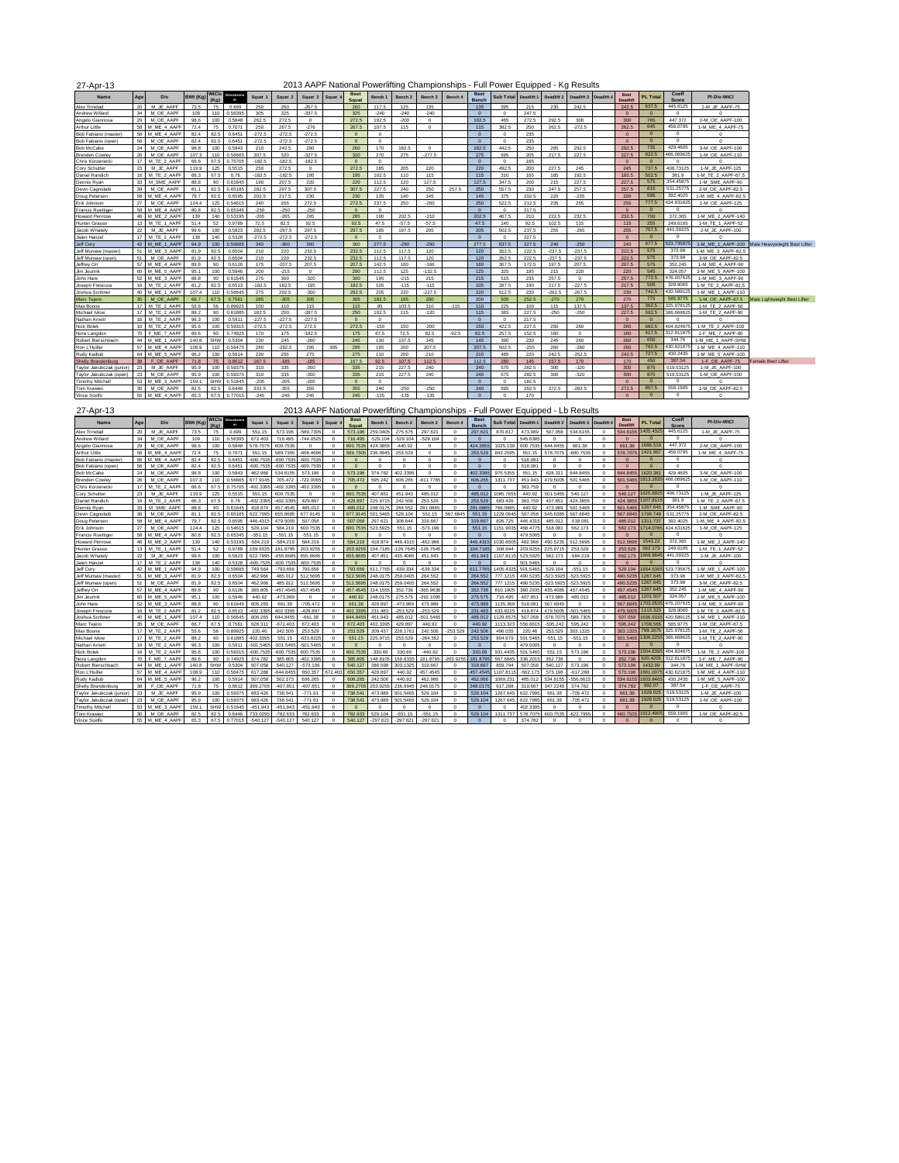| 2013 AAPF National Powerlifting Championships - Full Power Equipped - Kg Results |
|----------------------------------------------------------------------------------|
|----------------------------------------------------------------------------------|

| 27-Apr-13                 |               |                |                 |      |                                   |          |          |          |       |                      |            |                    |          |         |                      | 2013 AAPF National Powerlifting Championships - Full Power Equipped - Kg Results |            |            |            |            |                  |                 |                |                    |                              |
|---------------------------|---------------|----------------|-----------------|------|-----------------------------------|----------|----------|----------|-------|----------------------|------------|--------------------|----------|---------|----------------------|----------------------------------------------------------------------------------|------------|------------|------------|------------|------------------|-----------------|----------------|--------------------|------------------------------|
| Name                      | Age           | Div            | <b>BWt (Kg)</b> | (Ka) | <b>WtCls</b> clearbrent<br>$-$ er | Squat 1  | Squat 2  | Squat 3  | Squat | <b>Best</b><br>Squat | Bench 1    | Bench <sub>2</sub> | Bench 3  | Bench 4 | <b>Best</b><br>Bench | Sub Total                                                                        | Deadlift 1 | Deadlift 2 | Deadlift 3 | Deadlift 4 | Best<br>Deadlift | <b>PL Total</b> | Coeff<br>Score | PI-Div-WtCl        |                              |
| Alex Trinidad             | 20            | M JE AAPF      | 73.5            | 75   | 0.699                             | 250      | 260      | $-267.5$ |       | 260                  | 117.5      | 125                | 135      |         | 135                  | 395                                                                              | 215        | 230        | 242.5      |            | 242.5            | 637.5           | 445.6125       | 1-M JE AAPF-75     |                              |
| Andrew Willard            | $\mathcal{R}$ | M OE AAPF      | 109             | 110  | 0.56395                           | 305      | 325      | $-337.5$ |       | 325                  | $-240$     | $-240$             | $-240$   |         | $\Omega$             | $\Omega$                                                                         | 247.5      |            |            |            | $\sqrt{2}$       | $\Omega$        | $\Omega$       | n                  |                              |
| Angelo Giannosa           | 29            | M OE AAPF      | 98.6            | 100  | 0.5848                            | 262.5    | 272.5    | $\Omega$ |       | 272.5                | 192.5      | $-200$             | $\Omega$ |         | 192.5                | 465                                                                              | 272.5      | 292.5      | 300        |            | 300              | 765             | 447.372        | 2-M OE AAPF-100    |                              |
| Arthur Little             | 58            | M ME 4 AAPF    | 72.4            | 75   | 0.707                             | 250      | 267.5    | $-276$   |       | 267.5                | 107.5      | 115                | $\Omega$ |         | 115                  | 382.5                                                                            | 250        | 262.5      | $-272.5$   |            | 262.5            | 645             | 456.0795       | 1-M ME 4 AAPF-75   |                              |
| Bob Fabiano (master       | 56            | M MF 4 AAPF    | 82.4            | 82.5 | 0.6451                            | $-272.5$ | $-272.5$ | $-272.5$ |       | $\Omega$             | $\sqrt{2}$ |                    |          |         | $\sqrt{2}$           | $\Omega$                                                                         | 235        |            |            |            | $\sqrt{2}$       | $\Omega$        | $\Omega$       | $\Omega$           |                              |
| Bob Fabiano (open)        | 56            | M OE AAPF      | 82.4            | 82.5 | 0.6451                            | $-272.5$ | $-272.5$ | $-272.5$ |       | $\circ$              | $\Omega$   |                    |          |         | $\Omega$             | $\Omega$                                                                         | 235        |            |            |            | $\Omega$         | $\Omega$        | $^{\circ}$     | $\Omega$           |                              |
| <b>Bob McCabe</b>         | 24            | M OE AAPF      | 98.8            | 100  | 0.5843                            | 210      | 242.5    | 260      |       | 260                  | 170        | 182.5              | $\Omega$ |         | 182.5                | 442.5                                                                            | 250        | 285        | 292.5      |            | 292.5            | 735             | 429.4605       | 3-M OE AAPF-100    |                              |
| <b>Brenden Cowley</b>     | 26            | M OE AAPF      | 107.3           | 110  | 0.56665                           | 307.5    | 320      | $-327.5$ |       | 320                  | 270        | 275                | $-277.5$ |         | 275                  | 595                                                                              | 205        | 217.5      | 227.5      |            | 227.5            | 822.5           | 466.069625     | 1-M OE AAPF-110    |                              |
| Chris Korzenecki          | 17            | M TE 2 AAPF    | 66.6            | 67.5 | 0.75705                           | $-182.5$ | $-182.5$ | $-182.5$ |       | $\Omega$             | $\Omega$   |                    |          |         | $\Omega$             | $\Omega$                                                                         | 165        |            |            |            | $\Omega$         | $\Omega$        | $^{\circ}$     | $\Omega$           |                              |
| Cory Schutter             | 23            | M JE AAPF      | 119.9           | 125  | 0.5515                            | 250      | 272.5    | $\Omega$ |       | 272.5                | 185        | 205                | 220      |         | 220                  | 492.5                                                                            | 200        | 227.5      | 245        |            | 245              | 737.5           | 406.73125      | 1-M JE AAPF-125    |                              |
| Daniel Randich            | 16            | M TE 2 AAPF    | 66.3            | 67.5 | 0.76                              | $-182.5$ | $-182.5$ | 195      |       | 195                  | 102.5      | 110                | 115      |         | 115                  | 310                                                                              | 165        | 185        | 192.5      |            | 192.5            | 502.5           | 381.9          | 1-M TE 2 AAPF-67.5 |                              |
| Dennis Rvan               | 33            | M SME AAPF     | 88.8            | 90   | 0.61645                           | 190      | 207.5    | 220      |       | 220                  | 112.5      | 120                | 127.5    |         | 127.5                | 347.5                                                                            | 200        | 215        | 227.5      |            | 227.5            | 575             | 354.45875      | 1-M SME AAPF-90    |                              |
| Devin Cagnolatt           | 39            | M OE AAPF      | 81.1            | 82.5 | 0.65185                           | 282.5    | 297.5    | 307.5    |       | 307.5                | 227.5      | 240                | 250      | 257.5   | 250                  | 557.5                                                                            | 230        | 247.5      | 257.5      |            | 257.5            | 815             | 531.25775      | 2-M OE AAPF-82.5   |                              |
| Doug Petersen             | 58            | M ME 4 AAPF    | 79.7            | 82.5 | 0.6595                            | 202.5    | 217.5    | 230      |       | 230                  | 135        | 140                | 145      |         | 145                  | 375                                                                              | 202.5      | 220        | $-235$     |            | 220              | 595             | 392.4025       | 1-M ME 4 AAPF-82.5 |                              |
| Erik Johnson              | 27            | M OE AAPF      | 1244            | 125  | 0.54615                           | 240      | 265      | 272.5    |       | 272.5                | 237.5      | 250                | $-260$   |         | 250                  | 522.5                                                                            | 212.5      | 235        | 255        |            | 255              | 777.5           | 424.631625     | 1-M OE AAPF-125    |                              |
| <b>Francis Ruettige</b>   | 58            | M ME 4 AAPF    | 80.8            | 82.5 | 0.65345                           | $-250$   | $-250$   | $-250$   |       | $\circ$              | $\Omega$   |                    |          |         | $\Omega$             | $\Omega$                                                                         | 217.5      |            |            |            | $\Omega$         | $\Omega$        | $^{\circ}$     | $\Omega$           |                              |
| <b>Howard Penrose</b>     |               | 46 M ME 2 AAPF | 139             | 140  | 0.53195                           | $-265$   | $-265$   | 265      |       | 265                  | 190        | 202.5              | $-210$   |         | 202.5                | 467.5                                                                            | 210        | 222.5      | 232.5      |            | 232.5            | 700             | 372.365        | 1-M ME 2 AAPF-140  |                              |
| <b>Hunter Grasso</b>      | 13            | M TE 1 AAPF    | 51.4            | 52   | 0.9789                            | 72.5     | 82.5     | 92.5     |       | 92.5                 | 47.5       | $-57.5$            | $-57.5$  |         | 47.5                 | 140                                                                              | 92.5       | 102.5      | 115        |            | 115              | 255             | 249.6195       | 1-M TE 1 AAPF-52   |                              |
| Jacob Whately             | 22            | M JE AAPF      | 99.6            | 100  | 0.5823                            | 282.5    | $-297.5$ | 297.5    |       | 297.5                | 185        | 197.5              | 205      |         | 205                  | 502.5                                                                            | 237.5      | 255        | $-265$     |            | 255              | 757.5           | 441.09225      | 2-M JE AAPF-100    |                              |
| Jalen Hanze               | 17            | M TE 2 AAPF    | 138             | 140  | 0.5328                            | $-272.5$ | $-272.5$ | $-272.5$ |       | $\sqrt{2}$           | $\sqrt{2}$ |                    |          |         | $\sqrt{2}$           | $\sqrt{2}$                                                                       | 227.5      |            |            |            | $\sqrt{2}$       | $\Omega$        | $\Omega$       |                    |                              |
| Jeff Corv                 |               | 42 M ME 1 AAPF | 94.9            | 100  | 0.59685                           | 340      | $-360$   | 360      |       | 360                  | 277.5      | $-290$             | $-290$   |         | 277.5                | 637.5                                                                            | 227.5      | 240        | $-250$     |            | 240              | 877.5           | 523.735875     | 1-M ME 1 AAPF-100  | Male Heavywieght Best Lifter |
| Jeff Mumaw (master)       | 51            | M MF 3 AAPF    | 819             | 82.5 | 0.6504                            | 210      | 220      | 232.5    |       | 232.5                | 112.5      | 117.5              | 120      |         | 120                  | 352.5                                                                            | 222.5      | $-237.5$   | $-237.5$   |            | 222.5            | 575             | 373.98         | 1-M ME 3 AAPF-82.  |                              |
| Jeff Mumaw (open)         | 51            | M OE AAPF      | 81.9            | 82.5 | 0.6504                            | 210      | 220      | 232.5    |       | 232.5                | 112.5      | 117.5              | 120      |         | 120                  | 352.5                                                                            | 222.5      | $-237.5$   | $-237.5$   |            | 222.5            | 575             | 373.98         | 3-M OE AAPF-82.5   |                              |
| Jeffrey Orr               |               | 57 M ME 4 AAPF | 89.8            | 90   | 0.6126                            | 175      | $-207.5$ | 207.5    |       | 207.5                | 142.5      | 160                | $-166$   |         | 160                  | 367.5                                                                            | 172.5      | 197.5      | 207.5      |            | 207.5            | 575             | 352.245        | 1-M ME 4 AAPF-90   |                              |
| Jim Jeurink               | 60            | M ME 5 AAPF    | 95.1            | 100  | 0.5946                            | 200      | $-215$   | $\Omega$ |       | 200                  | 112.5      | 125                | $-132.5$ |         | 125                  | 325                                                                              | 185        | 215        | 220        |            | 220              | 545             | 324.057        | 2-M ME 5 AAPF-100  |                              |
| John Hare                 | 52            | M ME 3 AAPF    | 88.8            | 90   | 0.61645                           | 275      | 300      | $-320$   |       | 300                  | 195        | $-215$             | 215      |         | 215                  | 515                                                                              | 235        | 257.5      | $^{\circ}$ |            | 257.5            | 772.5           | 476.207625     | 1-M_ME_3_AAPF-90   |                              |
| Joseph Frescura           | 16            | M TF 2 AAPF    | 81.2            | 82.5 | 0.6513                            | $-182.5$ | 182.5    | $-195$   |       | 182.5                | 105        | $-115$             | $-115$   |         | 105                  | 287.5                                                                            | 190        | 217.5      | $-227.5$   |            | 217.5            | 505             | 328,9065       | 1-M TE 2 AAPF-82.5 |                              |
| Joshua Scribner           | 40            | M ME 1 AAPF    | 107.4           | 110  | 0.56645                           | 275      | 292.5    | $-300$   |       | 292.5                | 205        | 220                | $-227.5$ |         | 220                  | 512.5                                                                            | 230        | $-262.5$   | $-267.5$   |            | 230              | 742.5           | 120.589125     | 1-M ME 1 AAPF-110  |                              |
| Marc Telero               | 35            | M OE AAPF      | 66.7            | 67.5 | 0.7561                            | 285      | $-305$   | 305      |       | 305                  | 182.5      | 195                | 200      |         | 200                  | 505                                                                              | 252.5      | $-270$     | 270        |            | 270              | 775             | 585.9775       | 1-M OE AAPF-67.5   | Male Lightwieght Best Lifter |
| Max Boone                 | 17            | M TE 2 AAPF    | 55.6            | 56   | 0.89925                           | 100      | 110      | 115      |       | 115                  | 95         | 103.5              | 110      | $-115$  | 110                  | 225                                                                              | 100        | 115        | 137.5      |            | 137.5            | 362.5           | 325.978125     | 1-M TE 2 AAPF-56   |                              |
| Michael Ivlov             | 17            | M TE 2 AAPF    | 88.2            | 90   | 0.61885                           | 182.5    | 250      | $-287.5$ |       | 250                  | 102.5      | 115                | $-120$   |         | 115                  | 365                                                                              | 227.5      | $-250$     | $-250$     |            | 227.5            | 592.5           | 366.668625     | 1-M TE 2 AAPF-90   |                              |
| Nathan Arnett             | 16            | M TE 2 AAPF    | 96.3            | 100  | 0.591                             | $-227.5$ | $-227.5$ | $-227.5$ |       | $\Omega$             | $\Omega$   |                    |          |         | $\Omega$             | $\Omega$                                                                         | 217.5      |            |            |            | $\Omega$         | $\Omega$        | $\Omega$       | n                  |                              |
| Nick Bolek                | 16            | M TE 2 AAPF    | 95.6            | 100  | 0.59315                           | $-272.5$ | $-272.5$ | 272.5    |       | 272.5                | $-150$     | 150                | $-200$   |         | 150                  | 422.5                                                                            | 227.5      | 250        | 260        |            | 260              | 682.5           | 404.824875     | 1-M TE 2 AAPF-100  |                              |
| Nora Langdon              | 70            | F ME 7 AAPF    | 89.6            | 90   | 0.74925                           | 170      | 175      | $-182.5$ |       | 175                  | 67.5       | 72.5               | 82.5     | $-92.5$ | 82.5                 | 257.5                                                                            | 152.5      | 160        | $\Omega$   |            | 160              | 417.5           | 12.811875      | 1-F ME 7 AAPF-90   |                              |
| Robert Bierschbach        |               | 44 M ME 1 AAPF | 140.8           | SHW  | 0.5304                            | 230      | 245      | $-260$   |       | 245                  | 130        | 137.5              | 145      |         | 145                  | 390                                                                              | 230        | 245        | 260        |            | 260              | 650             | 344.76         | 1-M ME 1 AAPF-SHW  |                              |
| Ron L'Huille              |               | 57 M ME 4 AAPF | 108.9           | 110  | 0.56475                           | 280      | $-292.5$ | 295      | 305   | 295                  | 195        | 200                | 207.5    |         | 207.5                | 502.5                                                                            | $-255$     | 260        | $-280$     |            | 260              | 762.5           | 130.621875     | 1-M ME 4 AAPF-110  |                              |
| Rudy Kadlub               | 64            | M ME 5 AAPF    | 96.2            | 100  | 0.5914                            | 230      | 255      | 275      |       | 275                  | 110        | 200                | 210      |         | 210                  | 485                                                                              | 220        | 242.5      | $-252.5$   |            | 242.5            | 727.5           | 430.2435       | 1-M MF 5 AAPF-100  |                              |
| Shelly Brandenburg        | 38            | F OE AAPF      | 71.8            | 75   | 0.8612                            | 167.5    | $-185$   | $-185$   |       | 167.5                | 92.5       | 107.5              | 112.5    |         | 112.5                | 280                                                                              | 145        | 157.5      | 170        |            | 170              | 450             | 387.54         | 1-F OE AAPF-75     | <b>Female Best Lifter</b>    |
| Taylor Jakubczak (junior) | 23            | M JE AAPF      | 95.9            | 100  | 0.59375                           | 310      | 335      | $-350$   |       | 335                  | 215        | 227.5              | 240      |         | 240                  | 575                                                                              | 282.5      | 300        | $-320$     |            | 300              | 875             | 519.53125      | 1-M JE AAPF-100    |                              |
| Taylor Jakubczak (open)   | 23            | M OE AAPF      | 95.9            | 100  | 0.59375                           | 310      | 335      | $-350$   |       | 335                  | 215        | 227.5              | 240      |         | 240                  | 575                                                                              | 282.5      | 300        | $-320$     |            | 300              | 875             | 519.53125      | 1-M OE AAPF-100    |                              |
| <b>Timothy Mitchell</b>   | 53            | M ME 3 AAPF    | 159.1           | SHW  | 0.51645                           | $-205$   | $-205$   | $-205$   |       | $\Omega$             | $\Omega$   |                    |          |         | $\Omega$             | $\Omega$                                                                         | 182.5      |            |            |            | $\Omega$         | $\Omega$        | $\Omega$       | $\Omega$           |                              |
| Tom Krawiec               | 30            | M OE AAPF      | 82.5            | 82.5 | 0.6446                            | 332.5    | $-355$   | 355      |       | 355                  | 240        | $-250$             | $-250$   |         | 240                  | 595                                                                              | 262.5      | 272.5      | $-2825$    |            | 272.5            | 867.5           | 559.1905       | 1-M OE AAPF-82.5   |                              |
| Vince Scelfo              |               | 55 M ME 4 AAPF | 65.3            | 67.5 | 0.77015                           | $-245$   | $-245$   | 245      |       | 245                  | $-135$     | $-135$             | $-135$   |         | $\Omega$             | $\sqrt{2}$                                                                       | 170        |            |            |            | $\Omega$         | $\Omega$        | $\Omega$       | $\Omega$           |                              |
|                           |               |                |                 |      |                                   |          |          |          |       |                      |            |                    |          |         |                      |                                                                                  |            |            |            |            |                  |                 |                |                    |                              |

| <b>WtCls</b><br><b>Best</b><br>Coeff<br><b>Best</b><br><b>Best</b><br>Glasshram<br>PI-Div-WtCl<br>Name<br>Age<br>Div<br><b>BWt (Kg</b><br><b>Sub Total</b><br><b>PL Total</b><br>Squat<br>Bench 1<br>Bench <sub>2</sub><br>Bench <sub>3</sub><br>Bench 4<br>Deadlift 1<br>Deadlift 2<br>Deadlift 3<br>Squat 1<br>Squat 2<br>Squat 3<br><b>Deadlift</b><br>(Ka)<br>$^{\circ}$<br>Squat<br><b>Bench</b><br>Deadlift<br>Score<br>1405.432<br>445.6125<br>20<br>M JE AAPF<br>73.5<br>75<br>551.15<br>259.040<br>275,575<br>297.62<br>297.621<br>870.817<br>534.6155<br>534 615<br>1-M JE AAPF-75<br>Alex Trinidad<br>0.699<br>573.196<br>589.730<br>573.196<br>$\Omega$<br>473.989<br>507.058<br>$\Omega$<br>$\Omega$<br>34<br>M OF AAPF<br>672.403<br>744.052<br>$-529.10$<br>-529 104<br>529 104<br><b>545 638</b><br>$\Omega$<br>$\Omega$<br><b>Andrew Willard</b><br>109<br>110<br>0.56395<br>716.495<br>716,495<br>$\Omega$<br>$\Omega$<br>$\Omega$<br>n<br>$\Omega$<br>$\sqrt{2}$<br>$\Omega$<br>$\Omega$<br>$\sqrt{2}$<br>1686.51<br>447.372<br>29<br>424.385<br>98.6<br>100<br>0.5848<br>578.7075<br>600.7535<br>424.385<br>$-440.92$<br>1025.139<br>600.753<br>644.845<br>661.38<br>661.38<br>2-M OE AAPF-100<br>Angelo Giannosa<br>M OE AAPF<br>600.753<br>$\Omega$<br>$^{\circ}$<br>$\Omega$<br>$\Omega$<br>$\Omega$<br>1421.96<br>456.0795<br>58<br>MF 4 AAPR<br>72.4<br>551.15<br>253 529<br>551.15<br>1-M MF 4 AAPF-75<br><b>Arthur Little</b><br>75<br>0.7071<br>589.7305<br>608.4696<br>589 730<br>236.994<br>$\Omega$<br>253,529<br>843 2595<br>578,707<br>600.7535<br>578.707<br>n<br>c<br>56<br>M ME 4 AAPF<br>82.4<br>82.5<br>0.6451<br>$-600.7535$<br>-600.7535<br>518.08<br>$\Omega$<br>$\Omega$<br>Bob Fabiano (master<br>-600.7535<br>$\Omega$<br>$\Omega$<br>$^{\circ}$<br>$\Omega$<br>$\Omega$<br>$\Omega$<br>$\Omega$<br>$\Omega$<br>$^{\circ}$<br>$^{\circ}$<br>$\Omega$<br>$\Omega$<br>$\Omega$<br>$\Omega$<br>$\Omega$<br>56<br>M OE AAPF<br>82.4<br>82.5<br>0.6451<br>$-600.753$<br>$-600.753$<br>-600.7535<br>$\Omega$<br>$\Omega$<br>518.08<br>$\Omega$<br>$\Omega$<br>$\sqrt{2}$<br>n<br>Bob Fabiano (open<br>$\Omega$<br>$\sqrt{2}$<br>$\Omega$<br>$\sqrt{2}$<br>$\Omega$<br>$\sqrt{2}$<br>$\Omega$<br>1620.38<br>429.4605<br>24<br>M OE AAPF<br>98.8<br>374.782<br>402.3395<br>402.339<br>975,5355<br>551.15<br>644.8455<br>644.845<br>3-M OE AAPF-100<br><b>Bob McCabe</b><br>100<br>0.5843<br>462.966<br>534.615<br>573.196<br>573.196<br>$\Omega$<br>$^{\circ}$<br>628.31<br>$\Omega$<br>O<br>466.06962<br>26<br>107.3<br>677.9145<br>595.242<br>606.265<br>1813.283<br>M OE AAPF<br>0.56665<br>722.0065<br>705 472<br>1311.737<br>451 943<br>179,5005<br>501.5465<br>501 546<br>1-M OF AAPF-110<br><b>Brenden Cowle</b><br>110<br>705.472<br>-611 7765<br>$\Omega$<br>606.265<br>$\Omega$<br>$\Omega$<br>Chris Korzenecki<br>17<br>M TE 2 AAPF<br>66.6<br>402.339<br>363,759<br>$\Omega$<br>67.5<br>0.75705<br>402.3395<br>402.3395<br>$\Omega$<br>$\Omega$<br>$\Omega$<br>$\Omega$<br>$\Omega$<br>$\Omega$<br>$\Omega$<br>$\Omega$<br>$\Omega$<br>$\Omega$<br>$^{\circ}$<br>O<br>$\Omega$<br>406.73125<br>23<br>1085.765<br>1625.892<br>1-M JE AAPF-125<br>M JE AAPF<br>119.9<br>125<br>551.15<br>600.7535<br>407.851<br>451.943<br>485.012<br>501 5465<br>540.127<br>0.5515<br>600.753<br>$\Omega$<br>485.012<br>440.92<br>540 127<br>Corv Schutter<br>$\Omega$<br>$\Omega$<br>$\Omega$<br>381.9<br>M TE 2 AAPF<br>66.3<br>67.5<br>402.3395<br>402.3395<br>429.897<br>225 9715<br>242.506<br>253 529<br>363 759<br>424 3855<br>1107.811<br>1-M TF 2 AAPF-67.5<br>Daniel Randicl<br>16<br>0.76<br>429.897<br>$\Omega$<br>253,529<br>683 426<br>407 851<br>424 3855<br>$\Omega$<br>$\Omega$<br>354,45875<br>33<br>M SME AAPF<br>88.8<br>90<br>418.874<br>457.454<br>485.012<br>485.012<br>248,0175<br>264.552<br>281.0865<br>$^{\circ}$<br>281.086<br>766,0985<br>440.92<br>473.989<br>501.5465<br>501.5465<br>1267.645<br>1-M SME AAPF-90<br>Dennis Rvan<br>0.61645<br>$\Omega$<br>-C<br><b>567 684</b><br>531.25775<br>39<br>M OE AAPF<br>811<br>82.5<br>0.65185<br>622 7995<br><b>655 868</b><br>677.9145<br>677 914<br>501 546<br>529.104<br>551 15<br>1229.064<br>507.05<br><b>545 638</b><br>567.6845<br><b>567 6845</b><br>1796.749<br>2-M OE AAPF-82.5<br>551.15<br>Devin Cagnolatt<br>-C<br>$\Omega$<br>392.4025<br>58<br>M ME 4 AAPF<br>79.7<br>82.5<br>446.4315<br>507.058<br>297.621<br>308.644<br>446.43<br>$-518.081$<br>1311.737<br>1-M ME 4 AAPF-82.5<br>Doug Peterser<br>0.6595<br>479.500<br>507.058<br>319.667<br>$^{\circ}$<br>319.667<br>826,725<br>485.012<br>485.012<br>×<br>424.63162<br>27<br>1714.076<br>1-M OE AAPF-125<br>M OE AAPF<br>124.4<br>125<br>0.54615<br>529.104<br>584.219<br>600.7535<br>600.7535<br>523,592<br>551.15<br>$^{\circ}$<br>551.15<br>1151.903<br>468.4775<br>518.08<br>562.173<br>562.173<br>Erik Johnson<br>$\Omega$<br>$-573.196$<br>O<br>$^{\circ}$<br>58<br>80.8<br>0.65345<br>$-551.15$<br>$-551.15$<br>$-551.15$<br>479,5005<br>$\Omega$<br>M ME 4 AAPF<br>82.5<br>$\Omega$<br>$\Omega$<br>$\Omega$<br>$\Omega$<br>$\Omega$<br>$\Omega$<br>Francis Ruettige<br>$\Omega$<br>$\Omega$<br>n<br>$\Omega$<br>$\Omega$<br>$\Omega$<br>372.365<br>1543.22<br>446 4315<br>1-M ME 2 AAPF-140<br>46<br>M ME 2 AAPF<br>139<br>140<br>0.53195<br>-584.219<br>$-584.219$<br>584.219<br>584.219<br>418.874<br>462.966<br>$\Omega$<br>446.431<br>1030.650<br>462.966<br>490.523<br>512.5695<br>512.569<br>Howard Penrose<br>$\Omega$<br>$\Omega$<br>562.173<br>249.6195<br>13<br>51.4<br>52<br>159.8335<br>126,7645<br>253,529<br>M TE 1 AAPF<br>0.9789<br>203.9255<br>203.925<br>104.718<br>26.7645<br>$\Omega$<br>104.718<br>308.644<br>203.925<br>225.971<br>253.529<br>1-M TE 1 AAPF-52<br><b>Hunter Grasso</b><br>181.879<br>r.<br>22<br>669,984<br>441.09225<br>M .IF AAPF<br>99.6<br>0.5823<br>622 7995<br><b>655 868</b><br>655.8685<br>655 8685<br>407 851<br>435 4085<br>1107.811<br>523 5925<br>562 173<br>-584 219<br>562 173<br>2-M JF AAPF-100<br>100<br>451.943<br>$\Omega$<br>451 943<br>Jacob Whately<br>O<br>17<br>TF 2 AAPF<br>140<br>0.5328<br>600 7535<br>$\Omega$<br>138<br>600 753<br>600 7535<br>$\Omega$<br>501 5465<br>$\Omega$<br>$\Omega$<br>Jalen Hanzel<br>$\overline{M}$<br>$\Omega$<br>$\Omega$<br>$\Omega$<br>$\Omega$<br>$\Omega$<br>$\Omega$<br>$\Omega$<br>$\Omega$<br>$\Omega$<br>$\sqrt{2}$<br>n<br>1934.536<br>523.7358<br>42<br>M ME 1 AAPF<br>94.9<br>749.564<br>$-639.334$<br>1405.4325<br>529.104<br>529.104<br>1-M ME 1 AAPF-100<br>Jeff Corv<br>100<br>0.59685<br>793,656<br>793.656<br>793.656<br>611.7765<br>639.334<br>$\Omega$<br>611.7765<br>501.5465<br>$-551.15$<br>$\Omega$<br>O<br>373.98<br>1267.645<br>51<br>M MF 3 AAPF<br>81.9<br>82.5<br>0.6504<br>462 966<br>485.012<br>512 5695<br>512 569<br>248, 0175<br>259,0405<br>264 552<br>264.552<br>777 1215<br>490.523<br>523 592<br>523 5925<br>490 523<br>1-M MF 3 AAPF-82.5<br>Jeff Mumaw (master)<br>$\Omega$<br>r.<br>1267.645<br>373.98<br>Jeff Mumaw (open)<br>51<br>M OE AAPF<br>82.5<br>0.6504<br>462.966<br>485.012<br>512.5695<br>512,5695<br>248,0175<br>259.0405<br>264.552<br>$^{\circ}$<br>264.552<br>777.1215<br>490.52<br>523.592<br>523.5925<br>490.5235<br>3-M OE AAPF-82.5<br>81.9<br>$\Omega$<br>$\Omega$<br>Jeffrey Orr<br>57<br>M ME 4 AAPF<br>89.8<br>385,805<br>457.4545<br>352,736<br>$-365.9636$<br>810.1905<br>380.293<br>457.4545<br>457.4545<br>90<br>0.6126<br>457.4545<br>457.4545<br>314.1555<br>$\Omega$<br>352.736<br>435.408<br>1267.645<br>352.245<br>1-M ME 4 AAPF-90<br>$\Omega$<br>$\Omega$<br>1201.507<br>324.057<br>60<br>M ME 5 AAPF<br>95.<br>0.5946<br>440.92<br>248.017<br>275.575<br>716.495<br>407.85<br>2-M ME 5 AAPF-100<br>473.98<br>$\Omega$<br>440.92<br>292.1095<br>$\Omega$<br>275.575<br>473.989<br>485.012<br>485.012<br>Jim Jeurini<br>×<br>52<br>John Hare<br>M ME 3 AAPF<br>88.8<br>90<br>0.61645<br>606.265<br>661.38<br>$-705.472$<br>661.38<br>429.897<br>$-473.989$<br>473.989<br>$\Omega$<br>1135.369<br>518.08<br>567.6845<br>567.6845<br>1703.053<br>476.207625<br>1-M ME 3 AAPF-90<br>473.989<br>$\Omega$<br>$\sqrt{2}$<br>$\Omega$<br>328.9065<br>1113.323<br>1-M TE 2 AAPF-82.5<br>16<br>M<br>TE 2 AAPF<br>81.2<br>82.5<br>0.6513<br>402.339<br>402.339<br>429.897<br>402.3395<br>231.483<br>$-253.529$<br>253.529<br>$\Omega$<br>231.483<br>633.8225<br>418.87<br>479.5005<br>501.5465<br>479,5005<br>Joseph Frescura<br>$\Omega$<br>f,<br>1636.915<br>420.58912<br>40<br>M ME 1 AAPF<br>107.4<br>0.56645<br>606.265<br>644 8455<br>-661.38<br>644.845<br>451.943<br>485.012<br>$-501.5465$<br>$\Omega$<br>485.012<br>1129.857<br>507.05<br>578.707<br>589.7305<br>507.058<br>1-M ME 1 AAPF-110<br>Joshua Scribne<br>110<br>O<br>$\Omega$<br>1708.565<br>585.9775<br>35<br>M OE AAPF<br>67.5<br>0.7561<br>402.339<br>429.897<br>556.66<br>1-M OE AAPF-67.5<br>66.7<br>628.31<br>$-672.403$<br>672.403<br>672.403<br>440.92<br>440.92<br>1113.323<br>-595.242<br>595.242<br>595.242<br>Marc Telero<br>$^{\circ}$<br>£<br>799.1675<br>325.97812<br>17<br>TE 2 AAPF<br>55.6<br>253.529<br>228.1761<br>253.52<br>242,506<br>56<br>0.89925<br>220.46<br>242,506<br>253.529<br>209.437<br>242.506<br>496.035<br>220.46<br>253.529<br>303.1325<br>303 1325<br>1-M TE 2 AAPF-56<br>Max Boone<br>M<br>$\Omega$<br>O<br>366.66862<br>402.3395<br>253 529<br>1306 225<br>17<br>M TE 2 AAPF<br>88.2<br>0.61885<br>551 15<br>633 8225<br>551.15<br>225 971<br>264 552<br>501 5465<br>501 5465<br>1-M TE 2 AAPF-90<br>Michael Ivlow<br>90<br>$\Omega$<br>253,529<br>804 679<br>551 15<br>$-551.15$<br>$\sqrt{2}$<br>O<br>$^{\circ}$<br>16<br>M TE 2 AAPF<br>96.3<br>100<br>0.5911<br>$-501.5465$<br>$-501.546$<br>$-501.5465$<br>479,5005<br>$\Omega$<br>$\Omega$<br>$\Omega$<br>$\Omega$<br>$\Omega$<br>$\Omega$<br>Nathan Arnett<br>$\Omega$<br>$\Omega$<br>$\Omega$<br>$\Omega$<br>$\Omega$<br>$\Omega$<br>$\Omega$<br>$\Omega$<br>404.82487<br>16<br>M TE 2 AAPF<br>$-330.69$<br>330.69<br>931.4435<br>551.15<br>504.639<br>1-M TE 2 AAPF-100<br>Nick Bolek<br>95.6<br>100<br>0.59315<br>600.753<br>600.753<br>600.7535<br>600.753<br>$-440.92$<br>$\Omega$<br>330.69<br>501.546<br>573.196<br>573.196<br>O<br>203.925<br>920.4205<br>312.81187<br>70<br>F ME 7 AAPF<br>89.6<br>90<br>0.74925<br>374.782<br>385,805<br>402.3395<br>385,805<br>148,8105<br>159.8335<br>181.8795<br>181.8795<br>567,6845<br>336.201<br>352,736<br>352,736<br>1-F ME 7 AAPF-90<br>Nora Langdon<br>$^{\circ}$<br>$\Omega$<br>-C<br>1432.99<br>344.76<br>44<br>ME 1 AAPF<br>140 8<br>SHW<br>0.5304<br>507.058<br>540.127<br>$-573.196$<br>540.127<br>286,598<br>303.1325<br>859.794<br>507.058<br>540.127<br>573.196<br>573.196<br>1-M ME 1 AAPF-SHV<br>Robert Bierschbach<br>M<br>319.667<br>$\Omega$<br>319.667<br>$\sqrt{2}$<br>r.<br>57<br>M ME 4 AAPF<br>108.9<br>650.357<br>650.357<br>$-562.173$<br>1681.007<br>130.62187<br>1-M ME 4 AAPF-110<br>Ron L'Huiller<br>0.56475<br>617.288<br>644.8455<br>672.403<br>429.897<br>440.92<br>457.4545<br>$^{\circ}$<br>457.4545<br>1107.811<br>573.196<br>$-617.288$<br>573.196<br>110<br>O<br>430.2435<br>96.2<br>507 058<br>440.92<br>1603.846<br>64<br>M ME 5 AAPF<br>0.5914<br>562 173<br>606,265<br>242,506<br>462.966<br>1069.231<br>485 01:<br>534 615<br>556,661<br>534 6155<br>1-M ME 5 AAPF-100<br>Rudy Kadlub<br>100<br>606,265<br>$\Omega$<br>462 966<br>O<br>387.54<br>992.07<br>236,9945<br>1-F OE AAPF-75<br>38<br>F OE AAPF<br>71.8<br>75<br>0.8612<br>369.2705<br>$-407.85$<br>$-407.851$<br>369.2705<br>203.9255<br>248.0175<br>$^{\circ}$<br>248.0175<br>617.288<br>319.667<br>347.2245<br>374.782<br>374,782<br>Shelly Brandenburg<br>$\Omega$<br>$\Omega$<br>519.53125<br>1929.025<br>23<br>M JE AAPF<br>95.9<br>100<br>0.59375<br>683.426<br>738.54<br>$-771.61$<br>738.54<br>473.989<br>501.5465<br>529.104<br>529.104<br>1267.645<br>622.7995<br>$-705.472$<br>1-M JE AAPF-100<br>Taylor Jakubczak (iunior<br>$\Omega$<br>661.38<br>661.38<br>$\Omega$<br>O<br>1929.02<br>519.53125<br>23<br>95.9<br>0.59375<br>683 426<br>$-771.61$<br>473 989<br>529 104<br>1267.645<br>622,7995<br>$-705.472$<br>1-M OF AAPF-100<br>M OE AAPF<br>100<br>738.541<br>738.54 <sup>*</sup><br>501.5465<br>529.104<br>$\Omega$<br>661.38<br>661.38<br>Taylor Jakubczak (open)<br>$\sqrt{2}$<br>O<br>$\Omega$<br>53<br>M ME 3 AAPF<br>159.<br>SHW<br>$-451.943$<br>$-451.943$<br>402.3395<br>$\Omega$<br><b>Timothy Mitchell</b><br>0.51645<br>$-451.943$<br>$\Omega$<br>$\Omega$<br>$\Omega$<br>$\Omega$<br>$\Omega$<br>$^{\circ}$<br>$\Omega$<br>$\sqrt{2}$<br>$\Omega$<br>$\Omega$<br>$\Omega$<br>$\Omega$<br>$\Omega$<br>559.1905<br>30<br>82.5<br>733.0295<br>782.633<br>$-551.15$<br>$-551.15$<br>600 7535<br>622.7995<br>912,490<br>1-M OF AAPF-82.5<br>M OE AAPF<br>82.5<br>0.6446<br>$-782.633$<br>782.633<br>529.104<br>$\Omega$<br>1311.737<br>578.7075<br>600 753<br>Tom Krawiec<br>$\Omega$<br>529 104<br>O | 27-Apr-13 |  |  |  |  |  |  |  | 2013 AAPF National Powerlifting Championships - Full Power Equipped - Lb Results |  |  |  |  |
|------------------------------------------------------------------------------------------------------------------------------------------------------------------------------------------------------------------------------------------------------------------------------------------------------------------------------------------------------------------------------------------------------------------------------------------------------------------------------------------------------------------------------------------------------------------------------------------------------------------------------------------------------------------------------------------------------------------------------------------------------------------------------------------------------------------------------------------------------------------------------------------------------------------------------------------------------------------------------------------------------------------------------------------------------------------------------------------------------------------------------------------------------------------------------------------------------------------------------------------------------------------------------------------------------------------------------------------------------------------------------------------------------------------------------------------------------------------------------------------------------------------------------------------------------------------------------------------------------------------------------------------------------------------------------------------------------------------------------------------------------------------------------------------------------------------------------------------------------------------------------------------------------------------------------------------------------------------------------------------------------------------------------------------------------------------------------------------------------------------------------------------------------------------------------------------------------------------------------------------------------------------------------------------------------------------------------------------------------------------------------------------------------------------------------------------------------------------------------------------------------------------------------------------------------------------------------------------------------------------------------------------------------------------------------------------------------------------------------------------------------------------------------------------------------------------------------------------------------------------------------------------------------------------------------------------------------------------------------------------------------------------------------------------------------------------------------------------------------------------------------------------------------------------------------------------------------------------------------------------------------------------------------------------------------------------------------------------------------------------------------------------------------------------------------------------------------------------------------------------------------------------------------------------------------------------------------------------------------------------------------------------------------------------------------------------------------------------------------------------------------------------------------------------------------------------------------------------------------------------------------------------------------------------------------------------------------------------------------------------------------------------------------------------------------------------------------------------------------------------------------------------------------------------------------------------------------------------------------------------------------------------------------------------------------------------------------------------------------------------------------------------------------------------------------------------------------------------------------------------------------------------------------------------------------------------------------------------------------------------------------------------------------------------------------------------------------------------------------------------------------------------------------------------------------------------------------------------------------------------------------------------------------------------------------------------------------------------------------------------------------------------------------------------------------------------------------------------------------------------------------------------------------------------------------------------------------------------------------------------------------------------------------------------------------------------------------------------------------------------------------------------------------------------------------------------------------------------------------------------------------------------------------------------------------------------------------------------------------------------------------------------------------------------------------------------------------------------------------------------------------------------------------------------------------------------------------------------------------------------------------------------------------------------------------------------------------------------------------------------------------------------------------------------------------------------------------------------------------------------------------------------------------------------------------------------------------------------------------------------------------------------------------------------------------------------------------------------------------------------------------------------------------------------------------------------------------------------------------------------------------------------------------------------------------------------------------------------------------------------------------------------------------------------------------------------------------------------------------------------------------------------------------------------------------------------------------------------------------------------------------------------------------------------------------------------------------------------------------------------------------------------------------------------------------------------------------------------------------------------------------------------------------------------------------------------------------------------------------------------------------------------------------------------------------------------------------------------------------------------------------------------------------------------------------------------------------------------------------------------------------------------------------------------------------------------------------------------------------------------------------------------------------------------------------------------------------------------------------------------------------------------------------------------------------------------------------------------------------------------------------------------------------------------------------------------------------------------------------------------------------------------------------------------------------------------------------------------------------------------------------------------------------------------------------------------------------------------------------------------------------------------------------------------------------------------------------------------------------------------------------------------------------------------------------------------------------------------------------------------------------------------------------------------------------------------------------------------------------------------------------------------------------------------------------------------------------------------------------------------------------------------------------------------------------------------------------------------------------------------------------------------------------------------------------------------------------------------------------------------------------------------------------------------------------------------------------------------------------------------------------------------------------------------------------------------------------------------------------------------------------------------------------------------------------------------------------------------------------------------------------------------------------------------------------------------------------------------------------------------------------------------------------------------------------------------------------------------------------------------------------------------------------------------------------------------------------------------------------------------------------------------------------------------------------------------------------------------------------------------------------------------------------------------------------------------------------------------------------------------------------------------------------------------------------------------------------------------------------------------------------------------------------------------------------------------------------------------------------------------------------------------------------------------------------------------------------------------------------------------------------------------------------------------------------------------------------------------------------------------------------------------------------------------------------------------------------------------------------------------------------------------------------------------------------------------------------------------------------------------------------------------------------------------------------------------------------------------------------------------------------------------------------------------------------------------------------------------------------------------------------------------------------------------------------------------------------------------------------------------------------------------------------------------------------------------------------------------------------------------------------------------------------------------------------------------------------------------------------------------------------------------------------------------------------------------------------------------------------------------------------------------------------------------------------------------------------------------------------------------------------------------------------------------------------------------------------------------------------------------------------------------------------------------------------------------------------------------------------------------------------------------------------------------------------------------------------------------------------------------------------------------------------------------------------------------------------------------------------------------------------------------------------------------------------------------------------------------------------------------------------------------------------------------------------------------------------------------------------------------------------------------------------------------------------------------------------------------------------------------------------------------------------------------------------------------------------------------------------------------------------------------------------------------------------------------------------------------------------------------------------------------------------------------------------------------------------------------------------------------------------------------------------------------------------------------------------------------------------------------------------------|-----------|--|--|--|--|--|--|--|----------------------------------------------------------------------------------|--|--|--|--|
|                                                                                                                                                                                                                                                                                                                                                                                                                                                                                                                                                                                                                                                                                                                                                                                                                                                                                                                                                                                                                                                                                                                                                                                                                                                                                                                                                                                                                                                                                                                                                                                                                                                                                                                                                                                                                                                                                                                                                                                                                                                                                                                                                                                                                                                                                                                                                                                                                                                                                                                                                                                                                                                                                                                                                                                                                                                                                                                                                                                                                                                                                                                                                                                                                                                                                                                                                                                                                                                                                                                                                                                                                                                                                                                                                                                                                                                                                                                                                                                                                                                                                                                                                                                                                                                                                                                                                                                                                                                                                                                                                                                                                                                                                                                                                                                                                                                                                                                                                                                                                                                                                                                                                                                                                                                                                                                                                                                                                                                                                                                                                                                                                                                                                                                                                                                                                                                                                                                                                                                                                                                                                                                                                                                                                                                                                                                                                                                                                                                                                                                                                                                                                                                                                                                                                                                                                                                                                                                                                                                                                                                                                                                                                                                                                                                                                                                                                                                                                                                                                                                                                                                                                                                                                                                                                                                                                                                                                                                                                                                                                                                                                                                                                                                                                                                                                                                                                                                                                                                                                                                                                                                                                                                                                                                                                                                                                                                                                                                                                                                                                                                                                                                                                                                                                                                                                                                                                                                                                                                                                                                                                                                                                                                                                                                                                                                                                                                                                                                                                                                                                                                                                                                                                                                                                                                                                                                                                                                                                                                                                                                                                                                                                                                                                                                                                                                                                                                                                                                                                                                                                                                                                                                                                                                                                                                                                                                                                                                                                                                                                                                                                                                                                                                                                                                                                                                                                                                                                                                                                                                                                                                                                                                                                                                                                                                                                                                                                                                                                                                                                                                                                                                                                                                                                                                                                                                                                                                                                                                                                                                                            |           |  |  |  |  |  |  |  |                                                                                  |  |  |  |  |
|                                                                                                                                                                                                                                                                                                                                                                                                                                                                                                                                                                                                                                                                                                                                                                                                                                                                                                                                                                                                                                                                                                                                                                                                                                                                                                                                                                                                                                                                                                                                                                                                                                                                                                                                                                                                                                                                                                                                                                                                                                                                                                                                                                                                                                                                                                                                                                                                                                                                                                                                                                                                                                                                                                                                                                                                                                                                                                                                                                                                                                                                                                                                                                                                                                                                                                                                                                                                                                                                                                                                                                                                                                                                                                                                                                                                                                                                                                                                                                                                                                                                                                                                                                                                                                                                                                                                                                                                                                                                                                                                                                                                                                                                                                                                                                                                                                                                                                                                                                                                                                                                                                                                                                                                                                                                                                                                                                                                                                                                                                                                                                                                                                                                                                                                                                                                                                                                                                                                                                                                                                                                                                                                                                                                                                                                                                                                                                                                                                                                                                                                                                                                                                                                                                                                                                                                                                                                                                                                                                                                                                                                                                                                                                                                                                                                                                                                                                                                                                                                                                                                                                                                                                                                                                                                                                                                                                                                                                                                                                                                                                                                                                                                                                                                                                                                                                                                                                                                                                                                                                                                                                                                                                                                                                                                                                                                                                                                                                                                                                                                                                                                                                                                                                                                                                                                                                                                                                                                                                                                                                                                                                                                                                                                                                                                                                                                                                                                                                                                                                                                                                                                                                                                                                                                                                                                                                                                                                                                                                                                                                                                                                                                                                                                                                                                                                                                                                                                                                                                                                                                                                                                                                                                                                                                                                                                                                                                                                                                                                                                                                                                                                                                                                                                                                                                                                                                                                                                                                                                                                                                                                                                                                                                                                                                                                                                                                                                                                                                                                                                                                                                                                                                                                                                                                                                                                                                                                                                                                                                                                                                            |           |  |  |  |  |  |  |  |                                                                                  |  |  |  |  |
|                                                                                                                                                                                                                                                                                                                                                                                                                                                                                                                                                                                                                                                                                                                                                                                                                                                                                                                                                                                                                                                                                                                                                                                                                                                                                                                                                                                                                                                                                                                                                                                                                                                                                                                                                                                                                                                                                                                                                                                                                                                                                                                                                                                                                                                                                                                                                                                                                                                                                                                                                                                                                                                                                                                                                                                                                                                                                                                                                                                                                                                                                                                                                                                                                                                                                                                                                                                                                                                                                                                                                                                                                                                                                                                                                                                                                                                                                                                                                                                                                                                                                                                                                                                                                                                                                                                                                                                                                                                                                                                                                                                                                                                                                                                                                                                                                                                                                                                                                                                                                                                                                                                                                                                                                                                                                                                                                                                                                                                                                                                                                                                                                                                                                                                                                                                                                                                                                                                                                                                                                                                                                                                                                                                                                                                                                                                                                                                                                                                                                                                                                                                                                                                                                                                                                                                                                                                                                                                                                                                                                                                                                                                                                                                                                                                                                                                                                                                                                                                                                                                                                                                                                                                                                                                                                                                                                                                                                                                                                                                                                                                                                                                                                                                                                                                                                                                                                                                                                                                                                                                                                                                                                                                                                                                                                                                                                                                                                                                                                                                                                                                                                                                                                                                                                                                                                                                                                                                                                                                                                                                                                                                                                                                                                                                                                                                                                                                                                                                                                                                                                                                                                                                                                                                                                                                                                                                                                                                                                                                                                                                                                                                                                                                                                                                                                                                                                                                                                                                                                                                                                                                                                                                                                                                                                                                                                                                                                                                                                                                                                                                                                                                                                                                                                                                                                                                                                                                                                                                                                                                                                                                                                                                                                                                                                                                                                                                                                                                                                                                                                                                                                                                                                                                                                                                                                                                                                                                                                                                                                                                                            |           |  |  |  |  |  |  |  |                                                                                  |  |  |  |  |
|                                                                                                                                                                                                                                                                                                                                                                                                                                                                                                                                                                                                                                                                                                                                                                                                                                                                                                                                                                                                                                                                                                                                                                                                                                                                                                                                                                                                                                                                                                                                                                                                                                                                                                                                                                                                                                                                                                                                                                                                                                                                                                                                                                                                                                                                                                                                                                                                                                                                                                                                                                                                                                                                                                                                                                                                                                                                                                                                                                                                                                                                                                                                                                                                                                                                                                                                                                                                                                                                                                                                                                                                                                                                                                                                                                                                                                                                                                                                                                                                                                                                                                                                                                                                                                                                                                                                                                                                                                                                                                                                                                                                                                                                                                                                                                                                                                                                                                                                                                                                                                                                                                                                                                                                                                                                                                                                                                                                                                                                                                                                                                                                                                                                                                                                                                                                                                                                                                                                                                                                                                                                                                                                                                                                                                                                                                                                                                                                                                                                                                                                                                                                                                                                                                                                                                                                                                                                                                                                                                                                                                                                                                                                                                                                                                                                                                                                                                                                                                                                                                                                                                                                                                                                                                                                                                                                                                                                                                                                                                                                                                                                                                                                                                                                                                                                                                                                                                                                                                                                                                                                                                                                                                                                                                                                                                                                                                                                                                                                                                                                                                                                                                                                                                                                                                                                                                                                                                                                                                                                                                                                                                                                                                                                                                                                                                                                                                                                                                                                                                                                                                                                                                                                                                                                                                                                                                                                                                                                                                                                                                                                                                                                                                                                                                                                                                                                                                                                                                                                                                                                                                                                                                                                                                                                                                                                                                                                                                                                                                                                                                                                                                                                                                                                                                                                                                                                                                                                                                                                                                                                                                                                                                                                                                                                                                                                                                                                                                                                                                                                                                                                                                                                                                                                                                                                                                                                                                                                                                                                                                                                            |           |  |  |  |  |  |  |  |                                                                                  |  |  |  |  |
|                                                                                                                                                                                                                                                                                                                                                                                                                                                                                                                                                                                                                                                                                                                                                                                                                                                                                                                                                                                                                                                                                                                                                                                                                                                                                                                                                                                                                                                                                                                                                                                                                                                                                                                                                                                                                                                                                                                                                                                                                                                                                                                                                                                                                                                                                                                                                                                                                                                                                                                                                                                                                                                                                                                                                                                                                                                                                                                                                                                                                                                                                                                                                                                                                                                                                                                                                                                                                                                                                                                                                                                                                                                                                                                                                                                                                                                                                                                                                                                                                                                                                                                                                                                                                                                                                                                                                                                                                                                                                                                                                                                                                                                                                                                                                                                                                                                                                                                                                                                                                                                                                                                                                                                                                                                                                                                                                                                                                                                                                                                                                                                                                                                                                                                                                                                                                                                                                                                                                                                                                                                                                                                                                                                                                                                                                                                                                                                                                                                                                                                                                                                                                                                                                                                                                                                                                                                                                                                                                                                                                                                                                                                                                                                                                                                                                                                                                                                                                                                                                                                                                                                                                                                                                                                                                                                                                                                                                                                                                                                                                                                                                                                                                                                                                                                                                                                                                                                                                                                                                                                                                                                                                                                                                                                                                                                                                                                                                                                                                                                                                                                                                                                                                                                                                                                                                                                                                                                                                                                                                                                                                                                                                                                                                                                                                                                                                                                                                                                                                                                                                                                                                                                                                                                                                                                                                                                                                                                                                                                                                                                                                                                                                                                                                                                                                                                                                                                                                                                                                                                                                                                                                                                                                                                                                                                                                                                                                                                                                                                                                                                                                                                                                                                                                                                                                                                                                                                                                                                                                                                                                                                                                                                                                                                                                                                                                                                                                                                                                                                                                                                                                                                                                                                                                                                                                                                                                                                                                                                                                                                                            |           |  |  |  |  |  |  |  |                                                                                  |  |  |  |  |
|                                                                                                                                                                                                                                                                                                                                                                                                                                                                                                                                                                                                                                                                                                                                                                                                                                                                                                                                                                                                                                                                                                                                                                                                                                                                                                                                                                                                                                                                                                                                                                                                                                                                                                                                                                                                                                                                                                                                                                                                                                                                                                                                                                                                                                                                                                                                                                                                                                                                                                                                                                                                                                                                                                                                                                                                                                                                                                                                                                                                                                                                                                                                                                                                                                                                                                                                                                                                                                                                                                                                                                                                                                                                                                                                                                                                                                                                                                                                                                                                                                                                                                                                                                                                                                                                                                                                                                                                                                                                                                                                                                                                                                                                                                                                                                                                                                                                                                                                                                                                                                                                                                                                                                                                                                                                                                                                                                                                                                                                                                                                                                                                                                                                                                                                                                                                                                                                                                                                                                                                                                                                                                                                                                                                                                                                                                                                                                                                                                                                                                                                                                                                                                                                                                                                                                                                                                                                                                                                                                                                                                                                                                                                                                                                                                                                                                                                                                                                                                                                                                                                                                                                                                                                                                                                                                                                                                                                                                                                                                                                                                                                                                                                                                                                                                                                                                                                                                                                                                                                                                                                                                                                                                                                                                                                                                                                                                                                                                                                                                                                                                                                                                                                                                                                                                                                                                                                                                                                                                                                                                                                                                                                                                                                                                                                                                                                                                                                                                                                                                                                                                                                                                                                                                                                                                                                                                                                                                                                                                                                                                                                                                                                                                                                                                                                                                                                                                                                                                                                                                                                                                                                                                                                                                                                                                                                                                                                                                                                                                                                                                                                                                                                                                                                                                                                                                                                                                                                                                                                                                                                                                                                                                                                                                                                                                                                                                                                                                                                                                                                                                                                                                                                                                                                                                                                                                                                                                                                                                                                                                                                            |           |  |  |  |  |  |  |  |                                                                                  |  |  |  |  |
|                                                                                                                                                                                                                                                                                                                                                                                                                                                                                                                                                                                                                                                                                                                                                                                                                                                                                                                                                                                                                                                                                                                                                                                                                                                                                                                                                                                                                                                                                                                                                                                                                                                                                                                                                                                                                                                                                                                                                                                                                                                                                                                                                                                                                                                                                                                                                                                                                                                                                                                                                                                                                                                                                                                                                                                                                                                                                                                                                                                                                                                                                                                                                                                                                                                                                                                                                                                                                                                                                                                                                                                                                                                                                                                                                                                                                                                                                                                                                                                                                                                                                                                                                                                                                                                                                                                                                                                                                                                                                                                                                                                                                                                                                                                                                                                                                                                                                                                                                                                                                                                                                                                                                                                                                                                                                                                                                                                                                                                                                                                                                                                                                                                                                                                                                                                                                                                                                                                                                                                                                                                                                                                                                                                                                                                                                                                                                                                                                                                                                                                                                                                                                                                                                                                                                                                                                                                                                                                                                                                                                                                                                                                                                                                                                                                                                                                                                                                                                                                                                                                                                                                                                                                                                                                                                                                                                                                                                                                                                                                                                                                                                                                                                                                                                                                                                                                                                                                                                                                                                                                                                                                                                                                                                                                                                                                                                                                                                                                                                                                                                                                                                                                                                                                                                                                                                                                                                                                                                                                                                                                                                                                                                                                                                                                                                                                                                                                                                                                                                                                                                                                                                                                                                                                                                                                                                                                                                                                                                                                                                                                                                                                                                                                                                                                                                                                                                                                                                                                                                                                                                                                                                                                                                                                                                                                                                                                                                                                                                                                                                                                                                                                                                                                                                                                                                                                                                                                                                                                                                                                                                                                                                                                                                                                                                                                                                                                                                                                                                                                                                                                                                                                                                                                                                                                                                                                                                                                                                                                                                                                                            |           |  |  |  |  |  |  |  |                                                                                  |  |  |  |  |
|                                                                                                                                                                                                                                                                                                                                                                                                                                                                                                                                                                                                                                                                                                                                                                                                                                                                                                                                                                                                                                                                                                                                                                                                                                                                                                                                                                                                                                                                                                                                                                                                                                                                                                                                                                                                                                                                                                                                                                                                                                                                                                                                                                                                                                                                                                                                                                                                                                                                                                                                                                                                                                                                                                                                                                                                                                                                                                                                                                                                                                                                                                                                                                                                                                                                                                                                                                                                                                                                                                                                                                                                                                                                                                                                                                                                                                                                                                                                                                                                                                                                                                                                                                                                                                                                                                                                                                                                                                                                                                                                                                                                                                                                                                                                                                                                                                                                                                                                                                                                                                                                                                                                                                                                                                                                                                                                                                                                                                                                                                                                                                                                                                                                                                                                                                                                                                                                                                                                                                                                                                                                                                                                                                                                                                                                                                                                                                                                                                                                                                                                                                                                                                                                                                                                                                                                                                                                                                                                                                                                                                                                                                                                                                                                                                                                                                                                                                                                                                                                                                                                                                                                                                                                                                                                                                                                                                                                                                                                                                                                                                                                                                                                                                                                                                                                                                                                                                                                                                                                                                                                                                                                                                                                                                                                                                                                                                                                                                                                                                                                                                                                                                                                                                                                                                                                                                                                                                                                                                                                                                                                                                                                                                                                                                                                                                                                                                                                                                                                                                                                                                                                                                                                                                                                                                                                                                                                                                                                                                                                                                                                                                                                                                                                                                                                                                                                                                                                                                                                                                                                                                                                                                                                                                                                                                                                                                                                                                                                                                                                                                                                                                                                                                                                                                                                                                                                                                                                                                                                                                                                                                                                                                                                                                                                                                                                                                                                                                                                                                                                                                                                                                                                                                                                                                                                                                                                                                                                                                                                                                                                            |           |  |  |  |  |  |  |  |                                                                                  |  |  |  |  |
|                                                                                                                                                                                                                                                                                                                                                                                                                                                                                                                                                                                                                                                                                                                                                                                                                                                                                                                                                                                                                                                                                                                                                                                                                                                                                                                                                                                                                                                                                                                                                                                                                                                                                                                                                                                                                                                                                                                                                                                                                                                                                                                                                                                                                                                                                                                                                                                                                                                                                                                                                                                                                                                                                                                                                                                                                                                                                                                                                                                                                                                                                                                                                                                                                                                                                                                                                                                                                                                                                                                                                                                                                                                                                                                                                                                                                                                                                                                                                                                                                                                                                                                                                                                                                                                                                                                                                                                                                                                                                                                                                                                                                                                                                                                                                                                                                                                                                                                                                                                                                                                                                                                                                                                                                                                                                                                                                                                                                                                                                                                                                                                                                                                                                                                                                                                                                                                                                                                                                                                                                                                                                                                                                                                                                                                                                                                                                                                                                                                                                                                                                                                                                                                                                                                                                                                                                                                                                                                                                                                                                                                                                                                                                                                                                                                                                                                                                                                                                                                                                                                                                                                                                                                                                                                                                                                                                                                                                                                                                                                                                                                                                                                                                                                                                                                                                                                                                                                                                                                                                                                                                                                                                                                                                                                                                                                                                                                                                                                                                                                                                                                                                                                                                                                                                                                                                                                                                                                                                                                                                                                                                                                                                                                                                                                                                                                                                                                                                                                                                                                                                                                                                                                                                                                                                                                                                                                                                                                                                                                                                                                                                                                                                                                                                                                                                                                                                                                                                                                                                                                                                                                                                                                                                                                                                                                                                                                                                                                                                                                                                                                                                                                                                                                                                                                                                                                                                                                                                                                                                                                                                                                                                                                                                                                                                                                                                                                                                                                                                                                                                                                                                                                                                                                                                                                                                                                                                                                                                                                                                                                                            |           |  |  |  |  |  |  |  |                                                                                  |  |  |  |  |
|                                                                                                                                                                                                                                                                                                                                                                                                                                                                                                                                                                                                                                                                                                                                                                                                                                                                                                                                                                                                                                                                                                                                                                                                                                                                                                                                                                                                                                                                                                                                                                                                                                                                                                                                                                                                                                                                                                                                                                                                                                                                                                                                                                                                                                                                                                                                                                                                                                                                                                                                                                                                                                                                                                                                                                                                                                                                                                                                                                                                                                                                                                                                                                                                                                                                                                                                                                                                                                                                                                                                                                                                                                                                                                                                                                                                                                                                                                                                                                                                                                                                                                                                                                                                                                                                                                                                                                                                                                                                                                                                                                                                                                                                                                                                                                                                                                                                                                                                                                                                                                                                                                                                                                                                                                                                                                                                                                                                                                                                                                                                                                                                                                                                                                                                                                                                                                                                                                                                                                                                                                                                                                                                                                                                                                                                                                                                                                                                                                                                                                                                                                                                                                                                                                                                                                                                                                                                                                                                                                                                                                                                                                                                                                                                                                                                                                                                                                                                                                                                                                                                                                                                                                                                                                                                                                                                                                                                                                                                                                                                                                                                                                                                                                                                                                                                                                                                                                                                                                                                                                                                                                                                                                                                                                                                                                                                                                                                                                                                                                                                                                                                                                                                                                                                                                                                                                                                                                                                                                                                                                                                                                                                                                                                                                                                                                                                                                                                                                                                                                                                                                                                                                                                                                                                                                                                                                                                                                                                                                                                                                                                                                                                                                                                                                                                                                                                                                                                                                                                                                                                                                                                                                                                                                                                                                                                                                                                                                                                                                                                                                                                                                                                                                                                                                                                                                                                                                                                                                                                                                                                                                                                                                                                                                                                                                                                                                                                                                                                                                                                                                                                                                                                                                                                                                                                                                                                                                                                                                                                                                                                            |           |  |  |  |  |  |  |  |                                                                                  |  |  |  |  |
|                                                                                                                                                                                                                                                                                                                                                                                                                                                                                                                                                                                                                                                                                                                                                                                                                                                                                                                                                                                                                                                                                                                                                                                                                                                                                                                                                                                                                                                                                                                                                                                                                                                                                                                                                                                                                                                                                                                                                                                                                                                                                                                                                                                                                                                                                                                                                                                                                                                                                                                                                                                                                                                                                                                                                                                                                                                                                                                                                                                                                                                                                                                                                                                                                                                                                                                                                                                                                                                                                                                                                                                                                                                                                                                                                                                                                                                                                                                                                                                                                                                                                                                                                                                                                                                                                                                                                                                                                                                                                                                                                                                                                                                                                                                                                                                                                                                                                                                                                                                                                                                                                                                                                                                                                                                                                                                                                                                                                                                                                                                                                                                                                                                                                                                                                                                                                                                                                                                                                                                                                                                                                                                                                                                                                                                                                                                                                                                                                                                                                                                                                                                                                                                                                                                                                                                                                                                                                                                                                                                                                                                                                                                                                                                                                                                                                                                                                                                                                                                                                                                                                                                                                                                                                                                                                                                                                                                                                                                                                                                                                                                                                                                                                                                                                                                                                                                                                                                                                                                                                                                                                                                                                                                                                                                                                                                                                                                                                                                                                                                                                                                                                                                                                                                                                                                                                                                                                                                                                                                                                                                                                                                                                                                                                                                                                                                                                                                                                                                                                                                                                                                                                                                                                                                                                                                                                                                                                                                                                                                                                                                                                                                                                                                                                                                                                                                                                                                                                                                                                                                                                                                                                                                                                                                                                                                                                                                                                                                                                                                                                                                                                                                                                                                                                                                                                                                                                                                                                                                                                                                                                                                                                                                                                                                                                                                                                                                                                                                                                                                                                                                                                                                                                                                                                                                                                                                                                                                                                                                                                                                                            |           |  |  |  |  |  |  |  |                                                                                  |  |  |  |  |
|                                                                                                                                                                                                                                                                                                                                                                                                                                                                                                                                                                                                                                                                                                                                                                                                                                                                                                                                                                                                                                                                                                                                                                                                                                                                                                                                                                                                                                                                                                                                                                                                                                                                                                                                                                                                                                                                                                                                                                                                                                                                                                                                                                                                                                                                                                                                                                                                                                                                                                                                                                                                                                                                                                                                                                                                                                                                                                                                                                                                                                                                                                                                                                                                                                                                                                                                                                                                                                                                                                                                                                                                                                                                                                                                                                                                                                                                                                                                                                                                                                                                                                                                                                                                                                                                                                                                                                                                                                                                                                                                                                                                                                                                                                                                                                                                                                                                                                                                                                                                                                                                                                                                                                                                                                                                                                                                                                                                                                                                                                                                                                                                                                                                                                                                                                                                                                                                                                                                                                                                                                                                                                                                                                                                                                                                                                                                                                                                                                                                                                                                                                                                                                                                                                                                                                                                                                                                                                                                                                                                                                                                                                                                                                                                                                                                                                                                                                                                                                                                                                                                                                                                                                                                                                                                                                                                                                                                                                                                                                                                                                                                                                                                                                                                                                                                                                                                                                                                                                                                                                                                                                                                                                                                                                                                                                                                                                                                                                                                                                                                                                                                                                                                                                                                                                                                                                                                                                                                                                                                                                                                                                                                                                                                                                                                                                                                                                                                                                                                                                                                                                                                                                                                                                                                                                                                                                                                                                                                                                                                                                                                                                                                                                                                                                                                                                                                                                                                                                                                                                                                                                                                                                                                                                                                                                                                                                                                                                                                                                                                                                                                                                                                                                                                                                                                                                                                                                                                                                                                                                                                                                                                                                                                                                                                                                                                                                                                                                                                                                                                                                                                                                                                                                                                                                                                                                                                                                                                                                                                                                                                            |           |  |  |  |  |  |  |  |                                                                                  |  |  |  |  |
|                                                                                                                                                                                                                                                                                                                                                                                                                                                                                                                                                                                                                                                                                                                                                                                                                                                                                                                                                                                                                                                                                                                                                                                                                                                                                                                                                                                                                                                                                                                                                                                                                                                                                                                                                                                                                                                                                                                                                                                                                                                                                                                                                                                                                                                                                                                                                                                                                                                                                                                                                                                                                                                                                                                                                                                                                                                                                                                                                                                                                                                                                                                                                                                                                                                                                                                                                                                                                                                                                                                                                                                                                                                                                                                                                                                                                                                                                                                                                                                                                                                                                                                                                                                                                                                                                                                                                                                                                                                                                                                                                                                                                                                                                                                                                                                                                                                                                                                                                                                                                                                                                                                                                                                                                                                                                                                                                                                                                                                                                                                                                                                                                                                                                                                                                                                                                                                                                                                                                                                                                                                                                                                                                                                                                                                                                                                                                                                                                                                                                                                                                                                                                                                                                                                                                                                                                                                                                                                                                                                                                                                                                                                                                                                                                                                                                                                                                                                                                                                                                                                                                                                                                                                                                                                                                                                                                                                                                                                                                                                                                                                                                                                                                                                                                                                                                                                                                                                                                                                                                                                                                                                                                                                                                                                                                                                                                                                                                                                                                                                                                                                                                                                                                                                                                                                                                                                                                                                                                                                                                                                                                                                                                                                                                                                                                                                                                                                                                                                                                                                                                                                                                                                                                                                                                                                                                                                                                                                                                                                                                                                                                                                                                                                                                                                                                                                                                                                                                                                                                                                                                                                                                                                                                                                                                                                                                                                                                                                                                                                                                                                                                                                                                                                                                                                                                                                                                                                                                                                                                                                                                                                                                                                                                                                                                                                                                                                                                                                                                                                                                                                                                                                                                                                                                                                                                                                                                                                                                                                                                                                                            |           |  |  |  |  |  |  |  |                                                                                  |  |  |  |  |
|                                                                                                                                                                                                                                                                                                                                                                                                                                                                                                                                                                                                                                                                                                                                                                                                                                                                                                                                                                                                                                                                                                                                                                                                                                                                                                                                                                                                                                                                                                                                                                                                                                                                                                                                                                                                                                                                                                                                                                                                                                                                                                                                                                                                                                                                                                                                                                                                                                                                                                                                                                                                                                                                                                                                                                                                                                                                                                                                                                                                                                                                                                                                                                                                                                                                                                                                                                                                                                                                                                                                                                                                                                                                                                                                                                                                                                                                                                                                                                                                                                                                                                                                                                                                                                                                                                                                                                                                                                                                                                                                                                                                                                                                                                                                                                                                                                                                                                                                                                                                                                                                                                                                                                                                                                                                                                                                                                                                                                                                                                                                                                                                                                                                                                                                                                                                                                                                                                                                                                                                                                                                                                                                                                                                                                                                                                                                                                                                                                                                                                                                                                                                                                                                                                                                                                                                                                                                                                                                                                                                                                                                                                                                                                                                                                                                                                                                                                                                                                                                                                                                                                                                                                                                                                                                                                                                                                                                                                                                                                                                                                                                                                                                                                                                                                                                                                                                                                                                                                                                                                                                                                                                                                                                                                                                                                                                                                                                                                                                                                                                                                                                                                                                                                                                                                                                                                                                                                                                                                                                                                                                                                                                                                                                                                                                                                                                                                                                                                                                                                                                                                                                                                                                                                                                                                                                                                                                                                                                                                                                                                                                                                                                                                                                                                                                                                                                                                                                                                                                                                                                                                                                                                                                                                                                                                                                                                                                                                                                                                                                                                                                                                                                                                                                                                                                                                                                                                                                                                                                                                                                                                                                                                                                                                                                                                                                                                                                                                                                                                                                                                                                                                                                                                                                                                                                                                                                                                                                                                                                                                                                            |           |  |  |  |  |  |  |  |                                                                                  |  |  |  |  |
|                                                                                                                                                                                                                                                                                                                                                                                                                                                                                                                                                                                                                                                                                                                                                                                                                                                                                                                                                                                                                                                                                                                                                                                                                                                                                                                                                                                                                                                                                                                                                                                                                                                                                                                                                                                                                                                                                                                                                                                                                                                                                                                                                                                                                                                                                                                                                                                                                                                                                                                                                                                                                                                                                                                                                                                                                                                                                                                                                                                                                                                                                                                                                                                                                                                                                                                                                                                                                                                                                                                                                                                                                                                                                                                                                                                                                                                                                                                                                                                                                                                                                                                                                                                                                                                                                                                                                                                                                                                                                                                                                                                                                                                                                                                                                                                                                                                                                                                                                                                                                                                                                                                                                                                                                                                                                                                                                                                                                                                                                                                                                                                                                                                                                                                                                                                                                                                                                                                                                                                                                                                                                                                                                                                                                                                                                                                                                                                                                                                                                                                                                                                                                                                                                                                                                                                                                                                                                                                                                                                                                                                                                                                                                                                                                                                                                                                                                                                                                                                                                                                                                                                                                                                                                                                                                                                                                                                                                                                                                                                                                                                                                                                                                                                                                                                                                                                                                                                                                                                                                                                                                                                                                                                                                                                                                                                                                                                                                                                                                                                                                                                                                                                                                                                                                                                                                                                                                                                                                                                                                                                                                                                                                                                                                                                                                                                                                                                                                                                                                                                                                                                                                                                                                                                                                                                                                                                                                                                                                                                                                                                                                                                                                                                                                                                                                                                                                                                                                                                                                                                                                                                                                                                                                                                                                                                                                                                                                                                                                                                                                                                                                                                                                                                                                                                                                                                                                                                                                                                                                                                                                                                                                                                                                                                                                                                                                                                                                                                                                                                                                                                                                                                                                                                                                                                                                                                                                                                                                                                                                                                                            |           |  |  |  |  |  |  |  |                                                                                  |  |  |  |  |
|                                                                                                                                                                                                                                                                                                                                                                                                                                                                                                                                                                                                                                                                                                                                                                                                                                                                                                                                                                                                                                                                                                                                                                                                                                                                                                                                                                                                                                                                                                                                                                                                                                                                                                                                                                                                                                                                                                                                                                                                                                                                                                                                                                                                                                                                                                                                                                                                                                                                                                                                                                                                                                                                                                                                                                                                                                                                                                                                                                                                                                                                                                                                                                                                                                                                                                                                                                                                                                                                                                                                                                                                                                                                                                                                                                                                                                                                                                                                                                                                                                                                                                                                                                                                                                                                                                                                                                                                                                                                                                                                                                                                                                                                                                                                                                                                                                                                                                                                                                                                                                                                                                                                                                                                                                                                                                                                                                                                                                                                                                                                                                                                                                                                                                                                                                                                                                                                                                                                                                                                                                                                                                                                                                                                                                                                                                                                                                                                                                                                                                                                                                                                                                                                                                                                                                                                                                                                                                                                                                                                                                                                                                                                                                                                                                                                                                                                                                                                                                                                                                                                                                                                                                                                                                                                                                                                                                                                                                                                                                                                                                                                                                                                                                                                                                                                                                                                                                                                                                                                                                                                                                                                                                                                                                                                                                                                                                                                                                                                                                                                                                                                                                                                                                                                                                                                                                                                                                                                                                                                                                                                                                                                                                                                                                                                                                                                                                                                                                                                                                                                                                                                                                                                                                                                                                                                                                                                                                                                                                                                                                                                                                                                                                                                                                                                                                                                                                                                                                                                                                                                                                                                                                                                                                                                                                                                                                                                                                                                                                                                                                                                                                                                                                                                                                                                                                                                                                                                                                                                                                                                                                                                                                                                                                                                                                                                                                                                                                                                                                                                                                                                                                                                                                                                                                                                                                                                                                                                                                                                                                                                            |           |  |  |  |  |  |  |  |                                                                                  |  |  |  |  |
|                                                                                                                                                                                                                                                                                                                                                                                                                                                                                                                                                                                                                                                                                                                                                                                                                                                                                                                                                                                                                                                                                                                                                                                                                                                                                                                                                                                                                                                                                                                                                                                                                                                                                                                                                                                                                                                                                                                                                                                                                                                                                                                                                                                                                                                                                                                                                                                                                                                                                                                                                                                                                                                                                                                                                                                                                                                                                                                                                                                                                                                                                                                                                                                                                                                                                                                                                                                                                                                                                                                                                                                                                                                                                                                                                                                                                                                                                                                                                                                                                                                                                                                                                                                                                                                                                                                                                                                                                                                                                                                                                                                                                                                                                                                                                                                                                                                                                                                                                                                                                                                                                                                                                                                                                                                                                                                                                                                                                                                                                                                                                                                                                                                                                                                                                                                                                                                                                                                                                                                                                                                                                                                                                                                                                                                                                                                                                                                                                                                                                                                                                                                                                                                                                                                                                                                                                                                                                                                                                                                                                                                                                                                                                                                                                                                                                                                                                                                                                                                                                                                                                                                                                                                                                                                                                                                                                                                                                                                                                                                                                                                                                                                                                                                                                                                                                                                                                                                                                                                                                                                                                                                                                                                                                                                                                                                                                                                                                                                                                                                                                                                                                                                                                                                                                                                                                                                                                                                                                                                                                                                                                                                                                                                                                                                                                                                                                                                                                                                                                                                                                                                                                                                                                                                                                                                                                                                                                                                                                                                                                                                                                                                                                                                                                                                                                                                                                                                                                                                                                                                                                                                                                                                                                                                                                                                                                                                                                                                                                                                                                                                                                                                                                                                                                                                                                                                                                                                                                                                                                                                                                                                                                                                                                                                                                                                                                                                                                                                                                                                                                                                                                                                                                                                                                                                                                                                                                                                                                                                                                                                                            |           |  |  |  |  |  |  |  |                                                                                  |  |  |  |  |
|                                                                                                                                                                                                                                                                                                                                                                                                                                                                                                                                                                                                                                                                                                                                                                                                                                                                                                                                                                                                                                                                                                                                                                                                                                                                                                                                                                                                                                                                                                                                                                                                                                                                                                                                                                                                                                                                                                                                                                                                                                                                                                                                                                                                                                                                                                                                                                                                                                                                                                                                                                                                                                                                                                                                                                                                                                                                                                                                                                                                                                                                                                                                                                                                                                                                                                                                                                                                                                                                                                                                                                                                                                                                                                                                                                                                                                                                                                                                                                                                                                                                                                                                                                                                                                                                                                                                                                                                                                                                                                                                                                                                                                                                                                                                                                                                                                                                                                                                                                                                                                                                                                                                                                                                                                                                                                                                                                                                                                                                                                                                                                                                                                                                                                                                                                                                                                                                                                                                                                                                                                                                                                                                                                                                                                                                                                                                                                                                                                                                                                                                                                                                                                                                                                                                                                                                                                                                                                                                                                                                                                                                                                                                                                                                                                                                                                                                                                                                                                                                                                                                                                                                                                                                                                                                                                                                                                                                                                                                                                                                                                                                                                                                                                                                                                                                                                                                                                                                                                                                                                                                                                                                                                                                                                                                                                                                                                                                                                                                                                                                                                                                                                                                                                                                                                                                                                                                                                                                                                                                                                                                                                                                                                                                                                                                                                                                                                                                                                                                                                                                                                                                                                                                                                                                                                                                                                                                                                                                                                                                                                                                                                                                                                                                                                                                                                                                                                                                                                                                                                                                                                                                                                                                                                                                                                                                                                                                                                                                                                                                                                                                                                                                                                                                                                                                                                                                                                                                                                                                                                                                                                                                                                                                                                                                                                                                                                                                                                                                                                                                                                                                                                                                                                                                                                                                                                                                                                                                                                                                                                                                            |           |  |  |  |  |  |  |  |                                                                                  |  |  |  |  |
|                                                                                                                                                                                                                                                                                                                                                                                                                                                                                                                                                                                                                                                                                                                                                                                                                                                                                                                                                                                                                                                                                                                                                                                                                                                                                                                                                                                                                                                                                                                                                                                                                                                                                                                                                                                                                                                                                                                                                                                                                                                                                                                                                                                                                                                                                                                                                                                                                                                                                                                                                                                                                                                                                                                                                                                                                                                                                                                                                                                                                                                                                                                                                                                                                                                                                                                                                                                                                                                                                                                                                                                                                                                                                                                                                                                                                                                                                                                                                                                                                                                                                                                                                                                                                                                                                                                                                                                                                                                                                                                                                                                                                                                                                                                                                                                                                                                                                                                                                                                                                                                                                                                                                                                                                                                                                                                                                                                                                                                                                                                                                                                                                                                                                                                                                                                                                                                                                                                                                                                                                                                                                                                                                                                                                                                                                                                                                                                                                                                                                                                                                                                                                                                                                                                                                                                                                                                                                                                                                                                                                                                                                                                                                                                                                                                                                                                                                                                                                                                                                                                                                                                                                                                                                                                                                                                                                                                                                                                                                                                                                                                                                                                                                                                                                                                                                                                                                                                                                                                                                                                                                                                                                                                                                                                                                                                                                                                                                                                                                                                                                                                                                                                                                                                                                                                                                                                                                                                                                                                                                                                                                                                                                                                                                                                                                                                                                                                                                                                                                                                                                                                                                                                                                                                                                                                                                                                                                                                                                                                                                                                                                                                                                                                                                                                                                                                                                                                                                                                                                                                                                                                                                                                                                                                                                                                                                                                                                                                                                                                                                                                                                                                                                                                                                                                                                                                                                                                                                                                                                                                                                                                                                                                                                                                                                                                                                                                                                                                                                                                                                                                                                                                                                                                                                                                                                                                                                                                                                                                                                                                                            |           |  |  |  |  |  |  |  |                                                                                  |  |  |  |  |
|                                                                                                                                                                                                                                                                                                                                                                                                                                                                                                                                                                                                                                                                                                                                                                                                                                                                                                                                                                                                                                                                                                                                                                                                                                                                                                                                                                                                                                                                                                                                                                                                                                                                                                                                                                                                                                                                                                                                                                                                                                                                                                                                                                                                                                                                                                                                                                                                                                                                                                                                                                                                                                                                                                                                                                                                                                                                                                                                                                                                                                                                                                                                                                                                                                                                                                                                                                                                                                                                                                                                                                                                                                                                                                                                                                                                                                                                                                                                                                                                                                                                                                                                                                                                                                                                                                                                                                                                                                                                                                                                                                                                                                                                                                                                                                                                                                                                                                                                                                                                                                                                                                                                                                                                                                                                                                                                                                                                                                                                                                                                                                                                                                                                                                                                                                                                                                                                                                                                                                                                                                                                                                                                                                                                                                                                                                                                                                                                                                                                                                                                                                                                                                                                                                                                                                                                                                                                                                                                                                                                                                                                                                                                                                                                                                                                                                                                                                                                                                                                                                                                                                                                                                                                                                                                                                                                                                                                                                                                                                                                                                                                                                                                                                                                                                                                                                                                                                                                                                                                                                                                                                                                                                                                                                                                                                                                                                                                                                                                                                                                                                                                                                                                                                                                                                                                                                                                                                                                                                                                                                                                                                                                                                                                                                                                                                                                                                                                                                                                                                                                                                                                                                                                                                                                                                                                                                                                                                                                                                                                                                                                                                                                                                                                                                                                                                                                                                                                                                                                                                                                                                                                                                                                                                                                                                                                                                                                                                                                                                                                                                                                                                                                                                                                                                                                                                                                                                                                                                                                                                                                                                                                                                                                                                                                                                                                                                                                                                                                                                                                                                                                                                                                                                                                                                                                                                                                                                                                                                                                                                                                            |           |  |  |  |  |  |  |  |                                                                                  |  |  |  |  |
|                                                                                                                                                                                                                                                                                                                                                                                                                                                                                                                                                                                                                                                                                                                                                                                                                                                                                                                                                                                                                                                                                                                                                                                                                                                                                                                                                                                                                                                                                                                                                                                                                                                                                                                                                                                                                                                                                                                                                                                                                                                                                                                                                                                                                                                                                                                                                                                                                                                                                                                                                                                                                                                                                                                                                                                                                                                                                                                                                                                                                                                                                                                                                                                                                                                                                                                                                                                                                                                                                                                                                                                                                                                                                                                                                                                                                                                                                                                                                                                                                                                                                                                                                                                                                                                                                                                                                                                                                                                                                                                                                                                                                                                                                                                                                                                                                                                                                                                                                                                                                                                                                                                                                                                                                                                                                                                                                                                                                                                                                                                                                                                                                                                                                                                                                                                                                                                                                                                                                                                                                                                                                                                                                                                                                                                                                                                                                                                                                                                                                                                                                                                                                                                                                                                                                                                                                                                                                                                                                                                                                                                                                                                                                                                                                                                                                                                                                                                                                                                                                                                                                                                                                                                                                                                                                                                                                                                                                                                                                                                                                                                                                                                                                                                                                                                                                                                                                                                                                                                                                                                                                                                                                                                                                                                                                                                                                                                                                                                                                                                                                                                                                                                                                                                                                                                                                                                                                                                                                                                                                                                                                                                                                                                                                                                                                                                                                                                                                                                                                                                                                                                                                                                                                                                                                                                                                                                                                                                                                                                                                                                                                                                                                                                                                                                                                                                                                                                                                                                                                                                                                                                                                                                                                                                                                                                                                                                                                                                                                                                                                                                                                                                                                                                                                                                                                                                                                                                                                                                                                                                                                                                                                                                                                                                                                                                                                                                                                                                                                                                                                                                                                                                                                                                                                                                                                                                                                                                                                                                                                                                                            |           |  |  |  |  |  |  |  |                                                                                  |  |  |  |  |
|                                                                                                                                                                                                                                                                                                                                                                                                                                                                                                                                                                                                                                                                                                                                                                                                                                                                                                                                                                                                                                                                                                                                                                                                                                                                                                                                                                                                                                                                                                                                                                                                                                                                                                                                                                                                                                                                                                                                                                                                                                                                                                                                                                                                                                                                                                                                                                                                                                                                                                                                                                                                                                                                                                                                                                                                                                                                                                                                                                                                                                                                                                                                                                                                                                                                                                                                                                                                                                                                                                                                                                                                                                                                                                                                                                                                                                                                                                                                                                                                                                                                                                                                                                                                                                                                                                                                                                                                                                                                                                                                                                                                                                                                                                                                                                                                                                                                                                                                                                                                                                                                                                                                                                                                                                                                                                                                                                                                                                                                                                                                                                                                                                                                                                                                                                                                                                                                                                                                                                                                                                                                                                                                                                                                                                                                                                                                                                                                                                                                                                                                                                                                                                                                                                                                                                                                                                                                                                                                                                                                                                                                                                                                                                                                                                                                                                                                                                                                                                                                                                                                                                                                                                                                                                                                                                                                                                                                                                                                                                                                                                                                                                                                                                                                                                                                                                                                                                                                                                                                                                                                                                                                                                                                                                                                                                                                                                                                                                                                                                                                                                                                                                                                                                                                                                                                                                                                                                                                                                                                                                                                                                                                                                                                                                                                                                                                                                                                                                                                                                                                                                                                                                                                                                                                                                                                                                                                                                                                                                                                                                                                                                                                                                                                                                                                                                                                                                                                                                                                                                                                                                                                                                                                                                                                                                                                                                                                                                                                                                                                                                                                                                                                                                                                                                                                                                                                                                                                                                                                                                                                                                                                                                                                                                                                                                                                                                                                                                                                                                                                                                                                                                                                                                                                                                                                                                                                                                                                                                                                                                                                            |           |  |  |  |  |  |  |  |                                                                                  |  |  |  |  |
|                                                                                                                                                                                                                                                                                                                                                                                                                                                                                                                                                                                                                                                                                                                                                                                                                                                                                                                                                                                                                                                                                                                                                                                                                                                                                                                                                                                                                                                                                                                                                                                                                                                                                                                                                                                                                                                                                                                                                                                                                                                                                                                                                                                                                                                                                                                                                                                                                                                                                                                                                                                                                                                                                                                                                                                                                                                                                                                                                                                                                                                                                                                                                                                                                                                                                                                                                                                                                                                                                                                                                                                                                                                                                                                                                                                                                                                                                                                                                                                                                                                                                                                                                                                                                                                                                                                                                                                                                                                                                                                                                                                                                                                                                                                                                                                                                                                                                                                                                                                                                                                                                                                                                                                                                                                                                                                                                                                                                                                                                                                                                                                                                                                                                                                                                                                                                                                                                                                                                                                                                                                                                                                                                                                                                                                                                                                                                                                                                                                                                                                                                                                                                                                                                                                                                                                                                                                                                                                                                                                                                                                                                                                                                                                                                                                                                                                                                                                                                                                                                                                                                                                                                                                                                                                                                                                                                                                                                                                                                                                                                                                                                                                                                                                                                                                                                                                                                                                                                                                                                                                                                                                                                                                                                                                                                                                                                                                                                                                                                                                                                                                                                                                                                                                                                                                                                                                                                                                                                                                                                                                                                                                                                                                                                                                                                                                                                                                                                                                                                                                                                                                                                                                                                                                                                                                                                                                                                                                                                                                                                                                                                                                                                                                                                                                                                                                                                                                                                                                                                                                                                                                                                                                                                                                                                                                                                                                                                                                                                                                                                                                                                                                                                                                                                                                                                                                                                                                                                                                                                                                                                                                                                                                                                                                                                                                                                                                                                                                                                                                                                                                                                                                                                                                                                                                                                                                                                                                                                                                                                                                                            |           |  |  |  |  |  |  |  |                                                                                  |  |  |  |  |
|                                                                                                                                                                                                                                                                                                                                                                                                                                                                                                                                                                                                                                                                                                                                                                                                                                                                                                                                                                                                                                                                                                                                                                                                                                                                                                                                                                                                                                                                                                                                                                                                                                                                                                                                                                                                                                                                                                                                                                                                                                                                                                                                                                                                                                                                                                                                                                                                                                                                                                                                                                                                                                                                                                                                                                                                                                                                                                                                                                                                                                                                                                                                                                                                                                                                                                                                                                                                                                                                                                                                                                                                                                                                                                                                                                                                                                                                                                                                                                                                                                                                                                                                                                                                                                                                                                                                                                                                                                                                                                                                                                                                                                                                                                                                                                                                                                                                                                                                                                                                                                                                                                                                                                                                                                                                                                                                                                                                                                                                                                                                                                                                                                                                                                                                                                                                                                                                                                                                                                                                                                                                                                                                                                                                                                                                                                                                                                                                                                                                                                                                                                                                                                                                                                                                                                                                                                                                                                                                                                                                                                                                                                                                                                                                                                                                                                                                                                                                                                                                                                                                                                                                                                                                                                                                                                                                                                                                                                                                                                                                                                                                                                                                                                                                                                                                                                                                                                                                                                                                                                                                                                                                                                                                                                                                                                                                                                                                                                                                                                                                                                                                                                                                                                                                                                                                                                                                                                                                                                                                                                                                                                                                                                                                                                                                                                                                                                                                                                                                                                                                                                                                                                                                                                                                                                                                                                                                                                                                                                                                                                                                                                                                                                                                                                                                                                                                                                                                                                                                                                                                                                                                                                                                                                                                                                                                                                                                                                                                                                                                                                                                                                                                                                                                                                                                                                                                                                                                                                                                                                                                                                                                                                                                                                                                                                                                                                                                                                                                                                                                                                                                                                                                                                                                                                                                                                                                                                                                                                                                                                                                            |           |  |  |  |  |  |  |  |                                                                                  |  |  |  |  |
|                                                                                                                                                                                                                                                                                                                                                                                                                                                                                                                                                                                                                                                                                                                                                                                                                                                                                                                                                                                                                                                                                                                                                                                                                                                                                                                                                                                                                                                                                                                                                                                                                                                                                                                                                                                                                                                                                                                                                                                                                                                                                                                                                                                                                                                                                                                                                                                                                                                                                                                                                                                                                                                                                                                                                                                                                                                                                                                                                                                                                                                                                                                                                                                                                                                                                                                                                                                                                                                                                                                                                                                                                                                                                                                                                                                                                                                                                                                                                                                                                                                                                                                                                                                                                                                                                                                                                                                                                                                                                                                                                                                                                                                                                                                                                                                                                                                                                                                                                                                                                                                                                                                                                                                                                                                                                                                                                                                                                                                                                                                                                                                                                                                                                                                                                                                                                                                                                                                                                                                                                                                                                                                                                                                                                                                                                                                                                                                                                                                                                                                                                                                                                                                                                                                                                                                                                                                                                                                                                                                                                                                                                                                                                                                                                                                                                                                                                                                                                                                                                                                                                                                                                                                                                                                                                                                                                                                                                                                                                                                                                                                                                                                                                                                                                                                                                                                                                                                                                                                                                                                                                                                                                                                                                                                                                                                                                                                                                                                                                                                                                                                                                                                                                                                                                                                                                                                                                                                                                                                                                                                                                                                                                                                                                                                                                                                                                                                                                                                                                                                                                                                                                                                                                                                                                                                                                                                                                                                                                                                                                                                                                                                                                                                                                                                                                                                                                                                                                                                                                                                                                                                                                                                                                                                                                                                                                                                                                                                                                                                                                                                                                                                                                                                                                                                                                                                                                                                                                                                                                                                                                                                                                                                                                                                                                                                                                                                                                                                                                                                                                                                                                                                                                                                                                                                                                                                                                                                                                                                                                                                                            |           |  |  |  |  |  |  |  |                                                                                  |  |  |  |  |
|                                                                                                                                                                                                                                                                                                                                                                                                                                                                                                                                                                                                                                                                                                                                                                                                                                                                                                                                                                                                                                                                                                                                                                                                                                                                                                                                                                                                                                                                                                                                                                                                                                                                                                                                                                                                                                                                                                                                                                                                                                                                                                                                                                                                                                                                                                                                                                                                                                                                                                                                                                                                                                                                                                                                                                                                                                                                                                                                                                                                                                                                                                                                                                                                                                                                                                                                                                                                                                                                                                                                                                                                                                                                                                                                                                                                                                                                                                                                                                                                                                                                                                                                                                                                                                                                                                                                                                                                                                                                                                                                                                                                                                                                                                                                                                                                                                                                                                                                                                                                                                                                                                                                                                                                                                                                                                                                                                                                                                                                                                                                                                                                                                                                                                                                                                                                                                                                                                                                                                                                                                                                                                                                                                                                                                                                                                                                                                                                                                                                                                                                                                                                                                                                                                                                                                                                                                                                                                                                                                                                                                                                                                                                                                                                                                                                                                                                                                                                                                                                                                                                                                                                                                                                                                                                                                                                                                                                                                                                                                                                                                                                                                                                                                                                                                                                                                                                                                                                                                                                                                                                                                                                                                                                                                                                                                                                                                                                                                                                                                                                                                                                                                                                                                                                                                                                                                                                                                                                                                                                                                                                                                                                                                                                                                                                                                                                                                                                                                                                                                                                                                                                                                                                                                                                                                                                                                                                                                                                                                                                                                                                                                                                                                                                                                                                                                                                                                                                                                                                                                                                                                                                                                                                                                                                                                                                                                                                                                                                                                                                                                                                                                                                                                                                                                                                                                                                                                                                                                                                                                                                                                                                                                                                                                                                                                                                                                                                                                                                                                                                                                                                                                                                                                                                                                                                                                                                                                                                                                                                                                                                            |           |  |  |  |  |  |  |  |                                                                                  |  |  |  |  |
|                                                                                                                                                                                                                                                                                                                                                                                                                                                                                                                                                                                                                                                                                                                                                                                                                                                                                                                                                                                                                                                                                                                                                                                                                                                                                                                                                                                                                                                                                                                                                                                                                                                                                                                                                                                                                                                                                                                                                                                                                                                                                                                                                                                                                                                                                                                                                                                                                                                                                                                                                                                                                                                                                                                                                                                                                                                                                                                                                                                                                                                                                                                                                                                                                                                                                                                                                                                                                                                                                                                                                                                                                                                                                                                                                                                                                                                                                                                                                                                                                                                                                                                                                                                                                                                                                                                                                                                                                                                                                                                                                                                                                                                                                                                                                                                                                                                                                                                                                                                                                                                                                                                                                                                                                                                                                                                                                                                                                                                                                                                                                                                                                                                                                                                                                                                                                                                                                                                                                                                                                                                                                                                                                                                                                                                                                                                                                                                                                                                                                                                                                                                                                                                                                                                                                                                                                                                                                                                                                                                                                                                                                                                                                                                                                                                                                                                                                                                                                                                                                                                                                                                                                                                                                                                                                                                                                                                                                                                                                                                                                                                                                                                                                                                                                                                                                                                                                                                                                                                                                                                                                                                                                                                                                                                                                                                                                                                                                                                                                                                                                                                                                                                                                                                                                                                                                                                                                                                                                                                                                                                                                                                                                                                                                                                                                                                                                                                                                                                                                                                                                                                                                                                                                                                                                                                                                                                                                                                                                                                                                                                                                                                                                                                                                                                                                                                                                                                                                                                                                                                                                                                                                                                                                                                                                                                                                                                                                                                                                                                                                                                                                                                                                                                                                                                                                                                                                                                                                                                                                                                                                                                                                                                                                                                                                                                                                                                                                                                                                                                                                                                                                                                                                                                                                                                                                                                                                                                                                                                                                                                                            |           |  |  |  |  |  |  |  |                                                                                  |  |  |  |  |
|                                                                                                                                                                                                                                                                                                                                                                                                                                                                                                                                                                                                                                                                                                                                                                                                                                                                                                                                                                                                                                                                                                                                                                                                                                                                                                                                                                                                                                                                                                                                                                                                                                                                                                                                                                                                                                                                                                                                                                                                                                                                                                                                                                                                                                                                                                                                                                                                                                                                                                                                                                                                                                                                                                                                                                                                                                                                                                                                                                                                                                                                                                                                                                                                                                                                                                                                                                                                                                                                                                                                                                                                                                                                                                                                                                                                                                                                                                                                                                                                                                                                                                                                                                                                                                                                                                                                                                                                                                                                                                                                                                                                                                                                                                                                                                                                                                                                                                                                                                                                                                                                                                                                                                                                                                                                                                                                                                                                                                                                                                                                                                                                                                                                                                                                                                                                                                                                                                                                                                                                                                                                                                                                                                                                                                                                                                                                                                                                                                                                                                                                                                                                                                                                                                                                                                                                                                                                                                                                                                                                                                                                                                                                                                                                                                                                                                                                                                                                                                                                                                                                                                                                                                                                                                                                                                                                                                                                                                                                                                                                                                                                                                                                                                                                                                                                                                                                                                                                                                                                                                                                                                                                                                                                                                                                                                                                                                                                                                                                                                                                                                                                                                                                                                                                                                                                                                                                                                                                                                                                                                                                                                                                                                                                                                                                                                                                                                                                                                                                                                                                                                                                                                                                                                                                                                                                                                                                                                                                                                                                                                                                                                                                                                                                                                                                                                                                                                                                                                                                                                                                                                                                                                                                                                                                                                                                                                                                                                                                                                                                                                                                                                                                                                                                                                                                                                                                                                                                                                                                                                                                                                                                                                                                                                                                                                                                                                                                                                                                                                                                                                                                                                                                                                                                                                                                                                                                                                                                                                                                                                                                            |           |  |  |  |  |  |  |  |                                                                                  |  |  |  |  |
|                                                                                                                                                                                                                                                                                                                                                                                                                                                                                                                                                                                                                                                                                                                                                                                                                                                                                                                                                                                                                                                                                                                                                                                                                                                                                                                                                                                                                                                                                                                                                                                                                                                                                                                                                                                                                                                                                                                                                                                                                                                                                                                                                                                                                                                                                                                                                                                                                                                                                                                                                                                                                                                                                                                                                                                                                                                                                                                                                                                                                                                                                                                                                                                                                                                                                                                                                                                                                                                                                                                                                                                                                                                                                                                                                                                                                                                                                                                                                                                                                                                                                                                                                                                                                                                                                                                                                                                                                                                                                                                                                                                                                                                                                                                                                                                                                                                                                                                                                                                                                                                                                                                                                                                                                                                                                                                                                                                                                                                                                                                                                                                                                                                                                                                                                                                                                                                                                                                                                                                                                                                                                                                                                                                                                                                                                                                                                                                                                                                                                                                                                                                                                                                                                                                                                                                                                                                                                                                                                                                                                                                                                                                                                                                                                                                                                                                                                                                                                                                                                                                                                                                                                                                                                                                                                                                                                                                                                                                                                                                                                                                                                                                                                                                                                                                                                                                                                                                                                                                                                                                                                                                                                                                                                                                                                                                                                                                                                                                                                                                                                                                                                                                                                                                                                                                                                                                                                                                                                                                                                                                                                                                                                                                                                                                                                                                                                                                                                                                                                                                                                                                                                                                                                                                                                                                                                                                                                                                                                                                                                                                                                                                                                                                                                                                                                                                                                                                                                                                                                                                                                                                                                                                                                                                                                                                                                                                                                                                                                                                                                                                                                                                                                                                                                                                                                                                                                                                                                                                                                                                                                                                                                                                                                                                                                                                                                                                                                                                                                                                                                                                                                                                                                                                                                                                                                                                                                                                                                                                                                                                                            |           |  |  |  |  |  |  |  |                                                                                  |  |  |  |  |
|                                                                                                                                                                                                                                                                                                                                                                                                                                                                                                                                                                                                                                                                                                                                                                                                                                                                                                                                                                                                                                                                                                                                                                                                                                                                                                                                                                                                                                                                                                                                                                                                                                                                                                                                                                                                                                                                                                                                                                                                                                                                                                                                                                                                                                                                                                                                                                                                                                                                                                                                                                                                                                                                                                                                                                                                                                                                                                                                                                                                                                                                                                                                                                                                                                                                                                                                                                                                                                                                                                                                                                                                                                                                                                                                                                                                                                                                                                                                                                                                                                                                                                                                                                                                                                                                                                                                                                                                                                                                                                                                                                                                                                                                                                                                                                                                                                                                                                                                                                                                                                                                                                                                                                                                                                                                                                                                                                                                                                                                                                                                                                                                                                                                                                                                                                                                                                                                                                                                                                                                                                                                                                                                                                                                                                                                                                                                                                                                                                                                                                                                                                                                                                                                                                                                                                                                                                                                                                                                                                                                                                                                                                                                                                                                                                                                                                                                                                                                                                                                                                                                                                                                                                                                                                                                                                                                                                                                                                                                                                                                                                                                                                                                                                                                                                                                                                                                                                                                                                                                                                                                                                                                                                                                                                                                                                                                                                                                                                                                                                                                                                                                                                                                                                                                                                                                                                                                                                                                                                                                                                                                                                                                                                                                                                                                                                                                                                                                                                                                                                                                                                                                                                                                                                                                                                                                                                                                                                                                                                                                                                                                                                                                                                                                                                                                                                                                                                                                                                                                                                                                                                                                                                                                                                                                                                                                                                                                                                                                                                                                                                                                                                                                                                                                                                                                                                                                                                                                                                                                                                                                                                                                                                                                                                                                                                                                                                                                                                                                                                                                                                                                                                                                                                                                                                                                                                                                                                                                                                                                                                                                            |           |  |  |  |  |  |  |  |                                                                                  |  |  |  |  |
|                                                                                                                                                                                                                                                                                                                                                                                                                                                                                                                                                                                                                                                                                                                                                                                                                                                                                                                                                                                                                                                                                                                                                                                                                                                                                                                                                                                                                                                                                                                                                                                                                                                                                                                                                                                                                                                                                                                                                                                                                                                                                                                                                                                                                                                                                                                                                                                                                                                                                                                                                                                                                                                                                                                                                                                                                                                                                                                                                                                                                                                                                                                                                                                                                                                                                                                                                                                                                                                                                                                                                                                                                                                                                                                                                                                                                                                                                                                                                                                                                                                                                                                                                                                                                                                                                                                                                                                                                                                                                                                                                                                                                                                                                                                                                                                                                                                                                                                                                                                                                                                                                                                                                                                                                                                                                                                                                                                                                                                                                                                                                                                                                                                                                                                                                                                                                                                                                                                                                                                                                                                                                                                                                                                                                                                                                                                                                                                                                                                                                                                                                                                                                                                                                                                                                                                                                                                                                                                                                                                                                                                                                                                                                                                                                                                                                                                                                                                                                                                                                                                                                                                                                                                                                                                                                                                                                                                                                                                                                                                                                                                                                                                                                                                                                                                                                                                                                                                                                                                                                                                                                                                                                                                                                                                                                                                                                                                                                                                                                                                                                                                                                                                                                                                                                                                                                                                                                                                                                                                                                                                                                                                                                                                                                                                                                                                                                                                                                                                                                                                                                                                                                                                                                                                                                                                                                                                                                                                                                                                                                                                                                                                                                                                                                                                                                                                                                                                                                                                                                                                                                                                                                                                                                                                                                                                                                                                                                                                                                                                                                                                                                                                                                                                                                                                                                                                                                                                                                                                                                                                                                                                                                                                                                                                                                                                                                                                                                                                                                                                                                                                                                                                                                                                                                                                                                                                                                                                                                                                                                                                                            |           |  |  |  |  |  |  |  |                                                                                  |  |  |  |  |
|                                                                                                                                                                                                                                                                                                                                                                                                                                                                                                                                                                                                                                                                                                                                                                                                                                                                                                                                                                                                                                                                                                                                                                                                                                                                                                                                                                                                                                                                                                                                                                                                                                                                                                                                                                                                                                                                                                                                                                                                                                                                                                                                                                                                                                                                                                                                                                                                                                                                                                                                                                                                                                                                                                                                                                                                                                                                                                                                                                                                                                                                                                                                                                                                                                                                                                                                                                                                                                                                                                                                                                                                                                                                                                                                                                                                                                                                                                                                                                                                                                                                                                                                                                                                                                                                                                                                                                                                                                                                                                                                                                                                                                                                                                                                                                                                                                                                                                                                                                                                                                                                                                                                                                                                                                                                                                                                                                                                                                                                                                                                                                                                                                                                                                                                                                                                                                                                                                                                                                                                                                                                                                                                                                                                                                                                                                                                                                                                                                                                                                                                                                                                                                                                                                                                                                                                                                                                                                                                                                                                                                                                                                                                                                                                                                                                                                                                                                                                                                                                                                                                                                                                                                                                                                                                                                                                                                                                                                                                                                                                                                                                                                                                                                                                                                                                                                                                                                                                                                                                                                                                                                                                                                                                                                                                                                                                                                                                                                                                                                                                                                                                                                                                                                                                                                                                                                                                                                                                                                                                                                                                                                                                                                                                                                                                                                                                                                                                                                                                                                                                                                                                                                                                                                                                                                                                                                                                                                                                                                                                                                                                                                                                                                                                                                                                                                                                                                                                                                                                                                                                                                                                                                                                                                                                                                                                                                                                                                                                                                                                                                                                                                                                                                                                                                                                                                                                                                                                                                                                                                                                                                                                                                                                                                                                                                                                                                                                                                                                                                                                                                                                                                                                                                                                                                                                                                                                                                                                                                                                                                                                            |           |  |  |  |  |  |  |  |                                                                                  |  |  |  |  |
|                                                                                                                                                                                                                                                                                                                                                                                                                                                                                                                                                                                                                                                                                                                                                                                                                                                                                                                                                                                                                                                                                                                                                                                                                                                                                                                                                                                                                                                                                                                                                                                                                                                                                                                                                                                                                                                                                                                                                                                                                                                                                                                                                                                                                                                                                                                                                                                                                                                                                                                                                                                                                                                                                                                                                                                                                                                                                                                                                                                                                                                                                                                                                                                                                                                                                                                                                                                                                                                                                                                                                                                                                                                                                                                                                                                                                                                                                                                                                                                                                                                                                                                                                                                                                                                                                                                                                                                                                                                                                                                                                                                                                                                                                                                                                                                                                                                                                                                                                                                                                                                                                                                                                                                                                                                                                                                                                                                                                                                                                                                                                                                                                                                                                                                                                                                                                                                                                                                                                                                                                                                                                                                                                                                                                                                                                                                                                                                                                                                                                                                                                                                                                                                                                                                                                                                                                                                                                                                                                                                                                                                                                                                                                                                                                                                                                                                                                                                                                                                                                                                                                                                                                                                                                                                                                                                                                                                                                                                                                                                                                                                                                                                                                                                                                                                                                                                                                                                                                                                                                                                                                                                                                                                                                                                                                                                                                                                                                                                                                                                                                                                                                                                                                                                                                                                                                                                                                                                                                                                                                                                                                                                                                                                                                                                                                                                                                                                                                                                                                                                                                                                                                                                                                                                                                                                                                                                                                                                                                                                                                                                                                                                                                                                                                                                                                                                                                                                                                                                                                                                                                                                                                                                                                                                                                                                                                                                                                                                                                                                                                                                                                                                                                                                                                                                                                                                                                                                                                                                                                                                                                                                                                                                                                                                                                                                                                                                                                                                                                                                                                                                                                                                                                                                                                                                                                                                                                                                                                                                                                                                                            |           |  |  |  |  |  |  |  |                                                                                  |  |  |  |  |
|                                                                                                                                                                                                                                                                                                                                                                                                                                                                                                                                                                                                                                                                                                                                                                                                                                                                                                                                                                                                                                                                                                                                                                                                                                                                                                                                                                                                                                                                                                                                                                                                                                                                                                                                                                                                                                                                                                                                                                                                                                                                                                                                                                                                                                                                                                                                                                                                                                                                                                                                                                                                                                                                                                                                                                                                                                                                                                                                                                                                                                                                                                                                                                                                                                                                                                                                                                                                                                                                                                                                                                                                                                                                                                                                                                                                                                                                                                                                                                                                                                                                                                                                                                                                                                                                                                                                                                                                                                                                                                                                                                                                                                                                                                                                                                                                                                                                                                                                                                                                                                                                                                                                                                                                                                                                                                                                                                                                                                                                                                                                                                                                                                                                                                                                                                                                                                                                                                                                                                                                                                                                                                                                                                                                                                                                                                                                                                                                                                                                                                                                                                                                                                                                                                                                                                                                                                                                                                                                                                                                                                                                                                                                                                                                                                                                                                                                                                                                                                                                                                                                                                                                                                                                                                                                                                                                                                                                                                                                                                                                                                                                                                                                                                                                                                                                                                                                                                                                                                                                                                                                                                                                                                                                                                                                                                                                                                                                                                                                                                                                                                                                                                                                                                                                                                                                                                                                                                                                                                                                                                                                                                                                                                                                                                                                                                                                                                                                                                                                                                                                                                                                                                                                                                                                                                                                                                                                                                                                                                                                                                                                                                                                                                                                                                                                                                                                                                                                                                                                                                                                                                                                                                                                                                                                                                                                                                                                                                                                                                                                                                                                                                                                                                                                                                                                                                                                                                                                                                                                                                                                                                                                                                                                                                                                                                                                                                                                                                                                                                                                                                                                                                                                                                                                                                                                                                                                                                                                                                                                                                                                            |           |  |  |  |  |  |  |  |                                                                                  |  |  |  |  |
|                                                                                                                                                                                                                                                                                                                                                                                                                                                                                                                                                                                                                                                                                                                                                                                                                                                                                                                                                                                                                                                                                                                                                                                                                                                                                                                                                                                                                                                                                                                                                                                                                                                                                                                                                                                                                                                                                                                                                                                                                                                                                                                                                                                                                                                                                                                                                                                                                                                                                                                                                                                                                                                                                                                                                                                                                                                                                                                                                                                                                                                                                                                                                                                                                                                                                                                                                                                                                                                                                                                                                                                                                                                                                                                                                                                                                                                                                                                                                                                                                                                                                                                                                                                                                                                                                                                                                                                                                                                                                                                                                                                                                                                                                                                                                                                                                                                                                                                                                                                                                                                                                                                                                                                                                                                                                                                                                                                                                                                                                                                                                                                                                                                                                                                                                                                                                                                                                                                                                                                                                                                                                                                                                                                                                                                                                                                                                                                                                                                                                                                                                                                                                                                                                                                                                                                                                                                                                                                                                                                                                                                                                                                                                                                                                                                                                                                                                                                                                                                                                                                                                                                                                                                                                                                                                                                                                                                                                                                                                                                                                                                                                                                                                                                                                                                                                                                                                                                                                                                                                                                                                                                                                                                                                                                                                                                                                                                                                                                                                                                                                                                                                                                                                                                                                                                                                                                                                                                                                                                                                                                                                                                                                                                                                                                                                                                                                                                                                                                                                                                                                                                                                                                                                                                                                                                                                                                                                                                                                                                                                                                                                                                                                                                                                                                                                                                                                                                                                                                                                                                                                                                                                                                                                                                                                                                                                                                                                                                                                                                                                                                                                                                                                                                                                                                                                                                                                                                                                                                                                                                                                                                                                                                                                                                                                                                                                                                                                                                                                                                                                                                                                                                                                                                                                                                                                                                                                                                                                                                                                                                                            |           |  |  |  |  |  |  |  |                                                                                  |  |  |  |  |
|                                                                                                                                                                                                                                                                                                                                                                                                                                                                                                                                                                                                                                                                                                                                                                                                                                                                                                                                                                                                                                                                                                                                                                                                                                                                                                                                                                                                                                                                                                                                                                                                                                                                                                                                                                                                                                                                                                                                                                                                                                                                                                                                                                                                                                                                                                                                                                                                                                                                                                                                                                                                                                                                                                                                                                                                                                                                                                                                                                                                                                                                                                                                                                                                                                                                                                                                                                                                                                                                                                                                                                                                                                                                                                                                                                                                                                                                                                                                                                                                                                                                                                                                                                                                                                                                                                                                                                                                                                                                                                                                                                                                                                                                                                                                                                                                                                                                                                                                                                                                                                                                                                                                                                                                                                                                                                                                                                                                                                                                                                                                                                                                                                                                                                                                                                                                                                                                                                                                                                                                                                                                                                                                                                                                                                                                                                                                                                                                                                                                                                                                                                                                                                                                                                                                                                                                                                                                                                                                                                                                                                                                                                                                                                                                                                                                                                                                                                                                                                                                                                                                                                                                                                                                                                                                                                                                                                                                                                                                                                                                                                                                                                                                                                                                                                                                                                                                                                                                                                                                                                                                                                                                                                                                                                                                                                                                                                                                                                                                                                                                                                                                                                                                                                                                                                                                                                                                                                                                                                                                                                                                                                                                                                                                                                                                                                                                                                                                                                                                                                                                                                                                                                                                                                                                                                                                                                                                                                                                                                                                                                                                                                                                                                                                                                                                                                                                                                                                                                                                                                                                                                                                                                                                                                                                                                                                                                                                                                                                                                                                                                                                                                                                                                                                                                                                                                                                                                                                                                                                                                                                                                                                                                                                                                                                                                                                                                                                                                                                                                                                                                                                                                                                                                                                                                                                                                                                                                                                                                                                                                                                            |           |  |  |  |  |  |  |  |                                                                                  |  |  |  |  |
|                                                                                                                                                                                                                                                                                                                                                                                                                                                                                                                                                                                                                                                                                                                                                                                                                                                                                                                                                                                                                                                                                                                                                                                                                                                                                                                                                                                                                                                                                                                                                                                                                                                                                                                                                                                                                                                                                                                                                                                                                                                                                                                                                                                                                                                                                                                                                                                                                                                                                                                                                                                                                                                                                                                                                                                                                                                                                                                                                                                                                                                                                                                                                                                                                                                                                                                                                                                                                                                                                                                                                                                                                                                                                                                                                                                                                                                                                                                                                                                                                                                                                                                                                                                                                                                                                                                                                                                                                                                                                                                                                                                                                                                                                                                                                                                                                                                                                                                                                                                                                                                                                                                                                                                                                                                                                                                                                                                                                                                                                                                                                                                                                                                                                                                                                                                                                                                                                                                                                                                                                                                                                                                                                                                                                                                                                                                                                                                                                                                                                                                                                                                                                                                                                                                                                                                                                                                                                                                                                                                                                                                                                                                                                                                                                                                                                                                                                                                                                                                                                                                                                                                                                                                                                                                                                                                                                                                                                                                                                                                                                                                                                                                                                                                                                                                                                                                                                                                                                                                                                                                                                                                                                                                                                                                                                                                                                                                                                                                                                                                                                                                                                                                                                                                                                                                                                                                                                                                                                                                                                                                                                                                                                                                                                                                                                                                                                                                                                                                                                                                                                                                                                                                                                                                                                                                                                                                                                                                                                                                                                                                                                                                                                                                                                                                                                                                                                                                                                                                                                                                                                                                                                                                                                                                                                                                                                                                                                                                                                                                                                                                                                                                                                                                                                                                                                                                                                                                                                                                                                                                                                                                                                                                                                                                                                                                                                                                                                                                                                                                                                                                                                                                                                                                                                                                                                                                                                                                                                                                                                                                                            |           |  |  |  |  |  |  |  |                                                                                  |  |  |  |  |
|                                                                                                                                                                                                                                                                                                                                                                                                                                                                                                                                                                                                                                                                                                                                                                                                                                                                                                                                                                                                                                                                                                                                                                                                                                                                                                                                                                                                                                                                                                                                                                                                                                                                                                                                                                                                                                                                                                                                                                                                                                                                                                                                                                                                                                                                                                                                                                                                                                                                                                                                                                                                                                                                                                                                                                                                                                                                                                                                                                                                                                                                                                                                                                                                                                                                                                                                                                                                                                                                                                                                                                                                                                                                                                                                                                                                                                                                                                                                                                                                                                                                                                                                                                                                                                                                                                                                                                                                                                                                                                                                                                                                                                                                                                                                                                                                                                                                                                                                                                                                                                                                                                                                                                                                                                                                                                                                                                                                                                                                                                                                                                                                                                                                                                                                                                                                                                                                                                                                                                                                                                                                                                                                                                                                                                                                                                                                                                                                                                                                                                                                                                                                                                                                                                                                                                                                                                                                                                                                                                                                                                                                                                                                                                                                                                                                                                                                                                                                                                                                                                                                                                                                                                                                                                                                                                                                                                                                                                                                                                                                                                                                                                                                                                                                                                                                                                                                                                                                                                                                                                                                                                                                                                                                                                                                                                                                                                                                                                                                                                                                                                                                                                                                                                                                                                                                                                                                                                                                                                                                                                                                                                                                                                                                                                                                                                                                                                                                                                                                                                                                                                                                                                                                                                                                                                                                                                                                                                                                                                                                                                                                                                                                                                                                                                                                                                                                                                                                                                                                                                                                                                                                                                                                                                                                                                                                                                                                                                                                                                                                                                                                                                                                                                                                                                                                                                                                                                                                                                                                                                                                                                                                                                                                                                                                                                                                                                                                                                                                                                                                                                                                                                                                                                                                                                                                                                                                                                                                                                                                                                                                            |           |  |  |  |  |  |  |  |                                                                                  |  |  |  |  |
|                                                                                                                                                                                                                                                                                                                                                                                                                                                                                                                                                                                                                                                                                                                                                                                                                                                                                                                                                                                                                                                                                                                                                                                                                                                                                                                                                                                                                                                                                                                                                                                                                                                                                                                                                                                                                                                                                                                                                                                                                                                                                                                                                                                                                                                                                                                                                                                                                                                                                                                                                                                                                                                                                                                                                                                                                                                                                                                                                                                                                                                                                                                                                                                                                                                                                                                                                                                                                                                                                                                                                                                                                                                                                                                                                                                                                                                                                                                                                                                                                                                                                                                                                                                                                                                                                                                                                                                                                                                                                                                                                                                                                                                                                                                                                                                                                                                                                                                                                                                                                                                                                                                                                                                                                                                                                                                                                                                                                                                                                                                                                                                                                                                                                                                                                                                                                                                                                                                                                                                                                                                                                                                                                                                                                                                                                                                                                                                                                                                                                                                                                                                                                                                                                                                                                                                                                                                                                                                                                                                                                                                                                                                                                                                                                                                                                                                                                                                                                                                                                                                                                                                                                                                                                                                                                                                                                                                                                                                                                                                                                                                                                                                                                                                                                                                                                                                                                                                                                                                                                                                                                                                                                                                                                                                                                                                                                                                                                                                                                                                                                                                                                                                                                                                                                                                                                                                                                                                                                                                                                                                                                                                                                                                                                                                                                                                                                                                                                                                                                                                                                                                                                                                                                                                                                                                                                                                                                                                                                                                                                                                                                                                                                                                                                                                                                                                                                                                                                                                                                                                                                                                                                                                                                                                                                                                                                                                                                                                                                                                                                                                                                                                                                                                                                                                                                                                                                                                                                                                                                                                                                                                                                                                                                                                                                                                                                                                                                                                                                                                                                                                                                                                                                                                                                                                                                                                                                                                                                                                                                                                                            |           |  |  |  |  |  |  |  |                                                                                  |  |  |  |  |
|                                                                                                                                                                                                                                                                                                                                                                                                                                                                                                                                                                                                                                                                                                                                                                                                                                                                                                                                                                                                                                                                                                                                                                                                                                                                                                                                                                                                                                                                                                                                                                                                                                                                                                                                                                                                                                                                                                                                                                                                                                                                                                                                                                                                                                                                                                                                                                                                                                                                                                                                                                                                                                                                                                                                                                                                                                                                                                                                                                                                                                                                                                                                                                                                                                                                                                                                                                                                                                                                                                                                                                                                                                                                                                                                                                                                                                                                                                                                                                                                                                                                                                                                                                                                                                                                                                                                                                                                                                                                                                                                                                                                                                                                                                                                                                                                                                                                                                                                                                                                                                                                                                                                                                                                                                                                                                                                                                                                                                                                                                                                                                                                                                                                                                                                                                                                                                                                                                                                                                                                                                                                                                                                                                                                                                                                                                                                                                                                                                                                                                                                                                                                                                                                                                                                                                                                                                                                                                                                                                                                                                                                                                                                                                                                                                                                                                                                                                                                                                                                                                                                                                                                                                                                                                                                                                                                                                                                                                                                                                                                                                                                                                                                                                                                                                                                                                                                                                                                                                                                                                                                                                                                                                                                                                                                                                                                                                                                                                                                                                                                                                                                                                                                                                                                                                                                                                                                                                                                                                                                                                                                                                                                                                                                                                                                                                                                                                                                                                                                                                                                                                                                                                                                                                                                                                                                                                                                                                                                                                                                                                                                                                                                                                                                                                                                                                                                                                                                                                                                                                                                                                                                                                                                                                                                                                                                                                                                                                                                                                                                                                                                                                                                                                                                                                                                                                                                                                                                                                                                                                                                                                                                                                                                                                                                                                                                                                                                                                                                                                                                                                                                                                                                                                                                                                                                                                                                                                                                                                                                                                                                            |           |  |  |  |  |  |  |  |                                                                                  |  |  |  |  |
|                                                                                                                                                                                                                                                                                                                                                                                                                                                                                                                                                                                                                                                                                                                                                                                                                                                                                                                                                                                                                                                                                                                                                                                                                                                                                                                                                                                                                                                                                                                                                                                                                                                                                                                                                                                                                                                                                                                                                                                                                                                                                                                                                                                                                                                                                                                                                                                                                                                                                                                                                                                                                                                                                                                                                                                                                                                                                                                                                                                                                                                                                                                                                                                                                                                                                                                                                                                                                                                                                                                                                                                                                                                                                                                                                                                                                                                                                                                                                                                                                                                                                                                                                                                                                                                                                                                                                                                                                                                                                                                                                                                                                                                                                                                                                                                                                                                                                                                                                                                                                                                                                                                                                                                                                                                                                                                                                                                                                                                                                                                                                                                                                                                                                                                                                                                                                                                                                                                                                                                                                                                                                                                                                                                                                                                                                                                                                                                                                                                                                                                                                                                                                                                                                                                                                                                                                                                                                                                                                                                                                                                                                                                                                                                                                                                                                                                                                                                                                                                                                                                                                                                                                                                                                                                                                                                                                                                                                                                                                                                                                                                                                                                                                                                                                                                                                                                                                                                                                                                                                                                                                                                                                                                                                                                                                                                                                                                                                                                                                                                                                                                                                                                                                                                                                                                                                                                                                                                                                                                                                                                                                                                                                                                                                                                                                                                                                                                                                                                                                                                                                                                                                                                                                                                                                                                                                                                                                                                                                                                                                                                                                                                                                                                                                                                                                                                                                                                                                                                                                                                                                                                                                                                                                                                                                                                                                                                                                                                                                                                                                                                                                                                                                                                                                                                                                                                                                                                                                                                                                                                                                                                                                                                                                                                                                                                                                                                                                                                                                                                                                                                                                                                                                                                                                                                                                                                                                                                                                                                                                                                                            |           |  |  |  |  |  |  |  |                                                                                  |  |  |  |  |
|                                                                                                                                                                                                                                                                                                                                                                                                                                                                                                                                                                                                                                                                                                                                                                                                                                                                                                                                                                                                                                                                                                                                                                                                                                                                                                                                                                                                                                                                                                                                                                                                                                                                                                                                                                                                                                                                                                                                                                                                                                                                                                                                                                                                                                                                                                                                                                                                                                                                                                                                                                                                                                                                                                                                                                                                                                                                                                                                                                                                                                                                                                                                                                                                                                                                                                                                                                                                                                                                                                                                                                                                                                                                                                                                                                                                                                                                                                                                                                                                                                                                                                                                                                                                                                                                                                                                                                                                                                                                                                                                                                                                                                                                                                                                                                                                                                                                                                                                                                                                                                                                                                                                                                                                                                                                                                                                                                                                                                                                                                                                                                                                                                                                                                                                                                                                                                                                                                                                                                                                                                                                                                                                                                                                                                                                                                                                                                                                                                                                                                                                                                                                                                                                                                                                                                                                                                                                                                                                                                                                                                                                                                                                                                                                                                                                                                                                                                                                                                                                                                                                                                                                                                                                                                                                                                                                                                                                                                                                                                                                                                                                                                                                                                                                                                                                                                                                                                                                                                                                                                                                                                                                                                                                                                                                                                                                                                                                                                                                                                                                                                                                                                                                                                                                                                                                                                                                                                                                                                                                                                                                                                                                                                                                                                                                                                                                                                                                                                                                                                                                                                                                                                                                                                                                                                                                                                                                                                                                                                                                                                                                                                                                                                                                                                                                                                                                                                                                                                                                                                                                                                                                                                                                                                                                                                                                                                                                                                                                                                                                                                                                                                                                                                                                                                                                                                                                                                                                                                                                                                                                                                                                                                                                                                                                                                                                                                                                                                                                                                                                                                                                                                                                                                                                                                                                                                                                                                                                                                                                                                                                            |           |  |  |  |  |  |  |  |                                                                                  |  |  |  |  |
|                                                                                                                                                                                                                                                                                                                                                                                                                                                                                                                                                                                                                                                                                                                                                                                                                                                                                                                                                                                                                                                                                                                                                                                                                                                                                                                                                                                                                                                                                                                                                                                                                                                                                                                                                                                                                                                                                                                                                                                                                                                                                                                                                                                                                                                                                                                                                                                                                                                                                                                                                                                                                                                                                                                                                                                                                                                                                                                                                                                                                                                                                                                                                                                                                                                                                                                                                                                                                                                                                                                                                                                                                                                                                                                                                                                                                                                                                                                                                                                                                                                                                                                                                                                                                                                                                                                                                                                                                                                                                                                                                                                                                                                                                                                                                                                                                                                                                                                                                                                                                                                                                                                                                                                                                                                                                                                                                                                                                                                                                                                                                                                                                                                                                                                                                                                                                                                                                                                                                                                                                                                                                                                                                                                                                                                                                                                                                                                                                                                                                                                                                                                                                                                                                                                                                                                                                                                                                                                                                                                                                                                                                                                                                                                                                                                                                                                                                                                                                                                                                                                                                                                                                                                                                                                                                                                                                                                                                                                                                                                                                                                                                                                                                                                                                                                                                                                                                                                                                                                                                                                                                                                                                                                                                                                                                                                                                                                                                                                                                                                                                                                                                                                                                                                                                                                                                                                                                                                                                                                                                                                                                                                                                                                                                                                                                                                                                                                                                                                                                                                                                                                                                                                                                                                                                                                                                                                                                                                                                                                                                                                                                                                                                                                                                                                                                                                                                                                                                                                                                                                                                                                                                                                                                                                                                                                                                                                                                                                                                                                                                                                                                                                                                                                                                                                                                                                                                                                                                                                                                                                                                                                                                                                                                                                                                                                                                                                                                                                                                                                                                                                                                                                                                                                                                                                                                                                                                                                                                                                                                                                                            |           |  |  |  |  |  |  |  |                                                                                  |  |  |  |  |
| $\Omega$<br>55<br>M ME 4 AAPF<br>65.3<br>67.5<br>$-540.127$<br>$-540.12$<br>540.127<br>540.127<br>$-297.62$<br>$-297.621$<br>$-297.62$<br>374.782<br>Vince Scelfo<br>0.77015<br>$\Omega$<br>$\Omega$<br>$\Omega$<br>$\Omega$<br>$\Omega$<br>O<br>$\Omega$<br>$\sqrt{2}$                                                                                                                                                                                                                                                                                                                                                                                                                                                                                                                                                                                                                                                                                                                                                                                                                                                                                                                                                                                                                                                                                                                                                                                                                                                                                                                                                                                                                                                                                                                                                                                                                                                                                                                                                                                                                                                                                                                                                                                                                                                                                                                                                                                                                                                                                                                                                                                                                                                                                                                                                                                                                                                                                                                                                                                                                                                                                                                                                                                                                                                                                                                                                                                                                                                                                                                                                                                                                                                                                                                                                                                                                                                                                                                                                                                                                                                                                                                                                                                                                                                                                                                                                                                                                                                                                                                                                                                                                                                                                                                                                                                                                                                                                                                                                                                                                                                                                                                                                                                                                                                                                                                                                                                                                                                                                                                                                                                                                                                                                                                                                                                                                                                                                                                                                                                                                                                                                                                                                                                                                                                                                                                                                                                                                                                                                                                                                                                                                                                                                                                                                                                                                                                                                                                                                                                                                                                                                                                                                                                                                                                                                                                                                                                                                                                                                                                                                                                                                                                                                                                                                                                                                                                                                                                                                                                                                                                                                                                                                                                                                                                                                                                                                                                                                                                                                                                                                                                                                                                                                                                                                                                                                                                                                                                                                                                                                                                                                                                                                                                                                                                                                                                                                                                                                                                                                                                                                                                                                                                                                                                                                                                                                                                                                                                                                                                                                                                                                                                                                                                                                                                                                                                                                                                                                                                                                                                                                                                                                                                                                                                                                                                                                                                                                                                                                                                                                                                                                                                                                                                                                                                                                                                                                                                                                                                                                                                                                                                                                                                                                                                                                                                                                                                                                                                                                                                                                                                                                                                                                                                                                                                                                                                                                                                                                                                                                                                                                                                                                                                                                                                                                                                                                                                                                                                                    |           |  |  |  |  |  |  |  |                                                                                  |  |  |  |  |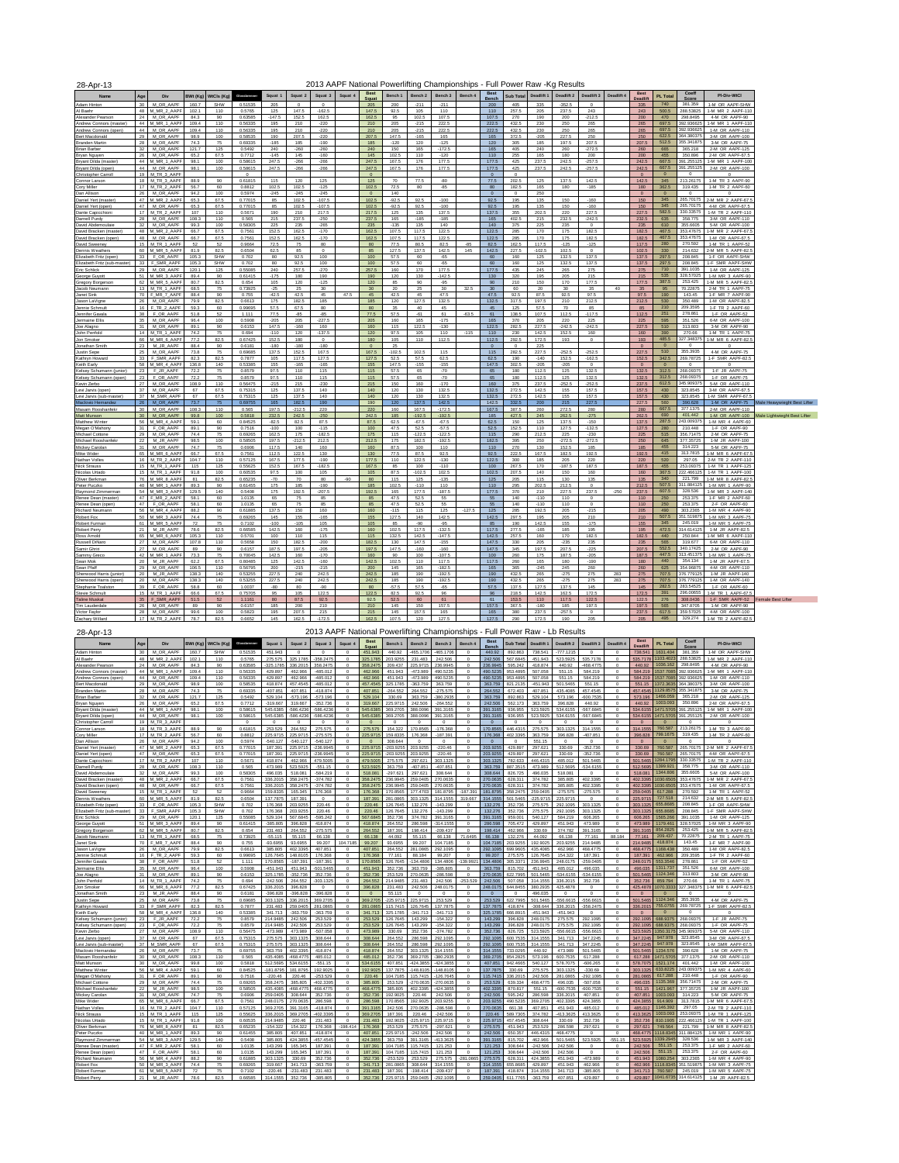| 28-Apr-13                                                                     |                 |                                  |                      |                        |                    |                  |                 |                      |         |                           |                    |                 |                    | 2013 AAPF National Powerlifting Championships - Full Power Raw -Kg Results |                           |                     |                  |                   |                        |                       |                         |                  |                         |                                                  |                              |
|-------------------------------------------------------------------------------|-----------------|----------------------------------|----------------------|------------------------|--------------------|------------------|-----------------|----------------------|---------|---------------------------|--------------------|-----------------|--------------------|----------------------------------------------------------------------------|---------------------------|---------------------|------------------|-------------------|------------------------|-----------------------|-------------------------|------------------|-------------------------|--------------------------------------------------|------------------------------|
|                                                                               | Age             | Div                              | BWt (Kg)             | WtCls (Kg)             | Ginsshrens         | Squat 1          | Squat 2         | Squat 3              | Squat 4 | Best<br>Sauat             | Bench 1            | Bench 2         | Bench 3            | Bench 4                                                                    | <b>Best</b><br>Rench      | Sub Total           | Deadlift 1       | Deadlift 2        |                        | Deadlift 3 Deadlift 4 | Best<br>Deadlift        | <b>PL Total</b>  | Coeff<br>Score          | PI-Div-WtCl                                      |                              |
| Adam Hinton                                                                   | 30 <sup>°</sup> | M_OR_AAPF                        | 160.7                | SHW                    | 0.51535            | 205              | $\overline{0}$  | $\overline{0}$       |         | 205                       | 200                | $-211$          | $-211$             |                                                                            | 200                       | 405                 | 335              | $-352.5$          | $\Omega$               |                       | 335                     | 740              | 381.359                 | 1-M OR AAPF-SHW                                  |                              |
| Al Baehr                                                                      |                 | 48 M_MR_2_AAPF                   | 102.1                | 110                    | 0.5765             | 125              | 147.5           | $-162.5$             |         | 147.5                     | 92.5               | 105             | 110                |                                                                            | 110                       | 257.5               | 205              | 237.5             | 243                    |                       | 243                     | 500.5            | 288 53825               | 1-M MR 2 AAPF-110                                |                              |
| Alexander Pearson<br>Andrew Connors (master)                                  |                 | 24 M OR AAPE<br>44 M MR 1 AAP    | 843<br>109.4         | 90 <sub>1</sub><br>110 | 0.63585<br>0.56335 | $-1475$<br>195   | 152.5<br>210    | 162.5<br>$-220$      |         | 182.5<br>210              | 95<br>205          | 102.5<br>$-215$ | 107.5<br>222.5     |                                                                            | 107 <sub>5</sub><br>222.5 | 270<br>432.5        | 190<br>230       | 200<br>250        | $-212.5$<br>265        |                       | 200<br>265              | 470<br>697.5     | 298.8495<br>392.936625  | 4-M OR AAPF-90<br>1-M MR 1 AAPF-110              |                              |
| Andrew Connors (open)                                                         | 44              | M OR AAPF                        | 109.4                | 110                    | 0.56335            | 195              | 210             | $-220$               |         | 210                       | 205                | $-215$          | 222.5              |                                                                            | 222.5                     | 432.5               | 230              | 250               | 265                    |                       | 265                     | 697.5            | 392.936625              | 1-M OR AAPF-110                                  |                              |
| Bert Macdonald                                                                |                 | 29 M OR AAPE                     | 98.9                 | 100                    | 0.58535            | 190              | 207.5           | $-220$               |         | 207.5                     | 147.5              | $-165$          | 165                |                                                                            | 165                       | 372.5               | $-206$           | 227.5             | 250                    |                       | 250                     | 622.5            | 364.380375              | 3-M OR AAPE-100                                  |                              |
| <b>Branden Martin</b><br>Brian Barber                                         | 32 <sub>2</sub> | 28 M OR AAPF<br>M OR AAPF        | 74.3<br>121.7        | 76<br>125              | 0.69335<br>0.5492  | $-185$<br>240    | 185<br>$-260$   | $-190$<br>$-260$     |         | 185<br>240                | $-120$<br>150      | 120<br>165      | $-125$<br>$-172.6$ |                                                                            | 120<br>165                | 305<br>405          | 185<br>240       | 197.5<br>260      | 207.5<br>$-272.5$      |                       | 207.5                   | 512.5<br>665     | 355.341875<br>365.218   | 3-M OR AAPF-75<br>2-M OR AAPF-125                |                              |
| Bryan Nguyen                                                                  |                 | 26 M OR AAPF                     | 65.2                 | 67.5                   | 0.7712             | $-145$           | 145             | $-160$               |         | 145                       | 102.5              | 110             | $-120$             |                                                                            | 110                       | 255                 | 165              | 180               | 200                    |                       | 260<br>200              | 455              | 350,896                 | 2-M OR AAPF-67.5                                 |                              |
| Brvant Dilda (master)                                                         |                 | 44 M_MR_1_AAPF                   | 98.1                 | 100                    | 0.58615            | 247.5            | $-266$          | $-266$               |         | 247.5                     | 167.5              | 176             | 177.5              |                                                                            | 177.5                     | 425                 | 237.5            | 242.5             | $-257.5$               |                       | 242.5                   | 667.5            |                         | 391.255125 1-M MR 1 AAPF-100                     |                              |
| Bryant Dilda (open)                                                           |                 | 44 M OR AAPF                     | 98.1                 | 100                    | 0.58615            | 247.5            | $-266$          | $-266$               |         | 247.5                     | 167.5              | 176             | 177.5              |                                                                            | 177.5                     | 425                 | 237.5            | 242.5             | $-257.5$               |                       | 242.5                   | 667.5            | 391 255125              | 2-M OR AAPF-100                                  |                              |
| Christopher Carroll<br>Connor Larson                                          |                 | 19 M TR 3 AAPF<br>18 M TR 3 AAPE | 88.9                 | 90 <sub>1</sub>        | 0.61815            | 115              | 120             | 125                  |         | $\circ$<br>125            | 70                 | 77.5            | $-80$              |                                                                            | $\circ$<br>77.5           | $^{\circ}$<br>202.5 | 125              | 137.5             | 142.5                  |                       | $\circ$<br>142.5        | 345              | $\circ$<br>213,26175    | 1-M TR 3 AAPF-90                                 |                              |
| Cory Miller                                                                   |                 | 17 M_TR_2_AAPF                   | 56.7                 | 60                     | 0.8812             | 102.5            | 102.5           | $-125$               |         | 102.5                     | 72.5               | 80              | $-85$              |                                                                            | 80                        | 182.5               | 165              | 180               | $-185$                 |                       | 180                     | 362.5            | 319.435                 | 1-M TR 2 AAPF-60                                 |                              |
| Dan Allison                                                                   |                 | M OR AAPF                        | 94.2                 | 100                    | 0.5974             | $-245$           | $-245$          | $-245$               |         | $\mathbf{0}$              | 140                |                 |                    |                                                                            |                           | $^{\circ}$          | 250              |                   |                        |                       | $\Omega$                | $\mathbf{0}$     | $^{\circ}$              |                                                  |                              |
| Daniel Yert (master)                                                          |                 | 47 M MR 2 AAPF<br>47 M_OR_AAPF   | 65.3<br>65.3         | 67.5<br>67.5           | 0.77015<br>0.77015 | 85<br>85         | 102.5<br>102.5  | $-107.5$<br>$-107.6$ |         | 102.5<br>102.5            | $-92.5$<br>$-92.5$ | 92.5<br>92.5    | $-100$<br>$-100$   |                                                                            | 92.5<br>92.5              | 195<br>195          | 135<br>135       | 150<br>150        | $-160$<br>$-160$       |                       | 150<br>150              | 345<br>345       | 265,70175<br>265.70175  | 2-M MR 2 AAPF-67.5<br>4-M OR AAPF-67.5           |                              |
| Daniel Yert (open)<br>Dante Capicchioni                                       |                 | 17 M TR 2 AAPF                   | 107                  | 110                    | 0.5671             | 190              | 210             | 217.5                |         | 217.5                     | 125                | 135             | 137.5              |                                                                            | 137.5                     | 355                 | 202.5            | 220               | 227.5                  |                       | 227.5                   | <b>682.6</b>     | 330 33575               | 1-M TR 2 AAPE-110                                |                              |
| Darnell Purdy                                                                 |                 | 28 M OR AAPF                     | 108.3                | 110                    | 0.565              | 215              | 237.5           | $-250$               |         | 237.5                     | 165                | $-185$          | $-185$             |                                                                            | 165                       | 402.5               | 215              | 232.5             | $-242.5$               |                       | 232.5                   | 635              | 358,775                 | 3-M OR AAPF-110                                  |                              |
| David Abdemoulaie                                                             |                 | 32 M OR AAPF                     | 99.3                 | 100                    | 0.58305            | 225              | 235             | $-265$               |         | 235                       | $-135$             | 135             | 140                |                                                                            | 140                       | 375                 | 225              | 235               | $^{\circ}$             |                       | 235                     | 610              | 355.6605                | 5-M OR AAPF-100                                  |                              |
| David Bracken (master)                                                        |                 | 48 M_MR_2_AAPF<br>48 M OR AAPF   | 66.7<br>66.7         | 67.5                   | 0.7561             | 152.5<br>152.5   | 162.5           | $-170$               |         | 162.5                     | 107.5<br>107.5     | 117.5           | 122.5              |                                                                            | 122.5                     | 285                 | 170              | 175<br>175        | 182.5<br>182.5         |                       | 182.5<br>182.5          | 467.5<br>467.5   | 353,47675               | 353.47675 1-M MR 2 AAPF-67.5<br>1-M OR AAPF-67.5 |                              |
| David Bracken (open)<br>David Sweene                                          |                 | 15 M TR 1 AAPF                   | 52                   | 67.5<br>52             | 0.7561<br>0.9664   | 72.5             | 162.5<br>75     | $-170$<br>80         |         | 162.5<br>80               | 77.5               | 117.5<br>80.5   | 122.5<br>82.5      | $-85$                                                                      | 122.5<br>82.5             | 285<br>162.5        | 170<br>117.5     | $-125$            | $-125$                 |                       | 117.5                   | 280              | 270.592                 | 1-M TR 1 AAPF-62                                 |                              |
| Dennis Weathers                                                               |                 | 60 M_MR_5_AAPF                   | 819                  | 82.5                   | 0.6504             | 62.5             | 85              | $\Omega$             |         | 85                        | 127.5              | 137.5           | 142.5              | 145                                                                        | 142.5                     | 227.5               | $-102.5$         | 102.5             | $\Omega$               |                       | 102.5                   | 330              | 214.632                 | 2-M MR 5 AAPF-82.5                               |                              |
| Elizabeth Fritz (open)                                                        |                 | 33 F OR AAPE                     | 105.3                | <b>SHW</b>             | 0.702              | 80               | 92.5            | 100                  |         | 100                       | 57.5               | 60              | $-65$              |                                                                            | 60                        | 160                 | 125              | 132.5             | 137.5                  |                       | 137.5                   | 297.5            | 208.845                 | 1-F OR AAPF-SHW                                  |                              |
| Elizabeth Fritz (sub-master<br>Eric Schlick                                   |                 | 33 F SMR AAPF<br>29 M OR AAPF    | 105.3<br>120.1       | SHW<br>125             | 0.702<br>0.55085   | 80<br>240        | 92.5<br>257.5   | 100<br>$-270$        |         | 100<br>257.5              | 57.5<br>160        | 60<br>170       | $-65$<br>177.5     |                                                                            | 60<br>177.5               | 160<br>435          | 125<br>245       | 132.5<br>265      | 137.5<br>275           |                       | 137.5<br>275            | 297.5<br>710     | 208.845<br>391.1035     | 1-F SMR AAPF-SHW<br>1-M OR AAPF-125              |                              |
| George Guyott                                                                 |                 | 51 M_MR_3_AAPF                   | 89.4                 | 90                     | 0.61415            | $-175$           | 180             | 190                  |         | 190                       | 120                | 130             | $-142.5$           |                                                                            | 130                       | 320                 | 195              | 205               | 215                    |                       | 215                     | 535              | 328,57025               | 1-M MR 3 AAPF-90                                 |                              |
| Gregory Borgerson                                                             |                 | 62 M MR 5 AAPI                   | 80.7                 | 82.5                   | 0.654              | 105              | 120             | $-125$               |         | 120                       | 85                 | 90              | $-95$              |                                                                            | 90                        | 210                 | 150              | 170               | 177.5                  |                       | 177.5                   | 387.5            | 253.425                 | 1-M MR 5 AAPF-82.5                               |                              |
| Jacob Neumann                                                                 |                 | 13 M TR 1 AAPE                   | 68.5                 | 76                     | 0.73925            | $-25$            | 25              | 30 <sub>1</sub>      |         | 30 <sup>°</sup>           | 20                 | 25              | 30                 | 32.5                                                                       | 30 <sub>1</sub>           | 60                  | $20 -$           | 30                | 35                     |                       | 35                      | 95               | 70.22875                | 2-M TR 1 AAPF-75                                 |                              |
| Janet Sink                                                                    |                 | 70 F_MR_7_AAPF<br>26 M_OR_AAPF   | 88.4<br>79.9         | 90<br>82.5             | 0.755<br>0.6613    | $-42.5$<br>175   | 42.5<br>182.5   | 45<br>185            | 47.5    | 45<br>185                 | 42.5<br>120        | 45<br>127.5     | 47.5<br>132.5      |                                                                            | 47.5<br>132.5             | 92.5<br>317.5       | 87.5<br>197.5    | 92.5<br>210       | 97.5<br>212.5          |                       | 97.5<br>212.5           | 190<br>530       | 143.45<br>350.489       | 1-F MR 7 AAPF-90<br>1-M OR AAPE-82.5             |                              |
| Jason LaVigne<br>Jennie Schmult                                               |                 | 16 F_TR_2_AAPF                   | 59.3                 | 60                     | 0.99695            | 57.5             | 67.5            | 80                   |         | 80                        | 35                 | 40              | 45                 |                                                                            | 45                        | 125                 | 57.5             | 70                | 85                     |                       | 85                      | 210              | 209.3595                | 1-F TR 2 AAPF-60                                 |                              |
| Jennifer Gavala                                                               |                 | 38 F OR AAPF                     | 51.8                 | 62                     | 1.111              | 77.5             | $-85$           | $-85$                |         | 77.5                      | 57.5               | $-81$           | 61                 | $-63.5$                                                                    | 61                        | 138.5               | 107.5            | 112.5             | $-117.5$               |                       | 112.5                   | 251              | 278.861                 | 1-F OR AAPE-52                                   |                              |
| Jermaine Ellis                                                                |                 | 35 M OR AAPF                     | 96.4                 | 100                    | 0.5908             | $-205$           | 205             | $-227.5$             |         | 205                       | 160                | 165             | $-175$             |                                                                            | 165                       | 370                 | 205              | 220               | 225                    |                       | 225                     | 595              | 351.526                 | 6-M OR AAPF-100                                  |                              |
| Joe Alagno                                                                    |                 | M_OR_AAPF<br>14 M TR 1 AAPE      | 89.1<br>74.2         | 90<br>76               | 0.6153<br>0.694    | 147.5<br>$-110$  | $-160$<br>120   | 160<br>$-137.6$      |         | 160<br>120                | 115<br>97.5        | 122.5<br>105    | $-130$<br>110      | $-115$                                                                     | 122.5<br>110              | 282.5<br>230        | 227.5<br>142.5   | $-242.5$<br>152.5 | $-242.5$<br>160        |                       | 227.5<br>160            | 510<br>390       | 313,803<br>270.66       | 3-M OR AAPE-90<br>1-M TR 1 AAPF-75               |                              |
| John Penfold<br>Jon Smoker                                                    |                 | 66 M MR 6 AAPI                   | 77.2                 | 82.5                   | 0.67425            | 152.5            | 180             | $\circ$              |         | 180                       | 105                | 110             | 112.5              |                                                                            | 112.5                     | 292.5               | 172.5            | 193               | $^{\circ}$             |                       | 193                     | 485.5            | 327.348375              | 1-M MR 6 AAPF-82.                                |                              |
| Jonathan Smith                                                                | 23.             | M JR AAPF                        | 88.4                 | 90                     | 0.6181             | $-180$           | $-180$          | $-180$               |         | $\Omega$                  | 25                 |                 |                    |                                                                            | $\Omega$                  | $^{\circ}$          | 225              |                   |                        |                       | $\Omega$                | $\mathbf{0}$     | $\Omega$                | $\Omega$                                         |                              |
| Justin Sepe                                                                   |                 | 25 M OR AAPF                     | 73.8                 | 76                     | 0.69685            | 137.5            | 152.5           | 167.5                |         | 167.5                     | $-102.6$           | 102.5           | 115                |                                                                            | 115                       | 282.5               | 227.5            | $-252.5$          | $-252.5$               |                       | 227.5                   | 510              | 355,3935                | 4-M OR AAPF-75                                   |                              |
| Kathryn Howard<br>Keith Early                                                 |                 | 33 F SMR AAPF<br>58 M MR 4 AAPF  | 82.3<br>136.8        | 82.5<br>140            | 0.7877<br>0.53385  | 105<br>155       | 117.5<br>$-165$ | 127.5<br>$-165$      |         | 127.5<br>155              | 52.5<br>147.5      | 57.5<br>$-155$  | 62.5<br>$-155$     |                                                                            | 62.5<br>147.5             | 190<br>302.5        | $-140$<br>$-206$ | 152.5<br>$-206$   | $-162.5$<br>$^{\circ}$ |                       | 152.5<br>$\overline{0}$ | 342.5<br>$\circ$ | 269.78725<br>$^{\circ}$ | 1-F SMR AAPF-82.5<br>$\Omega$                    |                              |
| Kelsey Schumann (junior)                                                      | 23              | F_JR_AAPF                        | 72.2                 | 76                     | 0.8579             | 97.5             | 110             | 115                  |         | 115                       | 57.5               | 65              | $-70$              |                                                                            | 65                        | 180                 | 112.5            | 125               | 132.5                  |                       | 132.5                   | 312.5            | 268.09375               | 1-F JR AAPF-75                                   |                              |
| Kelsey Schumann (open)                                                        |                 | 23 F OR AAPF                     | 72.2                 | 76                     | 0.8579             | 97.5             | 110             | 115                  |         | 115                       | 57.5               | 65              | $-70$              |                                                                            | 65                        | 180                 | 112.5            | 125               | 132.5                  |                       | 132.5                   | 312.5            | 268,09375               | 1-F OR AAPF-75                                   |                              |
| Kevin Zerbo                                                                   |                 | 27 M OR AAPF                     | 108.9                | 110                    | 0.56475            | $-215$           | 215             | $-230$               |         | 215                       | 150                | 160             | $-170$             |                                                                            | 160                       | 375                 | 237.5            | $-252.5$          | $-252.5$               |                       | 237.5                   | 612.5            | 345 909375<br>323.8545  | 5-M OR AAPF-110                                  |                              |
| Levi Jarvis (open)<br>Levi Jarvis (sub-master                                 |                 | 37 M OR AAPF<br>37 M SMR AAPE    | 67<br>67             | 67.5<br>67.5           | 0.75315<br>0.75315 | 125<br>125       | 137.5<br>137.5  | 140<br>140           |         | 140<br>140                | 120<br>120         | 130<br>130      | 132.5<br>132.5     |                                                                            | 132.5<br>132.5            | 272.5<br>272.5      | 142.5<br>142.5   | 155<br>155        | 157.5<br>157.5         |                       | 157.5<br>157.5          | 430<br>430       | 323 8545                | 3-M OR AAPF-67.5<br>1.M SMP AADE-675             |                              |
| Maclovio Hernandez                                                            |                 | 26 M_OR_AAPF                     | 73.7                 | 76                     | 0.69755            | 165              | 182.5           | 190                  |         | 190                       | 120                | 137.5           | 142.5              |                                                                            | 142.5                     | 332.5               | 200              | 215               | 227.5                  |                       | 227.5                   | 560              | 390.628                 | 1-M OR AAPF-75                                   | Male Heavywieght Best Lifter |
| Masam Rooshanfekr                                                             |                 | 30 M OR AAPF                     | 108.3                | 110                    | 0.565              | 197.5            | $-212.5$        | 220                  |         | 220                       | 160                | 167.5           | $-172.5$           |                                                                            | 167.5                     | 387.5               | 260              | 272.5             | 280                    |                       | 280                     | 667.5            | 377.1375                | 2-M OR AAPE-110                                  |                              |
| Matt Munson                                                                   | 30 <sub>1</sub> | M OR AAPF                        | 99.8                 | 100                    | 0.5818             | 232.5            | 242.5           | $-250$               |         | 242.5                     | 185                | 192.5           | $-192.5$           |                                                                            | 185                       | 427.5               | 245              | 262.5             | $-276$                 |                       | 262.5                   | 690              | 401.442                 | 1-M OR AAPF-100                                  | lale Lightwieght Best Lifter |
| Matthew Winter<br>Megan O'Mahony                                              |                 | 56 M MR 4 AAP<br>31 F_OR_AAPF    | 59.1<br>89.1         | 60<br>90               | 0.84525<br>0.7516  | $-825$<br>$-100$ | 82.5<br>100     | 87.5<br>$-115$       |         | 87.5<br>100               | 62.5<br>47.5       | $-67.5$<br>52.5 | $-67.5$<br>$-57.5$ |                                                                            | 62.5<br>52.5              | 150<br>152.5        | 125<br>110       | 137.5<br>127.5    | $-150$<br>$-132.5$     |                       | 137.5<br>127.5          | 287.5<br>280     | 243.009375<br>210.448   | 1-M MR 4 AAPE-60<br>1-F OR AAPF-90               |                              |
| Michael Cottone                                                               | 29.             | M OR AAPF                        | 74.4                 | 75                     | 0.69265            | 162.5            | 175             | $-182.5$             |         | 175                       | 115                | $-122.5$        | $-122.5$           |                                                                            | 115                       | 290                 | 212.5            | 225               | $-230$                 |                       | 225                     | 515              | 356.71475               | 2-M OR AAPF-75                                   |                              |
| Michael Rooshanfek                                                            | 22              | M JR AAPF                        | 98.5                 | 100                    | 0.68505            | 197.5            | $-212.5$        | 212.5                |         | 212.5                     | 175                | 182.5           | $-192.5$           |                                                                            | 182.5                     | 395                 | 250              | $-272.5$          | $-272.5$               |                       | 250                     | 645              | 377 35725               | 1-M JR AAPE-100                                  |                              |
| Mickey Carolan                                                                |                 | 31 M_OR_AAPF                     | 74.7                 | 76                     | 0.6906             | 117.5            | 140             | 160                  |         | 160                       | 87.5               | 100             | 110                |                                                                            | 110                       | 270                 | 130              | 152.5             | 185                    |                       | 185                     | 455              | 314.223                 | 5-M OR AAPF-75                                   |                              |
| Mike Wider<br>Nathan Voller                                                   |                 | 65 M MR 6 AAPE<br>16 M TR 2 AAPF | <b>66.7</b><br>104.7 | 67.5                   | 0.7561<br>0.57125  | 112.5<br>167.5   | 122.5<br>177.5  | 130<br>$-190$        |         | 130 <sub>1</sub><br>177.5 | 77.5<br>110        | 87.5<br>122.5   | 92.5<br>$-130$     |                                                                            | 92.5<br>122.5             | 222.5               | 167.5<br>185     | 182.5<br>205      | 192.5<br>220           |                       | 192.5                   | 415<br>520       | 313 7815<br>297.05      | 1-M MR 6 AAPE-67 5<br>2-M TR 2 AAPF-110          |                              |
| Nick Strauss                                                                  |                 | 15 M_TR_1_AAPF                   | 115                  | 110<br>125             | 0.55625            | 152.5            | 167.5           | $-182.5$             |         | 167.5                     | 85                 | 100             | $-110$             |                                                                            | 100                       | 300<br>267.5        | 170              | $-187.5$          | 187.5                  |                       | 220<br>187.5            | 455              | 253.09375               | 1-M TR 1 AAPE-125                                |                              |
| Nicolas Urtado                                                                |                 | 15 M TR 1 AAPF                   | 91.8                 | 100                    | 0.60535            | 97.5             | 100             | 105                  |         | 105                       | 87.5               | $-102.5$        | 102.5              |                                                                            | 102.5                     | 207.5               | 140              | 150               | 160                    |                       | 160                     | 367.5            |                         | 222.466125 1-M TR 1 AAPF-100                     |                              |
| Oliver Berkman                                                                |                 | 76 M MR 8 AAPI                   | 81                   | 82.5                   | 0.65235            | $-70$            | 70              | 80                   | $-90$   | 80                        | 115                | 125             | $-135$             |                                                                            | 125                       | 205                 | 115              | 130               | 135                    |                       | 135                     | 340              | 221,799                 | 1-M MR 8 AAPF-82.5                               |                              |
| Peter Puczko<br>Raymond Zimmerman                                             |                 | 40 M MR 1 AAPE<br>54 M_MR_3_AAPF | 89.3<br>129.5        | 90<br>140              | 0.61455<br>0.5408  | 175<br>175       | 185<br>192.5    | $-190$<br>$-207.5$   |         | 185<br>192.5              | 102.5<br>165       | $-110$<br>177.5 | 110<br>$-187.5$    |                                                                            | 110<br>177.5              | 295<br>370          | 202.5<br>210     | 212.5<br>227.5    | $\Omega$<br>237.5      | $-250$                | 212.5<br>237.5          | 507.5<br>607.5   | 311.884125<br>328.536   | 1-M MR 1 AAPF-90<br>1-M MR 3 AAPF-140            |                              |
| Renee Dean (master)                                                           |                 | 47 F MR 2 AAPE                   | <b>581</b>           | 60                     | 1.0135             | 65               | 75              | 85                   |         | 85                        | 47.5               | 52.5            | 55                 |                                                                            | 55                        | 140                 | $-110$           | 110               | $\Omega$               |                       | 110                     | 250              | 253.375                 | 1-F MR 2 AAPF-60                                 |                              |
| Renee Dean (open)                                                             | 47              | F OR AAPF                        | 58.1                 | 60                     | 1.0135             | 65               | 76              | 85                   |         | 85                        | 47.5               | 52.5            | 55                 |                                                                            | 55                        | 140                 | $-110$           | 110               |                        |                       | 110                     | 250              | 253.375                 | 2-F OR AAPF-60                                   |                              |
| Richard Neumann                                                               |                 | 56 M_MR_4_AAPF                   | 88.2                 | 90                     | 0.61885            | 137.5            | 150             | 160                  |         | 160                       | $-115$             | 115             | 125                | $-127.5$                                                                   | 125                       | 285                 | 192.5            | 205               | $-215$                 |                       | 205                     | 490              | 303.2365                | 1-M MR 4 AAPF-90                                 |                              |
| Robert Fox<br>Robert Furman                                                   |                 | 50 M MR 3 AAPF<br>61 M MR 5 AAPI | 74.4                 | 75<br>75               | 0.69265<br>0.7102  | 145<br>$-100$    | 155<br>$-106$   | $-165$<br>105        |         | 155<br>105                | 127.5<br>85        | 140<br>$-90$    | 142.5<br>$-95$     |                                                                            | 142.5<br>85               | 297.5<br>190        | 195<br>142.5     | 205<br>155        | 210<br>$-175$          |                       | 210<br>155              | 507.5<br>345     | 351 519875<br>245,019   | 1-M MR 3 AAPF-75<br>1-M MR 5 AAPF-75             |                              |
| Robert Perry                                                                  |                 | 21 M JR AAPE                     | 72<br>78.6           | 82.5                   | 0.66585            | 142.5            | 160             | $-175$               |         | 160                       | 102.5              | 117.5           | $-132.5$           |                                                                            | 117.5                     | 277.5               | $-165$           | 185               | 195                    |                       | 195                     | 472.5            | 314.614125              | 1-M JR AAPE-82.5                                 |                              |
| Ross Arnold                                                                   |                 | 65 M MR 6 AAPF                   | 105.3                | 110                    | 0.5701             | 100              | 110             | 115                  |         | 115                       | 132.5              | 142.5           | $-147.5$           |                                                                            | 142.5                     | 257.5               | 160              | 170               | 182.5                  |                       | 182.5                   | 440              | 250.844                 | 1-M MR 6 AAPF-110                                |                              |
| Russell DiNard                                                                |                 | 27 M OR AAPE                     | 107.8                | 110                    | 0.5658             | 150              | 182.5           | $-200$               |         | 182.5                     | 130                | 147.5           | $-155$             |                                                                            | 147.5                     | 330                 | 205              | $-235$            | 235                    |                       | 235                     | 565              | 319,677                 | 6-M OR AAPE-110                                  |                              |
| Samir Ghriri                                                                  | 27              | M_OR_AAPF                        | 89                   | 90                     | 0.6157             | 187.5            | 197.5           | $-205$               |         | 197.5                     | 147.5              | $-160$          | $-160$             |                                                                            | 147.5                     | 345                 | 197.5            | 207.5             | $-225$                 |                       | 207.5                   | 552.5<br>447.5   | 340.17425<br>313,451375 | 2-M OR AAPF-90                                   |                              |
| Sammy Greco<br>Sean Mok                                                       |                 | 42 M MR 1 AAP<br>20 M_JR_AAPF    | 73.3<br>62.2         | 76<br>67.5             | 0.70045<br>0.80485 | 142.5<br>125     | 160<br>142.5    | $-170$<br>$-160$     |         | 160<br>142.5              | 90<br>102.5        | 100<br>110      | $-107.5$<br>117.5  |                                                                            | 100<br>117.5              | 260<br>260          | 175<br>165       | 187.5<br>180      | $-205$<br>$-190$       |                       | 187.5<br>180            | 440              | 354 134                 | 1-M MR 1 AAPE-75<br>1-M JR AAPE-67.5             |                              |
| Sean Pfaff                                                                    |                 | M_OR_AAPF                        | 106.5                | 110                    | 0.56795            | 200              | $-215$          | $-215$               |         | 200                       | 145                | 165             | $-182.5$           |                                                                            | 165                       | 365                 | $-245$           | 245               | 260                    |                       | 260                     | 625              | 354.96875               | 4-M OR AAPF-110                                  |                              |
| Sherwood Harris (iunior)                                                      | 20              | M JR AAPF                        | 138.3                | 140                    | 0.53255            | 227.5            | 240             | 242.5                |         | 242.5                     | 185                | 190             | $-192.5$           |                                                                            | 190                       | 432.5               | 265              | $-275$            | 275                    | 283                   | 275                     | 707.5            | 376,779125              | 1-M JR AAPF-140                                  |                              |
| Sherwood Harris (open)                                                        |                 | 20 M OR AAPF                     | 138.3                | 140                    | 0.53255            | 227.5            | 240             | 242.5                |         | 242.5                     | 185                | 190             | $-192.5$           |                                                                            | 190                       | 432.5               | 265              | $-275$            | 275                    | 283                   | 275                     | 707.5            | 376.779125              | 1-M OR AAPF-140                                  |                              |
|                                                                               |                 | F OR AAPF<br>15 M TR 1 AARE      | 58.8<br>888          | 60<br>67 S             | 1.0037<br>0.75705  | $-80$<br>95      | 80<br>105       | $-90$<br>122.5       |         | 80                        | $-57.5$<br>82.5    | 57.5<br>92.5    | $-65$<br><b>GR</b> |                                                                            | 57.5<br>96                | 137.5<br>218.5      | 127.5<br>142.5   | 137.5<br>162.5    | 145<br>172.5           |                       | 145                     | 282.5<br>391     | 283.54525<br>296,00655  | 1-F OR AAPF-60<br>LM TD 1 AADE-87 F              |                              |
|                                                                               |                 |                                  |                      | $^{52}\,$              | 1.1161             | 80               | 87.5            | 92.5                 |         | 122.5<br>92.5             | 52.5               | 60              | 61                 |                                                                            | 61                        | 153.5               | 110              | 117.5             | 122.5                  |                       | 172.5<br>122.5          | 276              | 308.0436                | 1-F SMR AAPF-52 Female Best Lifter               |                              |
|                                                                               |                 | F SMR AAPF                       | 51.5                 |                        |                    |                  |                 |                      |         |                           |                    |                 |                    |                                                                            |                           |                     |                  |                   | 197.5                  |                       | 197.5                   |                  |                         |                                                  |                              |
| Stephanie Toalston<br>Stevie Schmul<br><b>Taline Muskat</b><br>Tim Lauderdale |                 | 26 M OR AAPE                     | 89                   | 90                     | 0.6157             | 185              | 200             | 210                  |         | 210                       | 145                | 150             | 157.5              |                                                                            | 157.5                     | 367.5               | $-180$           | 185               |                        |                       |                         | 565              | 347.8705                | 1-M OR AAPE-90                                   |                              |
| Victor Favlor<br>Zachary Willard                                              |                 | 28 M_OR_AAPF<br>17 M_TR_2_AAPF   | 99.6<br>78.7         | 100<br>82.5            | 0.5823<br>0.6652   | 195<br>145       | 207.5<br>162.5  | 215<br>$-172.5$      |         | 215<br>162.5              | 145<br>107.5       | 157.5<br>120    | 165<br>127.5       |                                                                            | 165<br>127.5              | 380<br>290          | 237.5<br>172.5   | $-257.5$<br>190   | $\mathbf 0$<br>205     |                       | 237.5<br>205            | 617.5<br>495     | 359.57025               | 4-M OR AAPF-100<br>329.274 1-M TR 2 AAPF-82 5    |                              |

| Deadlift 1<br>Deadlift 2<br>Deadlift 3<br>PI-Div-WtCl<br>Div<br><b>BWt (Ka)</b><br>WtCls (Ka)<br>Squat 1<br>Squat 2<br>Squat 3<br>Squat 4<br>Bench 1<br>Bench <sub>2</sub><br>Bench 3<br>Bench 4<br>Sub Total<br><b>Deadlift</b><br><b>PL Total</b><br>Name<br>Aae<br>Deadlif<br>Score<br>Sous<br><b>Rench</b><br>M OR AAPF<br>1631.404<br>381.359<br>1-M OR AAPF-SHW<br>Adam Hinton<br>30 <sub>0</sub><br>160.7<br><b>SHW</b><br>0.51535<br>451 943<br>451.943<br>440.92<br>465 1706<br>$-465.1706$<br>440.92<br>892.863<br>738.541<br>777 1215<br>738.541<br>$\Omega$<br><b>N</b> Baehr<br>48<br>M MR 2 AAPF<br>102.1<br>110<br>0.5765<br>275.575<br>325.1785<br>358.247<br>325.178<br>203.925<br>231.483<br>242,506<br>$\Omega$<br>242,506<br>567.6845<br>451.943<br>523.5925<br>535.7178<br>$\Omega$<br>535.717<br>103,4023<br>288.53825<br>1-M MR 2 AAPF-11<br>$\Omega$<br>1036.162<br>298,8495<br>24<br>0.63585<br>325.178<br>209.437<br>236.9945<br>236.9945<br>468.4775<br>4-M OR AAPF-90<br>M OR AAPF<br>84.3<br>90<br>38.201<br>358.247<br>358.247<br>225.9715<br>595.242<br>418.874<br>440.92<br>440.92<br>Jexander Pearsor<br>44<br>0.56335<br>M MR 1 AAPF<br>109.4<br>110<br>429.897<br>462.966<br>$-485.012$<br>$\Omega$<br>462,966<br>451.943<br>$-473.989$<br>490.5235<br>$\Omega$<br>490.5235<br>953,4895<br>507.058<br>551.15<br>584.219<br>$\Omega$<br>584.219<br>537.708<br>392.936625<br>1-M MR 1 AAPF-110<br>Andrew Connors (master)<br>AA<br>M OR AAPF<br>109.4<br>110<br>0.56335<br>429.897<br>462.966<br>$-485.012$<br>451.943<br>$-473.989$<br>490.5235<br>490.5235<br>953.4895<br>551.15<br>584.219<br>584.219<br>537 708<br>CARRO CP<br>1-M OR AAPF-110<br>462.96<br>$\alpha$<br>507.058<br>Andrew Connors (open)<br>Ω<br>$\alpha$<br>M OR AAPF<br>0.58535<br>$-485.012$<br>363.759<br>29<br>98 9<br>100<br>418 874<br>457 4545<br>457,4545<br>325.1785<br>363 759<br>363 759<br>$\Omega$<br>821.2135<br>$-451942$<br>501 5485<br>551 15<br>551.15<br>372.363<br>364.380375<br>3-M OR AAPE-100<br><b>Bert Macdonald</b><br>$\Omega$<br>$\Omega$<br>355.341875<br>28<br>M OR AAPF<br>74.3<br>75<br>0.69335<br>$-407.851$<br>407.851<br>$-418.874$<br>407.851<br>$-264.552$<br>264.552<br>$-276.676$<br>264.552<br>672.403<br>407.851<br>435.4085<br>457.4545<br>457.454<br>129,857<br>3-M OR AAPF-75<br>Branden Martin<br>$\Omega$<br>$^{\circ}$<br>0<br>32<br>M OR AAPF<br>$-573.196$<br>529.104<br>330.69<br>529.104<br>466.059<br>365 218<br>2-M OR AAPF-125<br>1217<br>125<br>0.5492<br>529.104<br>573.196<br>363 750<br>380.2935<br>$\Omega$<br>363.759<br>892 863<br>573 198<br>600 7535<br>573.19<br><b>Brian Barbe</b><br>M OR AAPE<br>352.738<br>319.66<br>225 971<br>363 759<br>1003.09<br>350.896<br>2-M OR AAPE-67.5<br>26<br><b>R52</b><br>67.5<br>0.7713<br>$-319.66$<br>319.66<br>242,506<br>$-284.552$<br>242.506<br>562.173<br>396.828<br>440.92<br>440.93<br>$\Omega$<br>Brvan Nguven<br>471,570<br>91.25512<br>44<br>MR 1 AAPF<br>1-M MR 1 AAPF-100<br>Bryant Dilda (master)<br><b>981</b><br>100<br>68615<br>545.638<br>586.42<br>586.423<br>545.63<br>369.270<br>900.888<br>391.3165<br>391.316<br>936.95<br>523,592<br>634 615<br><b>SR7 RR4F</b><br>34.615<br>0.58615<br>545.6385<br>586.423<br>567.6845<br>471.5705<br>391.255125<br>2-M OR AAPF-100<br>Brvant Dilda (open)<br>44<br>M OR AAPF<br><b>981</b><br>100<br><b>586 423</b><br>$\Omega$<br>545.638<br>369.2705<br>388.0096<br>391.3165<br>$\Omega$<br>391.3165<br>936.95/<br>523,592<br>534 6155<br>$\Omega$<br>534 615<br>19<br>M_TR_3_AAPF<br>$\Omega$<br>Christopher Carrol<br>$^{\circ}$<br>$^{\circ}$<br>$^{\circ}$<br>$\sqrt{2}$<br>$\Omega$<br>$\Omega$<br>$^{\circ}$<br>$\circ$<br>$\Omega$<br>$\sim$<br>$\Omega$<br>$\Omega$<br>$\Omega$<br>$^{\circ}$<br>$\Omega$<br>760.587<br>213.26175<br>0.61815<br>253.529<br>275.575<br>275.575<br>18<br>M_TR_3_AAPF<br>264.552<br>275.57<br>154.322<br>170.8565<br>$-176.368$<br>170.8565<br>446.431<br>303.1325<br>314.1555<br>314.155<br>1-M TR 3 AAPF-90<br>88.9<br>90 <sub>1</sub><br>$\Omega$<br>$\Omega$<br>$\Omega$<br>Connor Larsor<br>$-275.575$<br>225.971<br>159.833<br>187.391<br>363.759<br>407.851<br>799.1675<br>319.435<br>1-M TR 2 AAPF-60<br>Corv Miller<br>17<br>M TR 2 AAPF<br><b>687</b><br>60<br>0.8812<br>225 9715<br>225 971<br>176.368<br>$\Omega$<br>176.388<br>402.339<br>396.828<br>$\Omega$<br>398.82<br>26<br>M OR AAPF<br>94.2<br>100<br>0.5974<br>540.127<br>$-640.127$<br>$-540.127$<br>$\circ$<br>308.644<br>$^{\circ}$<br>$\Omega$<br>$\Omega$<br>551.15<br>$^{\circ}$<br>$\Omega$<br>$\Omega$<br>Dan Allison<br>$\Omega$<br>$\Omega$<br>$\Omega$<br>$\Omega$<br>$\Omega$<br>$\Omega$<br>760.587<br>265,70175<br>47<br>187.391<br>203.9255<br>297.621<br>M MR 2 AAPF<br>65.3<br>67.5<br>0.77015<br>225.971<br>236.994<br>225.971<br>$-203.925$<br>220.46<br>203.9255<br>429.897<br>330.69<br>352.736<br>330.69<br>2-M MR 2 AAPF-67.<br>Daniel Yert (master<br>$\Omega$<br>$\Omega$<br>$\Omega$<br>47<br>M OR AAPF<br>65.3<br>67.5<br>0.77015<br>187.391<br>225.9715<br>$-236.9945$<br>$^{\circ}$<br>225.971<br>$-203.925$<br>203.9255<br>220.46<br>$\circ$<br>203.9255<br>429.897<br>297.621<br>330.69<br>352.736<br>$\mathbf 0$<br>330.69<br>760.587<br>265.70175<br>4-M OR AAPF-67.5<br>Daniel Yert (open<br>17<br>M TR 2 AAPF<br>107<br>110<br>0.5671<br>418.874<br>462.966<br>479,5005<br>479.500<br>275.575<br>297.621<br>303.1325<br>303.1325<br>782.633<br>446.431<br>485.012<br>501.5465<br>501.546<br>284 179<br>330 33575<br>1-M TR 2 AAPF-110<br>Dante Canicchion<br>o.<br>$\alpha$<br>$\alpha$<br>28<br>M OR AAPF<br>108.2<br>0.565<br>473.989<br>523.5925<br>$-651.15$<br>523.592<br>363.759<br>$-407.851$<br>$-407.851$<br>363.759<br>887.351<br>473,989<br>512.5695<br>358,775<br>3-M OR AAPF-110<br>110<br>$\Omega$<br>$\Omega$<br>$-534.6155$<br>512.589<br>1399.921<br>Damell Purch<br>$\Omega$<br>355.6605<br>32<br>M OR AAPF<br>99.3<br>0.58305<br>$-584.219$<br>518,081<br>$-297.62$<br>308.644<br>826,725<br>496.035<br>518.081<br>1344 806<br>5-M OR AAPF-100<br><b>David Abdemoulair</b><br>100<br>498.035<br>518.081<br>$\Omega$<br>297 621<br>$\Omega$<br>308.644<br>$\Omega$<br>$\Omega$<br>518.081<br>I-M MR 2 AAPF-67.<br>David Bracken (master)<br>48<br>M MR 2 AAPI<br><b>667</b><br>67.5<br>0.7561<br>336.201<br>358.247<br>$-374.781$<br>358.247<br>236 994<br>259,0405<br>270.0635<br>$\Omega$<br>270.083<br>628.31<br>374 782<br>385, 805<br>402.3396<br>$\Omega$<br>402.339<br>030.650<br>353 4767<br>$\Omega$<br>030.650<br>353.4767<br>1-M OR AAPE-67.5<br>48<br>M OR AAPE<br><b>667</b><br>67.5<br>0.7561<br>358.247<br>374 78<br>358.247<br>236.994<br>270.0635<br>270.063<br>628.31<br>374.782<br>385.805<br>402.3395<br>402.33<br>336.201<br>259.040<br>David Bracken (open<br>617.28<br>15<br>M TR 1 AAPF<br>52<br>52<br>0.9664<br>159,8335<br>165.345<br>176,368<br>176.36<br>170.8565<br>177.4703<br>181.8795<br>187.39<br>181.8795<br>358.247<br>259,0405<br>$-275.575$<br>275.575<br>259.040<br>270.592<br>1-M TR 1 AAPF-52<br>David Sweeney<br>$\Omega$<br>$^{\circ}$<br>727.518<br>214.632<br>60<br>M MR 5 AAPI<br>819<br>82.5<br>0.6504<br>137,7875<br>187.391<br>$\Omega$<br>187.39<br>281.086<br>303.1325<br>314.1555<br>319.663<br>314 155<br>501.546<br>225.971<br>225 9715<br>225.971<br>M MR 5 AAPF-82<br>Dennis Weathers<br>33<br>F OR AAPF<br>105.3<br>SHW<br>0.702<br>176,368<br>203.9255<br>220.46<br>$\Omega$<br>220.46<br>126,7645<br>132.276<br>$-143.299$<br>$\Omega$<br>132.276<br>352,736<br>275.575<br>292.1095<br>303.1325<br>$\Omega$<br>303.132<br>355,8685<br>208.845<br>1-F OR AAPF-SHW<br>Flizabeth Fritz (open)<br>655.8685<br>208.845<br>33<br>SHW<br>203.9255<br>$-143.299$<br>132.276<br>275.575<br>1-F SMR AAPF-SHW<br>Elizabeth Fritz (sub-master<br>SMR AAPF<br>105.2<br>0.702<br>176.368<br>220.46<br>$\Omega$<br>220.46<br>126.7645<br>132.276<br>$\Omega$<br>352.736<br>292.1095<br>303.1325<br>$\Omega$<br>303.132<br>0.55085<br>1-M OR AAPF-125<br>Eric Schlick<br>29<br>M OR AAPF<br>120.1<br>125<br>529.104<br>567.6845<br>$-595.242$<br>$\Omega$<br>567.6845<br>352.736<br>374,782<br>391.3165<br>$^{\circ}$<br>391.3165<br>959.001<br>540.127<br>584.219<br>606.265<br>$^{\circ}$<br>606,265<br>1565.266<br>391.1035<br>1179.461<br>328.57025<br>64<br>M MR 3 AAPF<br>89.4<br>90<br>0.61415<br>385.805<br>396.828<br>418.874<br>418.874<br>264.552<br>286.598<br>314.1555<br>286,598<br>705.472<br>429.897<br>451.943<br>473.989<br>473.989<br>1-M MR 3 AAPF-90<br>$\Omega$<br>$\alpha$<br>$\theta$<br>George Guyott<br>854.2825<br>62<br>253.425<br>807<br>82.5<br>0.654<br>$-275.575$<br>264.55<br>187.391<br>330.69<br>$\theta$<br>M MR 5 AAPF-82.<br>M MR 5 AAPF<br>231 483<br>284.552<br>198,414<br>209.437<br>$\Omega$<br>198,414<br>462 98<br>374 782<br>391.3165<br>391.316<br><b>Gregory Borgerso</b><br>13<br>209.437<br>70.22875<br>M TR 1 AAPF<br>68.5<br>75<br>0.73925<br>$-55.115$<br>55.115<br>66.138<br>$^{\circ}$<br>66,138<br>44.092<br>55.115<br>66.138<br>71.6496<br>66.138<br>132.276<br>44.092<br>66.138<br>77.161<br>88.184<br>77,161<br>2-M TR 1 AAPF-75<br>Jacob Neumann<br>70<br>F MR 7 AAPF<br>90<br>99.207<br>104.7185<br>104.7185<br>104.7185<br>214.9485<br>418.874<br>143.45<br>1-F MR 7 AAPF-90<br>88 4<br>0.755<br>$-93.6965$<br>93.6955<br>99.207<br>93 6955<br>99.207<br>$\Omega$<br>203.9255<br>192.9025<br>203.9255<br>14 948<br>Janet Sink<br>$\Omega$<br>168,438<br>350.489<br>26<br>M_OR_AAPF<br>79.9<br>82.5<br>0.6613<br>385.805<br>402.3395<br>407.851<br>407.851<br>264.552<br>281.0865<br>468.4775<br>1-M OR AAPF-82.5<br>292.1095<br>292 1095<br>699.9605<br>435,408<br>462.966<br>468.477<br>Jason LaVigne<br>$\Omega$<br>$^{\circ}$<br>$\Omega$<br>209.3595<br>176,368<br>77.161<br>462.966<br>1-F TR 2 AAPF-60<br>Jennie Schmult<br>16<br>F TR 2 AAPE<br>59.3<br>60<br>0.99695<br>126 764f<br><b>48 8106</b><br>176.36<br><b>88 184</b><br>99.207<br>$\Omega$<br>99.207<br>275.57<br><b>126 7645</b><br>154.322<br>187.391<br>187.39<br>1-F OR AAPF-52<br>Jennifer Gavala<br>38<br>F OR AAPF<br>51.8<br>52<br>1 1 1 1<br><b>170 8565</b><br>187.391<br>187.39<br>$\Omega$<br>170.856<br>126,7645<br>134 4808<br>134 4806<br>139 992<br>134 4806<br>305.337<br>236,994<br>248 0175<br>259.0405<br>$\Omega$<br>248.017<br>553.3546<br><b>278 861</b><br>1311.737<br>351.526<br>6-M OR AAPF-100<br>35<br>M OP AAPE<br>0.5908<br>501.546<br>451.94<br>385,805<br>363.75<br>815.702<br>451.943<br>485.012<br>496.03<br>QR A<br>100<br>$-451.94$<br>45194<br>352.73<br>363 759<br>498.038<br>lermaine Ellis<br>31<br>124,346<br>89.1<br>90<br>0.6153<br>325.1785<br>352.736<br>352.736<br>352.73<br>253.529<br>270.0635<br>286.598<br>$\Omega$<br>270.0635<br>622.799<br>501.5465<br>-534.6155<br>534.6155<br>$\Omega$<br>313,803<br>3-M OR AAPF-90<br>Joe Alagno<br>M_OR_AAPF<br>$\Omega$<br>501.546<br>264.55<br>859.794<br>270.66<br>ohn Penfolo<br>14<br>M TR 1 AAPR<br>74.2<br>75<br>0.694<br>$-242.506$<br>264.552<br>303 132<br>214 948<br>231.483<br>242.506<br>253.529<br>242.50<br>507.058<br>314.1555<br>336.2015<br>352 736<br>352.73<br>1-M TR 1 AAPF-75<br>Ω<br>66<br>M MR 6 AAPF<br>77.2<br>82.5<br>0.67425<br>336,2015<br>396.828<br>396.82<br>231.483<br>242,506<br>248.0175<br>$^{\circ}$<br>248.0175<br>644,8455<br>380.2935<br>425.4878<br>425.487<br>070.333<br>327.34837<br>I-M MR 6 AAPF-82.<br>Ion Smoker<br>$\Omega$<br>$\Omega$<br>$\Omega$<br>$\Omega$<br>23<br>396.828<br>M_JR_AAPF<br>88 4<br>90<br>0.6181<br>$-396.828$<br>396.828<br>55.115<br>496.035<br>$\Omega$<br>$\Omega$<br><b>Jonathan Smith</b><br>$\Omega$<br>$\Omega$<br>$\Omega$<br>$\Omega$<br>$\Omega$<br>$\sqrt{2}$<br>$\Omega$<br>$\Omega$<br>$\,$ 0<br>$\Omega$<br>$\Omega$<br>$\Omega$<br>355.3935<br>25<br>M OR AAPF<br>73.8<br>75<br>0.69685<br>303.1325<br>336.2015<br>369.2705<br>$^{\circ}$<br>369.270<br>$-225.971$<br>225.9715<br>253.529<br>$^{\circ}$<br>253.529<br>622.799<br>501.5465<br>556.6615<br>556.6615<br>$^{\circ}$<br>501.546<br>124.346<br>4-M OR AAPF-75<br>Justin Sepe<br>269.78725<br>22<br>C SMP AADE<br>82.3<br>82.5<br>0.7877<br>231.483<br>259.0405<br>281.086<br>281.086<br>115,741<br>126.7645<br>137.7875<br>$\Delta$<br>137 7875<br>418.874<br>308.644<br>336.2015<br>358.2476<br>$\alpha$<br>336.201<br>765.0755<br>1-F SMR AAPF-82.5<br>$\Omega$<br>Cathrun Howard<br>58<br>M MR 4 AAPF<br>0.53385<br>325.1785<br>136.8<br>140<br>341.713<br>363.759<br>$-363.759$<br>341.71<br>$-341.713$<br>$-341.713$<br>$\Omega$<br>325.1785<br>666.891<br>$-451.943$<br>$-451.943$<br>Ceith Early<br>$\Omega$<br>$\Omega$<br>$\Omega$<br>$\Omega$<br>$\Omega$<br>$\Omega$<br>688.9375<br>268.09375<br>23<br>F JR AAPF<br>72.2<br>75<br>0.8579<br>214.9485<br>242.506<br>253.529<br>$\Omega$<br>253.52<br>126,7645<br>143.299<br>$-154.322$<br>$\Omega$<br>143,299<br>248.017<br>275.575<br>292.1095<br>$\Omega$<br>292.109<br>1-F JR AAPF-75<br>Celsey Schumann (junior)<br>398.82<br>23<br>(elsey Schumann (open)<br>F OR AAPE<br>722<br>76<br>0.8579<br>214.9485<br>242,508<br>253.529<br>$\Omega$<br>253.52<br>126.7645<br>143.299<br>$-154.322$<br>$\Omega$<br>143.299<br>398.82<br>248.017<br>275 575<br>292.1095<br>$\Omega$<br>292.109<br><b>JRR 937</b><br>268.09375<br>1-F OR AAPF-75<br>350,3175<br>345.909375<br>27<br>M OR AAPF<br>1085<br>5-M OR AAPF-110<br>110<br>66475<br>$-473.989$<br>473,989<br>$-607.068$<br>473.98<br>330.69<br>-374 782<br>352.736<br>523.592<br><b>556 6615</b><br>556.6615<br>523.592<br>Cevin Zerbi<br>352.736<br>$\Omega$<br>826.72<br>67.5<br>0.75315<br>308.644<br>308.644<br>264.552<br>600.7535<br>347.2245<br>947 978<br>323 8545<br>3-M OR AAPE-67.5<br>Levi Jarvis (open)<br>37<br>M OR AAPF<br>67<br>275.575<br>303.1325<br>$\Omega$<br>286,598<br>292.1095<br>$^{\circ}$<br>292.1095<br>314.1555<br>341.713<br>$\Omega$<br>347.224<br>947.978<br>323 8545<br>1-M SMR AAPF-67.<br>37<br><b>M SMR AAPF</b><br>67<br>67.5<br>0.75315<br>275.575<br>303.1325<br>308.644<br>308.644<br>264.552<br>286 598<br>292.1095<br>$\Omega$<br>292.109<br>600.753<br>314 1555<br>341 713<br>347.2245<br>347.224<br>Levi Jarvis (sub-master)<br>1234.576<br>390.628<br>26<br>M OR AAPF<br>727<br>75<br>0.69755<br>363,759<br>402.339<br>418.87<br>418.87<br>264.552<br>303.1326<br>314.1558<br>314 1554<br>733.029<br>440.92<br>473.989<br>501.5465<br>501.546<br>1.M OP AAPE.75<br>$\Omega$<br>Maclovio Hernande.<br>471,570<br>377 1375<br>30<br>1081<br>110<br>0.585<br>435.408<br>485.012<br>485.01<br>352.736<br>369.2705<br>854.282<br>573.196<br>600.7535<br>617.288<br>2-M OR AAPE-110<br>M OR AAPE<br>468.477<br>389 2705<br>380.293<br>$\Omega$<br>$\Omega$<br>617.28<br>Masam Rooshanfek<br>$\Omega$<br>1521.174<br>30 <sub>1</sub><br>401.442<br>Matt Munsor<br>M OR AAPE<br>99 R<br>100<br>0.5818<br>512,5695<br>534.6155<br>$-651.15$<br>534.61<br>407.851<br>424 385<br>424.3855<br>$\Omega$<br>407.851<br>942.466<br>540.127<br>578.7075<br>606.265<br>$\Omega$<br>578.707<br>1-M OR AAPE-100<br>333.8225<br>243.009375<br>Matthew Winter<br>56<br>M MR 4 AAPF<br>59.1<br>60<br>0.84525<br>181.8795<br>181.8795<br>192.902<br>192.902<br>137.7875<br>$-148.8105$<br>$-148.8105$<br>137.7875<br>330.69<br>275.575<br>303.1325<br>$-330.69$<br>303.132<br>1-M MR 4 AAPF-60<br>$\Omega$<br>$\Omega$<br>$\Omega$<br>617.288<br>210.448<br>31<br>90<br>115.7415<br>1-F OR AAPF-90<br>Megan O'Mahon<br>F_OR_AAPF<br>89.1<br>0.7516<br>$-220.46$<br>220.46<br>253.529<br>$\Omega$<br>220.46<br>104 718<br>115,7415<br>126.7645<br>$\Omega$<br>336.201<br>242.506<br>281.0865<br>292.1095<br>$\Omega$<br>281.086<br>29<br>M OR AAPF<br>74.4<br>75<br>0.69265<br>358,2475<br>385,805<br>$-402.339$<br>385,805<br>253.529<br>$-270.0635$<br>$-270.0636$<br>253,529<br>639.334<br>468.4775<br>496.035<br>$-507.058$<br>496,035<br>135,369<br>356.71475<br>2-M OR AAPF-75<br>Michael Cottone<br>$^{\circ}$<br>$^{\circ}$<br>$^{\circ}$<br>377.35725<br>22<br>M JR AAPF<br>98.5<br>100<br>0.68505<br>435.4085<br>468,477<br>468.4775<br>468,477<br>385,805<br>402.3395<br>424.3855<br>402.339<br>870.81<br>551.15<br>600.7535<br>600.7535<br>551.15<br>1421.967<br>1-M JR AAPF-100<br>Michael Rooshanfekr<br>$\alpha$<br>31<br>M OR AAPF<br>74.7<br>75<br>0.6906<br>259.0405<br>308.644<br>352,736<br>352.73<br>192.902<br>220.46<br>242.506<br>$\Omega$<br>242,506<br>595.242<br>286,598<br>336.2015<br>407.851<br>407.851<br>1003.093<br>314.223<br>5-M OR AAPF-75<br>$\Omega$<br>$\Omega$<br>Mickey Carolar<br>65<br>914.909<br>313,7815<br>M MR 6 AAPF<br>66.7<br>67.5<br>0.7561<br>286,598<br>286.59<br>170.856<br>203.9255<br>402.3395<br>124.3855<br>424.385<br>-M MR 6 AAPF-67.<br>Mike Wide<br>248.017<br>20.063<br>192 902<br>$\Omega$<br>203.925<br>490.52<br><b>URA 270</b><br>16<br>0.57125<br>Nathan Volles<br>M TR 2 AAPE<br>104.7<br>110<br>389.2705<br>391.3165<br>$-418.87$<br>$\Omega$<br>391.316<br>242,506<br>270.0635<br>$-286.598$<br>$\Omega$<br>270.0835<br>661.38<br>407 851<br>451 943<br>485.012<br>$\Omega$<br>485.01:<br>146.392<br>297.05<br>2-M TR 2 AAPF-110<br>253.09375<br>1003.093<br>15<br>M TR 1 AAPF<br>0.65625<br>$-402.339$<br>187.391<br>374,782<br>413.3625<br>1-M TR 1 AAPF-125<br>Nick Strauss<br>115<br>125<br>336.2015<br>369.2705<br>$\Omega$<br>369.270<br>220.46<br>$-242.506$<br>$^{\circ}$<br>220.46<br>589,730<br>413.3625<br>413.362<br>$\Omega$<br>1-M TR 1 AAPF-100<br>15<br>M_TR_1_AAPF<br>91 R<br>100<br>0.60535<br>214.9485<br>220.46<br>231,483<br>$\Omega$<br>231.483<br>192.9025<br>$-225.9715$<br>225.9715<br>$\Omega$<br>225 9715<br>457.4545<br>308.644<br>330.69<br>352.736<br>$\Omega$<br>352.736<br>310 1905<br>222 488125<br>Nicolas Urtad<br>176,368<br>176,368<br>253.529<br>253,529<br>749.564<br>221.799<br>1-M MR 8 AAPF-82.<br>Oliver Berkman<br>76<br>M MR 8 AAPF<br>81<br>82.5<br>0.65235<br>-154.322<br>154.322<br>198 414<br>275.575<br>$-297.621$<br>$\Omega$<br>275.575<br>451.943<br>286.598<br>297 621<br>$\Omega$<br>297.62<br>40<br>M MR 1 AAPF<br>89.3<br>0.61455<br>385,805<br>407.851<br>$-418.874$<br>407.851<br>225.9715<br>$-242.506$<br>242.506<br>242,506<br>650.357<br>446.4315<br>468.4775<br>468.477<br>118,8345<br>11.884125<br>1-M MR 1 AAPF-90<br>90 <sub>1</sub><br>$\Omega$<br>$\Omega$<br>$\Omega$<br>Peter Puczko<br>$\Omega$<br>339,2945<br>424,385<br>413.3625<br>391.3165<br>328,536<br>1-M MR 3 AAPF-140<br><b>RA</b><br>M MR 3 AAPF<br>1294<br>140<br>0.5408<br>385,805<br>424.385<br>457.454<br>363.759<br>815.702<br>462.966<br>501.5465<br>123 5026<br><b>RR1 1</b><br>523.501<br>Raymond Zimmerman<br>391.3165<br>$\Omega$<br>47<br>MR 2 AAPF<br>58.1<br>60<br>1.0135<br>143,299<br>165,345<br>187.391<br>187.39<br>104.7185<br>115.7415<br>121.253<br>$\circ$<br>121.253<br>308.644<br>$-242.506$<br>242.506<br>242,506<br>551.15<br>253.375<br>1-F MR 2 AAPF-60<br>Renee Dean (master<br>$^{\circ}$<br>0<br>A7<br>F OR AAPF<br>58.1<br>60<br>1.0135<br>143.299<br>165,345<br>187.391<br>187.39<br>116.7416<br>121.253<br>121.253<br>308.644<br>242.506<br>242.506<br>551.15<br>253.375<br>2.E OP AAPE-80<br>104 718<br>$\theta$<br>$\alpha$<br>242.50<br>Renee Dean (open<br>275.575<br>1-M MR 4 AAPF-90<br>56<br>M MR 4 AAPF<br>88.2<br>0.61885<br>303.1325<br>330.69<br>352.736<br>352.73<br>253.529<br>253.529<br>$-281.0865$<br>275.575<br>628.311<br>424.3855<br>451.943<br>473.989<br>451.943<br>303.2365<br>Richard Neumann<br>90<br>1080.254<br>$\Omega$<br>$\Omega$<br>1118834<br>351.519875<br>50<br>M MR 3 AAPF<br>74.4<br>75<br>341.713<br>363.759<br>341.713<br>314.1555<br>314.1555<br>429.897<br>451.943<br>462.966<br>1-M MR 3 AAPF-75<br>Robert Fox<br>0.69265<br>319.667<br>281 0865<br>308 644<br>$\Omega$<br><b>655 868</b><br>$\Omega$<br>462.968<br>61<br>M MR 5 AAPE<br>72<br>76<br>0.7102<br>231 483<br>231,483<br>198,414<br>$-209.437$<br>187.391<br>418.874<br>314 1555<br>385,805<br>241.71<br>760.587<br>245.019<br>1-M MR 5 AAPE-75<br>$-220.48$<br>231,483<br>$\sim$<br>187.391<br>$\Omega$<br>341 713<br>$\Omega$ | 20-AVI-19     |  |  |  |  |             | ъ. | ------------------- |      |  |  |      |      |  |
|-----------------------------------------------------------------------------------------------------------------------------------------------------------------------------------------------------------------------------------------------------------------------------------------------------------------------------------------------------------------------------------------------------------------------------------------------------------------------------------------------------------------------------------------------------------------------------------------------------------------------------------------------------------------------------------------------------------------------------------------------------------------------------------------------------------------------------------------------------------------------------------------------------------------------------------------------------------------------------------------------------------------------------------------------------------------------------------------------------------------------------------------------------------------------------------------------------------------------------------------------------------------------------------------------------------------------------------------------------------------------------------------------------------------------------------------------------------------------------------------------------------------------------------------------------------------------------------------------------------------------------------------------------------------------------------------------------------------------------------------------------------------------------------------------------------------------------------------------------------------------------------------------------------------------------------------------------------------------------------------------------------------------------------------------------------------------------------------------------------------------------------------------------------------------------------------------------------------------------------------------------------------------------------------------------------------------------------------------------------------------------------------------------------------------------------------------------------------------------------------------------------------------------------------------------------------------------------------------------------------------------------------------------------------------------------------------------------------------------------------------------------------------------------------------------------------------------------------------------------------------------------------------------------------------------------------------------------------------------------------------------------------------------------------------------------------------------------------------------------------------------------------------------------------------------------------------------------------------------------------------------------------------------------------------------------------------------------------------------------------------------------------------------------------------------------------------------------------------------------------------------------------------------------------------------------------------------------------------------------------------------------------------------------------------------------------------------------------------------------------------------------------------------------------------------------------------------------------------------------------------------------------------------------------------------------------------------------------------------------------------------------------------------------------------------------------------------------------------------------------------------------------------------------------------------------------------------------------------------------------------------------------------------------------------------------------------------------------------------------------------------------------------------------------------------------------------------------------------------------------------------------------------------------------------------------------------------------------------------------------------------------------------------------------------------------------------------------------------------------------------------------------------------------------------------------------------------------------------------------------------------------------------------------------------------------------------------------------------------------------------------------------------------------------------------------------------------------------------------------------------------------------------------------------------------------------------------------------------------------------------------------------------------------------------------------------------------------------------------------------------------------------------------------------------------------------------------------------------------------------------------------------------------------------------------------------------------------------------------------------------------------------------------------------------------------------------------------------------------------------------------------------------------------------------------------------------------------------------------------------------------------------------------------------------------------------------------------------------------------------------------------------------------------------------------------------------------------------------------------------------------------------------------------------------------------------------------------------------------------------------------------------------------------------------------------------------------------------------------------------------------------------------------------------------------------------------------------------------------------------------------------------------------------------------------------------------------------------------------------------------------------------------------------------------------------------------------------------------------------------------------------------------------------------------------------------------------------------------------------------------------------------------------------------------------------------------------------------------------------------------------------------------------------------------------------------------------------------------------------------------------------------------------------------------------------------------------------------------------------------------------------------------------------------------------------------------------------------------------------------------------------------------------------------------------------------------------------------------------------------------------------------------------------------------------------------------------------------------------------------------------------------------------------------------------------------------------------------------------------------------------------------------------------------------------------------------------------------------------------------------------------------------------------------------------------------------------------------------------------------------------------------------------------------------------------------------------------------------------------------------------------------------------------------------------------------------------------------------------------------------------------------------------------------------------------------------------------------------------------------------------------------------------------------------------------------------------------------------------------------------------------------------------------------------------------------------------------------------------------------------------------------------------------------------------------------------------------------------------------------------------------------------------------------------------------------------------------------------------------------------------------------------------------------------------------------------------------------------------------------------------------------------------------------------------------------------------------------------------------------------------------------------------------------------------------------------------------------------------------------------------------------------------------------------------------------------------------------------------------------------------------------------------------------------------------------------------------------------------------------------------------------------------------------------------------------------------------------------------------------------------------------------------------------------------------------------------------------------------------------------------------------------------------------------------------------------------------------------------------------------------------------------------------------------------------------------------------------------------------------------------------------------------------------------------------------------------------------------------------------------------------------------------------------------------------------------------------------------------------------------------------------------------------------------------------------------------------------------------------------------------------------------------------------------------------------------------------------------------------------------------------------------------------------------------------------------------------------------------------------------------------------------------------------------------------------------------------------------------------------------------------------------------------------------------------------------------------------------------------------------------------------------------------------------------------------------------------------------------------------------------------------------------------------------------------------------------------------------------------------------------------------------------------------------------------------------------------------------------------------------------------------------------------------------------------------------------------------------------------------------------------------------------------------------------------------------------------------------------------------------------------------------------------------------------------------------------------------------------------------------------------------------------------------------------------------------------------------------------------------------------------------------------------------------------------------------------------------------------------------------------------------------------------------------------------------------------------------------------------------------------------------------------------------------------------------------------------------------------------------------------------------------------------------------------------------------------------------------------------------------------------------------------------------------------------------------------------------------------------------------------------------------------------------------------------------------------------------------------------------------------------------------------------------------------------------------------------------------------------------------------------------------------------------------------------------------------------------------------------------------------------------------------------------------------------------------------------------------------------------------------------------------------------------------------------------------------------------------------------------------------------------------------------------------------------------------------------------------------------------------------------------------------------------------------------------------------------------------------------------------------------------------------------------------------------------------------------------------------------------------------------------------------------------------------------------------------------------------------------------------------------------------------------------------------------------------------------------------------------------------------------------------------------------------------------------------------------------------------------------------------------------------------------------------------------------------------------------------------------------------------------------------------------------------------------------------------------------------------------------------------------------------------------------------------------------------------------------------------------------------------------------------------------------------------------------------------------------------------------------------------------------------------------------------------------------------------------------------------------------------------------------------------------------------------------------------------------------------------------------------------------------------------------------------------------------------------------------------------------------------------------------------------------------------------------------------------------------------------------------------------------------------------------------------------------------------------------------------------------------------------------------------------------------------------------------------------------------------------------------------------------------------------------------------------------------------------------------------------------------------------------------------------------------------------------------------------------------------------------------------------------------------------------------------------------------------------------------------------------------------------------------------------------------------------------------------------------------------------------------------------------------------------------------------------------------------------------------------------------------------------------------------------------------------------------------------------------------------------------------------------------------------------------------------------------------------------------------------------------------------------------------------------------------------------------------------------------------------------------------------------------------------------------------------------------------------------------------------------------------------------------------------------------------------------------------------------------------------------------------------------------------------------------------------------------------------------------------------------------------------------------------------------------------------------------------------------------------------------------------------------------------------------------------------------------------------------------------------------------------------------------------------------------------------------------------------------------------------------------------------------------------------------------------------------------------------------------------------------------------------------------------------------------------------------------------------------------------------------------------------------------------------------------------------------------------------------------------------------------------------------------------------------------------------------------------------------------------------------------------------------------------------------------------------------------------------------------------------------------------------------------------------------------------------------------------------------------------------------------------------------------------------------------------------------------------------------------------------------------------------------------------------------------------------------------------------------------------------------------------------------------------------------------------------------------------------------------------------------------------------------------------------------------------------------------------------------------------------------------------------------------------------------------------------------------------------------------------------------------------------------------------------------------------------------------------------------------------------------------------------------------------------------------------------------------------------------------------------------------------------------------------------------------------------------------------------------------------------------------------------------------------------------------------------------------------------------------------------------------------------------------------------------------------------------------------------------------------------------------------------------------------------------------------------------------------------------------------------------------------------------------------------------------------------------------------------------------------------------------------------------------------------------------------------------------------------------------------------------------------------------------------------------------------------------------------------------------------------------------------------------------------------------------------------------------------------------------------------------------------------------------------------------------------------------------------------------------------------------------------------------------------------------------------------------------------------------------------------------------------------------------------------------------------------------------------------------------------------------------------------------------------------------------------------------------------------------------------------------------------------------------------------------------------------------------------------------------------------------------------------------------------------------------------------------------------------------------------------------------------------------------------------------------------------|---------------|--|--|--|--|-------------|----|---------------------|------|--|--|------|------|--|
|                                                                                                                                                                                                                                                                                                                                                                                                                                                                                                                                                                                                                                                                                                                                                                                                                                                                                                                                                                                                                                                                                                                                                                                                                                                                                                                                                                                                                                                                                                                                                                                                                                                                                                                                                                                                                                                                                                                                                                                                                                                                                                                                                                                                                                                                                                                                                                                                                                                                                                                                                                                                                                                                                                                                                                                                                                                                                                                                                                                                                                                                                                                                                                                                                                                                                                                                                                                                                                                                                                                                                                                                                                                                                                                                                                                                                                                                                                                                                                                                                                                                                                                                                                                                                                                                                                                                                                                                                                                                                                                                                                                                                                                                                                                                                                                                                                                                                                                                                                                                                                                                                                                                                                                                                                                                                                                                                                                                                                                                                                                                                                                                                                                                                                                                                                                                                                                                                                                                                                                                                                                                                                                                                                                                                                                                                                                                                                                                                                                                                                                                                                                                                                                                                                                                                                                                                                                                                                                                                                                                                                                                                                                                                                                                                                                                                                                                                                                                                                                                                                                                                                                                                                                                                                                                                                                                                                                                                                                                                                                                                                                                                                                                                                                                                                                                                                                                                                                                                                                                                                                                                                                                                                                                                                                                                                                                                                                                                                                                                                                                                                                                                                                                                                                                                                                                                                                                                                                                                                                                                                                                                                                                                                                                                                                                                                                                                                                                                                                                                                                                                                                                                                                                                                                                                                                                                                                                                                                                                                                                                                                                                                                                                                                                                                                                                                                                                                                                                                                                                                                                                                                                                                                                                                                                                                                                                                                                                                                                                                                                                                                                                                                                                                                                                                                                                                                                                                                                                                                                                                                                                                                                                                                                                                                                                                                                                                                                                                                                                                                                                                                                                                                                                                                                                                                                                                                                                                                                                                                                                                                                                                                                                                                                                                                                                                                                                                                                                                                                                                                                                                                                                                                                                                                                                                                                                                                                                                                                                                                                                                                                                                                                                                                                                                                                                                                                                                                                                                                                                                                                                                                                                                                                                                                                                                                                                                                                                                                                                                                                                                                                                                                                                                                                                                                                                                                                                                                                                                                                                                                                                                                                                                                                                                                                                                                                                                                                                                                                                                                                                                                                                                                                                                                                                                                                                                                                                                                                                                                                                                                                                                                                                                                                                                                                                                                                                                                                                                                                                                                                                                                                                                                                                                                                                                                                                                                                                                                                                                                                                                                                                                                                                                                                                                                                                                                                                                                                                                                                                                                                                                                                                                                                                                                                                                                                                                                                                                                                                                                                                                                                                                                                                                                                                                                                                                                                                                                                                                                                                                                                                                                                                                                                                                                                                                                                                                                                                                                                                                                                                                                                                                                                                                                                                                                                                                                                                                                                                                                                                                                                                                                                                                                                                                                                                                       |               |  |  |  |  | <b>Best</b> |    |                     | Rest |  |  | Rest | Coef |  |
|                                                                                                                                                                                                                                                                                                                                                                                                                                                                                                                                                                                                                                                                                                                                                                                                                                                                                                                                                                                                                                                                                                                                                                                                                                                                                                                                                                                                                                                                                                                                                                                                                                                                                                                                                                                                                                                                                                                                                                                                                                                                                                                                                                                                                                                                                                                                                                                                                                                                                                                                                                                                                                                                                                                                                                                                                                                                                                                                                                                                                                                                                                                                                                                                                                                                                                                                                                                                                                                                                                                                                                                                                                                                                                                                                                                                                                                                                                                                                                                                                                                                                                                                                                                                                                                                                                                                                                                                                                                                                                                                                                                                                                                                                                                                                                                                                                                                                                                                                                                                                                                                                                                                                                                                                                                                                                                                                                                                                                                                                                                                                                                                                                                                                                                                                                                                                                                                                                                                                                                                                                                                                                                                                                                                                                                                                                                                                                                                                                                                                                                                                                                                                                                                                                                                                                                                                                                                                                                                                                                                                                                                                                                                                                                                                                                                                                                                                                                                                                                                                                                                                                                                                                                                                                                                                                                                                                                                                                                                                                                                                                                                                                                                                                                                                                                                                                                                                                                                                                                                                                                                                                                                                                                                                                                                                                                                                                                                                                                                                                                                                                                                                                                                                                                                                                                                                                                                                                                                                                                                                                                                                                                                                                                                                                                                                                                                                                                                                                                                                                                                                                                                                                                                                                                                                                                                                                                                                                                                                                                                                                                                                                                                                                                                                                                                                                                                                                                                                                                                                                                                                                                                                                                                                                                                                                                                                                                                                                                                                                                                                                                                                                                                                                                                                                                                                                                                                                                                                                                                                                                                                                                                                                                                                                                                                                                                                                                                                                                                                                                                                                                                                                                                                                                                                                                                                                                                                                                                                                                                                                                                                                                                                                                                                                                                                                                                                                                                                                                                                                                                                                                                                                                                                                                                                                                                                                                                                                                                                                                                                                                                                                                                                                                                                                                                                                                                                                                                                                                                                                                                                                                                                                                                                                                                                                                                                                                                                                                                                                                                                                                                                                                                                                                                                                                                                                                                                                                                                                                                                                                                                                                                                                                                                                                                                                                                                                                                                                                                                                                                                                                                                                                                                                                                                                                                                                                                                                                                                                                                                                                                                                                                                                                                                                                                                                                                                                                                                                                                                                                                                                                                                                                                                                                                                                                                                                                                                                                                                                                                                                                                                                                                                                                                                                                                                                                                                                                                                                                                                                                                                                                                                                                                                                                                                                                                                                                                                                                                                                                                                                                                                                                                                                                                                                                                                                                                                                                                                                                                                                                                                                                                                                                                                                                                                                                                                                                                                                                                                                                                                                                                                                                                                                                                                                                                                                                                                                                                                                                                                                                                                                                                                                                                                                                                                                       |               |  |  |  |  |             |    |                     |      |  |  |      |      |  |
|                                                                                                                                                                                                                                                                                                                                                                                                                                                                                                                                                                                                                                                                                                                                                                                                                                                                                                                                                                                                                                                                                                                                                                                                                                                                                                                                                                                                                                                                                                                                                                                                                                                                                                                                                                                                                                                                                                                                                                                                                                                                                                                                                                                                                                                                                                                                                                                                                                                                                                                                                                                                                                                                                                                                                                                                                                                                                                                                                                                                                                                                                                                                                                                                                                                                                                                                                                                                                                                                                                                                                                                                                                                                                                                                                                                                                                                                                                                                                                                                                                                                                                                                                                                                                                                                                                                                                                                                                                                                                                                                                                                                                                                                                                                                                                                                                                                                                                                                                                                                                                                                                                                                                                                                                                                                                                                                                                                                                                                                                                                                                                                                                                                                                                                                                                                                                                                                                                                                                                                                                                                                                                                                                                                                                                                                                                                                                                                                                                                                                                                                                                                                                                                                                                                                                                                                                                                                                                                                                                                                                                                                                                                                                                                                                                                                                                                                                                                                                                                                                                                                                                                                                                                                                                                                                                                                                                                                                                                                                                                                                                                                                                                                                                                                                                                                                                                                                                                                                                                                                                                                                                                                                                                                                                                                                                                                                                                                                                                                                                                                                                                                                                                                                                                                                                                                                                                                                                                                                                                                                                                                                                                                                                                                                                                                                                                                                                                                                                                                                                                                                                                                                                                                                                                                                                                                                                                                                                                                                                                                                                                                                                                                                                                                                                                                                                                                                                                                                                                                                                                                                                                                                                                                                                                                                                                                                                                                                                                                                                                                                                                                                                                                                                                                                                                                                                                                                                                                                                                                                                                                                                                                                                                                                                                                                                                                                                                                                                                                                                                                                                                                                                                                                                                                                                                                                                                                                                                                                                                                                                                                                                                                                                                                                                                                                                                                                                                                                                                                                                                                                                                                                                                                                                                                                                                                                                                                                                                                                                                                                                                                                                                                                                                                                                                                                                                                                                                                                                                                                                                                                                                                                                                                                                                                                                                                                                                                                                                                                                                                                                                                                                                                                                                                                                                                                                                                                                                                                                                                                                                                                                                                                                                                                                                                                                                                                                                                                                                                                                                                                                                                                                                                                                                                                                                                                                                                                                                                                                                                                                                                                                                                                                                                                                                                                                                                                                                                                                                                                                                                                                                                                                                                                                                                                                                                                                                                                                                                                                                                                                                                                                                                                                                                                                                                                                                                                                                                                                                                                                                                                                                                                                                                                                                                                                                                                                                                                                                                                                                                                                                                                                                                                                                                                                                                                                                                                                                                                                                                                                                                                                                                                                                                                                                                                                                                                                                                                                                                                                                                                                                                                                                                                                                                                                                                                                                                                                                                                                                                                                                                                                                                                                                                                                                                                                       |               |  |  |  |  |             |    |                     |      |  |  |      |      |  |
|                                                                                                                                                                                                                                                                                                                                                                                                                                                                                                                                                                                                                                                                                                                                                                                                                                                                                                                                                                                                                                                                                                                                                                                                                                                                                                                                                                                                                                                                                                                                                                                                                                                                                                                                                                                                                                                                                                                                                                                                                                                                                                                                                                                                                                                                                                                                                                                                                                                                                                                                                                                                                                                                                                                                                                                                                                                                                                                                                                                                                                                                                                                                                                                                                                                                                                                                                                                                                                                                                                                                                                                                                                                                                                                                                                                                                                                                                                                                                                                                                                                                                                                                                                                                                                                                                                                                                                                                                                                                                                                                                                                                                                                                                                                                                                                                                                                                                                                                                                                                                                                                                                                                                                                                                                                                                                                                                                                                                                                                                                                                                                                                                                                                                                                                                                                                                                                                                                                                                                                                                                                                                                                                                                                                                                                                                                                                                                                                                                                                                                                                                                                                                                                                                                                                                                                                                                                                                                                                                                                                                                                                                                                                                                                                                                                                                                                                                                                                                                                                                                                                                                                                                                                                                                                                                                                                                                                                                                                                                                                                                                                                                                                                                                                                                                                                                                                                                                                                                                                                                                                                                                                                                                                                                                                                                                                                                                                                                                                                                                                                                                                                                                                                                                                                                                                                                                                                                                                                                                                                                                                                                                                                                                                                                                                                                                                                                                                                                                                                                                                                                                                                                                                                                                                                                                                                                                                                                                                                                                                                                                                                                                                                                                                                                                                                                                                                                                                                                                                                                                                                                                                                                                                                                                                                                                                                                                                                                                                                                                                                                                                                                                                                                                                                                                                                                                                                                                                                                                                                                                                                                                                                                                                                                                                                                                                                                                                                                                                                                                                                                                                                                                                                                                                                                                                                                                                                                                                                                                                                                                                                                                                                                                                                                                                                                                                                                                                                                                                                                                                                                                                                                                                                                                                                                                                                                                                                                                                                                                                                                                                                                                                                                                                                                                                                                                                                                                                                                                                                                                                                                                                                                                                                                                                                                                                                                                                                                                                                                                                                                                                                                                                                                                                                                                                                                                                                                                                                                                                                                                                                                                                                                                                                                                                                                                                                                                                                                                                                                                                                                                                                                                                                                                                                                                                                                                                                                                                                                                                                                                                                                                                                                                                                                                                                                                                                                                                                                                                                                                                                                                                                                                                                                                                                                                                                                                                                                                                                                                                                                                                                                                                                                                                                                                                                                                                                                                                                                                                                                                                                                                                                                                                                                                                                                                                                                                                                                                                                                                                                                                                                                                                                                                                                                                                                                                                                                                                                                                                                                                                                                                                                                                                                                                                                                                                                                                                                                                                                                                                                                                                                                                                                                                                                                                                                                                                                                                                                                                                                                                                                                                                                                                                                                                                                                                       |               |  |  |  |  |             |    |                     |      |  |  |      |      |  |
|                                                                                                                                                                                                                                                                                                                                                                                                                                                                                                                                                                                                                                                                                                                                                                                                                                                                                                                                                                                                                                                                                                                                                                                                                                                                                                                                                                                                                                                                                                                                                                                                                                                                                                                                                                                                                                                                                                                                                                                                                                                                                                                                                                                                                                                                                                                                                                                                                                                                                                                                                                                                                                                                                                                                                                                                                                                                                                                                                                                                                                                                                                                                                                                                                                                                                                                                                                                                                                                                                                                                                                                                                                                                                                                                                                                                                                                                                                                                                                                                                                                                                                                                                                                                                                                                                                                                                                                                                                                                                                                                                                                                                                                                                                                                                                                                                                                                                                                                                                                                                                                                                                                                                                                                                                                                                                                                                                                                                                                                                                                                                                                                                                                                                                                                                                                                                                                                                                                                                                                                                                                                                                                                                                                                                                                                                                                                                                                                                                                                                                                                                                                                                                                                                                                                                                                                                                                                                                                                                                                                                                                                                                                                                                                                                                                                                                                                                                                                                                                                                                                                                                                                                                                                                                                                                                                                                                                                                                                                                                                                                                                                                                                                                                                                                                                                                                                                                                                                                                                                                                                                                                                                                                                                                                                                                                                                                                                                                                                                                                                                                                                                                                                                                                                                                                                                                                                                                                                                                                                                                                                                                                                                                                                                                                                                                                                                                                                                                                                                                                                                                                                                                                                                                                                                                                                                                                                                                                                                                                                                                                                                                                                                                                                                                                                                                                                                                                                                                                                                                                                                                                                                                                                                                                                                                                                                                                                                                                                                                                                                                                                                                                                                                                                                                                                                                                                                                                                                                                                                                                                                                                                                                                                                                                                                                                                                                                                                                                                                                                                                                                                                                                                                                                                                                                                                                                                                                                                                                                                                                                                                                                                                                                                                                                                                                                                                                                                                                                                                                                                                                                                                                                                                                                                                                                                                                                                                                                                                                                                                                                                                                                                                                                                                                                                                                                                                                                                                                                                                                                                                                                                                                                                                                                                                                                                                                                                                                                                                                                                                                                                                                                                                                                                                                                                                                                                                                                                                                                                                                                                                                                                                                                                                                                                                                                                                                                                                                                                                                                                                                                                                                                                                                                                                                                                                                                                                                                                                                                                                                                                                                                                                                                                                                                                                                                                                                                                                                                                                                                                                                                                                                                                                                                                                                                                                                                                                                                                                                                                                                                                                                                                                                                                                                                                                                                                                                                                                                                                                                                                                                                                                                                                                                                                                                                                                                                                                                                                                                                                                                                                                                                                                                                                                                                                                                                                                                                                                                                                                                                                                                                                                                                                                                                                                                                                                                                                                                                                                                                                                                                                                                                                                                                                                                                                                                                                                                                                                                                                                                                                                                                                                                                                                                                                                                                       |               |  |  |  |  |             |    |                     |      |  |  |      |      |  |
|                                                                                                                                                                                                                                                                                                                                                                                                                                                                                                                                                                                                                                                                                                                                                                                                                                                                                                                                                                                                                                                                                                                                                                                                                                                                                                                                                                                                                                                                                                                                                                                                                                                                                                                                                                                                                                                                                                                                                                                                                                                                                                                                                                                                                                                                                                                                                                                                                                                                                                                                                                                                                                                                                                                                                                                                                                                                                                                                                                                                                                                                                                                                                                                                                                                                                                                                                                                                                                                                                                                                                                                                                                                                                                                                                                                                                                                                                                                                                                                                                                                                                                                                                                                                                                                                                                                                                                                                                                                                                                                                                                                                                                                                                                                                                                                                                                                                                                                                                                                                                                                                                                                                                                                                                                                                                                                                                                                                                                                                                                                                                                                                                                                                                                                                                                                                                                                                                                                                                                                                                                                                                                                                                                                                                                                                                                                                                                                                                                                                                                                                                                                                                                                                                                                                                                                                                                                                                                                                                                                                                                                                                                                                                                                                                                                                                                                                                                                                                                                                                                                                                                                                                                                                                                                                                                                                                                                                                                                                                                                                                                                                                                                                                                                                                                                                                                                                                                                                                                                                                                                                                                                                                                                                                                                                                                                                                                                                                                                                                                                                                                                                                                                                                                                                                                                                                                                                                                                                                                                                                                                                                                                                                                                                                                                                                                                                                                                                                                                                                                                                                                                                                                                                                                                                                                                                                                                                                                                                                                                                                                                                                                                                                                                                                                                                                                                                                                                                                                                                                                                                                                                                                                                                                                                                                                                                                                                                                                                                                                                                                                                                                                                                                                                                                                                                                                                                                                                                                                                                                                                                                                                                                                                                                                                                                                                                                                                                                                                                                                                                                                                                                                                                                                                                                                                                                                                                                                                                                                                                                                                                                                                                                                                                                                                                                                                                                                                                                                                                                                                                                                                                                                                                                                                                                                                                                                                                                                                                                                                                                                                                                                                                                                                                                                                                                                                                                                                                                                                                                                                                                                                                                                                                                                                                                                                                                                                                                                                                                                                                                                                                                                                                                                                                                                                                                                                                                                                                                                                                                                                                                                                                                                                                                                                                                                                                                                                                                                                                                                                                                                                                                                                                                                                                                                                                                                                                                                                                                                                                                                                                                                                                                                                                                                                                                                                                                                                                                                                                                                                                                                                                                                                                                                                                                                                                                                                                                                                                                                                                                                                                                                                                                                                                                                                                                                                                                                                                                                                                                                                                                                                                                                                                                                                                                                                                                                                                                                                                                                                                                                                                                                                                                                                                                                                                                                                                                                                                                                                                                                                                                                                                                                                                                                                                                                                                                                                                                                                                                                                                                                                                                                                                                                                                                                                                                                                                                                                                                                                                                                                                                                                                                                                                                                                                                                       |               |  |  |  |  |             |    |                     |      |  |  |      |      |  |
|                                                                                                                                                                                                                                                                                                                                                                                                                                                                                                                                                                                                                                                                                                                                                                                                                                                                                                                                                                                                                                                                                                                                                                                                                                                                                                                                                                                                                                                                                                                                                                                                                                                                                                                                                                                                                                                                                                                                                                                                                                                                                                                                                                                                                                                                                                                                                                                                                                                                                                                                                                                                                                                                                                                                                                                                                                                                                                                                                                                                                                                                                                                                                                                                                                                                                                                                                                                                                                                                                                                                                                                                                                                                                                                                                                                                                                                                                                                                                                                                                                                                                                                                                                                                                                                                                                                                                                                                                                                                                                                                                                                                                                                                                                                                                                                                                                                                                                                                                                                                                                                                                                                                                                                                                                                                                                                                                                                                                                                                                                                                                                                                                                                                                                                                                                                                                                                                                                                                                                                                                                                                                                                                                                                                                                                                                                                                                                                                                                                                                                                                                                                                                                                                                                                                                                                                                                                                                                                                                                                                                                                                                                                                                                                                                                                                                                                                                                                                                                                                                                                                                                                                                                                                                                                                                                                                                                                                                                                                                                                                                                                                                                                                                                                                                                                                                                                                                                                                                                                                                                                                                                                                                                                                                                                                                                                                                                                                                                                                                                                                                                                                                                                                                                                                                                                                                                                                                                                                                                                                                                                                                                                                                                                                                                                                                                                                                                                                                                                                                                                                                                                                                                                                                                                                                                                                                                                                                                                                                                                                                                                                                                                                                                                                                                                                                                                                                                                                                                                                                                                                                                                                                                                                                                                                                                                                                                                                                                                                                                                                                                                                                                                                                                                                                                                                                                                                                                                                                                                                                                                                                                                                                                                                                                                                                                                                                                                                                                                                                                                                                                                                                                                                                                                                                                                                                                                                                                                                                                                                                                                                                                                                                                                                                                                                                                                                                                                                                                                                                                                                                                                                                                                                                                                                                                                                                                                                                                                                                                                                                                                                                                                                                                                                                                                                                                                                                                                                                                                                                                                                                                                                                                                                                                                                                                                                                                                                                                                                                                                                                                                                                                                                                                                                                                                                                                                                                                                                                                                                                                                                                                                                                                                                                                                                                                                                                                                                                                                                                                                                                                                                                                                                                                                                                                                                                                                                                                                                                                                                                                                                                                                                                                                                                                                                                                                                                                                                                                                                                                                                                                                                                                                                                                                                                                                                                                                                                                                                                                                                                                                                                                                                                                                                                                                                                                                                                                                                                                                                                                                                                                                                                                                                                                                                                                                                                                                                                                                                                                                                                                                                                                                                                                                                                                                                                                                                                                                                                                                                                                                                                                                                                                                                                                                                                                                                                                                                                                                                                                                                                                                                                                                                                                                                                                                                                                                                                                                                                                                                                                                                                                                                                                                                                                                                                                       |               |  |  |  |  |             |    |                     |      |  |  |      |      |  |
|                                                                                                                                                                                                                                                                                                                                                                                                                                                                                                                                                                                                                                                                                                                                                                                                                                                                                                                                                                                                                                                                                                                                                                                                                                                                                                                                                                                                                                                                                                                                                                                                                                                                                                                                                                                                                                                                                                                                                                                                                                                                                                                                                                                                                                                                                                                                                                                                                                                                                                                                                                                                                                                                                                                                                                                                                                                                                                                                                                                                                                                                                                                                                                                                                                                                                                                                                                                                                                                                                                                                                                                                                                                                                                                                                                                                                                                                                                                                                                                                                                                                                                                                                                                                                                                                                                                                                                                                                                                                                                                                                                                                                                                                                                                                                                                                                                                                                                                                                                                                                                                                                                                                                                                                                                                                                                                                                                                                                                                                                                                                                                                                                                                                                                                                                                                                                                                                                                                                                                                                                                                                                                                                                                                                                                                                                                                                                                                                                                                                                                                                                                                                                                                                                                                                                                                                                                                                                                                                                                                                                                                                                                                                                                                                                                                                                                                                                                                                                                                                                                                                                                                                                                                                                                                                                                                                                                                                                                                                                                                                                                                                                                                                                                                                                                                                                                                                                                                                                                                                                                                                                                                                                                                                                                                                                                                                                                                                                                                                                                                                                                                                                                                                                                                                                                                                                                                                                                                                                                                                                                                                                                                                                                                                                                                                                                                                                                                                                                                                                                                                                                                                                                                                                                                                                                                                                                                                                                                                                                                                                                                                                                                                                                                                                                                                                                                                                                                                                                                                                                                                                                                                                                                                                                                                                                                                                                                                                                                                                                                                                                                                                                                                                                                                                                                                                                                                                                                                                                                                                                                                                                                                                                                                                                                                                                                                                                                                                                                                                                                                                                                                                                                                                                                                                                                                                                                                                                                                                                                                                                                                                                                                                                                                                                                                                                                                                                                                                                                                                                                                                                                                                                                                                                                                                                                                                                                                                                                                                                                                                                                                                                                                                                                                                                                                                                                                                                                                                                                                                                                                                                                                                                                                                                                                                                                                                                                                                                                                                                                                                                                                                                                                                                                                                                                                                                                                                                                                                                                                                                                                                                                                                                                                                                                                                                                                                                                                                                                                                                                                                                                                                                                                                                                                                                                                                                                                                                                                                                                                                                                                                                                                                                                                                                                                                                                                                                                                                                                                                                                                                                                                                                                                                                                                                                                                                                                                                                                                                                                                                                                                                                                                                                                                                                                                                                                                                                                                                                                                                                                                                                                                                                                                                                                                                                                                                                                                                                                                                                                                                                                                                                                                                                                                                                                                                                                                                                                                                                                                                                                                                                                                                                                                                                                                                                                                                                                                                                                                                                                                                                                                                                                                                                                                                                                                                                                                                                                                                                                                                                                                                                                                                                                                                                                                                                       |               |  |  |  |  |             |    |                     |      |  |  |      |      |  |
|                                                                                                                                                                                                                                                                                                                                                                                                                                                                                                                                                                                                                                                                                                                                                                                                                                                                                                                                                                                                                                                                                                                                                                                                                                                                                                                                                                                                                                                                                                                                                                                                                                                                                                                                                                                                                                                                                                                                                                                                                                                                                                                                                                                                                                                                                                                                                                                                                                                                                                                                                                                                                                                                                                                                                                                                                                                                                                                                                                                                                                                                                                                                                                                                                                                                                                                                                                                                                                                                                                                                                                                                                                                                                                                                                                                                                                                                                                                                                                                                                                                                                                                                                                                                                                                                                                                                                                                                                                                                                                                                                                                                                                                                                                                                                                                                                                                                                                                                                                                                                                                                                                                                                                                                                                                                                                                                                                                                                                                                                                                                                                                                                                                                                                                                                                                                                                                                                                                                                                                                                                                                                                                                                                                                                                                                                                                                                                                                                                                                                                                                                                                                                                                                                                                                                                                                                                                                                                                                                                                                                                                                                                                                                                                                                                                                                                                                                                                                                                                                                                                                                                                                                                                                                                                                                                                                                                                                                                                                                                                                                                                                                                                                                                                                                                                                                                                                                                                                                                                                                                                                                                                                                                                                                                                                                                                                                                                                                                                                                                                                                                                                                                                                                                                                                                                                                                                                                                                                                                                                                                                                                                                                                                                                                                                                                                                                                                                                                                                                                                                                                                                                                                                                                                                                                                                                                                                                                                                                                                                                                                                                                                                                                                                                                                                                                                                                                                                                                                                                                                                                                                                                                                                                                                                                                                                                                                                                                                                                                                                                                                                                                                                                                                                                                                                                                                                                                                                                                                                                                                                                                                                                                                                                                                                                                                                                                                                                                                                                                                                                                                                                                                                                                                                                                                                                                                                                                                                                                                                                                                                                                                                                                                                                                                                                                                                                                                                                                                                                                                                                                                                                                                                                                                                                                                                                                                                                                                                                                                                                                                                                                                                                                                                                                                                                                                                                                                                                                                                                                                                                                                                                                                                                                                                                                                                                                                                                                                                                                                                                                                                                                                                                                                                                                                                                                                                                                                                                                                                                                                                                                                                                                                                                                                                                                                                                                                                                                                                                                                                                                                                                                                                                                                                                                                                                                                                                                                                                                                                                                                                                                                                                                                                                                                                                                                                                                                                                                                                                                                                                                                                                                                                                                                                                                                                                                                                                                                                                                                                                                                                                                                                                                                                                                                                                                                                                                                                                                                                                                                                                                                                                                                                                                                                                                                                                                                                                                                                                                                                                                                                                                                                                                                                                                                                                                                                                                                                                                                                                                                                                                                                                                                                                                                                                                                                                                                                                                                                                                                                                                                                                                                                                                                                                                                                                                                                                                                                                                                                                                                                                                                                                                                                                                                                                                                       |               |  |  |  |  |             |    |                     |      |  |  |      |      |  |
|                                                                                                                                                                                                                                                                                                                                                                                                                                                                                                                                                                                                                                                                                                                                                                                                                                                                                                                                                                                                                                                                                                                                                                                                                                                                                                                                                                                                                                                                                                                                                                                                                                                                                                                                                                                                                                                                                                                                                                                                                                                                                                                                                                                                                                                                                                                                                                                                                                                                                                                                                                                                                                                                                                                                                                                                                                                                                                                                                                                                                                                                                                                                                                                                                                                                                                                                                                                                                                                                                                                                                                                                                                                                                                                                                                                                                                                                                                                                                                                                                                                                                                                                                                                                                                                                                                                                                                                                                                                                                                                                                                                                                                                                                                                                                                                                                                                                                                                                                                                                                                                                                                                                                                                                                                                                                                                                                                                                                                                                                                                                                                                                                                                                                                                                                                                                                                                                                                                                                                                                                                                                                                                                                                                                                                                                                                                                                                                                                                                                                                                                                                                                                                                                                                                                                                                                                                                                                                                                                                                                                                                                                                                                                                                                                                                                                                                                                                                                                                                                                                                                                                                                                                                                                                                                                                                                                                                                                                                                                                                                                                                                                                                                                                                                                                                                                                                                                                                                                                                                                                                                                                                                                                                                                                                                                                                                                                                                                                                                                                                                                                                                                                                                                                                                                                                                                                                                                                                                                                                                                                                                                                                                                                                                                                                                                                                                                                                                                                                                                                                                                                                                                                                                                                                                                                                                                                                                                                                                                                                                                                                                                                                                                                                                                                                                                                                                                                                                                                                                                                                                                                                                                                                                                                                                                                                                                                                                                                                                                                                                                                                                                                                                                                                                                                                                                                                                                                                                                                                                                                                                                                                                                                                                                                                                                                                                                                                                                                                                                                                                                                                                                                                                                                                                                                                                                                                                                                                                                                                                                                                                                                                                                                                                                                                                                                                                                                                                                                                                                                                                                                                                                                                                                                                                                                                                                                                                                                                                                                                                                                                                                                                                                                                                                                                                                                                                                                                                                                                                                                                                                                                                                                                                                                                                                                                                                                                                                                                                                                                                                                                                                                                                                                                                                                                                                                                                                                                                                                                                                                                                                                                                                                                                                                                                                                                                                                                                                                                                                                                                                                                                                                                                                                                                                                                                                                                                                                                                                                                                                                                                                                                                                                                                                                                                                                                                                                                                                                                                                                                                                                                                                                                                                                                                                                                                                                                                                                                                                                                                                                                                                                                                                                                                                                                                                                                                                                                                                                                                                                                                                                                                                                                                                                                                                                                                                                                                                                                                                                                                                                                                                                                                                                                                                                                                                                                                                                                                                                                                                                                                                                                                                                                                                                                                                                                                                                                                                                                                                                                                                                                                                                                                                                                                                                                                                                                                                                                                                                                                                                                                                                                                                                                                                                                                                                       |               |  |  |  |  |             |    |                     |      |  |  |      |      |  |
|                                                                                                                                                                                                                                                                                                                                                                                                                                                                                                                                                                                                                                                                                                                                                                                                                                                                                                                                                                                                                                                                                                                                                                                                                                                                                                                                                                                                                                                                                                                                                                                                                                                                                                                                                                                                                                                                                                                                                                                                                                                                                                                                                                                                                                                                                                                                                                                                                                                                                                                                                                                                                                                                                                                                                                                                                                                                                                                                                                                                                                                                                                                                                                                                                                                                                                                                                                                                                                                                                                                                                                                                                                                                                                                                                                                                                                                                                                                                                                                                                                                                                                                                                                                                                                                                                                                                                                                                                                                                                                                                                                                                                                                                                                                                                                                                                                                                                                                                                                                                                                                                                                                                                                                                                                                                                                                                                                                                                                                                                                                                                                                                                                                                                                                                                                                                                                                                                                                                                                                                                                                                                                                                                                                                                                                                                                                                                                                                                                                                                                                                                                                                                                                                                                                                                                                                                                                                                                                                                                                                                                                                                                                                                                                                                                                                                                                                                                                                                                                                                                                                                                                                                                                                                                                                                                                                                                                                                                                                                                                                                                                                                                                                                                                                                                                                                                                                                                                                                                                                                                                                                                                                                                                                                                                                                                                                                                                                                                                                                                                                                                                                                                                                                                                                                                                                                                                                                                                                                                                                                                                                                                                                                                                                                                                                                                                                                                                                                                                                                                                                                                                                                                                                                                                                                                                                                                                                                                                                                                                                                                                                                                                                                                                                                                                                                                                                                                                                                                                                                                                                                                                                                                                                                                                                                                                                                                                                                                                                                                                                                                                                                                                                                                                                                                                                                                                                                                                                                                                                                                                                                                                                                                                                                                                                                                                                                                                                                                                                                                                                                                                                                                                                                                                                                                                                                                                                                                                                                                                                                                                                                                                                                                                                                                                                                                                                                                                                                                                                                                                                                                                                                                                                                                                                                                                                                                                                                                                                                                                                                                                                                                                                                                                                                                                                                                                                                                                                                                                                                                                                                                                                                                                                                                                                                                                                                                                                                                                                                                                                                                                                                                                                                                                                                                                                                                                                                                                                                                                                                                                                                                                                                                                                                                                                                                                                                                                                                                                                                                                                                                                                                                                                                                                                                                                                                                                                                                                                                                                                                                                                                                                                                                                                                                                                                                                                                                                                                                                                                                                                                                                                                                                                                                                                                                                                                                                                                                                                                                                                                                                                                                                                                                                                                                                                                                                                                                                                                                                                                                                                                                                                                                                                                                                                                                                                                                                                                                                                                                                                                                                                                                                                                                                                                                                                                                                                                                                                                                                                                                                                                                                                                                                                                                                                                                                                                                                                                                                                                                                                                                                                                                                                                                                                                                                                                                                                                                                                                                                                                                                                                                                                                                                                                                                                                                       |               |  |  |  |  |             |    |                     |      |  |  |      |      |  |
|                                                                                                                                                                                                                                                                                                                                                                                                                                                                                                                                                                                                                                                                                                                                                                                                                                                                                                                                                                                                                                                                                                                                                                                                                                                                                                                                                                                                                                                                                                                                                                                                                                                                                                                                                                                                                                                                                                                                                                                                                                                                                                                                                                                                                                                                                                                                                                                                                                                                                                                                                                                                                                                                                                                                                                                                                                                                                                                                                                                                                                                                                                                                                                                                                                                                                                                                                                                                                                                                                                                                                                                                                                                                                                                                                                                                                                                                                                                                                                                                                                                                                                                                                                                                                                                                                                                                                                                                                                                                                                                                                                                                                                                                                                                                                                                                                                                                                                                                                                                                                                                                                                                                                                                                                                                                                                                                                                                                                                                                                                                                                                                                                                                                                                                                                                                                                                                                                                                                                                                                                                                                                                                                                                                                                                                                                                                                                                                                                                                                                                                                                                                                                                                                                                                                                                                                                                                                                                                                                                                                                                                                                                                                                                                                                                                                                                                                                                                                                                                                                                                                                                                                                                                                                                                                                                                                                                                                                                                                                                                                                                                                                                                                                                                                                                                                                                                                                                                                                                                                                                                                                                                                                                                                                                                                                                                                                                                                                                                                                                                                                                                                                                                                                                                                                                                                                                                                                                                                                                                                                                                                                                                                                                                                                                                                                                                                                                                                                                                                                                                                                                                                                                                                                                                                                                                                                                                                                                                                                                                                                                                                                                                                                                                                                                                                                                                                                                                                                                                                                                                                                                                                                                                                                                                                                                                                                                                                                                                                                                                                                                                                                                                                                                                                                                                                                                                                                                                                                                                                                                                                                                                                                                                                                                                                                                                                                                                                                                                                                                                                                                                                                                                                                                                                                                                                                                                                                                                                                                                                                                                                                                                                                                                                                                                                                                                                                                                                                                                                                                                                                                                                                                                                                                                                                                                                                                                                                                                                                                                                                                                                                                                                                                                                                                                                                                                                                                                                                                                                                                                                                                                                                                                                                                                                                                                                                                                                                                                                                                                                                                                                                                                                                                                                                                                                                                                                                                                                                                                                                                                                                                                                                                                                                                                                                                                                                                                                                                                                                                                                                                                                                                                                                                                                                                                                                                                                                                                                                                                                                                                                                                                                                                                                                                                                                                                                                                                                                                                                                                                                                                                                                                                                                                                                                                                                                                                                                                                                                                                                                                                                                                                                                                                                                                                                                                                                                                                                                                                                                                                                                                                                                                                                                                                                                                                                                                                                                                                                                                                                                                                                                                                                                                                                                                                                                                                                                                                                                                                                                                                                                                                                                                                                                                                                                                                                                                                                                                                                                                                                                                                                                                                                                                                                                                                                                                                                                                                                                                                                                                                                                                                                                                                                                                                                                                       |               |  |  |  |  |             |    |                     |      |  |  |      |      |  |
|                                                                                                                                                                                                                                                                                                                                                                                                                                                                                                                                                                                                                                                                                                                                                                                                                                                                                                                                                                                                                                                                                                                                                                                                                                                                                                                                                                                                                                                                                                                                                                                                                                                                                                                                                                                                                                                                                                                                                                                                                                                                                                                                                                                                                                                                                                                                                                                                                                                                                                                                                                                                                                                                                                                                                                                                                                                                                                                                                                                                                                                                                                                                                                                                                                                                                                                                                                                                                                                                                                                                                                                                                                                                                                                                                                                                                                                                                                                                                                                                                                                                                                                                                                                                                                                                                                                                                                                                                                                                                                                                                                                                                                                                                                                                                                                                                                                                                                                                                                                                                                                                                                                                                                                                                                                                                                                                                                                                                                                                                                                                                                                                                                                                                                                                                                                                                                                                                                                                                                                                                                                                                                                                                                                                                                                                                                                                                                                                                                                                                                                                                                                                                                                                                                                                                                                                                                                                                                                                                                                                                                                                                                                                                                                                                                                                                                                                                                                                                                                                                                                                                                                                                                                                                                                                                                                                                                                                                                                                                                                                                                                                                                                                                                                                                                                                                                                                                                                                                                                                                                                                                                                                                                                                                                                                                                                                                                                                                                                                                                                                                                                                                                                                                                                                                                                                                                                                                                                                                                                                                                                                                                                                                                                                                                                                                                                                                                                                                                                                                                                                                                                                                                                                                                                                                                                                                                                                                                                                                                                                                                                                                                                                                                                                                                                                                                                                                                                                                                                                                                                                                                                                                                                                                                                                                                                                                                                                                                                                                                                                                                                                                                                                                                                                                                                                                                                                                                                                                                                                                                                                                                                                                                                                                                                                                                                                                                                                                                                                                                                                                                                                                                                                                                                                                                                                                                                                                                                                                                                                                                                                                                                                                                                                                                                                                                                                                                                                                                                                                                                                                                                                                                                                                                                                                                                                                                                                                                                                                                                                                                                                                                                                                                                                                                                                                                                                                                                                                                                                                                                                                                                                                                                                                                                                                                                                                                                                                                                                                                                                                                                                                                                                                                                                                                                                                                                                                                                                                                                                                                                                                                                                                                                                                                                                                                                                                                                                                                                                                                                                                                                                                                                                                                                                                                                                                                                                                                                                                                                                                                                                                                                                                                                                                                                                                                                                                                                                                                                                                                                                                                                                                                                                                                                                                                                                                                                                                                                                                                                                                                                                                                                                                                                                                                                                                                                                                                                                                                                                                                                                                                                                                                                                                                                                                                                                                                                                                                                                                                                                                                                                                                                                                                                                                                                                                                                                                                                                                                                                                                                                                                                                                                                                                                                                                                                                                                                                                                                                                                                                                                                                                                                                                                                                                                                                                                                                                                                                                                                                                                                                                                                                                                                                                                                                                                       |               |  |  |  |  |             |    |                     |      |  |  |      |      |  |
|                                                                                                                                                                                                                                                                                                                                                                                                                                                                                                                                                                                                                                                                                                                                                                                                                                                                                                                                                                                                                                                                                                                                                                                                                                                                                                                                                                                                                                                                                                                                                                                                                                                                                                                                                                                                                                                                                                                                                                                                                                                                                                                                                                                                                                                                                                                                                                                                                                                                                                                                                                                                                                                                                                                                                                                                                                                                                                                                                                                                                                                                                                                                                                                                                                                                                                                                                                                                                                                                                                                                                                                                                                                                                                                                                                                                                                                                                                                                                                                                                                                                                                                                                                                                                                                                                                                                                                                                                                                                                                                                                                                                                                                                                                                                                                                                                                                                                                                                                                                                                                                                                                                                                                                                                                                                                                                                                                                                                                                                                                                                                                                                                                                                                                                                                                                                                                                                                                                                                                                                                                                                                                                                                                                                                                                                                                                                                                                                                                                                                                                                                                                                                                                                                                                                                                                                                                                                                                                                                                                                                                                                                                                                                                                                                                                                                                                                                                                                                                                                                                                                                                                                                                                                                                                                                                                                                                                                                                                                                                                                                                                                                                                                                                                                                                                                                                                                                                                                                                                                                                                                                                                                                                                                                                                                                                                                                                                                                                                                                                                                                                                                                                                                                                                                                                                                                                                                                                                                                                                                                                                                                                                                                                                                                                                                                                                                                                                                                                                                                                                                                                                                                                                                                                                                                                                                                                                                                                                                                                                                                                                                                                                                                                                                                                                                                                                                                                                                                                                                                                                                                                                                                                                                                                                                                                                                                                                                                                                                                                                                                                                                                                                                                                                                                                                                                                                                                                                                                                                                                                                                                                                                                                                                                                                                                                                                                                                                                                                                                                                                                                                                                                                                                                                                                                                                                                                                                                                                                                                                                                                                                                                                                                                                                                                                                                                                                                                                                                                                                                                                                                                                                                                                                                                                                                                                                                                                                                                                                                                                                                                                                                                                                                                                                                                                                                                                                                                                                                                                                                                                                                                                                                                                                                                                                                                                                                                                                                                                                                                                                                                                                                                                                                                                                                                                                                                                                                                                                                                                                                                                                                                                                                                                                                                                                                                                                                                                                                                                                                                                                                                                                                                                                                                                                                                                                                                                                                                                                                                                                                                                                                                                                                                                                                                                                                                                                                                                                                                                                                                                                                                                                                                                                                                                                                                                                                                                                                                                                                                                                                                                                                                                                                                                                                                                                                                                                                                                                                                                                                                                                                                                                                                                                                                                                                                                                                                                                                                                                                                                                                                                                                                                                                                                                                                                                                                                                                                                                                                                                                                                                                                                                                                                                                                                                                                                                                                                                                                                                                                                                                                                                                                                                                                                                                                                                                                                                                                                                                                                                                                                                                                                                                                                                                                                                                       |               |  |  |  |  |             |    |                     |      |  |  |      |      |  |
|                                                                                                                                                                                                                                                                                                                                                                                                                                                                                                                                                                                                                                                                                                                                                                                                                                                                                                                                                                                                                                                                                                                                                                                                                                                                                                                                                                                                                                                                                                                                                                                                                                                                                                                                                                                                                                                                                                                                                                                                                                                                                                                                                                                                                                                                                                                                                                                                                                                                                                                                                                                                                                                                                                                                                                                                                                                                                                                                                                                                                                                                                                                                                                                                                                                                                                                                                                                                                                                                                                                                                                                                                                                                                                                                                                                                                                                                                                                                                                                                                                                                                                                                                                                                                                                                                                                                                                                                                                                                                                                                                                                                                                                                                                                                                                                                                                                                                                                                                                                                                                                                                                                                                                                                                                                                                                                                                                                                                                                                                                                                                                                                                                                                                                                                                                                                                                                                                                                                                                                                                                                                                                                                                                                                                                                                                                                                                                                                                                                                                                                                                                                                                                                                                                                                                                                                                                                                                                                                                                                                                                                                                                                                                                                                                                                                                                                                                                                                                                                                                                                                                                                                                                                                                                                                                                                                                                                                                                                                                                                                                                                                                                                                                                                                                                                                                                                                                                                                                                                                                                                                                                                                                                                                                                                                                                                                                                                                                                                                                                                                                                                                                                                                                                                                                                                                                                                                                                                                                                                                                                                                                                                                                                                                                                                                                                                                                                                                                                                                                                                                                                                                                                                                                                                                                                                                                                                                                                                                                                                                                                                                                                                                                                                                                                                                                                                                                                                                                                                                                                                                                                                                                                                                                                                                                                                                                                                                                                                                                                                                                                                                                                                                                                                                                                                                                                                                                                                                                                                                                                                                                                                                                                                                                                                                                                                                                                                                                                                                                                                                                                                                                                                                                                                                                                                                                                                                                                                                                                                                                                                                                                                                                                                                                                                                                                                                                                                                                                                                                                                                                                                                                                                                                                                                                                                                                                                                                                                                                                                                                                                                                                                                                                                                                                                                                                                                                                                                                                                                                                                                                                                                                                                                                                                                                                                                                                                                                                                                                                                                                                                                                                                                                                                                                                                                                                                                                                                                                                                                                                                                                                                                                                                                                                                                                                                                                                                                                                                                                                                                                                                                                                                                                                                                                                                                                                                                                                                                                                                                                                                                                                                                                                                                                                                                                                                                                                                                                                                                                                                                                                                                                                                                                                                                                                                                                                                                                                                                                                                                                                                                                                                                                                                                                                                                                                                                                                                                                                                                                                                                                                                                                                                                                                                                                                                                                                                                                                                                                                                                                                                                                                                                                                                                                                                                                                                                                                                                                                                                                                                                                                                                                                                                                                                                                                                                                                                                                                                                                                                                                                                                                                                                                                                                                                                                                                                                                                                                                                                                                                                                                                                                                                                                                                                                                                       |               |  |  |  |  |             |    |                     |      |  |  |      |      |  |
|                                                                                                                                                                                                                                                                                                                                                                                                                                                                                                                                                                                                                                                                                                                                                                                                                                                                                                                                                                                                                                                                                                                                                                                                                                                                                                                                                                                                                                                                                                                                                                                                                                                                                                                                                                                                                                                                                                                                                                                                                                                                                                                                                                                                                                                                                                                                                                                                                                                                                                                                                                                                                                                                                                                                                                                                                                                                                                                                                                                                                                                                                                                                                                                                                                                                                                                                                                                                                                                                                                                                                                                                                                                                                                                                                                                                                                                                                                                                                                                                                                                                                                                                                                                                                                                                                                                                                                                                                                                                                                                                                                                                                                                                                                                                                                                                                                                                                                                                                                                                                                                                                                                                                                                                                                                                                                                                                                                                                                                                                                                                                                                                                                                                                                                                                                                                                                                                                                                                                                                                                                                                                                                                                                                                                                                                                                                                                                                                                                                                                                                                                                                                                                                                                                                                                                                                                                                                                                                                                                                                                                                                                                                                                                                                                                                                                                                                                                                                                                                                                                                                                                                                                                                                                                                                                                                                                                                                                                                                                                                                                                                                                                                                                                                                                                                                                                                                                                                                                                                                                                                                                                                                                                                                                                                                                                                                                                                                                                                                                                                                                                                                                                                                                                                                                                                                                                                                                                                                                                                                                                                                                                                                                                                                                                                                                                                                                                                                                                                                                                                                                                                                                                                                                                                                                                                                                                                                                                                                                                                                                                                                                                                                                                                                                                                                                                                                                                                                                                                                                                                                                                                                                                                                                                                                                                                                                                                                                                                                                                                                                                                                                                                                                                                                                                                                                                                                                                                                                                                                                                                                                                                                                                                                                                                                                                                                                                                                                                                                                                                                                                                                                                                                                                                                                                                                                                                                                                                                                                                                                                                                                                                                                                                                                                                                                                                                                                                                                                                                                                                                                                                                                                                                                                                                                                                                                                                                                                                                                                                                                                                                                                                                                                                                                                                                                                                                                                                                                                                                                                                                                                                                                                                                                                                                                                                                                                                                                                                                                                                                                                                                                                                                                                                                                                                                                                                                                                                                                                                                                                                                                                                                                                                                                                                                                                                                                                                                                                                                                                                                                                                                                                                                                                                                                                                                                                                                                                                                                                                                                                                                                                                                                                                                                                                                                                                                                                                                                                                                                                                                                                                                                                                                                                                                                                                                                                                                                                                                                                                                                                                                                                                                                                                                                                                                                                                                                                                                                                                                                                                                                                                                                                                                                                                                                                                                                                                                                                                                                                                                                                                                                                                                                                                                                                                                                                                                                                                                                                                                                                                                                                                                                                                                                                                                                                                                                                                                                                                                                                                                                                                                                                                                                                                                                                                                                                                                                                                                                                                                                                                                                                                                                                                                                                                                                                       |               |  |  |  |  |             |    |                     |      |  |  |      |      |  |
|                                                                                                                                                                                                                                                                                                                                                                                                                                                                                                                                                                                                                                                                                                                                                                                                                                                                                                                                                                                                                                                                                                                                                                                                                                                                                                                                                                                                                                                                                                                                                                                                                                                                                                                                                                                                                                                                                                                                                                                                                                                                                                                                                                                                                                                                                                                                                                                                                                                                                                                                                                                                                                                                                                                                                                                                                                                                                                                                                                                                                                                                                                                                                                                                                                                                                                                                                                                                                                                                                                                                                                                                                                                                                                                                                                                                                                                                                                                                                                                                                                                                                                                                                                                                                                                                                                                                                                                                                                                                                                                                                                                                                                                                                                                                                                                                                                                                                                                                                                                                                                                                                                                                                                                                                                                                                                                                                                                                                                                                                                                                                                                                                                                                                                                                                                                                                                                                                                                                                                                                                                                                                                                                                                                                                                                                                                                                                                                                                                                                                                                                                                                                                                                                                                                                                                                                                                                                                                                                                                                                                                                                                                                                                                                                                                                                                                                                                                                                                                                                                                                                                                                                                                                                                                                                                                                                                                                                                                                                                                                                                                                                                                                                                                                                                                                                                                                                                                                                                                                                                                                                                                                                                                                                                                                                                                                                                                                                                                                                                                                                                                                                                                                                                                                                                                                                                                                                                                                                                                                                                                                                                                                                                                                                                                                                                                                                                                                                                                                                                                                                                                                                                                                                                                                                                                                                                                                                                                                                                                                                                                                                                                                                                                                                                                                                                                                                                                                                                                                                                                                                                                                                                                                                                                                                                                                                                                                                                                                                                                                                                                                                                                                                                                                                                                                                                                                                                                                                                                                                                                                                                                                                                                                                                                                                                                                                                                                                                                                                                                                                                                                                                                                                                                                                                                                                                                                                                                                                                                                                                                                                                                                                                                                                                                                                                                                                                                                                                                                                                                                                                                                                                                                                                                                                                                                                                                                                                                                                                                                                                                                                                                                                                                                                                                                                                                                                                                                                                                                                                                                                                                                                                                                                                                                                                                                                                                                                                                                                                                                                                                                                                                                                                                                                                                                                                                                                                                                                                                                                                                                                                                                                                                                                                                                                                                                                                                                                                                                                                                                                                                                                                                                                                                                                                                                                                                                                                                                                                                                                                                                                                                                                                                                                                                                                                                                                                                                                                                                                                                                                                                                                                                                                                                                                                                                                                                                                                                                                                                                                                                                                                                                                                                                                                                                                                                                                                                                                                                                                                                                                                                                                                                                                                                                                                                                                                                                                                                                                                                                                                                                                                                                                                                                                                                                                                                                                                                                                                                                                                                                                                                                                                                                                                                                                                                                                                                                                                                                                                                                                                                                                                                                                                                                                                                                                                                                                                                                                                                                                                                                                                                                                                                                                                                                                                                       |               |  |  |  |  |             |    |                     |      |  |  |      |      |  |
|                                                                                                                                                                                                                                                                                                                                                                                                                                                                                                                                                                                                                                                                                                                                                                                                                                                                                                                                                                                                                                                                                                                                                                                                                                                                                                                                                                                                                                                                                                                                                                                                                                                                                                                                                                                                                                                                                                                                                                                                                                                                                                                                                                                                                                                                                                                                                                                                                                                                                                                                                                                                                                                                                                                                                                                                                                                                                                                                                                                                                                                                                                                                                                                                                                                                                                                                                                                                                                                                                                                                                                                                                                                                                                                                                                                                                                                                                                                                                                                                                                                                                                                                                                                                                                                                                                                                                                                                                                                                                                                                                                                                                                                                                                                                                                                                                                                                                                                                                                                                                                                                                                                                                                                                                                                                                                                                                                                                                                                                                                                                                                                                                                                                                                                                                                                                                                                                                                                                                                                                                                                                                                                                                                                                                                                                                                                                                                                                                                                                                                                                                                                                                                                                                                                                                                                                                                                                                                                                                                                                                                                                                                                                                                                                                                                                                                                                                                                                                                                                                                                                                                                                                                                                                                                                                                                                                                                                                                                                                                                                                                                                                                                                                                                                                                                                                                                                                                                                                                                                                                                                                                                                                                                                                                                                                                                                                                                                                                                                                                                                                                                                                                                                                                                                                                                                                                                                                                                                                                                                                                                                                                                                                                                                                                                                                                                                                                                                                                                                                                                                                                                                                                                                                                                                                                                                                                                                                                                                                                                                                                                                                                                                                                                                                                                                                                                                                                                                                                                                                                                                                                                                                                                                                                                                                                                                                                                                                                                                                                                                                                                                                                                                                                                                                                                                                                                                                                                                                                                                                                                                                                                                                                                                                                                                                                                                                                                                                                                                                                                                                                                                                                                                                                                                                                                                                                                                                                                                                                                                                                                                                                                                                                                                                                                                                                                                                                                                                                                                                                                                                                                                                                                                                                                                                                                                                                                                                                                                                                                                                                                                                                                                                                                                                                                                                                                                                                                                                                                                                                                                                                                                                                                                                                                                                                                                                                                                                                                                                                                                                                                                                                                                                                                                                                                                                                                                                                                                                                                                                                                                                                                                                                                                                                                                                                                                                                                                                                                                                                                                                                                                                                                                                                                                                                                                                                                                                                                                                                                                                                                                                                                                                                                                                                                                                                                                                                                                                                                                                                                                                                                                                                                                                                                                                                                                                                                                                                                                                                                                                                                                                                                                                                                                                                                                                                                                                                                                                                                                                                                                                                                                                                                                                                                                                                                                                                                                                                                                                                                                                                                                                                                                                                                                                                                                                                                                                                                                                                                                                                                                                                                                                                                                                                                                                                                                                                                                                                                                                                                                                                                                                                                                                                                                                                                                                                                                                                                                                                                                                                                                                                                                                                                                                                                                                                       |               |  |  |  |  |             |    |                     |      |  |  |      |      |  |
|                                                                                                                                                                                                                                                                                                                                                                                                                                                                                                                                                                                                                                                                                                                                                                                                                                                                                                                                                                                                                                                                                                                                                                                                                                                                                                                                                                                                                                                                                                                                                                                                                                                                                                                                                                                                                                                                                                                                                                                                                                                                                                                                                                                                                                                                                                                                                                                                                                                                                                                                                                                                                                                                                                                                                                                                                                                                                                                                                                                                                                                                                                                                                                                                                                                                                                                                                                                                                                                                                                                                                                                                                                                                                                                                                                                                                                                                                                                                                                                                                                                                                                                                                                                                                                                                                                                                                                                                                                                                                                                                                                                                                                                                                                                                                                                                                                                                                                                                                                                                                                                                                                                                                                                                                                                                                                                                                                                                                                                                                                                                                                                                                                                                                                                                                                                                                                                                                                                                                                                                                                                                                                                                                                                                                                                                                                                                                                                                                                                                                                                                                                                                                                                                                                                                                                                                                                                                                                                                                                                                                                                                                                                                                                                                                                                                                                                                                                                                                                                                                                                                                                                                                                                                                                                                                                                                                                                                                                                                                                                                                                                                                                                                                                                                                                                                                                                                                                                                                                                                                                                                                                                                                                                                                                                                                                                                                                                                                                                                                                                                                                                                                                                                                                                                                                                                                                                                                                                                                                                                                                                                                                                                                                                                                                                                                                                                                                                                                                                                                                                                                                                                                                                                                                                                                                                                                                                                                                                                                                                                                                                                                                                                                                                                                                                                                                                                                                                                                                                                                                                                                                                                                                                                                                                                                                                                                                                                                                                                                                                                                                                                                                                                                                                                                                                                                                                                                                                                                                                                                                                                                                                                                                                                                                                                                                                                                                                                                                                                                                                                                                                                                                                                                                                                                                                                                                                                                                                                                                                                                                                                                                                                                                                                                                                                                                                                                                                                                                                                                                                                                                                                                                                                                                                                                                                                                                                                                                                                                                                                                                                                                                                                                                                                                                                                                                                                                                                                                                                                                                                                                                                                                                                                                                                                                                                                                                                                                                                                                                                                                                                                                                                                                                                                                                                                                                                                                                                                                                                                                                                                                                                                                                                                                                                                                                                                                                                                                                                                                                                                                                                                                                                                                                                                                                                                                                                                                                                                                                                                                                                                                                                                                                                                                                                                                                                                                                                                                                                                                                                                                                                                                                                                                                                                                                                                                                                                                                                                                                                                                                                                                                                                                                                                                                                                                                                                                                                                                                                                                                                                                                                                                                                                                                                                                                                                                                                                                                                                                                                                                                                                                                                                                                                                                                                                                                                                                                                                                                                                                                                                                                                                                                                                                                                                                                                                                                                                                                                                                                                                                                                                                                                                                                                                                                                                                                                                                                                                                                                                                                                                                                                                                                                                                                                                                                       |               |  |  |  |  |             |    |                     |      |  |  |      |      |  |
|                                                                                                                                                                                                                                                                                                                                                                                                                                                                                                                                                                                                                                                                                                                                                                                                                                                                                                                                                                                                                                                                                                                                                                                                                                                                                                                                                                                                                                                                                                                                                                                                                                                                                                                                                                                                                                                                                                                                                                                                                                                                                                                                                                                                                                                                                                                                                                                                                                                                                                                                                                                                                                                                                                                                                                                                                                                                                                                                                                                                                                                                                                                                                                                                                                                                                                                                                                                                                                                                                                                                                                                                                                                                                                                                                                                                                                                                                                                                                                                                                                                                                                                                                                                                                                                                                                                                                                                                                                                                                                                                                                                                                                                                                                                                                                                                                                                                                                                                                                                                                                                                                                                                                                                                                                                                                                                                                                                                                                                                                                                                                                                                                                                                                                                                                                                                                                                                                                                                                                                                                                                                                                                                                                                                                                                                                                                                                                                                                                                                                                                                                                                                                                                                                                                                                                                                                                                                                                                                                                                                                                                                                                                                                                                                                                                                                                                                                                                                                                                                                                                                                                                                                                                                                                                                                                                                                                                                                                                                                                                                                                                                                                                                                                                                                                                                                                                                                                                                                                                                                                                                                                                                                                                                                                                                                                                                                                                                                                                                                                                                                                                                                                                                                                                                                                                                                                                                                                                                                                                                                                                                                                                                                                                                                                                                                                                                                                                                                                                                                                                                                                                                                                                                                                                                                                                                                                                                                                                                                                                                                                                                                                                                                                                                                                                                                                                                                                                                                                                                                                                                                                                                                                                                                                                                                                                                                                                                                                                                                                                                                                                                                                                                                                                                                                                                                                                                                                                                                                                                                                                                                                                                                                                                                                                                                                                                                                                                                                                                                                                                                                                                                                                                                                                                                                                                                                                                                                                                                                                                                                                                                                                                                                                                                                                                                                                                                                                                                                                                                                                                                                                                                                                                                                                                                                                                                                                                                                                                                                                                                                                                                                                                                                                                                                                                                                                                                                                                                                                                                                                                                                                                                                                                                                                                                                                                                                                                                                                                                                                                                                                                                                                                                                                                                                                                                                                                                                                                                                                                                                                                                                                                                                                                                                                                                                                                                                                                                                                                                                                                                                                                                                                                                                                                                                                                                                                                                                                                                                                                                                                                                                                                                                                                                                                                                                                                                                                                                                                                                                                                                                                                                                                                                                                                                                                                                                                                                                                                                                                                                                                                                                                                                                                                                                                                                                                                                                                                                                                                                                                                                                                                                                                                                                                                                                                                                                                                                                                                                                                                                                                                                                                                                                                                                                                                                                                                                                                                                                                                                                                                                                                                                                                                                                                                                                                                                                                                                                                                                                                                                                                                                                                                                                                                                                                                                                                                                                                                                                                                                                                                                                                                                                                                                                                                                                       |               |  |  |  |  |             |    |                     |      |  |  |      |      |  |
|                                                                                                                                                                                                                                                                                                                                                                                                                                                                                                                                                                                                                                                                                                                                                                                                                                                                                                                                                                                                                                                                                                                                                                                                                                                                                                                                                                                                                                                                                                                                                                                                                                                                                                                                                                                                                                                                                                                                                                                                                                                                                                                                                                                                                                                                                                                                                                                                                                                                                                                                                                                                                                                                                                                                                                                                                                                                                                                                                                                                                                                                                                                                                                                                                                                                                                                                                                                                                                                                                                                                                                                                                                                                                                                                                                                                                                                                                                                                                                                                                                                                                                                                                                                                                                                                                                                                                                                                                                                                                                                                                                                                                                                                                                                                                                                                                                                                                                                                                                                                                                                                                                                                                                                                                                                                                                                                                                                                                                                                                                                                                                                                                                                                                                                                                                                                                                                                                                                                                                                                                                                                                                                                                                                                                                                                                                                                                                                                                                                                                                                                                                                                                                                                                                                                                                                                                                                                                                                                                                                                                                                                                                                                                                                                                                                                                                                                                                                                                                                                                                                                                                                                                                                                                                                                                                                                                                                                                                                                                                                                                                                                                                                                                                                                                                                                                                                                                                                                                                                                                                                                                                                                                                                                                                                                                                                                                                                                                                                                                                                                                                                                                                                                                                                                                                                                                                                                                                                                                                                                                                                                                                                                                                                                                                                                                                                                                                                                                                                                                                                                                                                                                                                                                                                                                                                                                                                                                                                                                                                                                                                                                                                                                                                                                                                                                                                                                                                                                                                                                                                                                                                                                                                                                                                                                                                                                                                                                                                                                                                                                                                                                                                                                                                                                                                                                                                                                                                                                                                                                                                                                                                                                                                                                                                                                                                                                                                                                                                                                                                                                                                                                                                                                                                                                                                                                                                                                                                                                                                                                                                                                                                                                                                                                                                                                                                                                                                                                                                                                                                                                                                                                                                                                                                                                                                                                                                                                                                                                                                                                                                                                                                                                                                                                                                                                                                                                                                                                                                                                                                                                                                                                                                                                                                                                                                                                                                                                                                                                                                                                                                                                                                                                                                                                                                                                                                                                                                                                                                                                                                                                                                                                                                                                                                                                                                                                                                                                                                                                                                                                                                                                                                                                                                                                                                                                                                                                                                                                                                                                                                                                                                                                                                                                                                                                                                                                                                                                                                                                                                                                                                                                                                                                                                                                                                                                                                                                                                                                                                                                                                                                                                                                                                                                                                                                                                                                                                                                                                                                                                                                                                                                                                                                                                                                                                                                                                                                                                                                                                                                                                                                                                                                                                                                                                                                                                                                                                                                                                                                                                                                                                                                                                                                                                                                                                                                                                                                                                                                                                                                                                                                                                                                                                                                                                                                                                                                                                                                                                                                                                                                                                                                                                                                                                                                                       |               |  |  |  |  |             |    |                     |      |  |  |      |      |  |
|                                                                                                                                                                                                                                                                                                                                                                                                                                                                                                                                                                                                                                                                                                                                                                                                                                                                                                                                                                                                                                                                                                                                                                                                                                                                                                                                                                                                                                                                                                                                                                                                                                                                                                                                                                                                                                                                                                                                                                                                                                                                                                                                                                                                                                                                                                                                                                                                                                                                                                                                                                                                                                                                                                                                                                                                                                                                                                                                                                                                                                                                                                                                                                                                                                                                                                                                                                                                                                                                                                                                                                                                                                                                                                                                                                                                                                                                                                                                                                                                                                                                                                                                                                                                                                                                                                                                                                                                                                                                                                                                                                                                                                                                                                                                                                                                                                                                                                                                                                                                                                                                                                                                                                                                                                                                                                                                                                                                                                                                                                                                                                                                                                                                                                                                                                                                                                                                                                                                                                                                                                                                                                                                                                                                                                                                                                                                                                                                                                                                                                                                                                                                                                                                                                                                                                                                                                                                                                                                                                                                                                                                                                                                                                                                                                                                                                                                                                                                                                                                                                                                                                                                                                                                                                                                                                                                                                                                                                                                                                                                                                                                                                                                                                                                                                                                                                                                                                                                                                                                                                                                                                                                                                                                                                                                                                                                                                                                                                                                                                                                                                                                                                                                                                                                                                                                                                                                                                                                                                                                                                                                                                                                                                                                                                                                                                                                                                                                                                                                                                                                                                                                                                                                                                                                                                                                                                                                                                                                                                                                                                                                                                                                                                                                                                                                                                                                                                                                                                                                                                                                                                                                                                                                                                                                                                                                                                                                                                                                                                                                                                                                                                                                                                                                                                                                                                                                                                                                                                                                                                                                                                                                                                                                                                                                                                                                                                                                                                                                                                                                                                                                                                                                                                                                                                                                                                                                                                                                                                                                                                                                                                                                                                                                                                                                                                                                                                                                                                                                                                                                                                                                                                                                                                                                                                                                                                                                                                                                                                                                                                                                                                                                                                                                                                                                                                                                                                                                                                                                                                                                                                                                                                                                                                                                                                                                                                                                                                                                                                                                                                                                                                                                                                                                                                                                                                                                                                                                                                                                                                                                                                                                                                                                                                                                                                                                                                                                                                                                                                                                                                                                                                                                                                                                                                                                                                                                                                                                                                                                                                                                                                                                                                                                                                                                                                                                                                                                                                                                                                                                                                                                                                                                                                                                                                                                                                                                                                                                                                                                                                                                                                                                                                                                                                                                                                                                                                                                                                                                                                                                                                                                                                                                                                                                                                                                                                                                                                                                                                                                                                                                                                                                                                                                                                                                                                                                                                                                                                                                                                                                                                                                                                                                                                                                                                                                                                                                                                                                                                                                                                                                                                                                                                                                                                                                                                                                                                                                                                                                                                                                                                                                                                                                                                                                                                       |               |  |  |  |  |             |    |                     |      |  |  |      |      |  |
|                                                                                                                                                                                                                                                                                                                                                                                                                                                                                                                                                                                                                                                                                                                                                                                                                                                                                                                                                                                                                                                                                                                                                                                                                                                                                                                                                                                                                                                                                                                                                                                                                                                                                                                                                                                                                                                                                                                                                                                                                                                                                                                                                                                                                                                                                                                                                                                                                                                                                                                                                                                                                                                                                                                                                                                                                                                                                                                                                                                                                                                                                                                                                                                                                                                                                                                                                                                                                                                                                                                                                                                                                                                                                                                                                                                                                                                                                                                                                                                                                                                                                                                                                                                                                                                                                                                                                                                                                                                                                                                                                                                                                                                                                                                                                                                                                                                                                                                                                                                                                                                                                                                                                                                                                                                                                                                                                                                                                                                                                                                                                                                                                                                                                                                                                                                                                                                                                                                                                                                                                                                                                                                                                                                                                                                                                                                                                                                                                                                                                                                                                                                                                                                                                                                                                                                                                                                                                                                                                                                                                                                                                                                                                                                                                                                                                                                                                                                                                                                                                                                                                                                                                                                                                                                                                                                                                                                                                                                                                                                                                                                                                                                                                                                                                                                                                                                                                                                                                                                                                                                                                                                                                                                                                                                                                                                                                                                                                                                                                                                                                                                                                                                                                                                                                                                                                                                                                                                                                                                                                                                                                                                                                                                                                                                                                                                                                                                                                                                                                                                                                                                                                                                                                                                                                                                                                                                                                                                                                                                                                                                                                                                                                                                                                                                                                                                                                                                                                                                                                                                                                                                                                                                                                                                                                                                                                                                                                                                                                                                                                                                                                                                                                                                                                                                                                                                                                                                                                                                                                                                                                                                                                                                                                                                                                                                                                                                                                                                                                                                                                                                                                                                                                                                                                                                                                                                                                                                                                                                                                                                                                                                                                                                                                                                                                                                                                                                                                                                                                                                                                                                                                                                                                                                                                                                                                                                                                                                                                                                                                                                                                                                                                                                                                                                                                                                                                                                                                                                                                                                                                                                                                                                                                                                                                                                                                                                                                                                                                                                                                                                                                                                                                                                                                                                                                                                                                                                                                                                                                                                                                                                                                                                                                                                                                                                                                                                                                                                                                                                                                                                                                                                                                                                                                                                                                                                                                                                                                                                                                                                                                                                                                                                                                                                                                                                                                                                                                                                                                                                                                                                                                                                                                                                                                                                                                                                                                                                                                                                                                                                                                                                                                                                                                                                                                                                                                                                                                                                                                                                                                                                                                                                                                                                                                                                                                                                                                                                                                                                                                                                                                                                                                                                                                                                                                                                                                                                                                                                                                                                                                                                                                                                                                                                                                                                                                                                                                                                                                                                                                                                                                                                                                                                                                                                                                                                                                                                                                                                                                                                                                                                                                                                                                                                                                                       |               |  |  |  |  |             |    |                     |      |  |  |      |      |  |
|                                                                                                                                                                                                                                                                                                                                                                                                                                                                                                                                                                                                                                                                                                                                                                                                                                                                                                                                                                                                                                                                                                                                                                                                                                                                                                                                                                                                                                                                                                                                                                                                                                                                                                                                                                                                                                                                                                                                                                                                                                                                                                                                                                                                                                                                                                                                                                                                                                                                                                                                                                                                                                                                                                                                                                                                                                                                                                                                                                                                                                                                                                                                                                                                                                                                                                                                                                                                                                                                                                                                                                                                                                                                                                                                                                                                                                                                                                                                                                                                                                                                                                                                                                                                                                                                                                                                                                                                                                                                                                                                                                                                                                                                                                                                                                                                                                                                                                                                                                                                                                                                                                                                                                                                                                                                                                                                                                                                                                                                                                                                                                                                                                                                                                                                                                                                                                                                                                                                                                                                                                                                                                                                                                                                                                                                                                                                                                                                                                                                                                                                                                                                                                                                                                                                                                                                                                                                                                                                                                                                                                                                                                                                                                                                                                                                                                                                                                                                                                                                                                                                                                                                                                                                                                                                                                                                                                                                                                                                                                                                                                                                                                                                                                                                                                                                                                                                                                                                                                                                                                                                                                                                                                                                                                                                                                                                                                                                                                                                                                                                                                                                                                                                                                                                                                                                                                                                                                                                                                                                                                                                                                                                                                                                                                                                                                                                                                                                                                                                                                                                                                                                                                                                                                                                                                                                                                                                                                                                                                                                                                                                                                                                                                                                                                                                                                                                                                                                                                                                                                                                                                                                                                                                                                                                                                                                                                                                                                                                                                                                                                                                                                                                                                                                                                                                                                                                                                                                                                                                                                                                                                                                                                                                                                                                                                                                                                                                                                                                                                                                                                                                                                                                                                                                                                                                                                                                                                                                                                                                                                                                                                                                                                                                                                                                                                                                                                                                                                                                                                                                                                                                                                                                                                                                                                                                                                                                                                                                                                                                                                                                                                                                                                                                                                                                                                                                                                                                                                                                                                                                                                                                                                                                                                                                                                                                                                                                                                                                                                                                                                                                                                                                                                                                                                                                                                                                                                                                                                                                                                                                                                                                                                                                                                                                                                                                                                                                                                                                                                                                                                                                                                                                                                                                                                                                                                                                                                                                                                                                                                                                                                                                                                                                                                                                                                                                                                                                                                                                                                                                                                                                                                                                                                                                                                                                                                                                                                                                                                                                                                                                                                                                                                                                                                                                                                                                                                                                                                                                                                                                                                                                                                                                                                                                                                                                                                                                                                                                                                                                                                                                                                                                                                                                                                                                                                                                                                                                                                                                                                                                                                                                                                                                                                                                                                                                                                                                                                                                                                                                                                                                                                                                                                                                                                                                                                                                                                                                                                                                                                                                                                                                                                                                                                                                                                       |               |  |  |  |  |             |    |                     |      |  |  |      |      |  |
|                                                                                                                                                                                                                                                                                                                                                                                                                                                                                                                                                                                                                                                                                                                                                                                                                                                                                                                                                                                                                                                                                                                                                                                                                                                                                                                                                                                                                                                                                                                                                                                                                                                                                                                                                                                                                                                                                                                                                                                                                                                                                                                                                                                                                                                                                                                                                                                                                                                                                                                                                                                                                                                                                                                                                                                                                                                                                                                                                                                                                                                                                                                                                                                                                                                                                                                                                                                                                                                                                                                                                                                                                                                                                                                                                                                                                                                                                                                                                                                                                                                                                                                                                                                                                                                                                                                                                                                                                                                                                                                                                                                                                                                                                                                                                                                                                                                                                                                                                                                                                                                                                                                                                                                                                                                                                                                                                                                                                                                                                                                                                                                                                                                                                                                                                                                                                                                                                                                                                                                                                                                                                                                                                                                                                                                                                                                                                                                                                                                                                                                                                                                                                                                                                                                                                                                                                                                                                                                                                                                                                                                                                                                                                                                                                                                                                                                                                                                                                                                                                                                                                                                                                                                                                                                                                                                                                                                                                                                                                                                                                                                                                                                                                                                                                                                                                                                                                                                                                                                                                                                                                                                                                                                                                                                                                                                                                                                                                                                                                                                                                                                                                                                                                                                                                                                                                                                                                                                                                                                                                                                                                                                                                                                                                                                                                                                                                                                                                                                                                                                                                                                                                                                                                                                                                                                                                                                                                                                                                                                                                                                                                                                                                                                                                                                                                                                                                                                                                                                                                                                                                                                                                                                                                                                                                                                                                                                                                                                                                                                                                                                                                                                                                                                                                                                                                                                                                                                                                                                                                                                                                                                                                                                                                                                                                                                                                                                                                                                                                                                                                                                                                                                                                                                                                                                                                                                                                                                                                                                                                                                                                                                                                                                                                                                                                                                                                                                                                                                                                                                                                                                                                                                                                                                                                                                                                                                                                                                                                                                                                                                                                                                                                                                                                                                                                                                                                                                                                                                                                                                                                                                                                                                                                                                                                                                                                                                                                                                                                                                                                                                                                                                                                                                                                                                                                                                                                                                                                                                                                                                                                                                                                                                                                                                                                                                                                                                                                                                                                                                                                                                                                                                                                                                                                                                                                                                                                                                                                                                                                                                                                                                                                                                                                                                                                                                                                                                                                                                                                                                                                                                                                                                                                                                                                                                                                                                                                                                                                                                                                                                                                                                                                                                                                                                                                                                                                                                                                                                                                                                                                                                                                                                                                                                                                                                                                                                                                                                                                                                                                                                                                                                                                                                                                                                                                                                                                                                                                                                                                                                                                                                                                                                                                                                                                                                                                                                                                                                                                                                                                                                                                                                                                                                                                                                                                                                                                                                                                                                                                                                                                                                                                                                                                                                                                                       |               |  |  |  |  |             |    |                     |      |  |  |      |      |  |
|                                                                                                                                                                                                                                                                                                                                                                                                                                                                                                                                                                                                                                                                                                                                                                                                                                                                                                                                                                                                                                                                                                                                                                                                                                                                                                                                                                                                                                                                                                                                                                                                                                                                                                                                                                                                                                                                                                                                                                                                                                                                                                                                                                                                                                                                                                                                                                                                                                                                                                                                                                                                                                                                                                                                                                                                                                                                                                                                                                                                                                                                                                                                                                                                                                                                                                                                                                                                                                                                                                                                                                                                                                                                                                                                                                                                                                                                                                                                                                                                                                                                                                                                                                                                                                                                                                                                                                                                                                                                                                                                                                                                                                                                                                                                                                                                                                                                                                                                                                                                                                                                                                                                                                                                                                                                                                                                                                                                                                                                                                                                                                                                                                                                                                                                                                                                                                                                                                                                                                                                                                                                                                                                                                                                                                                                                                                                                                                                                                                                                                                                                                                                                                                                                                                                                                                                                                                                                                                                                                                                                                                                                                                                                                                                                                                                                                                                                                                                                                                                                                                                                                                                                                                                                                                                                                                                                                                                                                                                                                                                                                                                                                                                                                                                                                                                                                                                                                                                                                                                                                                                                                                                                                                                                                                                                                                                                                                                                                                                                                                                                                                                                                                                                                                                                                                                                                                                                                                                                                                                                                                                                                                                                                                                                                                                                                                                                                                                                                                                                                                                                                                                                                                                                                                                                                                                                                                                                                                                                                                                                                                                                                                                                                                                                                                                                                                                                                                                                                                                                                                                                                                                                                                                                                                                                                                                                                                                                                                                                                                                                                                                                                                                                                                                                                                                                                                                                                                                                                                                                                                                                                                                                                                                                                                                                                                                                                                                                                                                                                                                                                                                                                                                                                                                                                                                                                                                                                                                                                                                                                                                                                                                                                                                                                                                                                                                                                                                                                                                                                                                                                                                                                                                                                                                                                                                                                                                                                                                                                                                                                                                                                                                                                                                                                                                                                                                                                                                                                                                                                                                                                                                                                                                                                                                                                                                                                                                                                                                                                                                                                                                                                                                                                                                                                                                                                                                                                                                                                                                                                                                                                                                                                                                                                                                                                                                                                                                                                                                                                                                                                                                                                                                                                                                                                                                                                                                                                                                                                                                                                                                                                                                                                                                                                                                                                                                                                                                                                                                                                                                                                                                                                                                                                                                                                                                                                                                                                                                                                                                                                                                                                                                                                                                                                                                                                                                                                                                                                                                                                                                                                                                                                                                                                                                                                                                                                                                                                                                                                                                                                                                                                                                                                                                                                                                                                                                                                                                                                                                                                                                                                                                                                                                                                                                                                                                                                                                                                                                                                                                                                                                                                                                                                                                                                                                                                                                                                                                                                                                                                                                                                                                                                                                                                                                                                       |               |  |  |  |  |             |    |                     |      |  |  |      |      |  |
|                                                                                                                                                                                                                                                                                                                                                                                                                                                                                                                                                                                                                                                                                                                                                                                                                                                                                                                                                                                                                                                                                                                                                                                                                                                                                                                                                                                                                                                                                                                                                                                                                                                                                                                                                                                                                                                                                                                                                                                                                                                                                                                                                                                                                                                                                                                                                                                                                                                                                                                                                                                                                                                                                                                                                                                                                                                                                                                                                                                                                                                                                                                                                                                                                                                                                                                                                                                                                                                                                                                                                                                                                                                                                                                                                                                                                                                                                                                                                                                                                                                                                                                                                                                                                                                                                                                                                                                                                                                                                                                                                                                                                                                                                                                                                                                                                                                                                                                                                                                                                                                                                                                                                                                                                                                                                                                                                                                                                                                                                                                                                                                                                                                                                                                                                                                                                                                                                                                                                                                                                                                                                                                                                                                                                                                                                                                                                                                                                                                                                                                                                                                                                                                                                                                                                                                                                                                                                                                                                                                                                                                                                                                                                                                                                                                                                                                                                                                                                                                                                                                                                                                                                                                                                                                                                                                                                                                                                                                                                                                                                                                                                                                                                                                                                                                                                                                                                                                                                                                                                                                                                                                                                                                                                                                                                                                                                                                                                                                                                                                                                                                                                                                                                                                                                                                                                                                                                                                                                                                                                                                                                                                                                                                                                                                                                                                                                                                                                                                                                                                                                                                                                                                                                                                                                                                                                                                                                                                                                                                                                                                                                                                                                                                                                                                                                                                                                                                                                                                                                                                                                                                                                                                                                                                                                                                                                                                                                                                                                                                                                                                                                                                                                                                                                                                                                                                                                                                                                                                                                                                                                                                                                                                                                                                                                                                                                                                                                                                                                                                                                                                                                                                                                                                                                                                                                                                                                                                                                                                                                                                                                                                                                                                                                                                                                                                                                                                                                                                                                                                                                                                                                                                                                                                                                                                                                                                                                                                                                                                                                                                                                                                                                                                                                                                                                                                                                                                                                                                                                                                                                                                                                                                                                                                                                                                                                                                                                                                                                                                                                                                                                                                                                                                                                                                                                                                                                                                                                                                                                                                                                                                                                                                                                                                                                                                                                                                                                                                                                                                                                                                                                                                                                                                                                                                                                                                                                                                                                                                                                                                                                                                                                                                                                                                                                                                                                                                                                                                                                                                                                                                                                                                                                                                                                                                                                                                                                                                                                                                                                                                                                                                                                                                                                                                                                                                                                                                                                                                                                                                                                                                                                                                                                                                                                                                                                                                                                                                                                                                                                                                                                                                                                                                                                                                                                                                                                                                                                                                                                                                                                                                                                                                                                                                                                                                                                                                                                                                                                                                                                                                                                                                                                                                                                                                                                                                                                                                                                                                                                                                                                                                                                                                                                                                                                                       |               |  |  |  |  |             |    |                     |      |  |  |      |      |  |
|                                                                                                                                                                                                                                                                                                                                                                                                                                                                                                                                                                                                                                                                                                                                                                                                                                                                                                                                                                                                                                                                                                                                                                                                                                                                                                                                                                                                                                                                                                                                                                                                                                                                                                                                                                                                                                                                                                                                                                                                                                                                                                                                                                                                                                                                                                                                                                                                                                                                                                                                                                                                                                                                                                                                                                                                                                                                                                                                                                                                                                                                                                                                                                                                                                                                                                                                                                                                                                                                                                                                                                                                                                                                                                                                                                                                                                                                                                                                                                                                                                                                                                                                                                                                                                                                                                                                                                                                                                                                                                                                                                                                                                                                                                                                                                                                                                                                                                                                                                                                                                                                                                                                                                                                                                                                                                                                                                                                                                                                                                                                                                                                                                                                                                                                                                                                                                                                                                                                                                                                                                                                                                                                                                                                                                                                                                                                                                                                                                                                                                                                                                                                                                                                                                                                                                                                                                                                                                                                                                                                                                                                                                                                                                                                                                                                                                                                                                                                                                                                                                                                                                                                                                                                                                                                                                                                                                                                                                                                                                                                                                                                                                                                                                                                                                                                                                                                                                                                                                                                                                                                                                                                                                                                                                                                                                                                                                                                                                                                                                                                                                                                                                                                                                                                                                                                                                                                                                                                                                                                                                                                                                                                                                                                                                                                                                                                                                                                                                                                                                                                                                                                                                                                                                                                                                                                                                                                                                                                                                                                                                                                                                                                                                                                                                                                                                                                                                                                                                                                                                                                                                                                                                                                                                                                                                                                                                                                                                                                                                                                                                                                                                                                                                                                                                                                                                                                                                                                                                                                                                                                                                                                                                                                                                                                                                                                                                                                                                                                                                                                                                                                                                                                                                                                                                                                                                                                                                                                                                                                                                                                                                                                                                                                                                                                                                                                                                                                                                                                                                                                                                                                                                                                                                                                                                                                                                                                                                                                                                                                                                                                                                                                                                                                                                                                                                                                                                                                                                                                                                                                                                                                                                                                                                                                                                                                                                                                                                                                                                                                                                                                                                                                                                                                                                                                                                                                                                                                                                                                                                                                                                                                                                                                                                                                                                                                                                                                                                                                                                                                                                                                                                                                                                                                                                                                                                                                                                                                                                                                                                                                                                                                                                                                                                                                                                                                                                                                                                                                                                                                                                                                                                                                                                                                                                                                                                                                                                                                                                                                                                                                                                                                                                                                                                                                                                                                                                                                                                                                                                                                                                                                                                                                                                                                                                                                                                                                                                                                                                                                                                                                                                                                                                                                                                                                                                                                                                                                                                                                                                                                                                                                                                                                                                                                                                                                                                                                                                                                                                                                                                                                                                                                                                                                                                                                                                                                                                                                                                                                                                                                                                                                                                                                                                                                                                       |               |  |  |  |  |             |    |                     |      |  |  |      |      |  |
|                                                                                                                                                                                                                                                                                                                                                                                                                                                                                                                                                                                                                                                                                                                                                                                                                                                                                                                                                                                                                                                                                                                                                                                                                                                                                                                                                                                                                                                                                                                                                                                                                                                                                                                                                                                                                                                                                                                                                                                                                                                                                                                                                                                                                                                                                                                                                                                                                                                                                                                                                                                                                                                                                                                                                                                                                                                                                                                                                                                                                                                                                                                                                                                                                                                                                                                                                                                                                                                                                                                                                                                                                                                                                                                                                                                                                                                                                                                                                                                                                                                                                                                                                                                                                                                                                                                                                                                                                                                                                                                                                                                                                                                                                                                                                                                                                                                                                                                                                                                                                                                                                                                                                                                                                                                                                                                                                                                                                                                                                                                                                                                                                                                                                                                                                                                                                                                                                                                                                                                                                                                                                                                                                                                                                                                                                                                                                                                                                                                                                                                                                                                                                                                                                                                                                                                                                                                                                                                                                                                                                                                                                                                                                                                                                                                                                                                                                                                                                                                                                                                                                                                                                                                                                                                                                                                                                                                                                                                                                                                                                                                                                                                                                                                                                                                                                                                                                                                                                                                                                                                                                                                                                                                                                                                                                                                                                                                                                                                                                                                                                                                                                                                                                                                                                                                                                                                                                                                                                                                                                                                                                                                                                                                                                                                                                                                                                                                                                                                                                                                                                                                                                                                                                                                                                                                                                                                                                                                                                                                                                                                                                                                                                                                                                                                                                                                                                                                                                                                                                                                                                                                                                                                                                                                                                                                                                                                                                                                                                                                                                                                                                                                                                                                                                                                                                                                                                                                                                                                                                                                                                                                                                                                                                                                                                                                                                                                                                                                                                                                                                                                                                                                                                                                                                                                                                                                                                                                                                                                                                                                                                                                                                                                                                                                                                                                                                                                                                                                                                                                                                                                                                                                                                                                                                                                                                                                                                                                                                                                                                                                                                                                                                                                                                                                                                                                                                                                                                                                                                                                                                                                                                                                                                                                                                                                                                                                                                                                                                                                                                                                                                                                                                                                                                                                                                                                                                                                                                                                                                                                                                                                                                                                                                                                                                                                                                                                                                                                                                                                                                                                                                                                                                                                                                                                                                                                                                                                                                                                                                                                                                                                                                                                                                                                                                                                                                                                                                                                                                                                                                                                                                                                                                                                                                                                                                                                                                                                                                                                                                                                                                                                                                                                                                                                                                                                                                                                                                                                                                                                                                                                                                                                                                                                                                                                                                                                                                                                                                                                                                                                                                                                                                                                                                                                                                                                                                                                                                                                                                                                                                                                                                                                                                                                                                                                                                                                                                                                                                                                                                                                                                                                                                                                                                                                                                                                                                                                                                                                                                                                                                                                                                                                                                                                                                                       |               |  |  |  |  |             |    |                     |      |  |  |      |      |  |
|                                                                                                                                                                                                                                                                                                                                                                                                                                                                                                                                                                                                                                                                                                                                                                                                                                                                                                                                                                                                                                                                                                                                                                                                                                                                                                                                                                                                                                                                                                                                                                                                                                                                                                                                                                                                                                                                                                                                                                                                                                                                                                                                                                                                                                                                                                                                                                                                                                                                                                                                                                                                                                                                                                                                                                                                                                                                                                                                                                                                                                                                                                                                                                                                                                                                                                                                                                                                                                                                                                                                                                                                                                                                                                                                                                                                                                                                                                                                                                                                                                                                                                                                                                                                                                                                                                                                                                                                                                                                                                                                                                                                                                                                                                                                                                                                                                                                                                                                                                                                                                                                                                                                                                                                                                                                                                                                                                                                                                                                                                                                                                                                                                                                                                                                                                                                                                                                                                                                                                                                                                                                                                                                                                                                                                                                                                                                                                                                                                                                                                                                                                                                                                                                                                                                                                                                                                                                                                                                                                                                                                                                                                                                                                                                                                                                                                                                                                                                                                                                                                                                                                                                                                                                                                                                                                                                                                                                                                                                                                                                                                                                                                                                                                                                                                                                                                                                                                                                                                                                                                                                                                                                                                                                                                                                                                                                                                                                                                                                                                                                                                                                                                                                                                                                                                                                                                                                                                                                                                                                                                                                                                                                                                                                                                                                                                                                                                                                                                                                                                                                                                                                                                                                                                                                                                                                                                                                                                                                                                                                                                                                                                                                                                                                                                                                                                                                                                                                                                                                                                                                                                                                                                                                                                                                                                                                                                                                                                                                                                                                                                                                                                                                                                                                                                                                                                                                                                                                                                                                                                                                                                                                                                                                                                                                                                                                                                                                                                                                                                                                                                                                                                                                                                                                                                                                                                                                                                                                                                                                                                                                                                                                                                                                                                                                                                                                                                                                                                                                                                                                                                                                                                                                                                                                                                                                                                                                                                                                                                                                                                                                                                                                                                                                                                                                                                                                                                                                                                                                                                                                                                                                                                                                                                                                                                                                                                                                                                                                                                                                                                                                                                                                                                                                                                                                                                                                                                                                                                                                                                                                                                                                                                                                                                                                                                                                                                                                                                                                                                                                                                                                                                                                                                                                                                                                                                                                                                                                                                                                                                                                                                                                                                                                                                                                                                                                                                                                                                                                                                                                                                                                                                                                                                                                                                                                                                                                                                                                                                                                                                                                                                                                                                                                                                                                                                                                                                                                                                                                                                                                                                                                                                                                                                                                                                                                                                                                                                                                                                                                                                                                                                                                                                                                                                                                                                                                                                                                                                                                                                                                                                                                                                                                                                                                                                                                                                                                                                                                                                                                                                                                                                                                                                                                                                                                                                                                                                                                                                                                                                                                                                                                                                                                                                                                                                       |               |  |  |  |  |             |    |                     |      |  |  |      |      |  |
|                                                                                                                                                                                                                                                                                                                                                                                                                                                                                                                                                                                                                                                                                                                                                                                                                                                                                                                                                                                                                                                                                                                                                                                                                                                                                                                                                                                                                                                                                                                                                                                                                                                                                                                                                                                                                                                                                                                                                                                                                                                                                                                                                                                                                                                                                                                                                                                                                                                                                                                                                                                                                                                                                                                                                                                                                                                                                                                                                                                                                                                                                                                                                                                                                                                                                                                                                                                                                                                                                                                                                                                                                                                                                                                                                                                                                                                                                                                                                                                                                                                                                                                                                                                                                                                                                                                                                                                                                                                                                                                                                                                                                                                                                                                                                                                                                                                                                                                                                                                                                                                                                                                                                                                                                                                                                                                                                                                                                                                                                                                                                                                                                                                                                                                                                                                                                                                                                                                                                                                                                                                                                                                                                                                                                                                                                                                                                                                                                                                                                                                                                                                                                                                                                                                                                                                                                                                                                                                                                                                                                                                                                                                                                                                                                                                                                                                                                                                                                                                                                                                                                                                                                                                                                                                                                                                                                                                                                                                                                                                                                                                                                                                                                                                                                                                                                                                                                                                                                                                                                                                                                                                                                                                                                                                                                                                                                                                                                                                                                                                                                                                                                                                                                                                                                                                                                                                                                                                                                                                                                                                                                                                                                                                                                                                                                                                                                                                                                                                                                                                                                                                                                                                                                                                                                                                                                                                                                                                                                                                                                                                                                                                                                                                                                                                                                                                                                                                                                                                                                                                                                                                                                                                                                                                                                                                                                                                                                                                                                                                                                                                                                                                                                                                                                                                                                                                                                                                                                                                                                                                                                                                                                                                                                                                                                                                                                                                                                                                                                                                                                                                                                                                                                                                                                                                                                                                                                                                                                                                                                                                                                                                                                                                                                                                                                                                                                                                                                                                                                                                                                                                                                                                                                                                                                                                                                                                                                                                                                                                                                                                                                                                                                                                                                                                                                                                                                                                                                                                                                                                                                                                                                                                                                                                                                                                                                                                                                                                                                                                                                                                                                                                                                                                                                                                                                                                                                                                                                                                                                                                                                                                                                                                                                                                                                                                                                                                                                                                                                                                                                                                                                                                                                                                                                                                                                                                                                                                                                                                                                                                                                                                                                                                                                                                                                                                                                                                                                                                                                                                                                                                                                                                                                                                                                                                                                                                                                                                                                                                                                                                                                                                                                                                                                                                                                                                                                                                                                                                                                                                                                                                                                                                                                                                                                                                                                                                                                                                                                                                                                                                                                                                                                                                                                                                                                                                                                                                                                                                                                                                                                                                                                                                                                                                                                                                                                                                                                                                                                                                                                                                                                                                                                                                                                                                                                                                                                                                                                                                                                                                                                                                                                                                                                                                                                                       |               |  |  |  |  |             |    |                     |      |  |  |      |      |  |
|                                                                                                                                                                                                                                                                                                                                                                                                                                                                                                                                                                                                                                                                                                                                                                                                                                                                                                                                                                                                                                                                                                                                                                                                                                                                                                                                                                                                                                                                                                                                                                                                                                                                                                                                                                                                                                                                                                                                                                                                                                                                                                                                                                                                                                                                                                                                                                                                                                                                                                                                                                                                                                                                                                                                                                                                                                                                                                                                                                                                                                                                                                                                                                                                                                                                                                                                                                                                                                                                                                                                                                                                                                                                                                                                                                                                                                                                                                                                                                                                                                                                                                                                                                                                                                                                                                                                                                                                                                                                                                                                                                                                                                                                                                                                                                                                                                                                                                                                                                                                                                                                                                                                                                                                                                                                                                                                                                                                                                                                                                                                                                                                                                                                                                                                                                                                                                                                                                                                                                                                                                                                                                                                                                                                                                                                                                                                                                                                                                                                                                                                                                                                                                                                                                                                                                                                                                                                                                                                                                                                                                                                                                                                                                                                                                                                                                                                                                                                                                                                                                                                                                                                                                                                                                                                                                                                                                                                                                                                                                                                                                                                                                                                                                                                                                                                                                                                                                                                                                                                                                                                                                                                                                                                                                                                                                                                                                                                                                                                                                                                                                                                                                                                                                                                                                                                                                                                                                                                                                                                                                                                                                                                                                                                                                                                                                                                                                                                                                                                                                                                                                                                                                                                                                                                                                                                                                                                                                                                                                                                                                                                                                                                                                                                                                                                                                                                                                                                                                                                                                                                                                                                                                                                                                                                                                                                                                                                                                                                                                                                                                                                                                                                                                                                                                                                                                                                                                                                                                                                                                                                                                                                                                                                                                                                                                                                                                                                                                                                                                                                                                                                                                                                                                                                                                                                                                                                                                                                                                                                                                                                                                                                                                                                                                                                                                                                                                                                                                                                                                                                                                                                                                                                                                                                                                                                                                                                                                                                                                                                                                                                                                                                                                                                                                                                                                                                                                                                                                                                                                                                                                                                                                                                                                                                                                                                                                                                                                                                                                                                                                                                                                                                                                                                                                                                                                                                                                                                                                                                                                                                                                                                                                                                                                                                                                                                                                                                                                                                                                                                                                                                                                                                                                                                                                                                                                                                                                                                                                                                                                                                                                                                                                                                                                                                                                                                                                                                                                                                                                                                                                                                                                                                                                                                                                                                                                                                                                                                                                                                                                                                                                                                                                                                                                                                                                                                                                                                                                                                                                                                                                                                                                                                                                                                                                                                                                                                                                                                                                                                                                                                                                                                                                                                                                                                                                                                                                                                                                                                                                                                                                                                                                                                                                                                                                                                                                                                                                                                                                                                                                                                                                                                                                                                                                                                                                                                                                                                                                                                                                                                                                                                                                                                                                                                                                       |               |  |  |  |  |             |    |                     |      |  |  |      |      |  |
|                                                                                                                                                                                                                                                                                                                                                                                                                                                                                                                                                                                                                                                                                                                                                                                                                                                                                                                                                                                                                                                                                                                                                                                                                                                                                                                                                                                                                                                                                                                                                                                                                                                                                                                                                                                                                                                                                                                                                                                                                                                                                                                                                                                                                                                                                                                                                                                                                                                                                                                                                                                                                                                                                                                                                                                                                                                                                                                                                                                                                                                                                                                                                                                                                                                                                                                                                                                                                                                                                                                                                                                                                                                                                                                                                                                                                                                                                                                                                                                                                                                                                                                                                                                                                                                                                                                                                                                                                                                                                                                                                                                                                                                                                                                                                                                                                                                                                                                                                                                                                                                                                                                                                                                                                                                                                                                                                                                                                                                                                                                                                                                                                                                                                                                                                                                                                                                                                                                                                                                                                                                                                                                                                                                                                                                                                                                                                                                                                                                                                                                                                                                                                                                                                                                                                                                                                                                                                                                                                                                                                                                                                                                                                                                                                                                                                                                                                                                                                                                                                                                                                                                                                                                                                                                                                                                                                                                                                                                                                                                                                                                                                                                                                                                                                                                                                                                                                                                                                                                                                                                                                                                                                                                                                                                                                                                                                                                                                                                                                                                                                                                                                                                                                                                                                                                                                                                                                                                                                                                                                                                                                                                                                                                                                                                                                                                                                                                                                                                                                                                                                                                                                                                                                                                                                                                                                                                                                                                                                                                                                                                                                                                                                                                                                                                                                                                                                                                                                                                                                                                                                                                                                                                                                                                                                                                                                                                                                                                                                                                                                                                                                                                                                                                                                                                                                                                                                                                                                                                                                                                                                                                                                                                                                                                                                                                                                                                                                                                                                                                                                                                                                                                                                                                                                                                                                                                                                                                                                                                                                                                                                                                                                                                                                                                                                                                                                                                                                                                                                                                                                                                                                                                                                                                                                                                                                                                                                                                                                                                                                                                                                                                                                                                                                                                                                                                                                                                                                                                                                                                                                                                                                                                                                                                                                                                                                                                                                                                                                                                                                                                                                                                                                                                                                                                                                                                                                                                                                                                                                                                                                                                                                                                                                                                                                                                                                                                                                                                                                                                                                                                                                                                                                                                                                                                                                                                                                                                                                                                                                                                                                                                                                                                                                                                                                                                                                                                                                                                                                                                                                                                                                                                                                                                                                                                                                                                                                                                                                                                                                                                                                                                                                                                                                                                                                                                                                                                                                                                                                                                                                                                                                                                                                                                                                                                                                                                                                                                                                                                                                                                                                                                                                                                                                                                                                                                                                                                                                                                                                                                                                                                                                                                                                                                                                                                                                                                                                                                                                                                                                                                                                                                                                                                                                                                                                                                                                                                                                                                                                                                                                                                                                                                                                                                                                                       |               |  |  |  |  |             |    |                     |      |  |  |      |      |  |
|                                                                                                                                                                                                                                                                                                                                                                                                                                                                                                                                                                                                                                                                                                                                                                                                                                                                                                                                                                                                                                                                                                                                                                                                                                                                                                                                                                                                                                                                                                                                                                                                                                                                                                                                                                                                                                                                                                                                                                                                                                                                                                                                                                                                                                                                                                                                                                                                                                                                                                                                                                                                                                                                                                                                                                                                                                                                                                                                                                                                                                                                                                                                                                                                                                                                                                                                                                                                                                                                                                                                                                                                                                                                                                                                                                                                                                                                                                                                                                                                                                                                                                                                                                                                                                                                                                                                                                                                                                                                                                                                                                                                                                                                                                                                                                                                                                                                                                                                                                                                                                                                                                                                                                                                                                                                                                                                                                                                                                                                                                                                                                                                                                                                                                                                                                                                                                                                                                                                                                                                                                                                                                                                                                                                                                                                                                                                                                                                                                                                                                                                                                                                                                                                                                                                                                                                                                                                                                                                                                                                                                                                                                                                                                                                                                                                                                                                                                                                                                                                                                                                                                                                                                                                                                                                                                                                                                                                                                                                                                                                                                                                                                                                                                                                                                                                                                                                                                                                                                                                                                                                                                                                                                                                                                                                                                                                                                                                                                                                                                                                                                                                                                                                                                                                                                                                                                                                                                                                                                                                                                                                                                                                                                                                                                                                                                                                                                                                                                                                                                                                                                                                                                                                                                                                                                                                                                                                                                                                                                                                                                                                                                                                                                                                                                                                                                                                                                                                                                                                                                                                                                                                                                                                                                                                                                                                                                                                                                                                                                                                                                                                                                                                                                                                                                                                                                                                                                                                                                                                                                                                                                                                                                                                                                                                                                                                                                                                                                                                                                                                                                                                                                                                                                                                                                                                                                                                                                                                                                                                                                                                                                                                                                                                                                                                                                                                                                                                                                                                                                                                                                                                                                                                                                                                                                                                                                                                                                                                                                                                                                                                                                                                                                                                                                                                                                                                                                                                                                                                                                                                                                                                                                                                                                                                                                                                                                                                                                                                                                                                                                                                                                                                                                                                                                                                                                                                                                                                                                                                                                                                                                                                                                                                                                                                                                                                                                                                                                                                                                                                                                                                                                                                                                                                                                                                                                                                                                                                                                                                                                                                                                                                                                                                                                                                                                                                                                                                                                                                                                                                                                                                                                                                                                                                                                                                                                                                                                                                                                                                                                                                                                                                                                                                                                                                                                                                                                                                                                                                                                                                                                                                                                                                                                                                                                                                                                                                                                                                                                                                                                                                                                                                                                                                                                                                                                                                                                                                                                                                                                                                                                                                                                                                                                                                                                                                                                                                                                                                                                                                                                                                                                                                                                                                                                                                                                                                                                                                                                                                                                                                                                                                                                                                                                                                                                       |               |  |  |  |  |             |    |                     |      |  |  |      |      |  |
|                                                                                                                                                                                                                                                                                                                                                                                                                                                                                                                                                                                                                                                                                                                                                                                                                                                                                                                                                                                                                                                                                                                                                                                                                                                                                                                                                                                                                                                                                                                                                                                                                                                                                                                                                                                                                                                                                                                                                                                                                                                                                                                                                                                                                                                                                                                                                                                                                                                                                                                                                                                                                                                                                                                                                                                                                                                                                                                                                                                                                                                                                                                                                                                                                                                                                                                                                                                                                                                                                                                                                                                                                                                                                                                                                                                                                                                                                                                                                                                                                                                                                                                                                                                                                                                                                                                                                                                                                                                                                                                                                                                                                                                                                                                                                                                                                                                                                                                                                                                                                                                                                                                                                                                                                                                                                                                                                                                                                                                                                                                                                                                                                                                                                                                                                                                                                                                                                                                                                                                                                                                                                                                                                                                                                                                                                                                                                                                                                                                                                                                                                                                                                                                                                                                                                                                                                                                                                                                                                                                                                                                                                                                                                                                                                                                                                                                                                                                                                                                                                                                                                                                                                                                                                                                                                                                                                                                                                                                                                                                                                                                                                                                                                                                                                                                                                                                                                                                                                                                                                                                                                                                                                                                                                                                                                                                                                                                                                                                                                                                                                                                                                                                                                                                                                                                                                                                                                                                                                                                                                                                                                                                                                                                                                                                                                                                                                                                                                                                                                                                                                                                                                                                                                                                                                                                                                                                                                                                                                                                                                                                                                                                                                                                                                                                                                                                                                                                                                                                                                                                                                                                                                                                                                                                                                                                                                                                                                                                                                                                                                                                                                                                                                                                                                                                                                                                                                                                                                                                                                                                                                                                                                                                                                                                                                                                                                                                                                                                                                                                                                                                                                                                                                                                                                                                                                                                                                                                                                                                                                                                                                                                                                                                                                                                                                                                                                                                                                                                                                                                                                                                                                                                                                                                                                                                                                                                                                                                                                                                                                                                                                                                                                                                                                                                                                                                                                                                                                                                                                                                                                                                                                                                                                                                                                                                                                                                                                                                                                                                                                                                                                                                                                                                                                                                                                                                                                                                                                                                                                                                                                                                                                                                                                                                                                                                                                                                                                                                                                                                                                                                                                                                                                                                                                                                                                                                                                                                                                                                                                                                                                                                                                                                                                                                                                                                                                                                                                                                                                                                                                                                                                                                                                                                                                                                                                                                                                                                                                                                                                                                                                                                                                                                                                                                                                                                                                                                                                                                                                                                                                                                                                                                                                                                                                                                                                                                                                                                                                                                                                                                                                                                                                                                                                                                                                                                                                                                                                                                                                                                                                                                                                                                                                                                                                                                                                                                                                                                                                                                                                                                                                                                                                                                                                                                                                                                                                                                                                                                                                                                                                                                                                                                                                                                                                                       |               |  |  |  |  |             |    |                     |      |  |  |      |      |  |
|                                                                                                                                                                                                                                                                                                                                                                                                                                                                                                                                                                                                                                                                                                                                                                                                                                                                                                                                                                                                                                                                                                                                                                                                                                                                                                                                                                                                                                                                                                                                                                                                                                                                                                                                                                                                                                                                                                                                                                                                                                                                                                                                                                                                                                                                                                                                                                                                                                                                                                                                                                                                                                                                                                                                                                                                                                                                                                                                                                                                                                                                                                                                                                                                                                                                                                                                                                                                                                                                                                                                                                                                                                                                                                                                                                                                                                                                                                                                                                                                                                                                                                                                                                                                                                                                                                                                                                                                                                                                                                                                                                                                                                                                                                                                                                                                                                                                                                                                                                                                                                                                                                                                                                                                                                                                                                                                                                                                                                                                                                                                                                                                                                                                                                                                                                                                                                                                                                                                                                                                                                                                                                                                                                                                                                                                                                                                                                                                                                                                                                                                                                                                                                                                                                                                                                                                                                                                                                                                                                                                                                                                                                                                                                                                                                                                                                                                                                                                                                                                                                                                                                                                                                                                                                                                                                                                                                                                                                                                                                                                                                                                                                                                                                                                                                                                                                                                                                                                                                                                                                                                                                                                                                                                                                                                                                                                                                                                                                                                                                                                                                                                                                                                                                                                                                                                                                                                                                                                                                                                                                                                                                                                                                                                                                                                                                                                                                                                                                                                                                                                                                                                                                                                                                                                                                                                                                                                                                                                                                                                                                                                                                                                                                                                                                                                                                                                                                                                                                                                                                                                                                                                                                                                                                                                                                                                                                                                                                                                                                                                                                                                                                                                                                                                                                                                                                                                                                                                                                                                                                                                                                                                                                                                                                                                                                                                                                                                                                                                                                                                                                                                                                                                                                                                                                                                                                                                                                                                                                                                                                                                                                                                                                                                                                                                                                                                                                                                                                                                                                                                                                                                                                                                                                                                                                                                                                                                                                                                                                                                                                                                                                                                                                                                                                                                                                                                                                                                                                                                                                                                                                                                                                                                                                                                                                                                                                                                                                                                                                                                                                                                                                                                                                                                                                                                                                                                                                                                                                                                                                                                                                                                                                                                                                                                                                                                                                                                                                                                                                                                                                                                                                                                                                                                                                                                                                                                                                                                                                                                                                                                                                                                                                                                                                                                                                                                                                                                                                                                                                                                                                                                                                                                                                                                                                                                                                                                                                                                                                                                                                                                                                                                                                                                                                                                                                                                                                                                                                                                                                                                                                                                                                                                                                                                                                                                                                                                                                                                                                                                                                                                                                                                                                                                                                                                                                                                                                                                                                                                                                                                                                                                                                                                                                                                                                                                                                                                                                                                                                                                                                                                                                                                                                                                                                                                                                                                                                                                                                                                                                                                                                                                                                                                                                                                                                       |               |  |  |  |  |             |    |                     |      |  |  |      |      |  |
|                                                                                                                                                                                                                                                                                                                                                                                                                                                                                                                                                                                                                                                                                                                                                                                                                                                                                                                                                                                                                                                                                                                                                                                                                                                                                                                                                                                                                                                                                                                                                                                                                                                                                                                                                                                                                                                                                                                                                                                                                                                                                                                                                                                                                                                                                                                                                                                                                                                                                                                                                                                                                                                                                                                                                                                                                                                                                                                                                                                                                                                                                                                                                                                                                                                                                                                                                                                                                                                                                                                                                                                                                                                                                                                                                                                                                                                                                                                                                                                                                                                                                                                                                                                                                                                                                                                                                                                                                                                                                                                                                                                                                                                                                                                                                                                                                                                                                                                                                                                                                                                                                                                                                                                                                                                                                                                                                                                                                                                                                                                                                                                                                                                                                                                                                                                                                                                                                                                                                                                                                                                                                                                                                                                                                                                                                                                                                                                                                                                                                                                                                                                                                                                                                                                                                                                                                                                                                                                                                                                                                                                                                                                                                                                                                                                                                                                                                                                                                                                                                                                                                                                                                                                                                                                                                                                                                                                                                                                                                                                                                                                                                                                                                                                                                                                                                                                                                                                                                                                                                                                                                                                                                                                                                                                                                                                                                                                                                                                                                                                                                                                                                                                                                                                                                                                                                                                                                                                                                                                                                                                                                                                                                                                                                                                                                                                                                                                                                                                                                                                                                                                                                                                                                                                                                                                                                                                                                                                                                                                                                                                                                                                                                                                                                                                                                                                                                                                                                                                                                                                                                                                                                                                                                                                                                                                                                                                                                                                                                                                                                                                                                                                                                                                                                                                                                                                                                                                                                                                                                                                                                                                                                                                                                                                                                                                                                                                                                                                                                                                                                                                                                                                                                                                                                                                                                                                                                                                                                                                                                                                                                                                                                                                                                                                                                                                                                                                                                                                                                                                                                                                                                                                                                                                                                                                                                                                                                                                                                                                                                                                                                                                                                                                                                                                                                                                                                                                                                                                                                                                                                                                                                                                                                                                                                                                                                                                                                                                                                                                                                                                                                                                                                                                                                                                                                                                                                                                                                                                                                                                                                                                                                                                                                                                                                                                                                                                                                                                                                                                                                                                                                                                                                                                                                                                                                                                                                                                                                                                                                                                                                                                                                                                                                                                                                                                                                                                                                                                                                                                                                                                                                                                                                                                                                                                                                                                                                                                                                                                                                                                                                                                                                                                                                                                                                                                                                                                                                                                                                                                                                                                                                                                                                                                                                                                                                                                                                                                                                                                                                                                                                                                                                                                                                                                                                                                                                                                                                                                                                                                                                                                                                                                                                                                                                                                                                                                                                                                                                                                                                                                                                                                                                                                                                                                                                                                                                                                                                                                                                                                                                                                                                                                                                                                                                                       |               |  |  |  |  |             |    |                     |      |  |  |      |      |  |
|                                                                                                                                                                                                                                                                                                                                                                                                                                                                                                                                                                                                                                                                                                                                                                                                                                                                                                                                                                                                                                                                                                                                                                                                                                                                                                                                                                                                                                                                                                                                                                                                                                                                                                                                                                                                                                                                                                                                                                                                                                                                                                                                                                                                                                                                                                                                                                                                                                                                                                                                                                                                                                                                                                                                                                                                                                                                                                                                                                                                                                                                                                                                                                                                                                                                                                                                                                                                                                                                                                                                                                                                                                                                                                                                                                                                                                                                                                                                                                                                                                                                                                                                                                                                                                                                                                                                                                                                                                                                                                                                                                                                                                                                                                                                                                                                                                                                                                                                                                                                                                                                                                                                                                                                                                                                                                                                                                                                                                                                                                                                                                                                                                                                                                                                                                                                                                                                                                                                                                                                                                                                                                                                                                                                                                                                                                                                                                                                                                                                                                                                                                                                                                                                                                                                                                                                                                                                                                                                                                                                                                                                                                                                                                                                                                                                                                                                                                                                                                                                                                                                                                                                                                                                                                                                                                                                                                                                                                                                                                                                                                                                                                                                                                                                                                                                                                                                                                                                                                                                                                                                                                                                                                                                                                                                                                                                                                                                                                                                                                                                                                                                                                                                                                                                                                                                                                                                                                                                                                                                                                                                                                                                                                                                                                                                                                                                                                                                                                                                                                                                                                                                                                                                                                                                                                                                                                                                                                                                                                                                                                                                                                                                                                                                                                                                                                                                                                                                                                                                                                                                                                                                                                                                                                                                                                                                                                                                                                                                                                                                                                                                                                                                                                                                                                                                                                                                                                                                                                                                                                                                                                                                                                                                                                                                                                                                                                                                                                                                                                                                                                                                                                                                                                                                                                                                                                                                                                                                                                                                                                                                                                                                                                                                                                                                                                                                                                                                                                                                                                                                                                                                                                                                                                                                                                                                                                                                                                                                                                                                                                                                                                                                                                                                                                                                                                                                                                                                                                                                                                                                                                                                                                                                                                                                                                                                                                                                                                                                                                                                                                                                                                                                                                                                                                                                                                                                                                                                                                                                                                                                                                                                                                                                                                                                                                                                                                                                                                                                                                                                                                                                                                                                                                                                                                                                                                                                                                                                                                                                                                                                                                                                                                                                                                                                                                                                                                                                                                                                                                                                                                                                                                                                                                                                                                                                                                                                                                                                                                                                                                                                                                                                                                                                                                                                                                                                                                                                                                                                                                                                                                                                                                                                                                                                                                                                                                                                                                                                                                                                                                                                                                                                                                                                                                                                                                                                                                                                                                                                                                                                                                                                                                                                                                                                                                                                                                                                                                                                                                                                                                                                                                                                                                                                                                                                                                                                                                                                                                                                                                                                                                                                                                                                                                                                                                       |               |  |  |  |  |             |    |                     |      |  |  |      |      |  |
|                                                                                                                                                                                                                                                                                                                                                                                                                                                                                                                                                                                                                                                                                                                                                                                                                                                                                                                                                                                                                                                                                                                                                                                                                                                                                                                                                                                                                                                                                                                                                                                                                                                                                                                                                                                                                                                                                                                                                                                                                                                                                                                                                                                                                                                                                                                                                                                                                                                                                                                                                                                                                                                                                                                                                                                                                                                                                                                                                                                                                                                                                                                                                                                                                                                                                                                                                                                                                                                                                                                                                                                                                                                                                                                                                                                                                                                                                                                                                                                                                                                                                                                                                                                                                                                                                                                                                                                                                                                                                                                                                                                                                                                                                                                                                                                                                                                                                                                                                                                                                                                                                                                                                                                                                                                                                                                                                                                                                                                                                                                                                                                                                                                                                                                                                                                                                                                                                                                                                                                                                                                                                                                                                                                                                                                                                                                                                                                                                                                                                                                                                                                                                                                                                                                                                                                                                                                                                                                                                                                                                                                                                                                                                                                                                                                                                                                                                                                                                                                                                                                                                                                                                                                                                                                                                                                                                                                                                                                                                                                                                                                                                                                                                                                                                                                                                                                                                                                                                                                                                                                                                                                                                                                                                                                                                                                                                                                                                                                                                                                                                                                                                                                                                                                                                                                                                                                                                                                                                                                                                                                                                                                                                                                                                                                                                                                                                                                                                                                                                                                                                                                                                                                                                                                                                                                                                                                                                                                                                                                                                                                                                                                                                                                                                                                                                                                                                                                                                                                                                                                                                                                                                                                                                                                                                                                                                                                                                                                                                                                                                                                                                                                                                                                                                                                                                                                                                                                                                                                                                                                                                                                                                                                                                                                                                                                                                                                                                                                                                                                                                                                                                                                                                                                                                                                                                                                                                                                                                                                                                                                                                                                                                                                                                                                                                                                                                                                                                                                                                                                                                                                                                                                                                                                                                                                                                                                                                                                                                                                                                                                                                                                                                                                                                                                                                                                                                                                                                                                                                                                                                                                                                                                                                                                                                                                                                                                                                                                                                                                                                                                                                                                                                                                                                                                                                                                                                                                                                                                                                                                                                                                                                                                                                                                                                                                                                                                                                                                                                                                                                                                                                                                                                                                                                                                                                                                                                                                                                                                                                                                                                                                                                                                                                                                                                                                                                                                                                                                                                                                                                                                                                                                                                                                                                                                                                                                                                                                                                                                                                                                                                                                                                                                                                                                                                                                                                                                                                                                                                                                                                                                                                                                                                                                                                                                                                                                                                                                                                                                                                                                                                                                                                                                                                                                                                                                                                                                                                                                                                                                                                                                                                                                                                                                                                                                                                                                                                                                                                                                                                                                                                                                                                                                                                                                                                                                                                                                                                                                                                                                                                                                                                                                                                                                                                                       |               |  |  |  |  |             |    |                     |      |  |  |      |      |  |
|                                                                                                                                                                                                                                                                                                                                                                                                                                                                                                                                                                                                                                                                                                                                                                                                                                                                                                                                                                                                                                                                                                                                                                                                                                                                                                                                                                                                                                                                                                                                                                                                                                                                                                                                                                                                                                                                                                                                                                                                                                                                                                                                                                                                                                                                                                                                                                                                                                                                                                                                                                                                                                                                                                                                                                                                                                                                                                                                                                                                                                                                                                                                                                                                                                                                                                                                                                                                                                                                                                                                                                                                                                                                                                                                                                                                                                                                                                                                                                                                                                                                                                                                                                                                                                                                                                                                                                                                                                                                                                                                                                                                                                                                                                                                                                                                                                                                                                                                                                                                                                                                                                                                                                                                                                                                                                                                                                                                                                                                                                                                                                                                                                                                                                                                                                                                                                                                                                                                                                                                                                                                                                                                                                                                                                                                                                                                                                                                                                                                                                                                                                                                                                                                                                                                                                                                                                                                                                                                                                                                                                                                                                                                                                                                                                                                                                                                                                                                                                                                                                                                                                                                                                                                                                                                                                                                                                                                                                                                                                                                                                                                                                                                                                                                                                                                                                                                                                                                                                                                                                                                                                                                                                                                                                                                                                                                                                                                                                                                                                                                                                                                                                                                                                                                                                                                                                                                                                                                                                                                                                                                                                                                                                                                                                                                                                                                                                                                                                                                                                                                                                                                                                                                                                                                                                                                                                                                                                                                                                                                                                                                                                                                                                                                                                                                                                                                                                                                                                                                                                                                                                                                                                                                                                                                                                                                                                                                                                                                                                                                                                                                                                                                                                                                                                                                                                                                                                                                                                                                                                                                                                                                                                                                                                                                                                                                                                                                                                                                                                                                                                                                                                                                                                                                                                                                                                                                                                                                                                                                                                                                                                                                                                                                                                                                                                                                                                                                                                                                                                                                                                                                                                                                                                                                                                                                                                                                                                                                                                                                                                                                                                                                                                                                                                                                                                                                                                                                                                                                                                                                                                                                                                                                                                                                                                                                                                                                                                                                                                                                                                                                                                                                                                                                                                                                                                                                                                                                                                                                                                                                                                                                                                                                                                                                                                                                                                                                                                                                                                                                                                                                                                                                                                                                                                                                                                                                                                                                                                                                                                                                                                                                                                                                                                                                                                                                                                                                                                                                                                                                                                                                                                                                                                                                                                                                                                                                                                                                                                                                                                                                                                                                                                                                                                                                                                                                                                                                                                                                                                                                                                                                                                                                                                                                                                                                                                                                                                                                                                                                                                                                                                                                                                                                                                                                                                                                                                                                                                                                                                                                                                                                                                                                                                                                                                                                                                                                                                                                                                                                                                                                                                                                                                                                                                                                                                                                                                                                                                                                                                                                                                                                                                                                                                                                                                       |               |  |  |  |  |             |    |                     |      |  |  |      |      |  |
|                                                                                                                                                                                                                                                                                                                                                                                                                                                                                                                                                                                                                                                                                                                                                                                                                                                                                                                                                                                                                                                                                                                                                                                                                                                                                                                                                                                                                                                                                                                                                                                                                                                                                                                                                                                                                                                                                                                                                                                                                                                                                                                                                                                                                                                                                                                                                                                                                                                                                                                                                                                                                                                                                                                                                                                                                                                                                                                                                                                                                                                                                                                                                                                                                                                                                                                                                                                                                                                                                                                                                                                                                                                                                                                                                                                                                                                                                                                                                                                                                                                                                                                                                                                                                                                                                                                                                                                                                                                                                                                                                                                                                                                                                                                                                                                                                                                                                                                                                                                                                                                                                                                                                                                                                                                                                                                                                                                                                                                                                                                                                                                                                                                                                                                                                                                                                                                                                                                                                                                                                                                                                                                                                                                                                                                                                                                                                                                                                                                                                                                                                                                                                                                                                                                                                                                                                                                                                                                                                                                                                                                                                                                                                                                                                                                                                                                                                                                                                                                                                                                                                                                                                                                                                                                                                                                                                                                                                                                                                                                                                                                                                                                                                                                                                                                                                                                                                                                                                                                                                                                                                                                                                                                                                                                                                                                                                                                                                                                                                                                                                                                                                                                                                                                                                                                                                                                                                                                                                                                                                                                                                                                                                                                                                                                                                                                                                                                                                                                                                                                                                                                                                                                                                                                                                                                                                                                                                                                                                                                                                                                                                                                                                                                                                                                                                                                                                                                                                                                                                                                                                                                                                                                                                                                                                                                                                                                                                                                                                                                                                                                                                                                                                                                                                                                                                                                                                                                                                                                                                                                                                                                                                                                                                                                                                                                                                                                                                                                                                                                                                                                                                                                                                                                                                                                                                                                                                                                                                                                                                                                                                                                                                                                                                                                                                                                                                                                                                                                                                                                                                                                                                                                                                                                                                                                                                                                                                                                                                                                                                                                                                                                                                                                                                                                                                                                                                                                                                                                                                                                                                                                                                                                                                                                                                                                                                                                                                                                                                                                                                                                                                                                                                                                                                                                                                                                                                                                                                                                                                                                                                                                                                                                                                                                                                                                                                                                                                                                                                                                                                                                                                                                                                                                                                                                                                                                                                                                                                                                                                                                                                                                                                                                                                                                                                                                                                                                                                                                                                                                                                                                                                                                                                                                                                                                                                                                                                                                                                                                                                                                                                                                                                                                                                                                                                                                                                                                                                                                                                                                                                                                                                                                                                                                                                                                                                                                                                                                                                                                                                                                                                                                                                                                                                                                                                                                                                                                                                                                                                                                                                                                                                                                                                                                                                                                                                                                                                                                                                                                                                                                                                                                                                                                                                                                                                                                                                                                                                                                                                                                                                                                                                                                                                                                                                                       |               |  |  |  |  |             |    |                     |      |  |  |      |      |  |
|                                                                                                                                                                                                                                                                                                                                                                                                                                                                                                                                                                                                                                                                                                                                                                                                                                                                                                                                                                                                                                                                                                                                                                                                                                                                                                                                                                                                                                                                                                                                                                                                                                                                                                                                                                                                                                                                                                                                                                                                                                                                                                                                                                                                                                                                                                                                                                                                                                                                                                                                                                                                                                                                                                                                                                                                                                                                                                                                                                                                                                                                                                                                                                                                                                                                                                                                                                                                                                                                                                                                                                                                                                                                                                                                                                                                                                                                                                                                                                                                                                                                                                                                                                                                                                                                                                                                                                                                                                                                                                                                                                                                                                                                                                                                                                                                                                                                                                                                                                                                                                                                                                                                                                                                                                                                                                                                                                                                                                                                                                                                                                                                                                                                                                                                                                                                                                                                                                                                                                                                                                                                                                                                                                                                                                                                                                                                                                                                                                                                                                                                                                                                                                                                                                                                                                                                                                                                                                                                                                                                                                                                                                                                                                                                                                                                                                                                                                                                                                                                                                                                                                                                                                                                                                                                                                                                                                                                                                                                                                                                                                                                                                                                                                                                                                                                                                                                                                                                                                                                                                                                                                                                                                                                                                                                                                                                                                                                                                                                                                                                                                                                                                                                                                                                                                                                                                                                                                                                                                                                                                                                                                                                                                                                                                                                                                                                                                                                                                                                                                                                                                                                                                                                                                                                                                                                                                                                                                                                                                                                                                                                                                                                                                                                                                                                                                                                                                                                                                                                                                                                                                                                                                                                                                                                                                                                                                                                                                                                                                                                                                                                                                                                                                                                                                                                                                                                                                                                                                                                                                                                                                                                                                                                                                                                                                                                                                                                                                                                                                                                                                                                                                                                                                                                                                                                                                                                                                                                                                                                                                                                                                                                                                                                                                                                                                                                                                                                                                                                                                                                                                                                                                                                                                                                                                                                                                                                                                                                                                                                                                                                                                                                                                                                                                                                                                                                                                                                                                                                                                                                                                                                                                                                                                                                                                                                                                                                                                                                                                                                                                                                                                                                                                                                                                                                                                                                                                                                                                                                                                                                                                                                                                                                                                                                                                                                                                                                                                                                                                                                                                                                                                                                                                                                                                                                                                                                                                                                                                                                                                                                                                                                                                                                                                                                                                                                                                                                                                                                                                                                                                                                                                                                                                                                                                                                                                                                                                                                                                                                                                                                                                                                                                                                                                                                                                                                                                                                                                                                                                                                                                                                                                                                                                                                                                                                                                                                                                                                                                                                                                                                                                                                                                                                                                                                                                                                                                                                                                                                                                                                                                                                                                                                                                                                                                                                                                                                                                                                                                                                                                                                                                                                                                                                                                                                                                                                                                                                                                                                                                                                                                                                                                                                                                                                                                       |               |  |  |  |  |             |    |                     |      |  |  |      |      |  |
|                                                                                                                                                                                                                                                                                                                                                                                                                                                                                                                                                                                                                                                                                                                                                                                                                                                                                                                                                                                                                                                                                                                                                                                                                                                                                                                                                                                                                                                                                                                                                                                                                                                                                                                                                                                                                                                                                                                                                                                                                                                                                                                                                                                                                                                                                                                                                                                                                                                                                                                                                                                                                                                                                                                                                                                                                                                                                                                                                                                                                                                                                                                                                                                                                                                                                                                                                                                                                                                                                                                                                                                                                                                                                                                                                                                                                                                                                                                                                                                                                                                                                                                                                                                                                                                                                                                                                                                                                                                                                                                                                                                                                                                                                                                                                                                                                                                                                                                                                                                                                                                                                                                                                                                                                                                                                                                                                                                                                                                                                                                                                                                                                                                                                                                                                                                                                                                                                                                                                                                                                                                                                                                                                                                                                                                                                                                                                                                                                                                                                                                                                                                                                                                                                                                                                                                                                                                                                                                                                                                                                                                                                                                                                                                                                                                                                                                                                                                                                                                                                                                                                                                                                                                                                                                                                                                                                                                                                                                                                                                                                                                                                                                                                                                                                                                                                                                                                                                                                                                                                                                                                                                                                                                                                                                                                                                                                                                                                                                                                                                                                                                                                                                                                                                                                                                                                                                                                                                                                                                                                                                                                                                                                                                                                                                                                                                                                                                                                                                                                                                                                                                                                                                                                                                                                                                                                                                                                                                                                                                                                                                                                                                                                                                                                                                                                                                                                                                                                                                                                                                                                                                                                                                                                                                                                                                                                                                                                                                                                                                                                                                                                                                                                                                                                                                                                                                                                                                                                                                                                                                                                                                                                                                                                                                                                                                                                                                                                                                                                                                                                                                                                                                                                                                                                                                                                                                                                                                                                                                                                                                                                                                                                                                                                                                                                                                                                                                                                                                                                                                                                                                                                                                                                                                                                                                                                                                                                                                                                                                                                                                                                                                                                                                                                                                                                                                                                                                                                                                                                                                                                                                                                                                                                                                                                                                                                                                                                                                                                                                                                                                                                                                                                                                                                                                                                                                                                                                                                                                                                                                                                                                                                                                                                                                                                                                                                                                                                                                                                                                                                                                                                                                                                                                                                                                                                                                                                                                                                                                                                                                                                                                                                                                                                                                                                                                                                                                                                                                                                                                                                                                                                                                                                                                                                                                                                                                                                                                                                                                                                                                                                                                                                                                                                                                                                                                                                                                                                                                                                                                                                                                                                                                                                                                                                                                                                                                                                                                                                                                                                                                                                                                                                                                                                                                                                                                                                                                                                                                                                                                                                                                                                                                                                                                                                                                                                                                                                                                                                                                                                                                                                                                                                                                                                                                                                                                                                                                                                                                                                                                                                                                                                                                                                                                                                                       |               |  |  |  |  |             |    |                     |      |  |  |      |      |  |
|                                                                                                                                                                                                                                                                                                                                                                                                                                                                                                                                                                                                                                                                                                                                                                                                                                                                                                                                                                                                                                                                                                                                                                                                                                                                                                                                                                                                                                                                                                                                                                                                                                                                                                                                                                                                                                                                                                                                                                                                                                                                                                                                                                                                                                                                                                                                                                                                                                                                                                                                                                                                                                                                                                                                                                                                                                                                                                                                                                                                                                                                                                                                                                                                                                                                                                                                                                                                                                                                                                                                                                                                                                                                                                                                                                                                                                                                                                                                                                                                                                                                                                                                                                                                                                                                                                                                                                                                                                                                                                                                                                                                                                                                                                                                                                                                                                                                                                                                                                                                                                                                                                                                                                                                                                                                                                                                                                                                                                                                                                                                                                                                                                                                                                                                                                                                                                                                                                                                                                                                                                                                                                                                                                                                                                                                                                                                                                                                                                                                                                                                                                                                                                                                                                                                                                                                                                                                                                                                                                                                                                                                                                                                                                                                                                                                                                                                                                                                                                                                                                                                                                                                                                                                                                                                                                                                                                                                                                                                                                                                                                                                                                                                                                                                                                                                                                                                                                                                                                                                                                                                                                                                                                                                                                                                                                                                                                                                                                                                                                                                                                                                                                                                                                                                                                                                                                                                                                                                                                                                                                                                                                                                                                                                                                                                                                                                                                                                                                                                                                                                                                                                                                                                                                                                                                                                                                                                                                                                                                                                                                                                                                                                                                                                                                                                                                                                                                                                                                                                                                                                                                                                                                                                                                                                                                                                                                                                                                                                                                                                                                                                                                                                                                                                                                                                                                                                                                                                                                                                                                                                                                                                                                                                                                                                                                                                                                                                                                                                                                                                                                                                                                                                                                                                                                                                                                                                                                                                                                                                                                                                                                                                                                                                                                                                                                                                                                                                                                                                                                                                                                                                                                                                                                                                                                                                                                                                                                                                                                                                                                                                                                                                                                                                                                                                                                                                                                                                                                                                                                                                                                                                                                                                                                                                                                                                                                                                                                                                                                                                                                                                                                                                                                                                                                                                                                                                                                                                                                                                                                                                                                                                                                                                                                                                                                                                                                                                                                                                                                                                                                                                                                                                                                                                                                                                                                                                                                                                                                                                                                                                                                                                                                                                                                                                                                                                                                                                                                                                                                                                                                                                                                                                                                                                                                                                                                                                                                                                                                                                                                                                                                                                                                                                                                                                                                                                                                                                                                                                                                                                                                                                                                                                                                                                                                                                                                                                                                                                                                                                                                                                                                                                                                                                                                                                                                                                                                                                                                                                                                                                                                                                                                                                                                                                                                                                                                                                                                                                                                                                                                                                                                                                                                                                                                                                                                                                                                                                                                                                                                                                                                                                                                                                                                                                                                       |               |  |  |  |  |             |    |                     |      |  |  |      |      |  |
|                                                                                                                                                                                                                                                                                                                                                                                                                                                                                                                                                                                                                                                                                                                                                                                                                                                                                                                                                                                                                                                                                                                                                                                                                                                                                                                                                                                                                                                                                                                                                                                                                                                                                                                                                                                                                                                                                                                                                                                                                                                                                                                                                                                                                                                                                                                                                                                                                                                                                                                                                                                                                                                                                                                                                                                                                                                                                                                                                                                                                                                                                                                                                                                                                                                                                                                                                                                                                                                                                                                                                                                                                                                                                                                                                                                                                                                                                                                                                                                                                                                                                                                                                                                                                                                                                                                                                                                                                                                                                                                                                                                                                                                                                                                                                                                                                                                                                                                                                                                                                                                                                                                                                                                                                                                                                                                                                                                                                                                                                                                                                                                                                                                                                                                                                                                                                                                                                                                                                                                                                                                                                                                                                                                                                                                                                                                                                                                                                                                                                                                                                                                                                                                                                                                                                                                                                                                                                                                                                                                                                                                                                                                                                                                                                                                                                                                                                                                                                                                                                                                                                                                                                                                                                                                                                                                                                                                                                                                                                                                                                                                                                                                                                                                                                                                                                                                                                                                                                                                                                                                                                                                                                                                                                                                                                                                                                                                                                                                                                                                                                                                                                                                                                                                                                                                                                                                                                                                                                                                                                                                                                                                                                                                                                                                                                                                                                                                                                                                                                                                                                                                                                                                                                                                                                                                                                                                                                                                                                                                                                                                                                                                                                                                                                                                                                                                                                                                                                                                                                                                                                                                                                                                                                                                                                                                                                                                                                                                                                                                                                                                                                                                                                                                                                                                                                                                                                                                                                                                                                                                                                                                                                                                                                                                                                                                                                                                                                                                                                                                                                                                                                                                                                                                                                                                                                                                                                                                                                                                                                                                                                                                                                                                                                                                                                                                                                                                                                                                                                                                                                                                                                                                                                                                                                                                                                                                                                                                                                                                                                                                                                                                                                                                                                                                                                                                                                                                                                                                                                                                                                                                                                                                                                                                                                                                                                                                                                                                                                                                                                                                                                                                                                                                                                                                                                                                                                                                                                                                                                                                                                                                                                                                                                                                                                                                                                                                                                                                                                                                                                                                                                                                                                                                                                                                                                                                                                                                                                                                                                                                                                                                                                                                                                                                                                                                                                                                                                                                                                                                                                                                                                                                                                                                                                                                                                                                                                                                                                                                                                                                                                                                                                                                                                                                                                                                                                                                                                                                                                                                                                                                                                                                                                                                                                                                                                                                                                                                                                                                                                                                                                                                                                                                                                                                                                                                                                                                                                                                                                                                                                                                                                                                                                                                                                                                                                                                                                                                                                                                                                                                                                                                                                                                                                                                                                                                                                                                                                                                                                                                                                                                                                                                                                                                                                                       |               |  |  |  |  |             |    |                     |      |  |  |      |      |  |
|                                                                                                                                                                                                                                                                                                                                                                                                                                                                                                                                                                                                                                                                                                                                                                                                                                                                                                                                                                                                                                                                                                                                                                                                                                                                                                                                                                                                                                                                                                                                                                                                                                                                                                                                                                                                                                                                                                                                                                                                                                                                                                                                                                                                                                                                                                                                                                                                                                                                                                                                                                                                                                                                                                                                                                                                                                                                                                                                                                                                                                                                                                                                                                                                                                                                                                                                                                                                                                                                                                                                                                                                                                                                                                                                                                                                                                                                                                                                                                                                                                                                                                                                                                                                                                                                                                                                                                                                                                                                                                                                                                                                                                                                                                                                                                                                                                                                                                                                                                                                                                                                                                                                                                                                                                                                                                                                                                                                                                                                                                                                                                                                                                                                                                                                                                                                                                                                                                                                                                                                                                                                                                                                                                                                                                                                                                                                                                                                                                                                                                                                                                                                                                                                                                                                                                                                                                                                                                                                                                                                                                                                                                                                                                                                                                                                                                                                                                                                                                                                                                                                                                                                                                                                                                                                                                                                                                                                                                                                                                                                                                                                                                                                                                                                                                                                                                                                                                                                                                                                                                                                                                                                                                                                                                                                                                                                                                                                                                                                                                                                                                                                                                                                                                                                                                                                                                                                                                                                                                                                                                                                                                                                                                                                                                                                                                                                                                                                                                                                                                                                                                                                                                                                                                                                                                                                                                                                                                                                                                                                                                                                                                                                                                                                                                                                                                                                                                                                                                                                                                                                                                                                                                                                                                                                                                                                                                                                                                                                                                                                                                                                                                                                                                                                                                                                                                                                                                                                                                                                                                                                                                                                                                                                                                                                                                                                                                                                                                                                                                                                                                                                                                                                                                                                                                                                                                                                                                                                                                                                                                                                                                                                                                                                                                                                                                                                                                                                                                                                                                                                                                                                                                                                                                                                                                                                                                                                                                                                                                                                                                                                                                                                                                                                                                                                                                                                                                                                                                                                                                                                                                                                                                                                                                                                                                                                                                                                                                                                                                                                                                                                                                                                                                                                                                                                                                                                                                                                                                                                                                                                                                                                                                                                                                                                                                                                                                                                                                                                                                                                                                                                                                                                                                                                                                                                                                                                                                                                                                                                                                                                                                                                                                                                                                                                                                                                                                                                                                                                                                                                                                                                                                                                                                                                                                                                                                                                                                                                                                                                                                                                                                                                                                                                                                                                                                                                                                                                                                                                                                                                                                                                                                                                                                                                                                                                                                                                                                                                                                                                                                                                                                                                                                                                                                                                                                                                                                                                                                                                                                                                                                                                                                                                                                                                                                                                                                                                                                                                                                                                                                                                                                                                                                                                                                                                                                                                                                                                                                                                                                                                                                                                                                                                                                                                                                       |               |  |  |  |  |             |    |                     |      |  |  |      |      |  |
|                                                                                                                                                                                                                                                                                                                                                                                                                                                                                                                                                                                                                                                                                                                                                                                                                                                                                                                                                                                                                                                                                                                                                                                                                                                                                                                                                                                                                                                                                                                                                                                                                                                                                                                                                                                                                                                                                                                                                                                                                                                                                                                                                                                                                                                                                                                                                                                                                                                                                                                                                                                                                                                                                                                                                                                                                                                                                                                                                                                                                                                                                                                                                                                                                                                                                                                                                                                                                                                                                                                                                                                                                                                                                                                                                                                                                                                                                                                                                                                                                                                                                                                                                                                                                                                                                                                                                                                                                                                                                                                                                                                                                                                                                                                                                                                                                                                                                                                                                                                                                                                                                                                                                                                                                                                                                                                                                                                                                                                                                                                                                                                                                                                                                                                                                                                                                                                                                                                                                                                                                                                                                                                                                                                                                                                                                                                                                                                                                                                                                                                                                                                                                                                                                                                                                                                                                                                                                                                                                                                                                                                                                                                                                                                                                                                                                                                                                                                                                                                                                                                                                                                                                                                                                                                                                                                                                                                                                                                                                                                                                                                                                                                                                                                                                                                                                                                                                                                                                                                                                                                                                                                                                                                                                                                                                                                                                                                                                                                                                                                                                                                                                                                                                                                                                                                                                                                                                                                                                                                                                                                                                                                                                                                                                                                                                                                                                                                                                                                                                                                                                                                                                                                                                                                                                                                                                                                                                                                                                                                                                                                                                                                                                                                                                                                                                                                                                                                                                                                                                                                                                                                                                                                                                                                                                                                                                                                                                                                                                                                                                                                                                                                                                                                                                                                                                                                                                                                                                                                                                                                                                                                                                                                                                                                                                                                                                                                                                                                                                                                                                                                                                                                                                                                                                                                                                                                                                                                                                                                                                                                                                                                                                                                                                                                                                                                                                                                                                                                                                                                                                                                                                                                                                                                                                                                                                                                                                                                                                                                                                                                                                                                                                                                                                                                                                                                                                                                                                                                                                                                                                                                                                                                                                                                                                                                                                                                                                                                                                                                                                                                                                                                                                                                                                                                                                                                                                                                                                                                                                                                                                                                                                                                                                                                                                                                                                                                                                                                                                                                                                                                                                                                                                                                                                                                                                                                                                                                                                                                                                                                                                                                                                                                                                                                                                                                                                                                                                                                                                                                                                                                                                                                                                                                                                                                                                                                                                                                                                                                                                                                                                                                                                                                                                                                                                                                                                                                                                                                                                                                                                                                                                                                                                                                                                                                                                                                                                                                                                                                                                                                                                                                                                                                                                                                                                                                                                                                                                                                                                                                                                                                                                                                                                                                                                                                                                                                                                                                                                                                                                                                                                                                                                                                                                                                                                                                                                                                                                                                                                                                                                                                                                                                                                                                                                                       |               |  |  |  |  |             |    |                     |      |  |  |      |      |  |
|                                                                                                                                                                                                                                                                                                                                                                                                                                                                                                                                                                                                                                                                                                                                                                                                                                                                                                                                                                                                                                                                                                                                                                                                                                                                                                                                                                                                                                                                                                                                                                                                                                                                                                                                                                                                                                                                                                                                                                                                                                                                                                                                                                                                                                                                                                                                                                                                                                                                                                                                                                                                                                                                                                                                                                                                                                                                                                                                                                                                                                                                                                                                                                                                                                                                                                                                                                                                                                                                                                                                                                                                                                                                                                                                                                                                                                                                                                                                                                                                                                                                                                                                                                                                                                                                                                                                                                                                                                                                                                                                                                                                                                                                                                                                                                                                                                                                                                                                                                                                                                                                                                                                                                                                                                                                                                                                                                                                                                                                                                                                                                                                                                                                                                                                                                                                                                                                                                                                                                                                                                                                                                                                                                                                                                                                                                                                                                                                                                                                                                                                                                                                                                                                                                                                                                                                                                                                                                                                                                                                                                                                                                                                                                                                                                                                                                                                                                                                                                                                                                                                                                                                                                                                                                                                                                                                                                                                                                                                                                                                                                                                                                                                                                                                                                                                                                                                                                                                                                                                                                                                                                                                                                                                                                                                                                                                                                                                                                                                                                                                                                                                                                                                                                                                                                                                                                                                                                                                                                                                                                                                                                                                                                                                                                                                                                                                                                                                                                                                                                                                                                                                                                                                                                                                                                                                                                                                                                                                                                                                                                                                                                                                                                                                                                                                                                                                                                                                                                                                                                                                                                                                                                                                                                                                                                                                                                                                                                                                                                                                                                                                                                                                                                                                                                                                                                                                                                                                                                                                                                                                                                                                                                                                                                                                                                                                                                                                                                                                                                                                                                                                                                                                                                                                                                                                                                                                                                                                                                                                                                                                                                                                                                                                                                                                                                                                                                                                                                                                                                                                                                                                                                                                                                                                                                                                                                                                                                                                                                                                                                                                                                                                                                                                                                                                                                                                                                                                                                                                                                                                                                                                                                                                                                                                                                                                                                                                                                                                                                                                                                                                                                                                                                                                                                                                                                                                                                                                                                                                                                                                                                                                                                                                                                                                                                                                                                                                                                                                                                                                                                                                                                                                                                                                                                                                                                                                                                                                                                                                                                                                                                                                                                                                                                                                                                                                                                                                                                                                                                                                                                                                                                                                                                                                                                                                                                                                                                                                                                                                                                                                                                                                                                                                                                                                                                                                                                                                                                                                                                                                                                                                                                                                                                                                                                                                                                                                                                                                                                                                                                                                                                                                                                                                                                                                                                                                                                                                                                                                                                                                                                                                                                                                                                                                                                                                                                                                                                                                                                                                                                                                                                                                                                                                                                                                                                                                                                                                                                                                                                                                                                                                                                                                                                                                                                       |               |  |  |  |  |             |    |                     |      |  |  |      |      |  |
|                                                                                                                                                                                                                                                                                                                                                                                                                                                                                                                                                                                                                                                                                                                                                                                                                                                                                                                                                                                                                                                                                                                                                                                                                                                                                                                                                                                                                                                                                                                                                                                                                                                                                                                                                                                                                                                                                                                                                                                                                                                                                                                                                                                                                                                                                                                                                                                                                                                                                                                                                                                                                                                                                                                                                                                                                                                                                                                                                                                                                                                                                                                                                                                                                                                                                                                                                                                                                                                                                                                                                                                                                                                                                                                                                                                                                                                                                                                                                                                                                                                                                                                                                                                                                                                                                                                                                                                                                                                                                                                                                                                                                                                                                                                                                                                                                                                                                                                                                                                                                                                                                                                                                                                                                                                                                                                                                                                                                                                                                                                                                                                                                                                                                                                                                                                                                                                                                                                                                                                                                                                                                                                                                                                                                                                                                                                                                                                                                                                                                                                                                                                                                                                                                                                                                                                                                                                                                                                                                                                                                                                                                                                                                                                                                                                                                                                                                                                                                                                                                                                                                                                                                                                                                                                                                                                                                                                                                                                                                                                                                                                                                                                                                                                                                                                                                                                                                                                                                                                                                                                                                                                                                                                                                                                                                                                                                                                                                                                                                                                                                                                                                                                                                                                                                                                                                                                                                                                                                                                                                                                                                                                                                                                                                                                                                                                                                                                                                                                                                                                                                                                                                                                                                                                                                                                                                                                                                                                                                                                                                                                                                                                                                                                                                                                                                                                                                                                                                                                                                                                                                                                                                                                                                                                                                                                                                                                                                                                                                                                                                                                                                                                                                                                                                                                                                                                                                                                                                                                                                                                                                                                                                                                                                                                                                                                                                                                                                                                                                                                                                                                                                                                                                                                                                                                                                                                                                                                                                                                                                                                                                                                                                                                                                                                                                                                                                                                                                                                                                                                                                                                                                                                                                                                                                                                                                                                                                                                                                                                                                                                                                                                                                                                                                                                                                                                                                                                                                                                                                                                                                                                                                                                                                                                                                                                                                                                                                                                                                                                                                                                                                                                                                                                                                                                                                                                                                                                                                                                                                                                                                                                                                                                                                                                                                                                                                                                                                                                                                                                                                                                                                                                                                                                                                                                                                                                                                                                                                                                                                                                                                                                                                                                                                                                                                                                                                                                                                                                                                                                                                                                                                                                                                                                                                                                                                                                                                                                                                                                                                                                                                                                                                                                                                                                                                                                                                                                                                                                                                                                                                                                                                                                                                                                                                                                                                                                                                                                                                                                                                                                                                                                                                                                                                                                                                                                                                                                                                                                                                                                                                                                                                                                                                                                                                                                                                                                                                                                                                                                                                                                                                                                                                                                                                                                                                                                                                                                                                                                                                                                                                                                                                                                                                                                                                                       |               |  |  |  |  |             |    |                     |      |  |  |      |      |  |
|                                                                                                                                                                                                                                                                                                                                                                                                                                                                                                                                                                                                                                                                                                                                                                                                                                                                                                                                                                                                                                                                                                                                                                                                                                                                                                                                                                                                                                                                                                                                                                                                                                                                                                                                                                                                                                                                                                                                                                                                                                                                                                                                                                                                                                                                                                                                                                                                                                                                                                                                                                                                                                                                                                                                                                                                                                                                                                                                                                                                                                                                                                                                                                                                                                                                                                                                                                                                                                                                                                                                                                                                                                                                                                                                                                                                                                                                                                                                                                                                                                                                                                                                                                                                                                                                                                                                                                                                                                                                                                                                                                                                                                                                                                                                                                                                                                                                                                                                                                                                                                                                                                                                                                                                                                                                                                                                                                                                                                                                                                                                                                                                                                                                                                                                                                                                                                                                                                                                                                                                                                                                                                                                                                                                                                                                                                                                                                                                                                                                                                                                                                                                                                                                                                                                                                                                                                                                                                                                                                                                                                                                                                                                                                                                                                                                                                                                                                                                                                                                                                                                                                                                                                                                                                                                                                                                                                                                                                                                                                                                                                                                                                                                                                                                                                                                                                                                                                                                                                                                                                                                                                                                                                                                                                                                                                                                                                                                                                                                                                                                                                                                                                                                                                                                                                                                                                                                                                                                                                                                                                                                                                                                                                                                                                                                                                                                                                                                                                                                                                                                                                                                                                                                                                                                                                                                                                                                                                                                                                                                                                                                                                                                                                                                                                                                                                                                                                                                                                                                                                                                                                                                                                                                                                                                                                                                                                                                                                                                                                                                                                                                                                                                                                                                                                                                                                                                                                                                                                                                                                                                                                                                                                                                                                                                                                                                                                                                                                                                                                                                                                                                                                                                                                                                                                                                                                                                                                                                                                                                                                                                                                                                                                                                                                                                                                                                                                                                                                                                                                                                                                                                                                                                                                                                                                                                                                                                                                                                                                                                                                                                                                                                                                                                                                                                                                                                                                                                                                                                                                                                                                                                                                                                                                                                                                                                                                                                                                                                                                                                                                                                                                                                                                                                                                                                                                                                                                                                                                                                                                                                                                                                                                                                                                                                                                                                                                                                                                                                                                                                                                                                                                                                                                                                                                                                                                                                                                                                                                                                                                                                                                                                                                                                                                                                                                                                                                                                                                                                                                                                                                                                                                                                                                                                                                                                                                                                                                                                                                                                                                                                                                                                                                                                                                                                                                                                                                                                                                                                                                                                                                                                                                                                                                                                                                                                                                                                                                                                                                                                                                                                                                                                                                                                                                                                                                                                                                                                                                                                                                                                                                                                                                                                                                                                                                                                                                                                                                                                                                                                                                                                                                                                                                                                                                                                                                                                                                                                                                                                                                                                                                                                                                                                                                                                                                       |               |  |  |  |  |             |    |                     |      |  |  |      |      |  |
|                                                                                                                                                                                                                                                                                                                                                                                                                                                                                                                                                                                                                                                                                                                                                                                                                                                                                                                                                                                                                                                                                                                                                                                                                                                                                                                                                                                                                                                                                                                                                                                                                                                                                                                                                                                                                                                                                                                                                                                                                                                                                                                                                                                                                                                                                                                                                                                                                                                                                                                                                                                                                                                                                                                                                                                                                                                                                                                                                                                                                                                                                                                                                                                                                                                                                                                                                                                                                                                                                                                                                                                                                                                                                                                                                                                                                                                                                                                                                                                                                                                                                                                                                                                                                                                                                                                                                                                                                                                                                                                                                                                                                                                                                                                                                                                                                                                                                                                                                                                                                                                                                                                                                                                                                                                                                                                                                                                                                                                                                                                                                                                                                                                                                                                                                                                                                                                                                                                                                                                                                                                                                                                                                                                                                                                                                                                                                                                                                                                                                                                                                                                                                                                                                                                                                                                                                                                                                                                                                                                                                                                                                                                                                                                                                                                                                                                                                                                                                                                                                                                                                                                                                                                                                                                                                                                                                                                                                                                                                                                                                                                                                                                                                                                                                                                                                                                                                                                                                                                                                                                                                                                                                                                                                                                                                                                                                                                                                                                                                                                                                                                                                                                                                                                                                                                                                                                                                                                                                                                                                                                                                                                                                                                                                                                                                                                                                                                                                                                                                                                                                                                                                                                                                                                                                                                                                                                                                                                                                                                                                                                                                                                                                                                                                                                                                                                                                                                                                                                                                                                                                                                                                                                                                                                                                                                                                                                                                                                                                                                                                                                                                                                                                                                                                                                                                                                                                                                                                                                                                                                                                                                                                                                                                                                                                                                                                                                                                                                                                                                                                                                                                                                                                                                                                                                                                                                                                                                                                                                                                                                                                                                                                                                                                                                                                                                                                                                                                                                                                                                                                                                                                                                                                                                                                                                                                                                                                                                                                                                                                                                                                                                                                                                                                                                                                                                                                                                                                                                                                                                                                                                                                                                                                                                                                                                                                                                                                                                                                                                                                                                                                                                                                                                                                                                                                                                                                                                                                                                                                                                                                                                                                                                                                                                                                                                                                                                                                                                                                                                                                                                                                                                                                                                                                                                                                                                                                                                                                                                                                                                                                                                                                                                                                                                                                                                                                                                                                                                                                                                                                                                                                                                                                                                                                                                                                                                                                                                                                                                                                                                                                                                                                                                                                                                                                                                                                                                                                                                                                                                                                                                                                                                                                                                                                                                                                                                                                                                                                                                                                                                                                                                                                                                                                                                                                                                                                                                                                                                                                                                                                                                                                                                                                                                                                                                                                                                                                                                                                                                                                                                                                                                                                                                                                                                                                                                                                                                                                                                                                                                                                                                                                                                                                                                                                                       |               |  |  |  |  |             |    |                     |      |  |  |      |      |  |
|                                                                                                                                                                                                                                                                                                                                                                                                                                                                                                                                                                                                                                                                                                                                                                                                                                                                                                                                                                                                                                                                                                                                                                                                                                                                                                                                                                                                                                                                                                                                                                                                                                                                                                                                                                                                                                                                                                                                                                                                                                                                                                                                                                                                                                                                                                                                                                                                                                                                                                                                                                                                                                                                                                                                                                                                                                                                                                                                                                                                                                                                                                                                                                                                                                                                                                                                                                                                                                                                                                                                                                                                                                                                                                                                                                                                                                                                                                                                                                                                                                                                                                                                                                                                                                                                                                                                                                                                                                                                                                                                                                                                                                                                                                                                                                                                                                                                                                                                                                                                                                                                                                                                                                                                                                                                                                                                                                                                                                                                                                                                                                                                                                                                                                                                                                                                                                                                                                                                                                                                                                                                                                                                                                                                                                                                                                                                                                                                                                                                                                                                                                                                                                                                                                                                                                                                                                                                                                                                                                                                                                                                                                                                                                                                                                                                                                                                                                                                                                                                                                                                                                                                                                                                                                                                                                                                                                                                                                                                                                                                                                                                                                                                                                                                                                                                                                                                                                                                                                                                                                                                                                                                                                                                                                                                                                                                                                                                                                                                                                                                                                                                                                                                                                                                                                                                                                                                                                                                                                                                                                                                                                                                                                                                                                                                                                                                                                                                                                                                                                                                                                                                                                                                                                                                                                                                                                                                                                                                                                                                                                                                                                                                                                                                                                                                                                                                                                                                                                                                                                                                                                                                                                                                                                                                                                                                                                                                                                                                                                                                                                                                                                                                                                                                                                                                                                                                                                                                                                                                                                                                                                                                                                                                                                                                                                                                                                                                                                                                                                                                                                                                                                                                                                                                                                                                                                                                                                                                                                                                                                                                                                                                                                                                                                                                                                                                                                                                                                                                                                                                                                                                                                                                                                                                                                                                                                                                                                                                                                                                                                                                                                                                                                                                                                                                                                                                                                                                                                                                                                                                                                                                                                                                                                                                                                                                                                                                                                                                                                                                                                                                                                                                                                                                                                                                                                                                                                                                                                                                                                                                                                                                                                                                                                                                                                                                                                                                                                                                                                                                                                                                                                                                                                                                                                                                                                                                                                                                                                                                                                                                                                                                                                                                                                                                                                                                                                                                                                                                                                                                                                                                                                                                                                                                                                                                                                                                                                                                                                                                                                                                                                                                                                                                                                                                                                                                                                                                                                                                                                                                                                                                                                                                                                                                                                                                                                                                                                                                                                                                                                                                                                                                                                                                                                                                                                                                                                                                                                                                                                                                                                                                                                                                                                                                                                                                                                                                                                                                                                                                                                                                                                                                                                                                                                                                                                                                                                                                                                                                                                                                                                                                                                                                                                                                                                       |               |  |  |  |  |             |    |                     |      |  |  |      |      |  |
|                                                                                                                                                                                                                                                                                                                                                                                                                                                                                                                                                                                                                                                                                                                                                                                                                                                                                                                                                                                                                                                                                                                                                                                                                                                                                                                                                                                                                                                                                                                                                                                                                                                                                                                                                                                                                                                                                                                                                                                                                                                                                                                                                                                                                                                                                                                                                                                                                                                                                                                                                                                                                                                                                                                                                                                                                                                                                                                                                                                                                                                                                                                                                                                                                                                                                                                                                                                                                                                                                                                                                                                                                                                                                                                                                                                                                                                                                                                                                                                                                                                                                                                                                                                                                                                                                                                                                                                                                                                                                                                                                                                                                                                                                                                                                                                                                                                                                                                                                                                                                                                                                                                                                                                                                                                                                                                                                                                                                                                                                                                                                                                                                                                                                                                                                                                                                                                                                                                                                                                                                                                                                                                                                                                                                                                                                                                                                                                                                                                                                                                                                                                                                                                                                                                                                                                                                                                                                                                                                                                                                                                                                                                                                                                                                                                                                                                                                                                                                                                                                                                                                                                                                                                                                                                                                                                                                                                                                                                                                                                                                                                                                                                                                                                                                                                                                                                                                                                                                                                                                                                                                                                                                                                                                                                                                                                                                                                                                                                                                                                                                                                                                                                                                                                                                                                                                                                                                                                                                                                                                                                                                                                                                                                                                                                                                                                                                                                                                                                                                                                                                                                                                                                                                                                                                                                                                                                                                                                                                                                                                                                                                                                                                                                                                                                                                                                                                                                                                                                                                                                                                                                                                                                                                                                                                                                                                                                                                                                                                                                                                                                                                                                                                                                                                                                                                                                                                                                                                                                                                                                                                                                                                                                                                                                                                                                                                                                                                                                                                                                                                                                                                                                                                                                                                                                                                                                                                                                                                                                                                                                                                                                                                                                                                                                                                                                                                                                                                                                                                                                                                                                                                                                                                                                                                                                                                                                                                                                                                                                                                                                                                                                                                                                                                                                                                                                                                                                                                                                                                                                                                                                                                                                                                                                                                                                                                                                                                                                                                                                                                                                                                                                                                                                                                                                                                                                                                                                                                                                                                                                                                                                                                                                                                                                                                                                                                                                                                                                                                                                                                                                                                                                                                                                                                                                                                                                                                                                                                                                                                                                                                                                                                                                                                                                                                                                                                                                                                                                                                                                                                                                                                                                                                                                                                                                                                                                                                                                                                                                                                                                                                                                                                                                                                                                                                                                                                                                                                                                                                                                                                                                                                                                                                                                                                                                                                                                                                                                                                                                                                                                                                                                                                                                                                                                                                                                                                                                                                                                                                                                                                                                                                                                                                                                                                                                                                                                                                                                                                                                                                                                                                                                                                                                                                                                                                                                                                                                                                                                                                                                                                                                                                                                                                                                                                                       |               |  |  |  |  |             |    |                     |      |  |  |      |      |  |
|                                                                                                                                                                                                                                                                                                                                                                                                                                                                                                                                                                                                                                                                                                                                                                                                                                                                                                                                                                                                                                                                                                                                                                                                                                                                                                                                                                                                                                                                                                                                                                                                                                                                                                                                                                                                                                                                                                                                                                                                                                                                                                                                                                                                                                                                                                                                                                                                                                                                                                                                                                                                                                                                                                                                                                                                                                                                                                                                                                                                                                                                                                                                                                                                                                                                                                                                                                                                                                                                                                                                                                                                                                                                                                                                                                                                                                                                                                                                                                                                                                                                                                                                                                                                                                                                                                                                                                                                                                                                                                                                                                                                                                                                                                                                                                                                                                                                                                                                                                                                                                                                                                                                                                                                                                                                                                                                                                                                                                                                                                                                                                                                                                                                                                                                                                                                                                                                                                                                                                                                                                                                                                                                                                                                                                                                                                                                                                                                                                                                                                                                                                                                                                                                                                                                                                                                                                                                                                                                                                                                                                                                                                                                                                                                                                                                                                                                                                                                                                                                                                                                                                                                                                                                                                                                                                                                                                                                                                                                                                                                                                                                                                                                                                                                                                                                                                                                                                                                                                                                                                                                                                                                                                                                                                                                                                                                                                                                                                                                                                                                                                                                                                                                                                                                                                                                                                                                                                                                                                                                                                                                                                                                                                                                                                                                                                                                                                                                                                                                                                                                                                                                                                                                                                                                                                                                                                                                                                                                                                                                                                                                                                                                                                                                                                                                                                                                                                                                                                                                                                                                                                                                                                                                                                                                                                                                                                                                                                                                                                                                                                                                                                                                                                                                                                                                                                                                                                                                                                                                                                                                                                                                                                                                                                                                                                                                                                                                                                                                                                                                                                                                                                                                                                                                                                                                                                                                                                                                                                                                                                                                                                                                                                                                                                                                                                                                                                                                                                                                                                                                                                                                                                                                                                                                                                                                                                                                                                                                                                                                                                                                                                                                                                                                                                                                                                                                                                                                                                                                                                                                                                                                                                                                                                                                                                                                                                                                                                                                                                                                                                                                                                                                                                                                                                                                                                                                                                                                                                                                                                                                                                                                                                                                                                                                                                                                                                                                                                                                                                                                                                                                                                                                                                                                                                                                                                                                                                                                                                                                                                                                                                                                                                                                                                                                                                                                                                                                                                                                                                                                                                                                                                                                                                                                                                                                                                                                                                                                                                                                                                                                                                                                                                                                                                                                                                                                                                                                                                                                                                                                                                                                                                                                                                                                                                                                                                                                                                                                                                                                                                                                                                                                                                                                                                                                                                                                                                                                                                                                                                                                                                                                                                                                                                                                                                                                                                                                                                                                                                                                                                                                                                                                                                                                                                                                                                                                                                                                                                                                                                                                                                                                                                                                                                                                                                       |               |  |  |  |  |             |    |                     |      |  |  |      |      |  |
|                                                                                                                                                                                                                                                                                                                                                                                                                                                                                                                                                                                                                                                                                                                                                                                                                                                                                                                                                                                                                                                                                                                                                                                                                                                                                                                                                                                                                                                                                                                                                                                                                                                                                                                                                                                                                                                                                                                                                                                                                                                                                                                                                                                                                                                                                                                                                                                                                                                                                                                                                                                                                                                                                                                                                                                                                                                                                                                                                                                                                                                                                                                                                                                                                                                                                                                                                                                                                                                                                                                                                                                                                                                                                                                                                                                                                                                                                                                                                                                                                                                                                                                                                                                                                                                                                                                                                                                                                                                                                                                                                                                                                                                                                                                                                                                                                                                                                                                                                                                                                                                                                                                                                                                                                                                                                                                                                                                                                                                                                                                                                                                                                                                                                                                                                                                                                                                                                                                                                                                                                                                                                                                                                                                                                                                                                                                                                                                                                                                                                                                                                                                                                                                                                                                                                                                                                                                                                                                                                                                                                                                                                                                                                                                                                                                                                                                                                                                                                                                                                                                                                                                                                                                                                                                                                                                                                                                                                                                                                                                                                                                                                                                                                                                                                                                                                                                                                                                                                                                                                                                                                                                                                                                                                                                                                                                                                                                                                                                                                                                                                                                                                                                                                                                                                                                                                                                                                                                                                                                                                                                                                                                                                                                                                                                                                                                                                                                                                                                                                                                                                                                                                                                                                                                                                                                                                                                                                                                                                                                                                                                                                                                                                                                                                                                                                                                                                                                                                                                                                                                                                                                                                                                                                                                                                                                                                                                                                                                                                                                                                                                                                                                                                                                                                                                                                                                                                                                                                                                                                                                                                                                                                                                                                                                                                                                                                                                                                                                                                                                                                                                                                                                                                                                                                                                                                                                                                                                                                                                                                                                                                                                                                                                                                                                                                                                                                                                                                                                                                                                                                                                                                                                                                                                                                                                                                                                                                                                                                                                                                                                                                                                                                                                                                                                                                                                                                                                                                                                                                                                                                                                                                                                                                                                                                                                                                                                                                                                                                                                                                                                                                                                                                                                                                                                                                                                                                                                                                                                                                                                                                                                                                                                                                                                                                                                                                                                                                                                                                                                                                                                                                                                                                                                                                                                                                                                                                                                                                                                                                                                                                                                                                                                                                                                                                                                                                                                                                                                                                                                                                                                                                                                                                                                                                                                                                                                                                                                                                                                                                                                                                                                                                                                                                                                                                                                                                                                                                                                                                                                                                                                                                                                                                                                                                                                                                                                                                                                                                                                                                                                                                                                                                                                                                                                                                                                                                                                                                                                                                                                                                                                                                                                                                                                                                                                                                                                                                                                                                                                                                                                                                                                                                                                                                                                                                                                                                                                                                                                                                                                                                                                                                                                                                                                                                                       |               |  |  |  |  |             |    |                     |      |  |  |      |      |  |
|                                                                                                                                                                                                                                                                                                                                                                                                                                                                                                                                                                                                                                                                                                                                                                                                                                                                                                                                                                                                                                                                                                                                                                                                                                                                                                                                                                                                                                                                                                                                                                                                                                                                                                                                                                                                                                                                                                                                                                                                                                                                                                                                                                                                                                                                                                                                                                                                                                                                                                                                                                                                                                                                                                                                                                                                                                                                                                                                                                                                                                                                                                                                                                                                                                                                                                                                                                                                                                                                                                                                                                                                                                                                                                                                                                                                                                                                                                                                                                                                                                                                                                                                                                                                                                                                                                                                                                                                                                                                                                                                                                                                                                                                                                                                                                                                                                                                                                                                                                                                                                                                                                                                                                                                                                                                                                                                                                                                                                                                                                                                                                                                                                                                                                                                                                                                                                                                                                                                                                                                                                                                                                                                                                                                                                                                                                                                                                                                                                                                                                                                                                                                                                                                                                                                                                                                                                                                                                                                                                                                                                                                                                                                                                                                                                                                                                                                                                                                                                                                                                                                                                                                                                                                                                                                                                                                                                                                                                                                                                                                                                                                                                                                                                                                                                                                                                                                                                                                                                                                                                                                                                                                                                                                                                                                                                                                                                                                                                                                                                                                                                                                                                                                                                                                                                                                                                                                                                                                                                                                                                                                                                                                                                                                                                                                                                                                                                                                                                                                                                                                                                                                                                                                                                                                                                                                                                                                                                                                                                                                                                                                                                                                                                                                                                                                                                                                                                                                                                                                                                                                                                                                                                                                                                                                                                                                                                                                                                                                                                                                                                                                                                                                                                                                                                                                                                                                                                                                                                                                                                                                                                                                                                                                                                                                                                                                                                                                                                                                                                                                                                                                                                                                                                                                                                                                                                                                                                                                                                                                                                                                                                                                                                                                                                                                                                                                                                                                                                                                                                                                                                                                                                                                                                                                                                                                                                                                                                                                                                                                                                                                                                                                                                                                                                                                                                                                                                                                                                                                                                                                                                                                                                                                                                                                                                                                                                                                                                                                                                                                                                                                                                                                                                                                                                                                                                                                                                                                                                                                                                                                                                                                                                                                                                                                                                                                                                                                                                                                                                                                                                                                                                                                                                                                                                                                                                                                                                                                                                                                                                                                                                                                                                                                                                                                                                                                                                                                                                                                                                                                                                                                                                                                                                                                                                                                                                                                                                                                                                                                                                                                                                                                                                                                                                                                                                                                                                                                                                                                                                                                                                                                                                                                                                                                                                                                                                                                                                                                                                                                                                                                                                                                                                                                                                                                                                                                                                                                                                                                                                                                                                                                                                                                                                                                                                                                                                                                                                                                                                                                                                                                                                                                                                                                                                                                                                                                                                                                                                                                                                                                                                                                                                                                                                                                                                       |               |  |  |  |  |             |    |                     |      |  |  |      |      |  |
|                                                                                                                                                                                                                                                                                                                                                                                                                                                                                                                                                                                                                                                                                                                                                                                                                                                                                                                                                                                                                                                                                                                                                                                                                                                                                                                                                                                                                                                                                                                                                                                                                                                                                                                                                                                                                                                                                                                                                                                                                                                                                                                                                                                                                                                                                                                                                                                                                                                                                                                                                                                                                                                                                                                                                                                                                                                                                                                                                                                                                                                                                                                                                                                                                                                                                                                                                                                                                                                                                                                                                                                                                                                                                                                                                                                                                                                                                                                                                                                                                                                                                                                                                                                                                                                                                                                                                                                                                                                                                                                                                                                                                                                                                                                                                                                                                                                                                                                                                                                                                                                                                                                                                                                                                                                                                                                                                                                                                                                                                                                                                                                                                                                                                                                                                                                                                                                                                                                                                                                                                                                                                                                                                                                                                                                                                                                                                                                                                                                                                                                                                                                                                                                                                                                                                                                                                                                                                                                                                                                                                                                                                                                                                                                                                                                                                                                                                                                                                                                                                                                                                                                                                                                                                                                                                                                                                                                                                                                                                                                                                                                                                                                                                                                                                                                                                                                                                                                                                                                                                                                                                                                                                                                                                                                                                                                                                                                                                                                                                                                                                                                                                                                                                                                                                                                                                                                                                                                                                                                                                                                                                                                                                                                                                                                                                                                                                                                                                                                                                                                                                                                                                                                                                                                                                                                                                                                                                                                                                                                                                                                                                                                                                                                                                                                                                                                                                                                                                                                                                                                                                                                                                                                                                                                                                                                                                                                                                                                                                                                                                                                                                                                                                                                                                                                                                                                                                                                                                                                                                                                                                                                                                                                                                                                                                                                                                                                                                                                                                                                                                                                                                                                                                                                                                                                                                                                                                                                                                                                                                                                                                                                                                                                                                                                                                                                                                                                                                                                                                                                                                                                                                                                                                                                                                                                                                                                                                                                                                                                                                                                                                                                                                                                                                                                                                                                                                                                                                                                                                                                                                                                                                                                                                                                                                                                                                                                                                                                                                                                                                                                                                                                                                                                                                                                                                                                                                                                                                                                                                                                                                                                                                                                                                                                                                                                                                                                                                                                                                                                                                                                                                                                                                                                                                                                                                                                                                                                                                                                                                                                                                                                                                                                                                                                                                                                                                                                                                                                                                                                                                                                                                                                                                                                                                                                                                                                                                                                                                                                                                                                                                                                                                                                                                                                                                                                                                                                                                                                                                                                                                                                                                                                                                                                                                                                                                                                                                                                                                                                                                                                                                                                                                                                                                                                                                                                                                                                                                                                                                                                                                                                                                                                                                                                                                                                                                                                                                                                                                                                                                                                                                                                                                                                                                                                                                                                                                                                                                                                                                                                                                                                                                                                                                                                                                                       |               |  |  |  |  |             |    |                     |      |  |  |      |      |  |
|                                                                                                                                                                                                                                                                                                                                                                                                                                                                                                                                                                                                                                                                                                                                                                                                                                                                                                                                                                                                                                                                                                                                                                                                                                                                                                                                                                                                                                                                                                                                                                                                                                                                                                                                                                                                                                                                                                                                                                                                                                                                                                                                                                                                                                                                                                                                                                                                                                                                                                                                                                                                                                                                                                                                                                                                                                                                                                                                                                                                                                                                                                                                                                                                                                                                                                                                                                                                                                                                                                                                                                                                                                                                                                                                                                                                                                                                                                                                                                                                                                                                                                                                                                                                                                                                                                                                                                                                                                                                                                                                                                                                                                                                                                                                                                                                                                                                                                                                                                                                                                                                                                                                                                                                                                                                                                                                                                                                                                                                                                                                                                                                                                                                                                                                                                                                                                                                                                                                                                                                                                                                                                                                                                                                                                                                                                                                                                                                                                                                                                                                                                                                                                                                                                                                                                                                                                                                                                                                                                                                                                                                                                                                                                                                                                                                                                                                                                                                                                                                                                                                                                                                                                                                                                                                                                                                                                                                                                                                                                                                                                                                                                                                                                                                                                                                                                                                                                                                                                                                                                                                                                                                                                                                                                                                                                                                                                                                                                                                                                                                                                                                                                                                                                                                                                                                                                                                                                                                                                                                                                                                                                                                                                                                                                                                                                                                                                                                                                                                                                                                                                                                                                                                                                                                                                                                                                                                                                                                                                                                                                                                                                                                                                                                                                                                                                                                                                                                                                                                                                                                                                                                                                                                                                                                                                                                                                                                                                                                                                                                                                                                                                                                                                                                                                                                                                                                                                                                                                                                                                                                                                                                                                                                                                                                                                                                                                                                                                                                                                                                                                                                                                                                                                                                                                                                                                                                                                                                                                                                                                                                                                                                                                                                                                                                                                                                                                                                                                                                                                                                                                                                                                                                                                                                                                                                                                                                                                                                                                                                                                                                                                                                                                                                                                                                                                                                                                                                                                                                                                                                                                                                                                                                                                                                                                                                                                                                                                                                                                                                                                                                                                                                                                                                                                                                                                                                                                                                                                                                                                                                                                                                                                                                                                                                                                                                                                                                                                                                                                                                                                                                                                                                                                                                                                                                                                                                                                                                                                                                                                                                                                                                                                                                                                                                                                                                                                                                                                                                                                                                                                                                                                                                                                                                                                                                                                                                                                                                                                                                                                                                                                                                                                                                                                                                                                                                                                                                                                                                                                                                                                                                                                                                                                                                                                                                                                                                                                                                                                                                                                                                                                                                                                                                                                                                                                                                                                                                                                                                                                                                                                                                                                                                                                                                                                                                                                                                                                                                                                                                                                                                                                                                                                                                                                                                                                                                                                                                                                                                                                                                                                                                                                                                                                                                                                       |               |  |  |  |  |             |    |                     |      |  |  |      |      |  |
|                                                                                                                                                                                                                                                                                                                                                                                                                                                                                                                                                                                                                                                                                                                                                                                                                                                                                                                                                                                                                                                                                                                                                                                                                                                                                                                                                                                                                                                                                                                                                                                                                                                                                                                                                                                                                                                                                                                                                                                                                                                                                                                                                                                                                                                                                                                                                                                                                                                                                                                                                                                                                                                                                                                                                                                                                                                                                                                                                                                                                                                                                                                                                                                                                                                                                                                                                                                                                                                                                                                                                                                                                                                                                                                                                                                                                                                                                                                                                                                                                                                                                                                                                                                                                                                                                                                                                                                                                                                                                                                                                                                                                                                                                                                                                                                                                                                                                                                                                                                                                                                                                                                                                                                                                                                                                                                                                                                                                                                                                                                                                                                                                                                                                                                                                                                                                                                                                                                                                                                                                                                                                                                                                                                                                                                                                                                                                                                                                                                                                                                                                                                                                                                                                                                                                                                                                                                                                                                                                                                                                                                                                                                                                                                                                                                                                                                                                                                                                                                                                                                                                                                                                                                                                                                                                                                                                                                                                                                                                                                                                                                                                                                                                                                                                                                                                                                                                                                                                                                                                                                                                                                                                                                                                                                                                                                                                                                                                                                                                                                                                                                                                                                                                                                                                                                                                                                                                                                                                                                                                                                                                                                                                                                                                                                                                                                                                                                                                                                                                                                                                                                                                                                                                                                                                                                                                                                                                                                                                                                                                                                                                                                                                                                                                                                                                                                                                                                                                                                                                                                                                                                                                                                                                                                                                                                                                                                                                                                                                                                                                                                                                                                                                                                                                                                                                                                                                                                                                                                                                                                                                                                                                                                                                                                                                                                                                                                                                                                                                                                                                                                                                                                                                                                                                                                                                                                                                                                                                                                                                                                                                                                                                                                                                                                                                                                                                                                                                                                                                                                                                                                                                                                                                                                                                                                                                                                                                                                                                                                                                                                                                                                                                                                                                                                                                                                                                                                                                                                                                                                                                                                                                                                                                                                                                                                                                                                                                                                                                                                                                                                                                                                                                                                                                                                                                                                                                                                                                                                                                                                                                                                                                                                                                                                                                                                                                                                                                                                                                                                                                                                                                                                                                                                                                                                                                                                                                                                                                                                                                                                                                                                                                                                                                                                                                                                                                                                                                                                                                                                                                                                                                                                                                                                                                                                                                                                                                                                                                                                                                                                                                                                                                                                                                                                                                                                                                                                                                                                                                                                                                                                                                                                                                                                                                                                                                                                                                                                                                                                                                                                                                                                                                                                                                                                                                                                                                                                                                                                                                                                                                                                                                                                                                                                                                                                                                                                                                                                                                                                                                                                                                                                                                                                                                                                                                                                                                                                                                                                                                                                                                                                                                                                                                                                                                                       |               |  |  |  |  |             |    |                     |      |  |  |      |      |  |
|                                                                                                                                                                                                                                                                                                                                                                                                                                                                                                                                                                                                                                                                                                                                                                                                                                                                                                                                                                                                                                                                                                                                                                                                                                                                                                                                                                                                                                                                                                                                                                                                                                                                                                                                                                                                                                                                                                                                                                                                                                                                                                                                                                                                                                                                                                                                                                                                                                                                                                                                                                                                                                                                                                                                                                                                                                                                                                                                                                                                                                                                                                                                                                                                                                                                                                                                                                                                                                                                                                                                                                                                                                                                                                                                                                                                                                                                                                                                                                                                                                                                                                                                                                                                                                                                                                                                                                                                                                                                                                                                                                                                                                                                                                                                                                                                                                                                                                                                                                                                                                                                                                                                                                                                                                                                                                                                                                                                                                                                                                                                                                                                                                                                                                                                                                                                                                                                                                                                                                                                                                                                                                                                                                                                                                                                                                                                                                                                                                                                                                                                                                                                                                                                                                                                                                                                                                                                                                                                                                                                                                                                                                                                                                                                                                                                                                                                                                                                                                                                                                                                                                                                                                                                                                                                                                                                                                                                                                                                                                                                                                                                                                                                                                                                                                                                                                                                                                                                                                                                                                                                                                                                                                                                                                                                                                                                                                                                                                                                                                                                                                                                                                                                                                                                                                                                                                                                                                                                                                                                                                                                                                                                                                                                                                                                                                                                                                                                                                                                                                                                                                                                                                                                                                                                                                                                                                                                                                                                                                                                                                                                                                                                                                                                                                                                                                                                                                                                                                                                                                                                                                                                                                                                                                                                                                                                                                                                                                                                                                                                                                                                                                                                                                                                                                                                                                                                                                                                                                                                                                                                                                                                                                                                                                                                                                                                                                                                                                                                                                                                                                                                                                                                                                                                                                                                                                                                                                                                                                                                                                                                                                                                                                                                                                                                                                                                                                                                                                                                                                                                                                                                                                                                                                                                                                                                                                                                                                                                                                                                                                                                                                                                                                                                                                                                                                                                                                                                                                                                                                                                                                                                                                                                                                                                                                                                                                                                                                                                                                                                                                                                                                                                                                                                                                                                                                                                                                                                                                                                                                                                                                                                                                                                                                                                                                                                                                                                                                                                                                                                                                                                                                                                                                                                                                                                                                                                                                                                                                                                                                                                                                                                                                                                                                                                                                                                                                                                                                                                                                                                                                                                                                                                                                                                                                                                                                                                                                                                                                                                                                                                                                                                                                                                                                                                                                                                                                                                                                                                                                                                                                                                                                                                                                                                                                                                                                                                                                                                                                                                                                                                                                                                                                                                                                                                                                                                                                                                                                                                                                                                                                                                                                                                                                                                                                                                                                                                                                                                                                                                                                                                                                                                                                                                                                                                                                                                                                                                                                                                                                                                                                                                                                                                                                                                                                       |               |  |  |  |  |             |    |                     |      |  |  |      |      |  |
|                                                                                                                                                                                                                                                                                                                                                                                                                                                                                                                                                                                                                                                                                                                                                                                                                                                                                                                                                                                                                                                                                                                                                                                                                                                                                                                                                                                                                                                                                                                                                                                                                                                                                                                                                                                                                                                                                                                                                                                                                                                                                                                                                                                                                                                                                                                                                                                                                                                                                                                                                                                                                                                                                                                                                                                                                                                                                                                                                                                                                                                                                                                                                                                                                                                                                                                                                                                                                                                                                                                                                                                                                                                                                                                                                                                                                                                                                                                                                                                                                                                                                                                                                                                                                                                                                                                                                                                                                                                                                                                                                                                                                                                                                                                                                                                                                                                                                                                                                                                                                                                                                                                                                                                                                                                                                                                                                                                                                                                                                                                                                                                                                                                                                                                                                                                                                                                                                                                                                                                                                                                                                                                                                                                                                                                                                                                                                                                                                                                                                                                                                                                                                                                                                                                                                                                                                                                                                                                                                                                                                                                                                                                                                                                                                                                                                                                                                                                                                                                                                                                                                                                                                                                                                                                                                                                                                                                                                                                                                                                                                                                                                                                                                                                                                                                                                                                                                                                                                                                                                                                                                                                                                                                                                                                                                                                                                                                                                                                                                                                                                                                                                                                                                                                                                                                                                                                                                                                                                                                                                                                                                                                                                                                                                                                                                                                                                                                                                                                                                                                                                                                                                                                                                                                                                                                                                                                                                                                                                                                                                                                                                                                                                                                                                                                                                                                                                                                                                                                                                                                                                                                                                                                                                                                                                                                                                                                                                                                                                                                                                                                                                                                                                                                                                                                                                                                                                                                                                                                                                                                                                                                                                                                                                                                                                                                                                                                                                                                                                                                                                                                                                                                                                                                                                                                                                                                                                                                                                                                                                                                                                                                                                                                                                                                                                                                                                                                                                                                                                                                                                                                                                                                                                                                                                                                                                                                                                                                                                                                                                                                                                                                                                                                                                                                                                                                                                                                                                                                                                                                                                                                                                                                                                                                                                                                                                                                                                                                                                                                                                                                                                                                                                                                                                                                                                                                                                                                                                                                                                                                                                                                                                                                                                                                                                                                                                                                                                                                                                                                                                                                                                                                                                                                                                                                                                                                                                                                                                                                                                                                                                                                                                                                                                                                                                                                                                                                                                                                                                                                                                                                                                                                                                                                                                                                                                                                                                                                                                                                                                                                                                                                                                                                                                                                                                                                                                                                                                                                                                                                                                                                                                                                                                                                                                                                                                                                                                                                                                                                                                                                                                                                                                                                                                                                                                                                                                                                                                                                                                                                                                                                                                                                                                                                                                                                                                                                                                                                                                                                                                                                                                                                                                                                                                                                                                                                                                                                                                                                                                                                                                                                                                                                                                                                                                                       |               |  |  |  |  |             |    |                     |      |  |  |      |      |  |
|                                                                                                                                                                                                                                                                                                                                                                                                                                                                                                                                                                                                                                                                                                                                                                                                                                                                                                                                                                                                                                                                                                                                                                                                                                                                                                                                                                                                                                                                                                                                                                                                                                                                                                                                                                                                                                                                                                                                                                                                                                                                                                                                                                                                                                                                                                                                                                                                                                                                                                                                                                                                                                                                                                                                                                                                                                                                                                                                                                                                                                                                                                                                                                                                                                                                                                                                                                                                                                                                                                                                                                                                                                                                                                                                                                                                                                                                                                                                                                                                                                                                                                                                                                                                                                                                                                                                                                                                                                                                                                                                                                                                                                                                                                                                                                                                                                                                                                                                                                                                                                                                                                                                                                                                                                                                                                                                                                                                                                                                                                                                                                                                                                                                                                                                                                                                                                                                                                                                                                                                                                                                                                                                                                                                                                                                                                                                                                                                                                                                                                                                                                                                                                                                                                                                                                                                                                                                                                                                                                                                                                                                                                                                                                                                                                                                                                                                                                                                                                                                                                                                                                                                                                                                                                                                                                                                                                                                                                                                                                                                                                                                                                                                                                                                                                                                                                                                                                                                                                                                                                                                                                                                                                                                                                                                                                                                                                                                                                                                                                                                                                                                                                                                                                                                                                                                                                                                                                                                                                                                                                                                                                                                                                                                                                                                                                                                                                                                                                                                                                                                                                                                                                                                                                                                                                                                                                                                                                                                                                                                                                                                                                                                                                                                                                                                                                                                                                                                                                                                                                                                                                                                                                                                                                                                                                                                                                                                                                                                                                                                                                                                                                                                                                                                                                                                                                                                                                                                                                                                                                                                                                                                                                                                                                                                                                                                                                                                                                                                                                                                                                                                                                                                                                                                                                                                                                                                                                                                                                                                                                                                                                                                                                                                                                                                                                                                                                                                                                                                                                                                                                                                                                                                                                                                                                                                                                                                                                                                                                                                                                                                                                                                                                                                                                                                                                                                                                                                                                                                                                                                                                                                                                                                                                                                                                                                                                                                                                                                                                                                                                                                                                                                                                                                                                                                                                                                                                                                                                                                                                                                                                                                                                                                                                                                                                                                                                                                                                                                                                                                                                                                                                                                                                                                                                                                                                                                                                                                                                                                                                                                                                                                                                                                                                                                                                                                                                                                                                                                                                                                                                                                                                                                                                                                                                                                                                                                                                                                                                                                                                                                                                                                                                                                                                                                                                                                                                                                                                                                                                                                                                                                                                                                                                                                                                                                                                                                                                                                                                                                                                                                                                                                                                                                                                                                                                                                                                                                                                                                                                                                                                                                                                                                                                                                                                                                                                                                                                                                                                                                                                                                                                                                                                                                                                                                                                                                                                                                                                                                                                                                                                                                                                                                                                                                                                       |               |  |  |  |  |             |    |                     |      |  |  |      |      |  |
|                                                                                                                                                                                                                                                                                                                                                                                                                                                                                                                                                                                                                                                                                                                                                                                                                                                                                                                                                                                                                                                                                                                                                                                                                                                                                                                                                                                                                                                                                                                                                                                                                                                                                                                                                                                                                                                                                                                                                                                                                                                                                                                                                                                                                                                                                                                                                                                                                                                                                                                                                                                                                                                                                                                                                                                                                                                                                                                                                                                                                                                                                                                                                                                                                                                                                                                                                                                                                                                                                                                                                                                                                                                                                                                                                                                                                                                                                                                                                                                                                                                                                                                                                                                                                                                                                                                                                                                                                                                                                                                                                                                                                                                                                                                                                                                                                                                                                                                                                                                                                                                                                                                                                                                                                                                                                                                                                                                                                                                                                                                                                                                                                                                                                                                                                                                                                                                                                                                                                                                                                                                                                                                                                                                                                                                                                                                                                                                                                                                                                                                                                                                                                                                                                                                                                                                                                                                                                                                                                                                                                                                                                                                                                                                                                                                                                                                                                                                                                                                                                                                                                                                                                                                                                                                                                                                                                                                                                                                                                                                                                                                                                                                                                                                                                                                                                                                                                                                                                                                                                                                                                                                                                                                                                                                                                                                                                                                                                                                                                                                                                                                                                                                                                                                                                                                                                                                                                                                                                                                                                                                                                                                                                                                                                                                                                                                                                                                                                                                                                                                                                                                                                                                                                                                                                                                                                                                                                                                                                                                                                                                                                                                                                                                                                                                                                                                                                                                                                                                                                                                                                                                                                                                                                                                                                                                                                                                                                                                                                                                                                                                                                                                                                                                                                                                                                                                                                                                                                                                                                                                                                                                                                                                                                                                                                                                                                                                                                                                                                                                                                                                                                                                                                                                                                                                                                                                                                                                                                                                                                                                                                                                                                                                                                                                                                                                                                                                                                                                                                                                                                                                                                                                                                                                                                                                                                                                                                                                                                                                                                                                                                                                                                                                                                                                                                                                                                                                                                                                                                                                                                                                                                                                                                                                                                                                                                                                                                                                                                                                                                                                                                                                                                                                                                                                                                                                                                                                                                                                                                                                                                                                                                                                                                                                                                                                                                                                                                                                                                                                                                                                                                                                                                                                                                                                                                                                                                                                                                                                                                                                                                                                                                                                                                                                                                                                                                                                                                                                                                                                                                                                                                                                                                                                                                                                                                                                                                                                                                                                                                                                                                                                                                                                                                                                                                                                                                                                                                                                                                                                                                                                                                                                                                                                                                                                                                                                                                                                                                                                                                                                                                                                                                                                                                                                                                                                                                                                                                                                                                                                                                                                                                                                                                                                                                                                                                                                                                                                                                                                                                                                                                                                                                                                                                                                                                                                                                                                                                                                                                                                                                                                                                                                                                                                                                                       |               |  |  |  |  |             |    |                     |      |  |  |      |      |  |
|                                                                                                                                                                                                                                                                                                                                                                                                                                                                                                                                                                                                                                                                                                                                                                                                                                                                                                                                                                                                                                                                                                                                                                                                                                                                                                                                                                                                                                                                                                                                                                                                                                                                                                                                                                                                                                                                                                                                                                                                                                                                                                                                                                                                                                                                                                                                                                                                                                                                                                                                                                                                                                                                                                                                                                                                                                                                                                                                                                                                                                                                                                                                                                                                                                                                                                                                                                                                                                                                                                                                                                                                                                                                                                                                                                                                                                                                                                                                                                                                                                                                                                                                                                                                                                                                                                                                                                                                                                                                                                                                                                                                                                                                                                                                                                                                                                                                                                                                                                                                                                                                                                                                                                                                                                                                                                                                                                                                                                                                                                                                                                                                                                                                                                                                                                                                                                                                                                                                                                                                                                                                                                                                                                                                                                                                                                                                                                                                                                                                                                                                                                                                                                                                                                                                                                                                                                                                                                                                                                                                                                                                                                                                                                                                                                                                                                                                                                                                                                                                                                                                                                                                                                                                                                                                                                                                                                                                                                                                                                                                                                                                                                                                                                                                                                                                                                                                                                                                                                                                                                                                                                                                                                                                                                                                                                                                                                                                                                                                                                                                                                                                                                                                                                                                                                                                                                                                                                                                                                                                                                                                                                                                                                                                                                                                                                                                                                                                                                                                                                                                                                                                                                                                                                                                                                                                                                                                                                                                                                                                                                                                                                                                                                                                                                                                                                                                                                                                                                                                                                                                                                                                                                                                                                                                                                                                                                                                                                                                                                                                                                                                                                                                                                                                                                                                                                                                                                                                                                                                                                                                                                                                                                                                                                                                                                                                                                                                                                                                                                                                                                                                                                                                                                                                                                                                                                                                                                                                                                                                                                                                                                                                                                                                                                                                                                                                                                                                                                                                                                                                                                                                                                                                                                                                                                                                                                                                                                                                                                                                                                                                                                                                                                                                                                                                                                                                                                                                                                                                                                                                                                                                                                                                                                                                                                                                                                                                                                                                                                                                                                                                                                                                                                                                                                                                                                                                                                                                                                                                                                                                                                                                                                                                                                                                                                                                                                                                                                                                                                                                                                                                                                                                                                                                                                                                                                                                                                                                                                                                                                                                                                                                                                                                                                                                                                                                                                                                                                                                                                                                                                                                                                                                                                                                                                                                                                                                                                                                                                                                                                                                                                                                                                                                                                                                                                                                                                                                                                                                                                                                                                                                                                                                                                                                                                                                                                                                                                                                                                                                                                                                                                                                                                                                                                                                                                                                                                                                                                                                                                                                                                                                                                                                                                                                                                                                                                                                                                                                                                                                                                                                                                                                                                                                                                                                                                                                                                                                                                                                                                                                                                                                                                                                                                                                                                       |               |  |  |  |  |             |    |                     |      |  |  |      |      |  |
|                                                                                                                                                                                                                                                                                                                                                                                                                                                                                                                                                                                                                                                                                                                                                                                                                                                                                                                                                                                                                                                                                                                                                                                                                                                                                                                                                                                                                                                                                                                                                                                                                                                                                                                                                                                                                                                                                                                                                                                                                                                                                                                                                                                                                                                                                                                                                                                                                                                                                                                                                                                                                                                                                                                                                                                                                                                                                                                                                                                                                                                                                                                                                                                                                                                                                                                                                                                                                                                                                                                                                                                                                                                                                                                                                                                                                                                                                                                                                                                                                                                                                                                                                                                                                                                                                                                                                                                                                                                                                                                                                                                                                                                                                                                                                                                                                                                                                                                                                                                                                                                                                                                                                                                                                                                                                                                                                                                                                                                                                                                                                                                                                                                                                                                                                                                                                                                                                                                                                                                                                                                                                                                                                                                                                                                                                                                                                                                                                                                                                                                                                                                                                                                                                                                                                                                                                                                                                                                                                                                                                                                                                                                                                                                                                                                                                                                                                                                                                                                                                                                                                                                                                                                                                                                                                                                                                                                                                                                                                                                                                                                                                                                                                                                                                                                                                                                                                                                                                                                                                                                                                                                                                                                                                                                                                                                                                                                                                                                                                                                                                                                                                                                                                                                                                                                                                                                                                                                                                                                                                                                                                                                                                                                                                                                                                                                                                                                                                                                                                                                                                                                                                                                                                                                                                                                                                                                                                                                                                                                                                                                                                                                                                                                                                                                                                                                                                                                                                                                                                                                                                                                                                                                                                                                                                                                                                                                                                                                                                                                                                                                                                                                                                                                                                                                                                                                                                                                                                                                                                                                                                                                                                                                                                                                                                                                                                                                                                                                                                                                                                                                                                                                                                                                                                                                                                                                                                                                                                                                                                                                                                                                                                                                                                                                                                                                                                                                                                                                                                                                                                                                                                                                                                                                                                                                                                                                                                                                                                                                                                                                                                                                                                                                                                                                                                                                                                                                                                                                                                                                                                                                                                                                                                                                                                                                                                                                                                                                                                                                                                                                                                                                                                                                                                                                                                                                                                                                                                                                                                                                                                                                                                                                                                                                                                                                                                                                                                                                                                                                                                                                                                                                                                                                                                                                                                                                                                                                                                                                                                                                                                                                                                                                                                                                                                                                                                                                                                                                                                                                                                                                                                                                                                                                                                                                                                                                                                                                                                                                                                                                                                                                                                                                                                                                                                                                                                                                                                                                                                                                                                                                                                                                                                                                                                                                                                                                                                                                                                                                                                                                                                                                                                                                                                                                                                                                                                                                                                                                                                                                                                                                                                                                                                                                                                                                                                                                                                                                                                                                                                                                                                                                                                                                                                                                                                                                                                                                                                                                                                                                                                                                                                                                                                                                                                                       |               |  |  |  |  |             |    |                     |      |  |  |      |      |  |
|                                                                                                                                                                                                                                                                                                                                                                                                                                                                                                                                                                                                                                                                                                                                                                                                                                                                                                                                                                                                                                                                                                                                                                                                                                                                                                                                                                                                                                                                                                                                                                                                                                                                                                                                                                                                                                                                                                                                                                                                                                                                                                                                                                                                                                                                                                                                                                                                                                                                                                                                                                                                                                                                                                                                                                                                                                                                                                                                                                                                                                                                                                                                                                                                                                                                                                                                                                                                                                                                                                                                                                                                                                                                                                                                                                                                                                                                                                                                                                                                                                                                                                                                                                                                                                                                                                                                                                                                                                                                                                                                                                                                                                                                                                                                                                                                                                                                                                                                                                                                                                                                                                                                                                                                                                                                                                                                                                                                                                                                                                                                                                                                                                                                                                                                                                                                                                                                                                                                                                                                                                                                                                                                                                                                                                                                                                                                                                                                                                                                                                                                                                                                                                                                                                                                                                                                                                                                                                                                                                                                                                                                                                                                                                                                                                                                                                                                                                                                                                                                                                                                                                                                                                                                                                                                                                                                                                                                                                                                                                                                                                                                                                                                                                                                                                                                                                                                                                                                                                                                                                                                                                                                                                                                                                                                                                                                                                                                                                                                                                                                                                                                                                                                                                                                                                                                                                                                                                                                                                                                                                                                                                                                                                                                                                                                                                                                                                                                                                                                                                                                                                                                                                                                                                                                                                                                                                                                                                                                                                                                                                                                                                                                                                                                                                                                                                                                                                                                                                                                                                                                                                                                                                                                                                                                                                                                                                                                                                                                                                                                                                                                                                                                                                                                                                                                                                                                                                                                                                                                                                                                                                                                                                                                                                                                                                                                                                                                                                                                                                                                                                                                                                                                                                                                                                                                                                                                                                                                                                                                                                                                                                                                                                                                                                                                                                                                                                                                                                                                                                                                                                                                                                                                                                                                                                                                                                                                                                                                                                                                                                                                                                                                                                                                                                                                                                                                                                                                                                                                                                                                                                                                                                                                                                                                                                                                                                                                                                                                                                                                                                                                                                                                                                                                                                                                                                                                                                                                                                                                                                                                                                                                                                                                                                                                                                                                                                                                                                                                                                                                                                                                                                                                                                                                                                                                                                                                                                                                                                                                                                                                                                                                                                                                                                                                                                                                                                                                                                                                                                                                                                                                                                                                                                                                                                                                                                                                                                                                                                                                                                                                                                                                                                                                                                                                                                                                                                                                                                                                                                                                                                                                                                                                                                                                                                                                                                                                                                                                                                                                                                                                                                                                                                                                                                                                                                                                                                                                                                                                                                                                                                                                                                                                                                                                                                                                                                                                                                                                                                                                                                                                                                                                                                                                                                                                                                                                                                                                                                                                                                                                                                                                                                                                                                                                                                       |               |  |  |  |  |             |    |                     |      |  |  |      |      |  |
|                                                                                                                                                                                                                                                                                                                                                                                                                                                                                                                                                                                                                                                                                                                                                                                                                                                                                                                                                                                                                                                                                                                                                                                                                                                                                                                                                                                                                                                                                                                                                                                                                                                                                                                                                                                                                                                                                                                                                                                                                                                                                                                                                                                                                                                                                                                                                                                                                                                                                                                                                                                                                                                                                                                                                                                                                                                                                                                                                                                                                                                                                                                                                                                                                                                                                                                                                                                                                                                                                                                                                                                                                                                                                                                                                                                                                                                                                                                                                                                                                                                                                                                                                                                                                                                                                                                                                                                                                                                                                                                                                                                                                                                                                                                                                                                                                                                                                                                                                                                                                                                                                                                                                                                                                                                                                                                                                                                                                                                                                                                                                                                                                                                                                                                                                                                                                                                                                                                                                                                                                                                                                                                                                                                                                                                                                                                                                                                                                                                                                                                                                                                                                                                                                                                                                                                                                                                                                                                                                                                                                                                                                                                                                                                                                                                                                                                                                                                                                                                                                                                                                                                                                                                                                                                                                                                                                                                                                                                                                                                                                                                                                                                                                                                                                                                                                                                                                                                                                                                                                                                                                                                                                                                                                                                                                                                                                                                                                                                                                                                                                                                                                                                                                                                                                                                                                                                                                                                                                                                                                                                                                                                                                                                                                                                                                                                                                                                                                                                                                                                                                                                                                                                                                                                                                                                                                                                                                                                                                                                                                                                                                                                                                                                                                                                                                                                                                                                                                                                                                                                                                                                                                                                                                                                                                                                                                                                                                                                                                                                                                                                                                                                                                                                                                                                                                                                                                                                                                                                                                                                                                                                                                                                                                                                                                                                                                                                                                                                                                                                                                                                                                                                                                                                                                                                                                                                                                                                                                                                                                                                                                                                                                                                                                                                                                                                                                                                                                                                                                                                                                                                                                                                                                                                                                                                                                                                                                                                                                                                                                                                                                                                                                                                                                                                                                                                                                                                                                                                                                                                                                                                                                                                                                                                                                                                                                                                                                                                                                                                                                                                                                                                                                                                                                                                                                                                                                                                                                                                                                                                                                                                                                                                                                                                                                                                                                                                                                                                                                                                                                                                                                                                                                                                                                                                                                                                                                                                                                                                                                                                                                                                                                                                                                                                                                                                                                                                                                                                                                                                                                                                                                                                                                                                                                                                                                                                                                                                                                                                                                                                                                                                                                                                                                                                                                                                                                                                                                                                                                                                                                                                                                                                                                                                                                                                                                                                                                                                                                                                                                                                                                                                                                                                                                                                                                                                                                                                                                                                                                                                                                                                                                                                                                                                                                                                                                                                                                                                                                                                                                                                                                                                                                                                                                                                                                                                                                                                                                                                                                                                                                                                                                                                                                                                                                                       |               |  |  |  |  |             |    |                     |      |  |  |      |      |  |
|                                                                                                                                                                                                                                                                                                                                                                                                                                                                                                                                                                                                                                                                                                                                                                                                                                                                                                                                                                                                                                                                                                                                                                                                                                                                                                                                                                                                                                                                                                                                                                                                                                                                                                                                                                                                                                                                                                                                                                                                                                                                                                                                                                                                                                                                                                                                                                                                                                                                                                                                                                                                                                                                                                                                                                                                                                                                                                                                                                                                                                                                                                                                                                                                                                                                                                                                                                                                                                                                                                                                                                                                                                                                                                                                                                                                                                                                                                                                                                                                                                                                                                                                                                                                                                                                                                                                                                                                                                                                                                                                                                                                                                                                                                                                                                                                                                                                                                                                                                                                                                                                                                                                                                                                                                                                                                                                                                                                                                                                                                                                                                                                                                                                                                                                                                                                                                                                                                                                                                                                                                                                                                                                                                                                                                                                                                                                                                                                                                                                                                                                                                                                                                                                                                                                                                                                                                                                                                                                                                                                                                                                                                                                                                                                                                                                                                                                                                                                                                                                                                                                                                                                                                                                                                                                                                                                                                                                                                                                                                                                                                                                                                                                                                                                                                                                                                                                                                                                                                                                                                                                                                                                                                                                                                                                                                                                                                                                                                                                                                                                                                                                                                                                                                                                                                                                                                                                                                                                                                                                                                                                                                                                                                                                                                                                                                                                                                                                                                                                                                                                                                                                                                                                                                                                                                                                                                                                                                                                                                                                                                                                                                                                                                                                                                                                                                                                                                                                                                                                                                                                                                                                                                                                                                                                                                                                                                                                                                                                                                                                                                                                                                                                                                                                                                                                                                                                                                                                                                                                                                                                                                                                                                                                                                                                                                                                                                                                                                                                                                                                                                                                                                                                                                                                                                                                                                                                                                                                                                                                                                                                                                                                                                                                                                                                                                                                                                                                                                                                                                                                                                                                                                                                                                                                                                                                                                                                                                                                                                                                                                                                                                                                                                                                                                                                                                                                                                                                                                                                                                                                                                                                                                                                                                                                                                                                                                                                                                                                                                                                                                                                                                                                                                                                                                                                                                                                                                                                                                                                                                                                                                                                                                                                                                                                                                                                                                                                                                                                                                                                                                                                                                                                                                                                                                                                                                                                                                                                                                                                                                                                                                                                                                                                                                                                                                                                                                                                                                                                                                                                                                                                                                                                                                                                                                                                                                                                                                                                                                                                                                                                                                                                                                                                                                                                                                                                                                                                                                                                                                                                                                                                                                                                                                                                                                                                                                                                                                                                                                                                                                                                                                                                                                                                                                                                                                                                                                                                                                                                                                                                                                                                                                                                                                                                                                                                                                                                                                                                                                                                                                                                                                                                                                                                                                                                                                                                                                                                                                                                                                                                                                                                                                                                                                                                                                       |               |  |  |  |  |             |    |                     |      |  |  |      |      |  |
|                                                                                                                                                                                                                                                                                                                                                                                                                                                                                                                                                                                                                                                                                                                                                                                                                                                                                                                                                                                                                                                                                                                                                                                                                                                                                                                                                                                                                                                                                                                                                                                                                                                                                                                                                                                                                                                                                                                                                                                                                                                                                                                                                                                                                                                                                                                                                                                                                                                                                                                                                                                                                                                                                                                                                                                                                                                                                                                                                                                                                                                                                                                                                                                                                                                                                                                                                                                                                                                                                                                                                                                                                                                                                                                                                                                                                                                                                                                                                                                                                                                                                                                                                                                                                                                                                                                                                                                                                                                                                                                                                                                                                                                                                                                                                                                                                                                                                                                                                                                                                                                                                                                                                                                                                                                                                                                                                                                                                                                                                                                                                                                                                                                                                                                                                                                                                                                                                                                                                                                                                                                                                                                                                                                                                                                                                                                                                                                                                                                                                                                                                                                                                                                                                                                                                                                                                                                                                                                                                                                                                                                                                                                                                                                                                                                                                                                                                                                                                                                                                                                                                                                                                                                                                                                                                                                                                                                                                                                                                                                                                                                                                                                                                                                                                                                                                                                                                                                                                                                                                                                                                                                                                                                                                                                                                                                                                                                                                                                                                                                                                                                                                                                                                                                                                                                                                                                                                                                                                                                                                                                                                                                                                                                                                                                                                                                                                                                                                                                                                                                                                                                                                                                                                                                                                                                                                                                                                                                                                                                                                                                                                                                                                                                                                                                                                                                                                                                                                                                                                                                                                                                                                                                                                                                                                                                                                                                                                                                                                                                                                                                                                                                                                                                                                                                                                                                                                                                                                                                                                                                                                                                                                                                                                                                                                                                                                                                                                                                                                                                                                                                                                                                                                                                                                                                                                                                                                                                                                                                                                                                                                                                                                                                                                                                                                                                                                                                                                                                                                                                                                                                                                                                                                                                                                                                                                                                                                                                                                                                                                                                                                                                                                                                                                                                                                                                                                                                                                                                                                                                                                                                                                                                                                                                                                                                                                                                                                                                                                                                                                                                                                                                                                                                                                                                                                                                                                                                                                                                                                                                                                                                                                                                                                                                                                                                                                                                                                                                                                                                                                                                                                                                                                                                                                                                                                                                                                                                                                                                                                                                                                                                                                                                                                                                                                                                                                                                                                                                                                                                                                                                                                                                                                                                                                                                                                                                                                                                                                                                                                                                                                                                                                                                                                                                                                                                                                                                                                                                                                                                                                                                                                                                                                                                                                                                                                                                                                                                                                                                                                                                                                                                                                                                                                                                                                                                                                                                                                                                                                                                                                                                                                                                                                                                                                                                                                                                                                                                                                                                                                                                                                                                                                                                                                                                                                                                                                                                                                                                                                                                                                                                                                                                                                                                                                                       |               |  |  |  |  |             |    |                     |      |  |  |      |      |  |
|                                                                                                                                                                                                                                                                                                                                                                                                                                                                                                                                                                                                                                                                                                                                                                                                                                                                                                                                                                                                                                                                                                                                                                                                                                                                                                                                                                                                                                                                                                                                                                                                                                                                                                                                                                                                                                                                                                                                                                                                                                                                                                                                                                                                                                                                                                                                                                                                                                                                                                                                                                                                                                                                                                                                                                                                                                                                                                                                                                                                                                                                                                                                                                                                                                                                                                                                                                                                                                                                                                                                                                                                                                                                                                                                                                                                                                                                                                                                                                                                                                                                                                                                                                                                                                                                                                                                                                                                                                                                                                                                                                                                                                                                                                                                                                                                                                                                                                                                                                                                                                                                                                                                                                                                                                                                                                                                                                                                                                                                                                                                                                                                                                                                                                                                                                                                                                                                                                                                                                                                                                                                                                                                                                                                                                                                                                                                                                                                                                                                                                                                                                                                                                                                                                                                                                                                                                                                                                                                                                                                                                                                                                                                                                                                                                                                                                                                                                                                                                                                                                                                                                                                                                                                                                                                                                                                                                                                                                                                                                                                                                                                                                                                                                                                                                                                                                                                                                                                                                                                                                                                                                                                                                                                                                                                                                                                                                                                                                                                                                                                                                                                                                                                                                                                                                                                                                                                                                                                                                                                                                                                                                                                                                                                                                                                                                                                                                                                                                                                                                                                                                                                                                                                                                                                                                                                                                                                                                                                                                                                                                                                                                                                                                                                                                                                                                                                                                                                                                                                                                                                                                                                                                                                                                                                                                                                                                                                                                                                                                                                                                                                                                                                                                                                                                                                                                                                                                                                                                                                                                                                                                                                                                                                                                                                                                                                                                                                                                                                                                                                                                                                                                                                                                                                                                                                                                                                                                                                                                                                                                                                                                                                                                                                                                                                                                                                                                                                                                                                                                                                                                                                                                                                                                                                                                                                                                                                                                                                                                                                                                                                                                                                                                                                                                                                                                                                                                                                                                                                                                                                                                                                                                                                                                                                                                                                                                                                                                                                                                                                                                                                                                                                                                                                                                                                                                                                                                                                                                                                                                                                                                                                                                                                                                                                                                                                                                                                                                                                                                                                                                                                                                                                                                                                                                                                                                                                                                                                                                                                                                                                                                                                                                                                                                                                                                                                                                                                                                                                                                                                                                                                                                                                                                                                                                                                                                                                                                                                                                                                                                                                                                                                                                                                                                                                                                                                                                                                                                                                                                                                                                                                                                                                                                                                                                                                                                                                                                                                                                                                                                                                                                                                                                                                                                                                                                                                                                                                                                                                                                                                                                                                                                                                                                                                                                                                                                                                                                                                                                                                                                                                                                                                                                                                                                                                                                                                                                                                                                                                                                                                                                                                                                                                                                                                                                       |               |  |  |  |  |             |    |                     |      |  |  |      |      |  |
|                                                                                                                                                                                                                                                                                                                                                                                                                                                                                                                                                                                                                                                                                                                                                                                                                                                                                                                                                                                                                                                                                                                                                                                                                                                                                                                                                                                                                                                                                                                                                                                                                                                                                                                                                                                                                                                                                                                                                                                                                                                                                                                                                                                                                                                                                                                                                                                                                                                                                                                                                                                                                                                                                                                                                                                                                                                                                                                                                                                                                                                                                                                                                                                                                                                                                                                                                                                                                                                                                                                                                                                                                                                                                                                                                                                                                                                                                                                                                                                                                                                                                                                                                                                                                                                                                                                                                                                                                                                                                                                                                                                                                                                                                                                                                                                                                                                                                                                                                                                                                                                                                                                                                                                                                                                                                                                                                                                                                                                                                                                                                                                                                                                                                                                                                                                                                                                                                                                                                                                                                                                                                                                                                                                                                                                                                                                                                                                                                                                                                                                                                                                                                                                                                                                                                                                                                                                                                                                                                                                                                                                                                                                                                                                                                                                                                                                                                                                                                                                                                                                                                                                                                                                                                                                                                                                                                                                                                                                                                                                                                                                                                                                                                                                                                                                                                                                                                                                                                                                                                                                                                                                                                                                                                                                                                                                                                                                                                                                                                                                                                                                                                                                                                                                                                                                                                                                                                                                                                                                                                                                                                                                                                                                                                                                                                                                                                                                                                                                                                                                                                                                                                                                                                                                                                                                                                                                                                                                                                                                                                                                                                                                                                                                                                                                                                                                                                                                                                                                                                                                                                                                                                                                                                                                                                                                                                                                                                                                                                                                                                                                                                                                                                                                                                                                                                                                                                                                                                                                                                                                                                                                                                                                                                                                                                                                                                                                                                                                                                                                                                                                                                                                                                                                                                                                                                                                                                                                                                                                                                                                                                                                                                                                                                                                                                                                                                                                                                                                                                                                                                                                                                                                                                                                                                                                                                                                                                                                                                                                                                                                                                                                                                                                                                                                                                                                                                                                                                                                                                                                                                                                                                                                                                                                                                                                                                                                                                                                                                                                                                                                                                                                                                                                                                                                                                                                                                                                                                                                                                                                                                                                                                                                                                                                                                                                                                                                                                                                                                                                                                                                                                                                                                                                                                                                                                                                                                                                                                                                                                                                                                                                                                                                                                                                                                                                                                                                                                                                                                                                                                                                                                                                                                                                                                                                                                                                                                                                                                                                                                                                                                                                                                                                                                                                                                                                                                                                                                                                                                                                                                                                                                                                                                                                                                                                                                                                                                                                                                                                                                                                                                                                                                                                                                                                                                                                                                                                                                                                                                                                                                                                                                                                                                                                                                                                                                                                                                                                                                                                                                                                                                                                                                                                                                                                                                                                                                                                                                                                                                                                                                                                                                                                                                                                                                                       | Robert Furman |  |  |  |  |             |    |                     |      |  |  |      |      |  |

Robert Perry 21 M\_JR\_AAPF 78.6 82.5 0.66585 314.1555 352.736 -385.805 0 352.736 225.9715 259.0405 259.2105 0 259.0405 611.7765 -363.759 407.851 429.897 0 429.897 1041.6735 314.614125 1-M JR AAPF-82.5